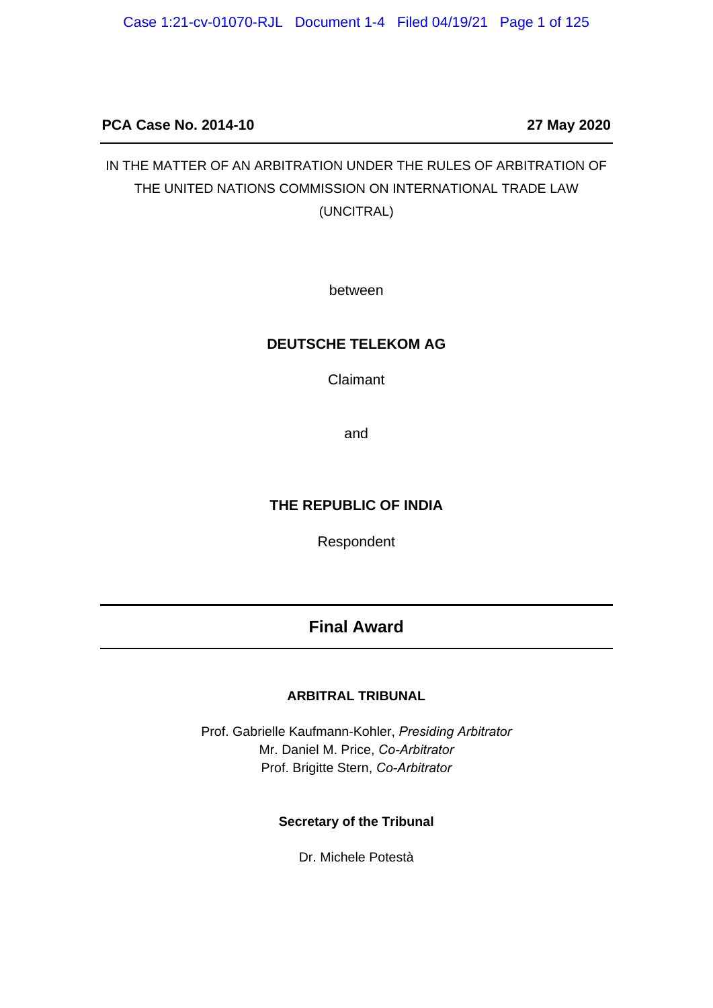# **PCA Case No. 2014-10 27 May 2020**

# IN THE MATTER OF AN ARBITRATION UNDER THE RULES OF ARBITRATION OF THE UNITED NATIONS COMMISSION ON INTERNATIONAL TRADE LAW (UNCITRAL)

between

#### **DEUTSCHE TELEKOM AG**

Claimant

and

#### **THE REPUBLIC OF INDIA**

Respondent

# **Final Award**

#### **ARBITRAL TRIBUNAL**

Prof. Gabrielle Kaufmann-Kohler, *Presiding Arbitrator* Mr. Daniel M. Price, *Co-Arbitrator* Prof. Brigitte Stern, *Co-Arbitrator*

#### **Secretary of the Tribunal**

Dr. Michele Potestà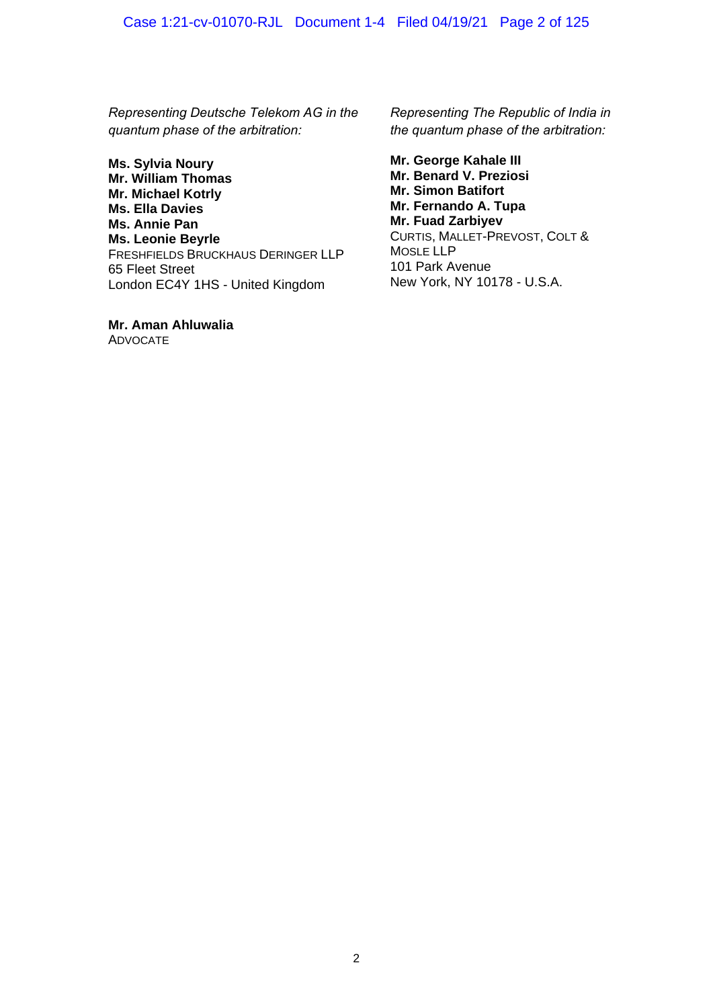*Representing Deutsche Telekom AG in the quantum phase of the arbitration:*

**Ms. Sylvia Noury Mr. William Thomas Mr. Michael Kotrly Ms. Ella Davies Ms. Annie Pan Ms. Leonie Beyrle**  FRESHFIELDS BRUCKHAUS DERINGER LLP 65 Fleet Street London EC4Y 1HS - United Kingdom

**Mr. Aman Ahluwalia**  ADVOCATE

*Representing The Republic of India in the quantum phase of the arbitration:*

**Mr. George Kahale III Mr. Benard V. Preziosi Mr. Simon Batifort Mr. Fernando A. Tupa Mr. Fuad Zarbiyev** CURTIS, MALLET-PREVOST, COLT & MOSLE LLP 101 Park Avenue New York, NY 10178 - U.S.A.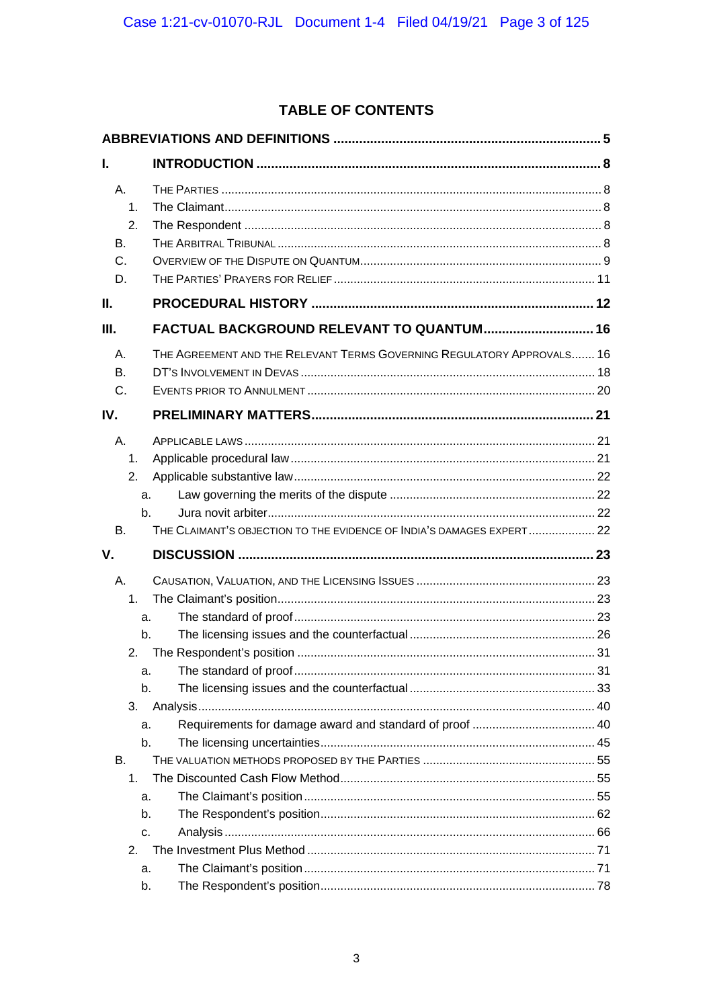# TABLE OF CONTENTS

| L.                                                                                     |                                                                        |  |  |  |
|----------------------------------------------------------------------------------------|------------------------------------------------------------------------|--|--|--|
| Α.<br>1.<br>2.<br>Β.<br>C.<br>D.                                                       |                                                                        |  |  |  |
| Ш.                                                                                     |                                                                        |  |  |  |
| Ш.                                                                                     | FACTUAL BACKGROUND RELEVANT TO QUANTUM 16                              |  |  |  |
| Α.<br>Β.<br>C.                                                                         | THE AGREEMENT AND THE RELEVANT TERMS GOVERNING REGULATORY APPROVALS 16 |  |  |  |
| IV.                                                                                    |                                                                        |  |  |  |
| А.<br>1.<br>2.<br>a.<br>b.                                                             |                                                                        |  |  |  |
| Β.<br>V.                                                                               | THE CLAIMANT'S OBJECTION TO THE EVIDENCE OF INDIA'S DAMAGES EXPERT 22  |  |  |  |
| А.<br>1.<br>a.<br>b.<br>2.<br>a.<br>b.<br>3.<br>a.<br>b.<br>В.<br>1.<br>a.<br>b.<br>c. |                                                                        |  |  |  |
| 2.<br>a.<br>b.                                                                         |                                                                        |  |  |  |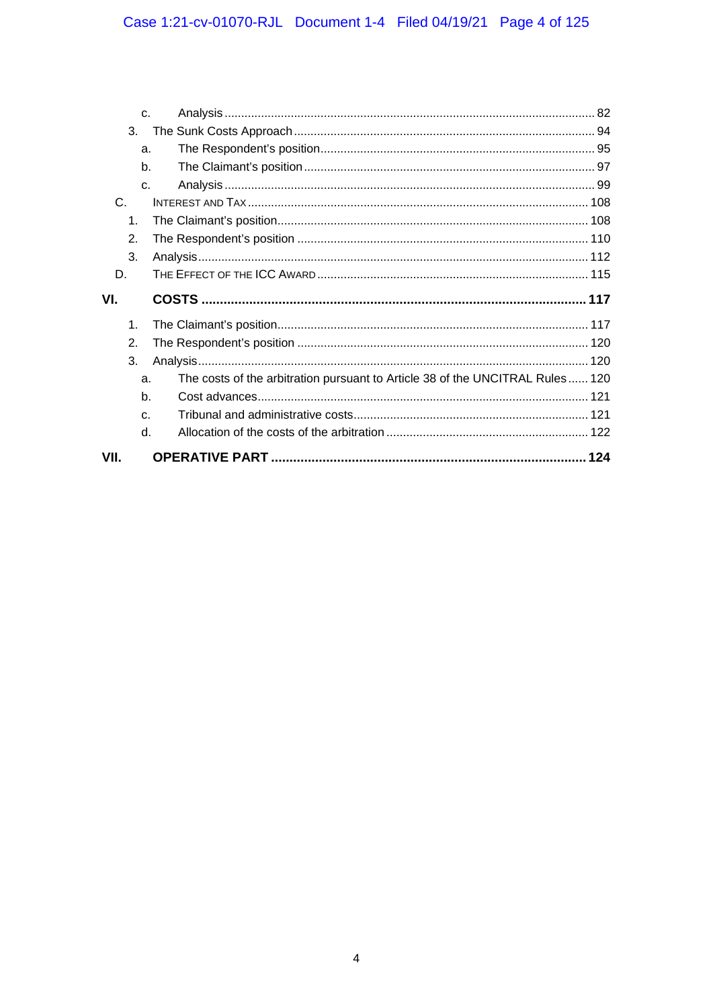|                      | C <sub>1</sub> |                                                                               |  |
|----------------------|----------------|-------------------------------------------------------------------------------|--|
| 3.                   |                |                                                                               |  |
|                      | a.             |                                                                               |  |
|                      | b.             |                                                                               |  |
|                      | C <sub>1</sub> |                                                                               |  |
| C.                   |                |                                                                               |  |
| 1.                   |                |                                                                               |  |
| $\mathfrak{D}$ .     |                |                                                                               |  |
| 3.                   |                |                                                                               |  |
| D.                   |                |                                                                               |  |
|                      |                |                                                                               |  |
|                      |                |                                                                               |  |
| VI.<br>$\mathbf 1$ . |                |                                                                               |  |
| 2.                   |                |                                                                               |  |
| 3.                   |                |                                                                               |  |
|                      | a.             | The costs of the arbitration pursuant to Article 38 of the UNCITRAL Rules 120 |  |
|                      | b.             |                                                                               |  |
|                      | C.             |                                                                               |  |
|                      | d.             |                                                                               |  |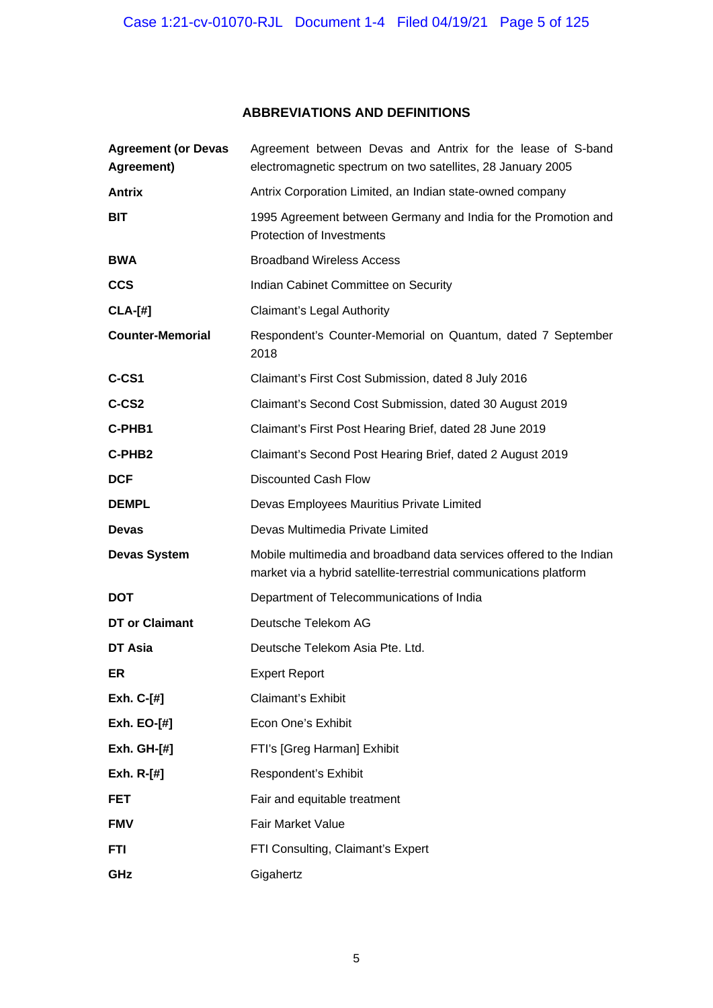# **ABBREVIATIONS AND DEFINITIONS**

| <b>Agreement (or Devas</b><br>Agreement) | Agreement between Devas and Antrix for the lease of S-band<br>electromagnetic spectrum on two satellites, 28 January 2005                |
|------------------------------------------|------------------------------------------------------------------------------------------------------------------------------------------|
| <b>Antrix</b>                            | Antrix Corporation Limited, an Indian state-owned company                                                                                |
| BIT                                      | 1995 Agreement between Germany and India for the Promotion and<br>Protection of Investments                                              |
| <b>BWA</b>                               | <b>Broadband Wireless Access</b>                                                                                                         |
| <b>CCS</b>                               | Indian Cabinet Committee on Security                                                                                                     |
| $CLA-[#]$                                | Claimant's Legal Authority                                                                                                               |
| <b>Counter-Memorial</b>                  | Respondent's Counter-Memorial on Quantum, dated 7 September<br>2018                                                                      |
| C-CS1                                    | Claimant's First Cost Submission, dated 8 July 2016                                                                                      |
| C-CS <sub>2</sub>                        | Claimant's Second Cost Submission, dated 30 August 2019                                                                                  |
| C-PHB1                                   | Claimant's First Post Hearing Brief, dated 28 June 2019                                                                                  |
| C-PHB2                                   | Claimant's Second Post Hearing Brief, dated 2 August 2019                                                                                |
| <b>DCF</b>                               | <b>Discounted Cash Flow</b>                                                                                                              |
| <b>DEMPL</b>                             | Devas Employees Mauritius Private Limited                                                                                                |
| <b>Devas</b>                             | Devas Multimedia Private Limited                                                                                                         |
| <b>Devas System</b>                      | Mobile multimedia and broadband data services offered to the Indian<br>market via a hybrid satellite-terrestrial communications platform |
| <b>DOT</b>                               | Department of Telecommunications of India                                                                                                |
| DT or Claimant                           | Deutsche Telekom AG                                                                                                                      |
| DT Asia                                  | Deutsche Telekom Asia Pte. Ltd.                                                                                                          |
| ER                                       | <b>Expert Report</b>                                                                                                                     |
| Exh. C-[#]                               | <b>Claimant's Exhibit</b>                                                                                                                |
| Exh. EO-[#]                              | Econ One's Exhibit                                                                                                                       |
| <b>Exh. GH-[#]</b>                       | FTI's [Greg Harman] Exhibit                                                                                                              |
| Exh. $R-[H]$                             | Respondent's Exhibit                                                                                                                     |
| <b>FET</b>                               | Fair and equitable treatment                                                                                                             |
| <b>FMV</b>                               | <b>Fair Market Value</b>                                                                                                                 |
| FTI                                      | FTI Consulting, Claimant's Expert                                                                                                        |
| GHz                                      | Gigahertz                                                                                                                                |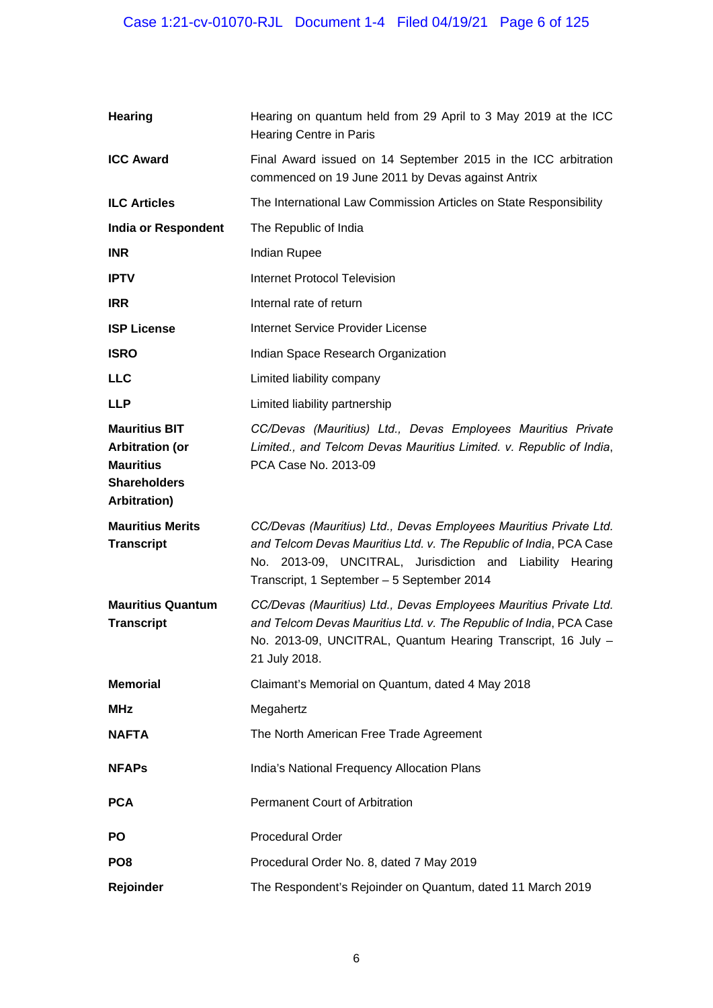| <b>Hearing</b>                                                                                                    | Hearing on quantum held from 29 April to 3 May 2019 at the ICC<br>Hearing Centre in Paris                                                                                                                                                          |
|-------------------------------------------------------------------------------------------------------------------|----------------------------------------------------------------------------------------------------------------------------------------------------------------------------------------------------------------------------------------------------|
| <b>ICC Award</b>                                                                                                  | Final Award issued on 14 September 2015 in the ICC arbitration<br>commenced on 19 June 2011 by Devas against Antrix                                                                                                                                |
| <b>ILC Articles</b>                                                                                               | The International Law Commission Articles on State Responsibility                                                                                                                                                                                  |
| <b>India or Respondent</b>                                                                                        | The Republic of India                                                                                                                                                                                                                              |
| <b>INR</b>                                                                                                        | Indian Rupee                                                                                                                                                                                                                                       |
| <b>IPTV</b>                                                                                                       | <b>Internet Protocol Television</b>                                                                                                                                                                                                                |
| <b>IRR</b>                                                                                                        | Internal rate of return                                                                                                                                                                                                                            |
| <b>ISP License</b>                                                                                                | Internet Service Provider License                                                                                                                                                                                                                  |
| <b>ISRO</b>                                                                                                       | Indian Space Research Organization                                                                                                                                                                                                                 |
| <b>LLC</b>                                                                                                        | Limited liability company                                                                                                                                                                                                                          |
| <b>LLP</b>                                                                                                        | Limited liability partnership                                                                                                                                                                                                                      |
| <b>Mauritius BIT</b><br><b>Arbitration (or</b><br><b>Mauritius</b><br><b>Shareholders</b><br><b>Arbitration</b> ) | CC/Devas (Mauritius) Ltd., Devas Employees Mauritius Private<br>Limited., and Telcom Devas Mauritius Limited. v. Republic of India,<br>PCA Case No. 2013-09                                                                                        |
| <b>Mauritius Merits</b><br><b>Transcript</b>                                                                      | CC/Devas (Mauritius) Ltd., Devas Employees Mauritius Private Ltd.<br>and Telcom Devas Mauritius Ltd. v. The Republic of India, PCA Case<br>No. 2013-09, UNCITRAL, Jurisdiction and Liability Hearing<br>Transcript, 1 September - 5 September 2014 |
| <b>Mauritius Quantum</b><br><b>Transcript</b>                                                                     | CC/Devas (Mauritius) Ltd., Devas Employees Mauritius Private Ltd.<br>and Telcom Devas Mauritius Ltd. v. The Republic of India, PCA Case<br>No. 2013-09, UNCITRAL, Quantum Hearing Transcript, 16 July -<br>21 July 2018.                           |
| <b>Memorial</b>                                                                                                   | Claimant's Memorial on Quantum, dated 4 May 2018                                                                                                                                                                                                   |
| <b>MHz</b>                                                                                                        | Megahertz                                                                                                                                                                                                                                          |
| <b>NAFTA</b>                                                                                                      | The North American Free Trade Agreement                                                                                                                                                                                                            |
| <b>NFAPs</b>                                                                                                      | India's National Frequency Allocation Plans                                                                                                                                                                                                        |
| <b>PCA</b>                                                                                                        | <b>Permanent Court of Arbitration</b>                                                                                                                                                                                                              |
| <b>PO</b>                                                                                                         | <b>Procedural Order</b>                                                                                                                                                                                                                            |
| PO <sub>8</sub>                                                                                                   | Procedural Order No. 8, dated 7 May 2019                                                                                                                                                                                                           |
| Rejoinder                                                                                                         | The Respondent's Rejoinder on Quantum, dated 11 March 2019                                                                                                                                                                                         |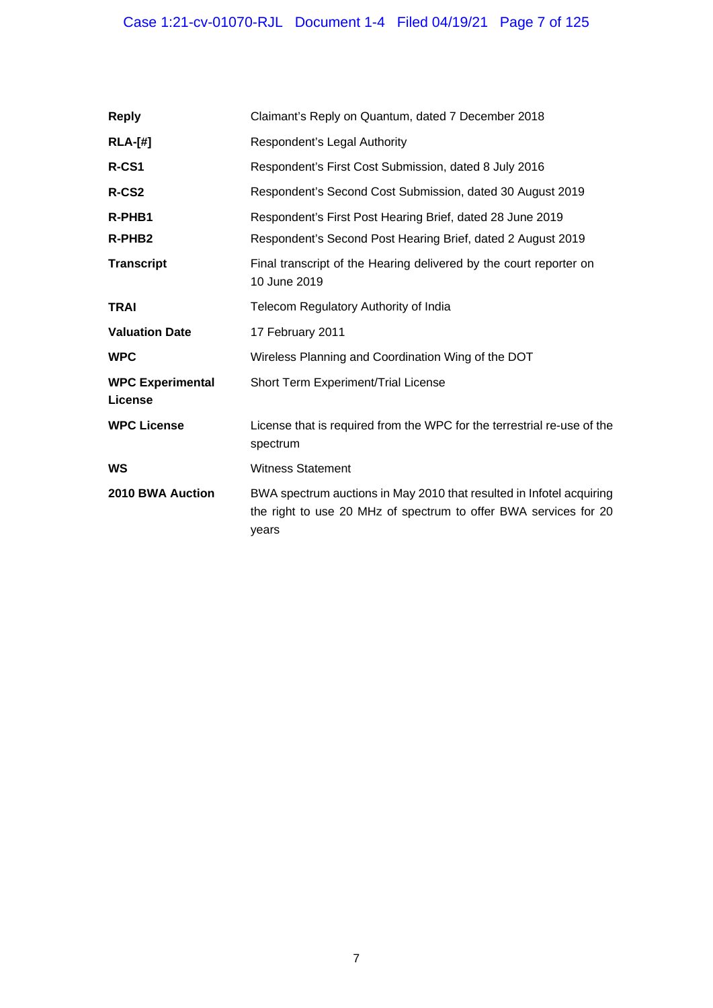# Case 1:21-cv-01070-RJL Document 1-4 Filed 04/19/21 Page 7 of 125

| <b>Reply</b>                              | Claimant's Reply on Quantum, dated 7 December 2018                                                                                                |
|-------------------------------------------|---------------------------------------------------------------------------------------------------------------------------------------------------|
| $RLA-[#]$                                 | Respondent's Legal Authority                                                                                                                      |
| R-CS1                                     | Respondent's First Cost Submission, dated 8 July 2016                                                                                             |
| R-CS2                                     | Respondent's Second Cost Submission, dated 30 August 2019                                                                                         |
| R-PHB1                                    | Respondent's First Post Hearing Brief, dated 28 June 2019                                                                                         |
| R-PHB <sub>2</sub>                        | Respondent's Second Post Hearing Brief, dated 2 August 2019                                                                                       |
| <b>Transcript</b>                         | Final transcript of the Hearing delivered by the court reporter on<br>10 June 2019                                                                |
| <b>TRAI</b>                               | Telecom Regulatory Authority of India                                                                                                             |
| <b>Valuation Date</b>                     | 17 February 2011                                                                                                                                  |
| <b>WPC</b>                                | Wireless Planning and Coordination Wing of the DOT                                                                                                |
| <b>WPC Experimental</b><br><b>License</b> | Short Term Experiment/Trial License                                                                                                               |
| <b>WPC License</b>                        | License that is required from the WPC for the terrestrial re-use of the<br>spectrum                                                               |
| WS                                        | <b>Witness Statement</b>                                                                                                                          |
| 2010 BWA Auction                          | BWA spectrum auctions in May 2010 that resulted in Infotel acquiring<br>the right to use 20 MHz of spectrum to offer BWA services for 20<br>years |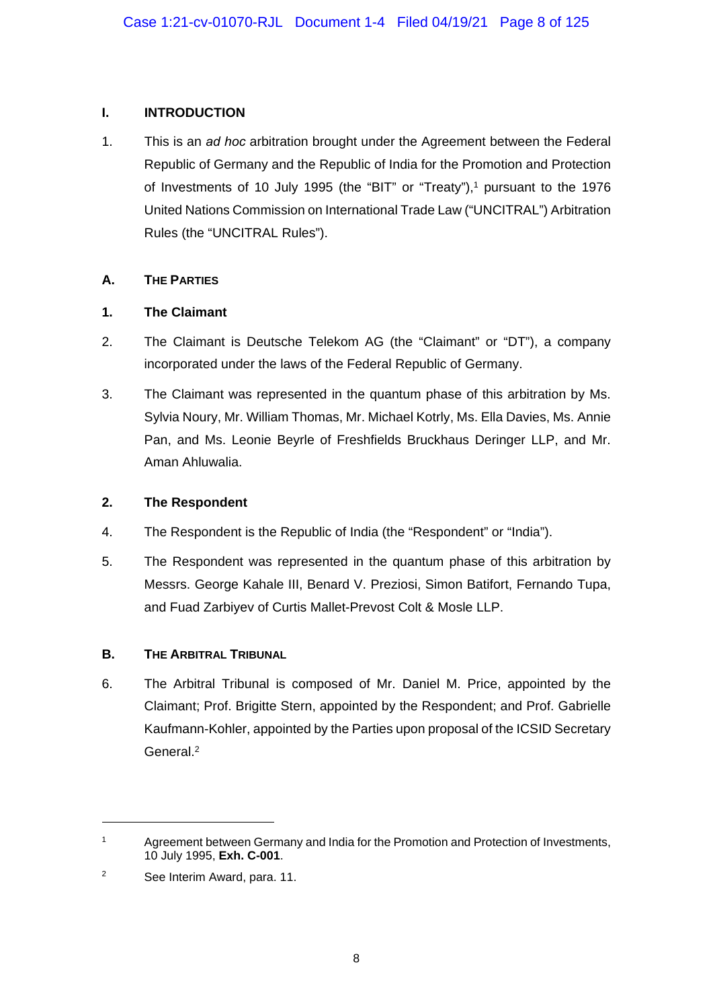## **I. INTRODUCTION**

1. This is an *ad hoc* arbitration brought under the Agreement between the Federal Republic of Germany and the Republic of India for the Promotion and Protection of Investments of 10 July 1995 (the "BIT" or "Treaty"),<sup>1</sup> pursuant to the 1976 United Nations Commission on International Trade Law ("UNCITRAL") Arbitration Rules (the "UNCITRAL Rules").

## **A. THE PARTIES**

## **1. The Claimant**

- 2. The Claimant is Deutsche Telekom AG (the "Claimant" or "DT"), a company incorporated under the laws of the Federal Republic of Germany.
- 3. The Claimant was represented in the quantum phase of this arbitration by Ms. Sylvia Noury, Mr. William Thomas, Mr. Michael Kotrly, Ms. Ella Davies, Ms. Annie Pan, and Ms. Leonie Beyrle of Freshfields Bruckhaus Deringer LLP, and Mr. Aman Ahluwalia.

## **2. The Respondent**

- 4. The Respondent is the Republic of India (the "Respondent" or "India").
- 5. The Respondent was represented in the quantum phase of this arbitration by Messrs. George Kahale III, Benard V. Preziosi, Simon Batifort, Fernando Tupa, and Fuad Zarbiyev of Curtis Mallet-Prevost Colt & Mosle LLP.

# **B. THE ARBITRAL TRIBUNAL**

6. The Arbitral Tribunal is composed of Mr. Daniel M. Price, appointed by the Claimant; Prof. Brigitte Stern, appointed by the Respondent; and Prof. Gabrielle Kaufmann-Kohler, appointed by the Parties upon proposal of the ICSID Secretary General.2

-

<sup>&</sup>lt;sup>1</sup> Agreement between Germany and India for the Promotion and Protection of Investments, 10 July 1995, **Exh. C-001**.

<sup>2</sup> See Interim Award, para. 11.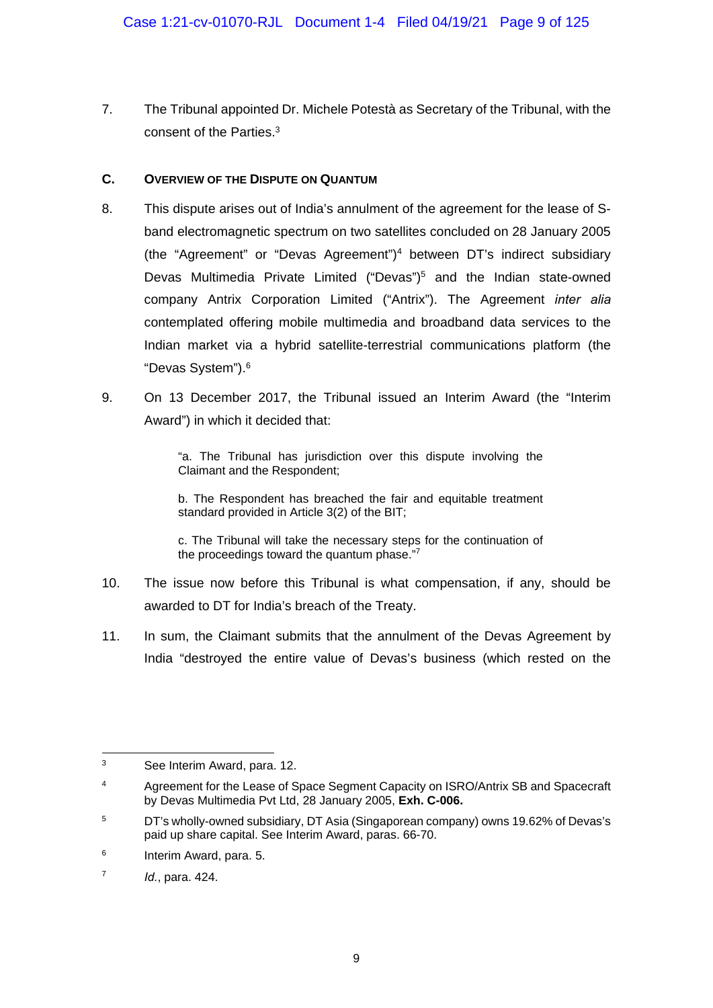7. The Tribunal appointed Dr. Michele Potestà as Secretary of the Tribunal, with the consent of the Parties.3

### **C. OVERVIEW OF THE DISPUTE ON QUANTUM**

- 8. This dispute arises out of India's annulment of the agreement for the lease of Sband electromagnetic spectrum on two satellites concluded on 28 January 2005 (the "Agreement" or "Devas Agreement")4 between DT's indirect subsidiary Devas Multimedia Private Limited ("Devas")<sup>5</sup> and the Indian state-owned company Antrix Corporation Limited ("Antrix"). The Agreement *inter alia*  contemplated offering mobile multimedia and broadband data services to the Indian market via a hybrid satellite-terrestrial communications platform (the "Devas System").6
- 9. On 13 December 2017, the Tribunal issued an Interim Award (the "Interim Award") in which it decided that:

"a. The Tribunal has jurisdiction over this dispute involving the Claimant and the Respondent;

b. The Respondent has breached the fair and equitable treatment standard provided in Article 3(2) of the BIT;

c. The Tribunal will take the necessary steps for the continuation of the proceedings toward the quantum phase."7

- 10. The issue now before this Tribunal is what compensation, if any, should be awarded to DT for India's breach of the Treaty.
- 11. In sum, the Claimant submits that the annulment of the Devas Agreement by India "destroyed the entire value of Devas's business (which rested on the

<sup>1</sup> 3 See Interim Award, para. 12.

<sup>&</sup>lt;sup>4</sup> Agreement for the Lease of Space Segment Capacity on ISRO/Antrix SB and Spacecraft by Devas Multimedia Pvt Ltd, 28 January 2005, **Exh. C-006.**

<sup>5</sup> DT's wholly-owned subsidiary, DT Asia (Singaporean company) owns 19.62% of Devas's paid up share capital. See Interim Award, paras. 66-70.

<sup>6</sup> Interim Award, para. 5.

<sup>7</sup> *Id.*, para. 424.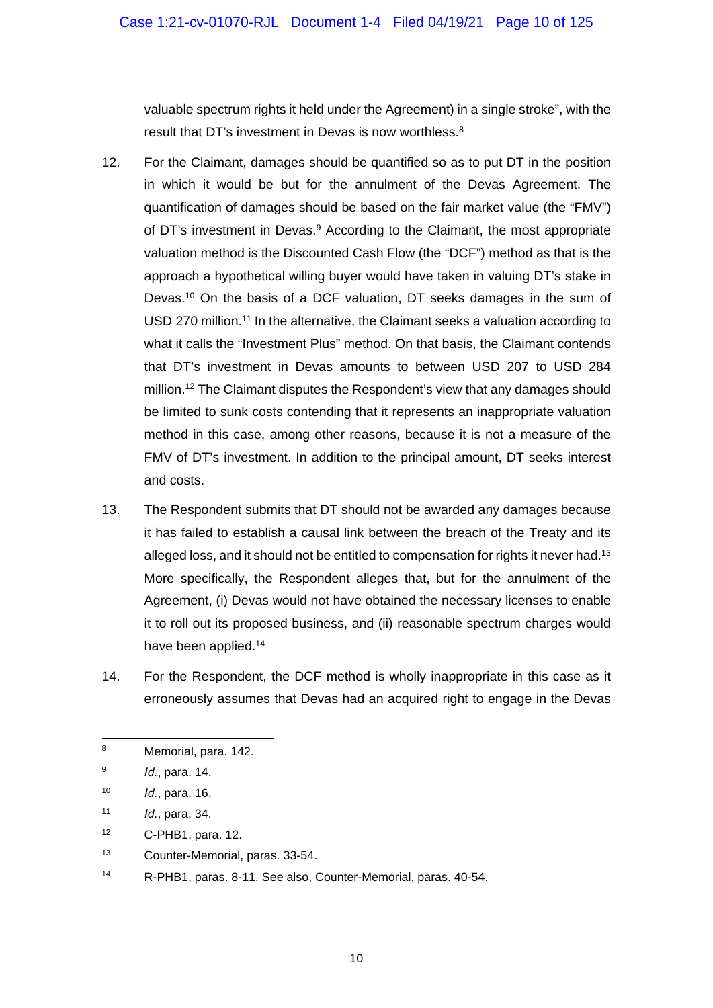valuable spectrum rights it held under the Agreement) in a single stroke", with the result that DT's investment in Devas is now worthless.<sup>8</sup>

- 12. For the Claimant, damages should be quantified so as to put DT in the position in which it would be but for the annulment of the Devas Agreement. The quantification of damages should be based on the fair market value (the "FMV") of DT's investment in Devas.<sup>9</sup> According to the Claimant, the most appropriate valuation method is the Discounted Cash Flow (the "DCF") method as that is the approach a hypothetical willing buyer would have taken in valuing DT's stake in Devas.10 On the basis of a DCF valuation, DT seeks damages in the sum of USD 270 million.<sup>11</sup> In the alternative, the Claimant seeks a valuation according to what it calls the "Investment Plus" method. On that basis, the Claimant contends that DT's investment in Devas amounts to between USD 207 to USD 284 million.<sup>12</sup> The Claimant disputes the Respondent's view that any damages should be limited to sunk costs contending that it represents an inappropriate valuation method in this case, among other reasons, because it is not a measure of the FMV of DT's investment. In addition to the principal amount, DT seeks interest and costs.
- 13. The Respondent submits that DT should not be awarded any damages because it has failed to establish a causal link between the breach of the Treaty and its alleged loss, and it should not be entitled to compensation for rights it never had.<sup>13</sup> More specifically, the Respondent alleges that, but for the annulment of the Agreement, (i) Devas would not have obtained the necessary licenses to enable it to roll out its proposed business, and (ii) reasonable spectrum charges would have been applied.14
- 14. For the Respondent, the DCF method is wholly inappropriate in this case as it erroneously assumes that Devas had an acquired right to engage in the Devas

- 12 C-PHB1, para. 12.
- 13 Counter-Memorial, paras. 33-54.
- 14 R-PHB1, paras. 8-11. See also, Counter-Memorial, paras. 40-54.

<sup>1</sup> 8 Memorial, para. 142.

<sup>9</sup> *Id.*, para. 14.

<sup>10</sup> *Id.*, para. 16.

<sup>11</sup> *Id.*, para. 34.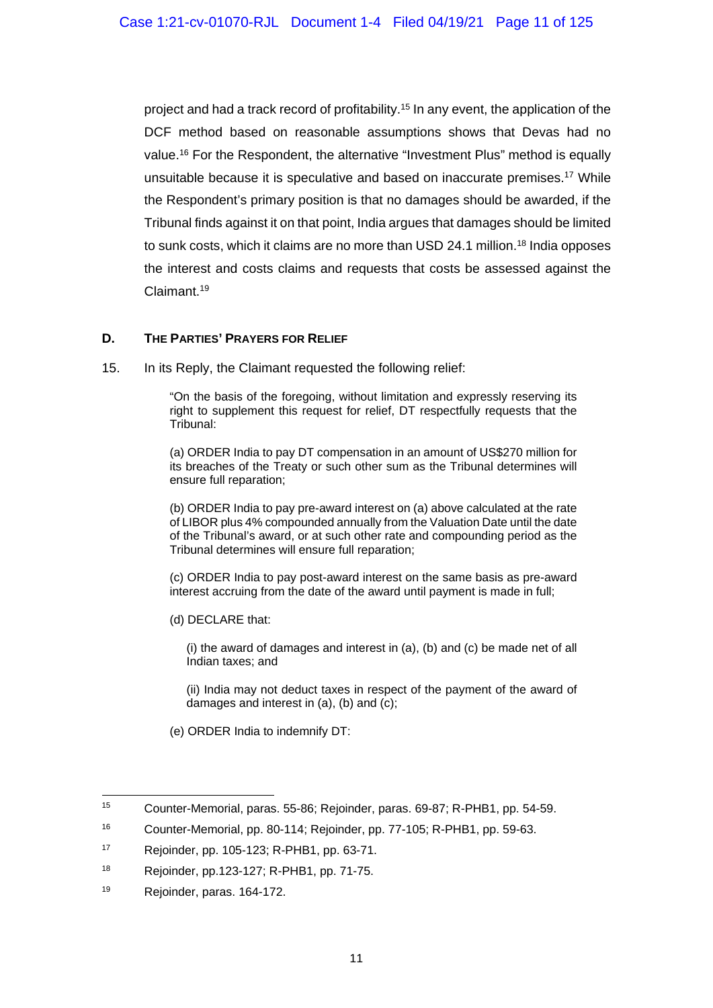project and had a track record of profitability.15 In any event, the application of the DCF method based on reasonable assumptions shows that Devas had no value.16 For the Respondent, the alternative "Investment Plus" method is equally unsuitable because it is speculative and based on inaccurate premises.17 While the Respondent's primary position is that no damages should be awarded, if the Tribunal finds against it on that point, India argues that damages should be limited to sunk costs, which it claims are no more than USD 24.1 million.18 India opposes the interest and costs claims and requests that costs be assessed against the Claimant.19

#### **D. THE PARTIES' PRAYERS FOR RELIEF**

15. In its Reply, the Claimant requested the following relief:

"On the basis of the foregoing, without limitation and expressly reserving its right to supplement this request for relief, DT respectfully requests that the Tribunal:

(a) ORDER India to pay DT compensation in an amount of US\$270 million for its breaches of the Treaty or such other sum as the Tribunal determines will ensure full reparation;

(b) ORDER India to pay pre-award interest on (a) above calculated at the rate of LIBOR plus 4% compounded annually from the Valuation Date until the date of the Tribunal's award, or at such other rate and compounding period as the Tribunal determines will ensure full reparation;

(c) ORDER India to pay post-award interest on the same basis as pre-award interest accruing from the date of the award until payment is made in full;

(d) DECLARE that:

(i) the award of damages and interest in (a), (b) and (c) be made net of all Indian taxes; and

(ii) India may not deduct taxes in respect of the payment of the award of damages and interest in (a), (b) and (c);

(e) ORDER India to indemnify DT:

1

<sup>15</sup> Counter-Memorial, paras. 55-86; Rejoinder, paras. 69-87; R-PHB1, pp. 54-59.

<sup>16</sup> Counter-Memorial, pp. 80-114; Rejoinder, pp. 77-105; R-PHB1, pp. 59-63.

<sup>17</sup> Rejoinder, pp. 105-123; R-PHB1, pp. 63-71.

<sup>18</sup> Rejoinder, pp.123-127; R-PHB1, pp. 71-75.

<sup>19</sup> Rejoinder, paras. 164-172.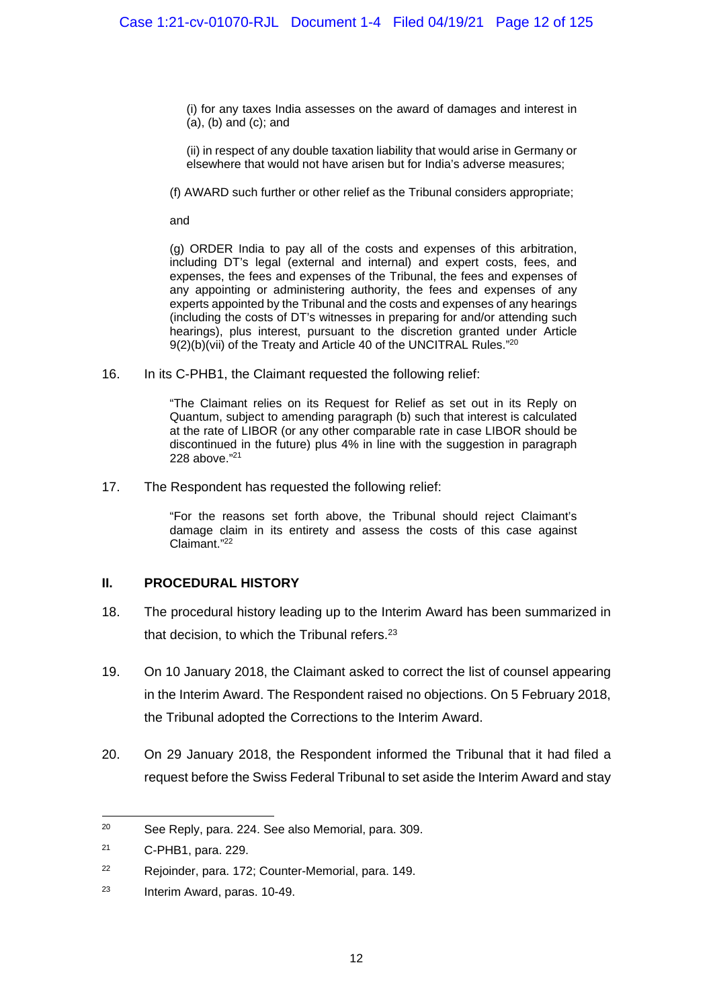(i) for any taxes India assesses on the award of damages and interest in (a), (b) and (c); and

(ii) in respect of any double taxation liability that would arise in Germany or elsewhere that would not have arisen but for India's adverse measures;

(f) AWARD such further or other relief as the Tribunal considers appropriate;

and

(g) ORDER India to pay all of the costs and expenses of this arbitration, including DT's legal (external and internal) and expert costs, fees, and expenses, the fees and expenses of the Tribunal, the fees and expenses of any appointing or administering authority, the fees and expenses of any experts appointed by the Tribunal and the costs and expenses of any hearings (including the costs of DT's witnesses in preparing for and/or attending such hearings), plus interest, pursuant to the discretion granted under Article 9(2)(b)(vii) of the Treaty and Article 40 of the UNCITRAL Rules."<sup>20</sup>

16. In its C-PHB1, the Claimant requested the following relief:

"The Claimant relies on its Request for Relief as set out in its Reply on Quantum, subject to amending paragraph (b) such that interest is calculated at the rate of LIBOR (or any other comparable rate in case LIBOR should be discontinued in the future) plus 4% in line with the suggestion in paragraph 228 above."21

17. The Respondent has requested the following relief:

"For the reasons set forth above, the Tribunal should reject Claimant's damage claim in its entirety and assess the costs of this case against Claimant."22

#### **II. PROCEDURAL HISTORY**

- 18. The procedural history leading up to the Interim Award has been summarized in that decision, to which the Tribunal refers.<sup>23</sup>
- 19. On 10 January 2018, the Claimant asked to correct the list of counsel appearing in the Interim Award. The Respondent raised no objections. On 5 February 2018, the Tribunal adopted the Corrections to the Interim Award.
- 20. On 29 January 2018, the Respondent informed the Tribunal that it had filed a request before the Swiss Federal Tribunal to set aside the Interim Award and stay

1

<sup>20</sup> See Reply, para. 224. See also Memorial, para. 309.

<sup>21</sup> C-PHB1, para. 229.

<sup>22</sup> Rejoinder, para. 172; Counter-Memorial, para. 149.

<sup>23</sup> Interim Award, paras. 10-49.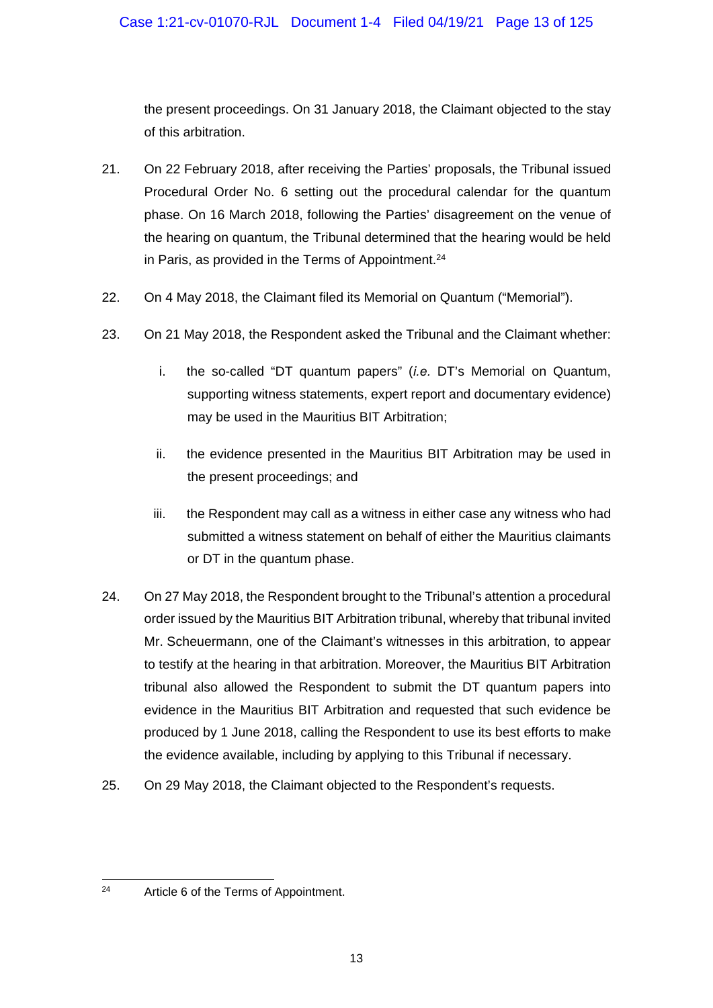the present proceedings. On 31 January 2018, the Claimant objected to the stay of this arbitration.

- 21. On 22 February 2018, after receiving the Parties' proposals, the Tribunal issued Procedural Order No. 6 setting out the procedural calendar for the quantum phase. On 16 March 2018, following the Parties' disagreement on the venue of the hearing on quantum, the Tribunal determined that the hearing would be held in Paris, as provided in the Terms of Appointment.<sup>24</sup>
- 22. On 4 May 2018, the Claimant filed its Memorial on Quantum ("Memorial").
- 23. On 21 May 2018, the Respondent asked the Tribunal and the Claimant whether:
	- i. the so-called "DT quantum papers" (*i.e.* DT's Memorial on Quantum, supporting witness statements, expert report and documentary evidence) may be used in the Mauritius BIT Arbitration;
	- ii. the evidence presented in the Mauritius BIT Arbitration may be used in the present proceedings; and
	- iii. the Respondent may call as a witness in either case any witness who had submitted a witness statement on behalf of either the Mauritius claimants or DT in the quantum phase.
- 24. On 27 May 2018, the Respondent brought to the Tribunal's attention a procedural order issued by the Mauritius BIT Arbitration tribunal, whereby that tribunal invited Mr. Scheuermann, one of the Claimant's witnesses in this arbitration, to appear to testify at the hearing in that arbitration. Moreover, the Mauritius BIT Arbitration tribunal also allowed the Respondent to submit the DT quantum papers into evidence in the Mauritius BIT Arbitration and requested that such evidence be produced by 1 June 2018, calling the Respondent to use its best efforts to make the evidence available, including by applying to this Tribunal if necessary.
- 25. On 29 May 2018, the Claimant objected to the Respondent's requests.

 $24$ Article 6 of the Terms of Appointment.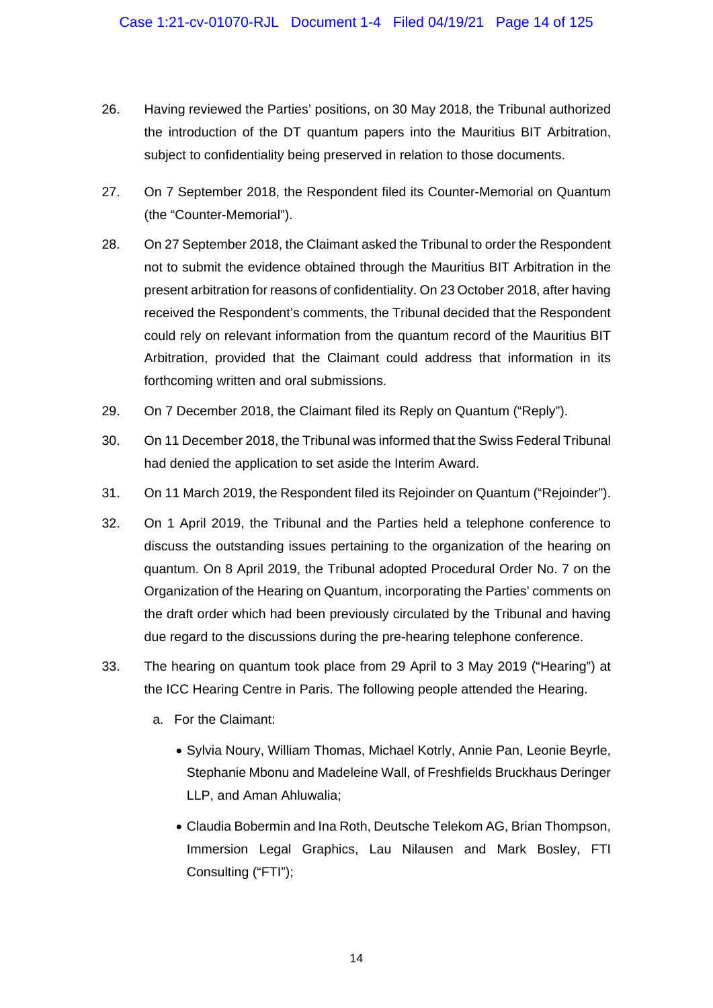- 26. Having reviewed the Parties' positions, on 30 May 2018, the Tribunal authorized the introduction of the DT quantum papers into the Mauritius BIT Arbitration, subject to confidentiality being preserved in relation to those documents.
- 27. On 7 September 2018, the Respondent filed its Counter-Memorial on Quantum (the "Counter-Memorial").
- 28. On 27 September 2018, the Claimant asked the Tribunal to order the Respondent not to submit the evidence obtained through the Mauritius BIT Arbitration in the present arbitration for reasons of confidentiality. On 23 October 2018, after having received the Respondent's comments, the Tribunal decided that the Respondent could rely on relevant information from the quantum record of the Mauritius BIT Arbitration, provided that the Claimant could address that information in its forthcoming written and oral submissions.
- 29. On 7 December 2018, the Claimant filed its Reply on Quantum ("Reply").
- 30. On 11 December 2018, the Tribunal was informed that the Swiss Federal Tribunal had denied the application to set aside the Interim Award.
- 31. On 11 March 2019, the Respondent filed its Rejoinder on Quantum ("Rejoinder").
- 32. On 1 April 2019, the Tribunal and the Parties held a telephone conference to discuss the outstanding issues pertaining to the organization of the hearing on quantum. On 8 April 2019, the Tribunal adopted Procedural Order No. 7 on the Organization of the Hearing on Quantum, incorporating the Parties' comments on the draft order which had been previously circulated by the Tribunal and having due regard to the discussions during the pre-hearing telephone conference.
- 33. The hearing on quantum took place from 29 April to 3 May 2019 ("Hearing") at the ICC Hearing Centre in Paris. The following people attended the Hearing.
	- a. For the Claimant:
		- Sylvia Noury, William Thomas, Michael Kotrly, Annie Pan, Leonie Beyrle, Stephanie Mbonu and Madeleine Wall, of Freshfields Bruckhaus Deringer LLP, and Aman Ahluwalia;
		- Claudia Bobermin and Ina Roth, Deutsche Telekom AG, Brian Thompson, Immersion Legal Graphics, Lau Nilausen and Mark Bosley, FTI Consulting ("FTI");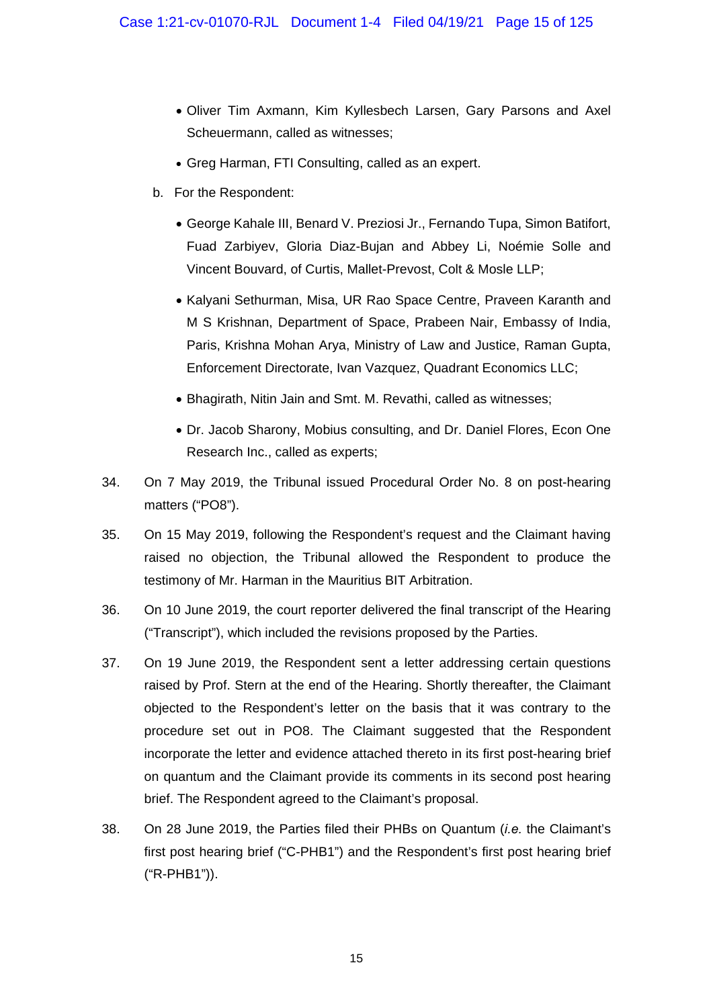- Oliver Tim Axmann, Kim Kyllesbech Larsen, Gary Parsons and Axel Scheuermann, called as witnesses;
- Greg Harman, FTI Consulting, called as an expert.
- b. For the Respondent:
	- George Kahale III, Benard V. Preziosi Jr., Fernando Tupa, Simon Batifort, Fuad Zarbiyev, Gloria Diaz-Bujan and Abbey Li, Noémie Solle and Vincent Bouvard, of Curtis, Mallet-Prevost, Colt & Mosle LLP;
	- Kalyani Sethurman, Misa, UR Rao Space Centre, Praveen Karanth and M S Krishnan, Department of Space, Prabeen Nair, Embassy of India, Paris, Krishna Mohan Arya, Ministry of Law and Justice, Raman Gupta, Enforcement Directorate, Ivan Vazquez, Quadrant Economics LLC;
	- Bhagirath, Nitin Jain and Smt. M. Revathi, called as witnesses;
	- Dr. Jacob Sharony, Mobius consulting, and Dr. Daniel Flores, Econ One Research Inc., called as experts;
- 34. On 7 May 2019, the Tribunal issued Procedural Order No. 8 on post-hearing matters ("PO8").
- 35. On 15 May 2019, following the Respondent's request and the Claimant having raised no objection, the Tribunal allowed the Respondent to produce the testimony of Mr. Harman in the Mauritius BIT Arbitration.
- 36. On 10 June 2019, the court reporter delivered the final transcript of the Hearing ("Transcript"), which included the revisions proposed by the Parties.
- 37. On 19 June 2019, the Respondent sent a letter addressing certain questions raised by Prof. Stern at the end of the Hearing. Shortly thereafter, the Claimant objected to the Respondent's letter on the basis that it was contrary to the procedure set out in PO8. The Claimant suggested that the Respondent incorporate the letter and evidence attached thereto in its first post-hearing brief on quantum and the Claimant provide its comments in its second post hearing brief. The Respondent agreed to the Claimant's proposal.
- 38. On 28 June 2019, the Parties filed their PHBs on Quantum (*i.e.* the Claimant's first post hearing brief ("C-PHB1") and the Respondent's first post hearing brief ("R-PHB1")).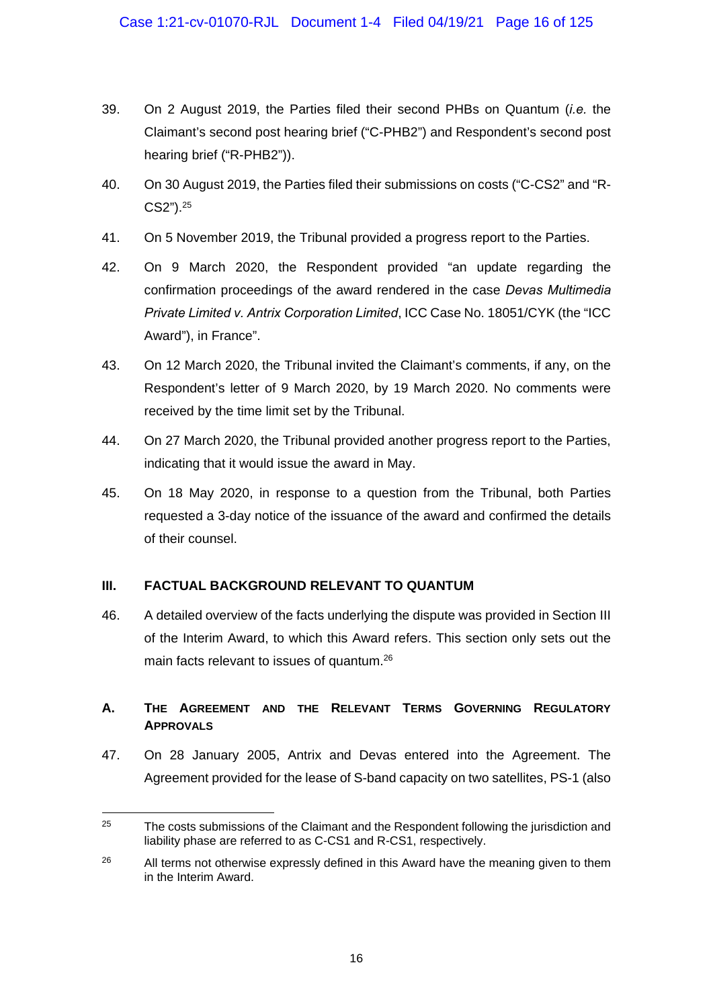- 39. On 2 August 2019, the Parties filed their second PHBs on Quantum (*i.e.* the Claimant's second post hearing brief ("C-PHB2") and Respondent's second post hearing brief ("R-PHB2")).
- 40. On 30 August 2019, the Parties filed their submissions on costs ("C-CS2" and "R-CS2").25
- 41. On 5 November 2019, the Tribunal provided a progress report to the Parties.
- 42. On 9 March 2020, the Respondent provided "an update regarding the confirmation proceedings of the award rendered in the case *Devas Multimedia Private Limited v. Antrix Corporation Limited*, ICC Case No. 18051/CYK (the "ICC Award"), in France".
- 43. On 12 March 2020, the Tribunal invited the Claimant's comments, if any, on the Respondent's letter of 9 March 2020, by 19 March 2020. No comments were received by the time limit set by the Tribunal.
- 44. On 27 March 2020, the Tribunal provided another progress report to the Parties, indicating that it would issue the award in May.
- 45. On 18 May 2020, in response to a question from the Tribunal, both Parties requested a 3-day notice of the issuance of the award and confirmed the details of their counsel.

# **III. FACTUAL BACKGROUND RELEVANT TO QUANTUM**

1

46. A detailed overview of the facts underlying the dispute was provided in Section III of the Interim Award, to which this Award refers. This section only sets out the main facts relevant to issues of quantum.<sup>26</sup>

# **A. THE AGREEMENT AND THE RELEVANT TERMS GOVERNING REGULATORY APPROVALS**

47. On 28 January 2005, Antrix and Devas entered into the Agreement. The Agreement provided for the lease of S-band capacity on two satellites, PS-1 (also

 $25$  The costs submissions of the Claimant and the Respondent following the jurisdiction and liability phase are referred to as C-CS1 and R-CS1, respectively.

 $26$  All terms not otherwise expressly defined in this Award have the meaning given to them in the Interim Award.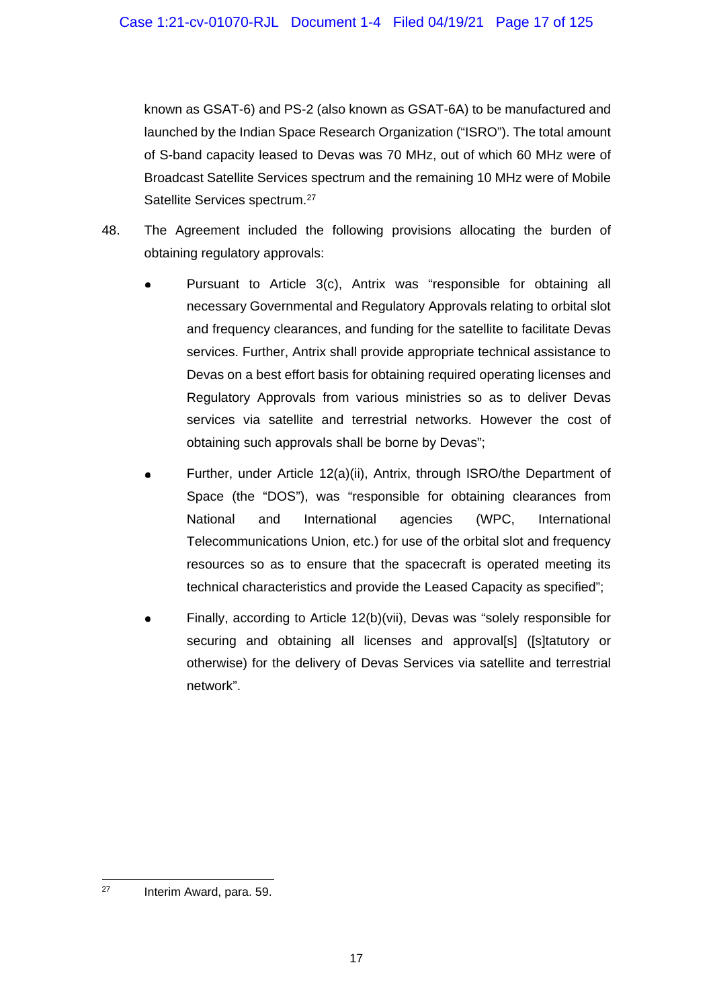known as GSAT-6) and PS-2 (also known as GSAT-6A) to be manufactured and launched by the Indian Space Research Organization ("ISRO"). The total amount of S-band capacity leased to Devas was 70 MHz, out of which 60 MHz were of Broadcast Satellite Services spectrum and the remaining 10 MHz were of Mobile Satellite Services spectrum.<sup>27</sup>

- 48. The Agreement included the following provisions allocating the burden of obtaining regulatory approvals:
	- Pursuant to Article 3(c), Antrix was "responsible for obtaining all necessary Governmental and Regulatory Approvals relating to orbital slot and frequency clearances, and funding for the satellite to facilitate Devas services. Further, Antrix shall provide appropriate technical assistance to Devas on a best effort basis for obtaining required operating licenses and Regulatory Approvals from various ministries so as to deliver Devas services via satellite and terrestrial networks. However the cost of obtaining such approvals shall be borne by Devas";
	- Further, under Article 12(a)(ii), Antrix, through ISRO/the Department of Space (the "DOS"), was "responsible for obtaining clearances from National and International agencies (WPC, International Telecommunications Union, etc.) for use of the orbital slot and frequency resources so as to ensure that the spacecraft is operated meeting its technical characteristics and provide the Leased Capacity as specified";
	- Finally, according to Article 12(b)(vii), Devas was "solely responsible for securing and obtaining all licenses and approval[s] ([s]tatutory or otherwise) for the delivery of Devas Services via satellite and terrestrial network".

1 27 Interim Award, para. 59.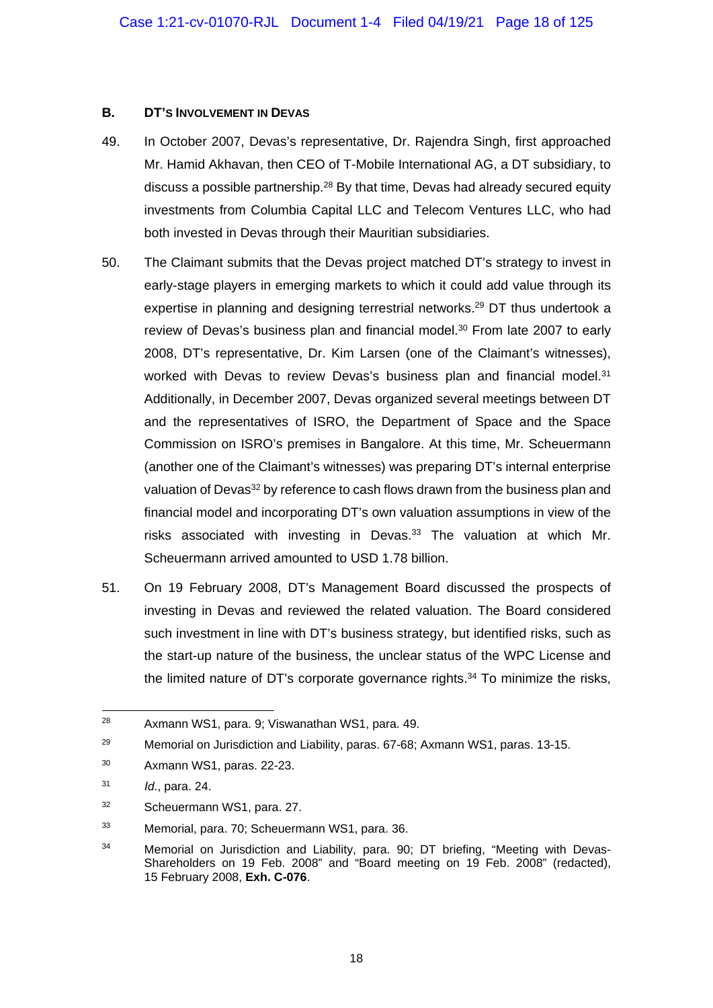#### **B. DT'S INVOLVEMENT IN DEVAS**

- 49. In October 2007, Devas's representative, Dr. Rajendra Singh, first approached Mr. Hamid Akhavan, then CEO of T-Mobile International AG, a DT subsidiary, to discuss a possible partnership.28 By that time, Devas had already secured equity investments from Columbia Capital LLC and Telecom Ventures LLC, who had both invested in Devas through their Mauritian subsidiaries.
- 50. The Claimant submits that the Devas project matched DT's strategy to invest in early-stage players in emerging markets to which it could add value through its expertise in planning and designing terrestrial networks.<sup>29</sup> DT thus undertook a review of Devas's business plan and financial model.<sup>30</sup> From late 2007 to early 2008, DT's representative, Dr. Kim Larsen (one of the Claimant's witnesses), worked with Devas to review Devas's business plan and financial model.<sup>31</sup> Additionally, in December 2007, Devas organized several meetings between DT and the representatives of ISRO, the Department of Space and the Space Commission on ISRO's premises in Bangalore. At this time, Mr. Scheuermann (another one of the Claimant's witnesses) was preparing DT's internal enterprise valuation of Devas<sup>32</sup> by reference to cash flows drawn from the business plan and financial model and incorporating DT's own valuation assumptions in view of the risks associated with investing in Devas. $33$  The valuation at which Mr. Scheuermann arrived amounted to USD 1.78 billion.
- 51. On 19 February 2008, DT's Management Board discussed the prospects of investing in Devas and reviewed the related valuation. The Board considered such investment in line with DT's business strategy, but identified risks, such as the start-up nature of the business, the unclear status of the WPC License and the limited nature of DT's corporate governance rights.<sup>34</sup> To minimize the risks,

<sup>-</sup>28 Axmann WS1, para. 9; Viswanathan WS1, para. 49.

<sup>29</sup> Memorial on Jurisdiction and Liability, paras. 67-68; Axmann WS1, paras. 13-15.

<sup>30</sup> Axmann WS1, paras. 22-23.

<sup>31</sup> *Id.*, para. 24.

<sup>32</sup> Scheuermann WS1, para. 27.

<sup>33</sup> Memorial, para. 70; Scheuermann WS1, para. 36.

<sup>34</sup> Memorial on Jurisdiction and Liability, para. 90; DT briefing, "Meeting with Devas-Shareholders on 19 Feb. 2008" and "Board meeting on 19 Feb. 2008" (redacted), 15 February 2008, **Exh. C-076**.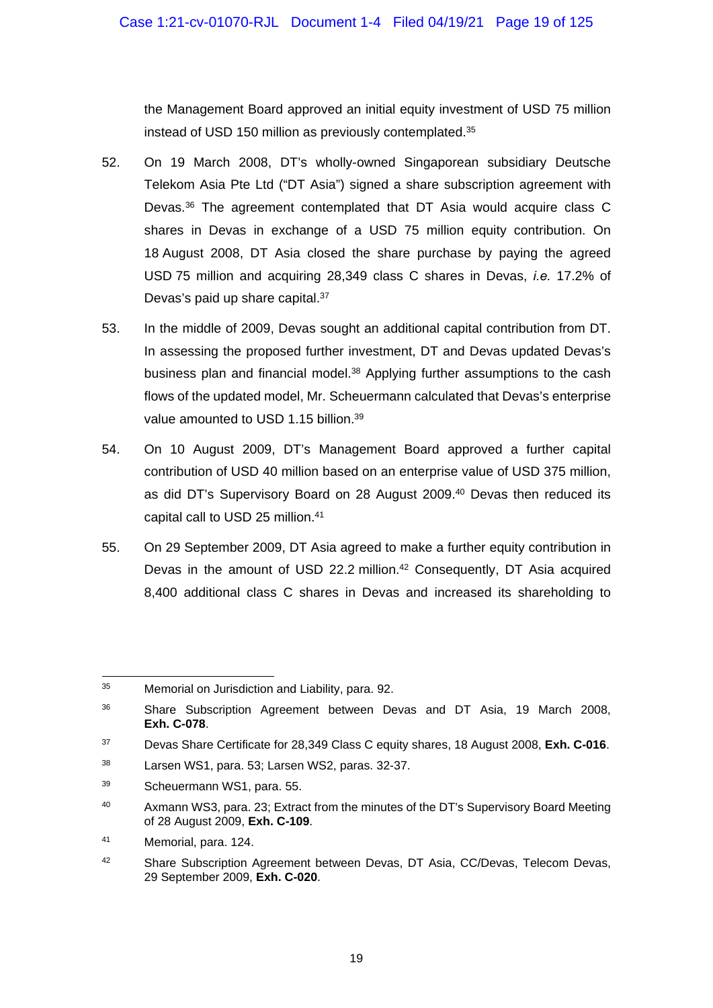the Management Board approved an initial equity investment of USD 75 million instead of USD 150 million as previously contemplated.35

- 52. On 19 March 2008, DT's wholly-owned Singaporean subsidiary Deutsche Telekom Asia Pte Ltd ("DT Asia") signed a share subscription agreement with Devas.36 The agreement contemplated that DT Asia would acquire class C shares in Devas in exchange of a USD 75 million equity contribution. On 18 August 2008, DT Asia closed the share purchase by paying the agreed USD 75 million and acquiring 28,349 class C shares in Devas, *i.e.* 17.2% of Devas's paid up share capital.<sup>37</sup>
- 53. In the middle of 2009, Devas sought an additional capital contribution from DT. In assessing the proposed further investment, DT and Devas updated Devas's business plan and financial model.38 Applying further assumptions to the cash flows of the updated model, Mr. Scheuermann calculated that Devas's enterprise value amounted to USD 1.15 billion.<sup>39</sup>
- 54. On 10 August 2009, DT's Management Board approved a further capital contribution of USD 40 million based on an enterprise value of USD 375 million, as did DT's Supervisory Board on 28 August 2009.<sup>40</sup> Devas then reduced its capital call to USD 25 million.<sup>41</sup>
- 55. On 29 September 2009, DT Asia agreed to make a further equity contribution in Devas in the amount of USD 22.2 million.<sup>42</sup> Consequently, DT Asia acquired 8,400 additional class C shares in Devas and increased its shareholding to

<sup>1</sup> 35 Memorial on Jurisdiction and Liability, para. 92.

<sup>36</sup> Share Subscription Agreement between Devas and DT Asia, 19 March 2008, **Exh. C-078**.

<sup>37</sup> Devas Share Certificate for 28,349 Class C equity shares, 18 August 2008, **Exh. C-016**.

<sup>38</sup> Larsen WS1, para. 53; Larsen WS2, paras. 32-37.

<sup>39</sup> Scheuermann WS1, para. 55.

<sup>&</sup>lt;sup>40</sup> Axmann WS3, para. 23; Extract from the minutes of the DT's Supervisory Board Meeting of 28 August 2009, **Exh. C-109**.

<sup>41</sup> Memorial, para. 124.

<sup>42</sup> Share Subscription Agreement between Devas, DT Asia, CC/Devas, Telecom Devas, 29 September 2009, **Exh. C-020**.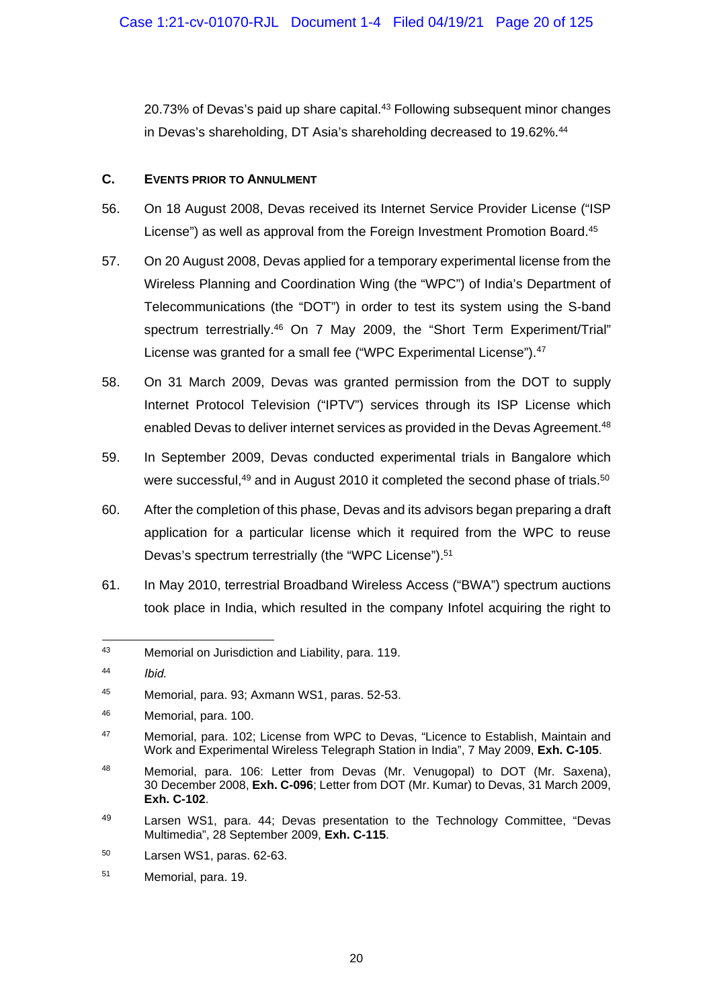20.73% of Devas's paid up share capital.<sup>43</sup> Following subsequent minor changes in Devas's shareholding, DT Asia's shareholding decreased to 19.62%.<sup>44</sup>

#### **C. EVENTS PRIOR TO ANNULMENT**

- 56. On 18 August 2008, Devas received its Internet Service Provider License ("ISP License") as well as approval from the Foreign Investment Promotion Board.<sup>45</sup>
- 57. On 20 August 2008, Devas applied for a temporary experimental license from the Wireless Planning and Coordination Wing (the "WPC") of India's Department of Telecommunications (the "DOT") in order to test its system using the S-band spectrum terrestrially.<sup>46</sup> On 7 May 2009, the "Short Term Experiment/Trial" License was granted for a small fee ("WPC Experimental License").<sup>47</sup>
- 58. On 31 March 2009, Devas was granted permission from the DOT to supply Internet Protocol Television ("IPTV") services through its ISP License which enabled Devas to deliver internet services as provided in the Devas Agreement.<sup>48</sup>
- 59. In September 2009, Devas conducted experimental trials in Bangalore which were successful,<sup>49</sup> and in August 2010 it completed the second phase of trials.<sup>50</sup>
- 60. After the completion of this phase, Devas and its advisors began preparing a draft application for a particular license which it required from the WPC to reuse Devas's spectrum terrestrially (the "WPC License").<sup>51</sup>
- 61. In May 2010, terrestrial Broadband Wireless Access ("BWA") spectrum auctions took place in India, which resulted in the company Infotel acquiring the right to

<sup>43</sup> Memorial on Jurisdiction and Liability, para. 119.

<sup>44</sup> *Ibid.*

<sup>45</sup> Memorial, para. 93; Axmann WS1, paras. 52-53.

<sup>46</sup> Memorial, para. 100.

<sup>47</sup> Memorial, para. 102; License from WPC to Devas, "Licence to Establish, Maintain and Work and Experimental Wireless Telegraph Station in India", 7 May 2009, **Exh. C-105**.

<sup>48</sup> Memorial, para. 106: Letter from Devas (Mr. Venugopal) to DOT (Mr. Saxena), 30 December 2008, **Exh. C-096**; Letter from DOT (Mr. Kumar) to Devas, 31 March 2009, **Exh. C-102**.

<sup>49</sup> Larsen WS1, para. 44; Devas presentation to the Technology Committee, "Devas Multimedia", 28 September 2009, **Exh. C-115**.

<sup>50</sup> Larsen WS1, paras. 62-63.

<sup>51</sup> Memorial, para. 19.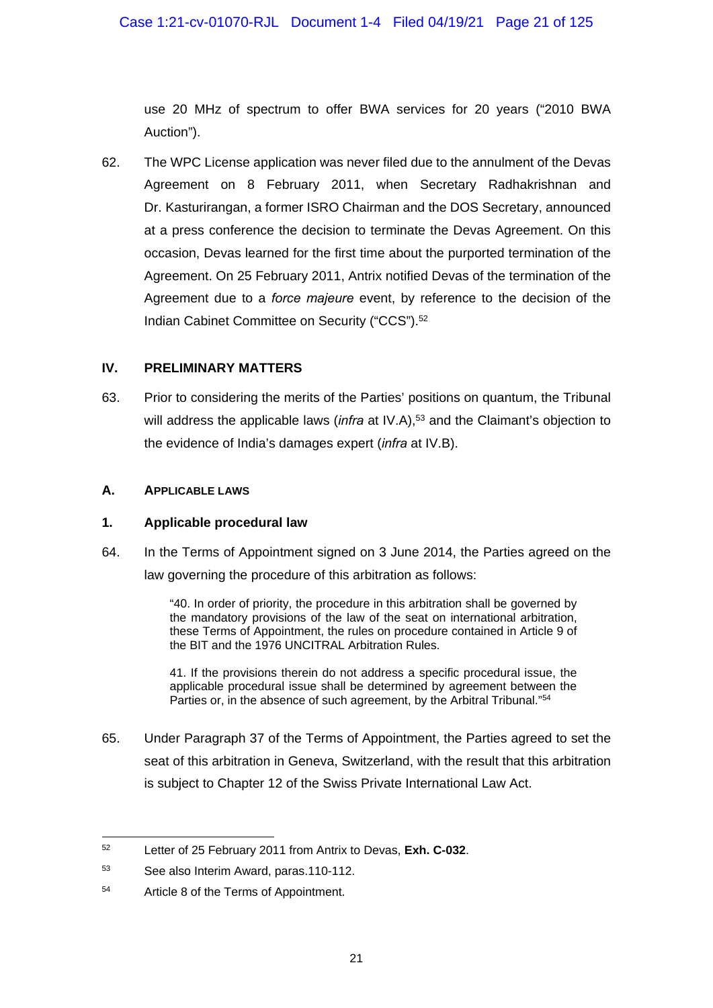use 20 MHz of spectrum to offer BWA services for 20 years ("2010 BWA Auction").

62. The WPC License application was never filed due to the annulment of the Devas Agreement on 8 February 2011, when Secretary Radhakrishnan and Dr. Kasturirangan, a former ISRO Chairman and the DOS Secretary, announced at a press conference the decision to terminate the Devas Agreement. On this occasion, Devas learned for the first time about the purported termination of the Agreement. On 25 February 2011, Antrix notified Devas of the termination of the Agreement due to a *force majeure* event, by reference to the decision of the Indian Cabinet Committee on Security ("CCS").<sup>52</sup>

#### **IV. PRELIMINARY MATTERS**

63. Prior to considering the merits of the Parties' positions on quantum, the Tribunal will address the applicable laws (*infra* at IV.A),<sup>53</sup> and the Claimant's objection to the evidence of India's damages expert (*infra* at IV.B).

#### **A. APPLICABLE LAWS**

#### **1. Applicable procedural law**

64. In the Terms of Appointment signed on 3 June 2014, the Parties agreed on the law governing the procedure of this arbitration as follows:

> "40. In order of priority, the procedure in this arbitration shall be governed by the mandatory provisions of the law of the seat on international arbitration, these Terms of Appointment, the rules on procedure contained in Article 9 of the BIT and the 1976 UNCITRAL Arbitration Rules.

> 41. If the provisions therein do not address a specific procedural issue, the applicable procedural issue shall be determined by agreement between the Parties or, in the absence of such agreement, by the Arbitral Tribunal."<sup>54</sup>

65. Under Paragraph 37 of the Terms of Appointment, the Parties agreed to set the seat of this arbitration in Geneva, Switzerland, with the result that this arbitration is subject to Chapter 12 of the Swiss Private International Law Act.

<sup>52</sup> 52 Letter of 25 February 2011 from Antrix to Devas, **Exh. C-032**.

<sup>53</sup> See also Interim Award, paras.110-112.

<sup>54</sup> Article 8 of the Terms of Appointment.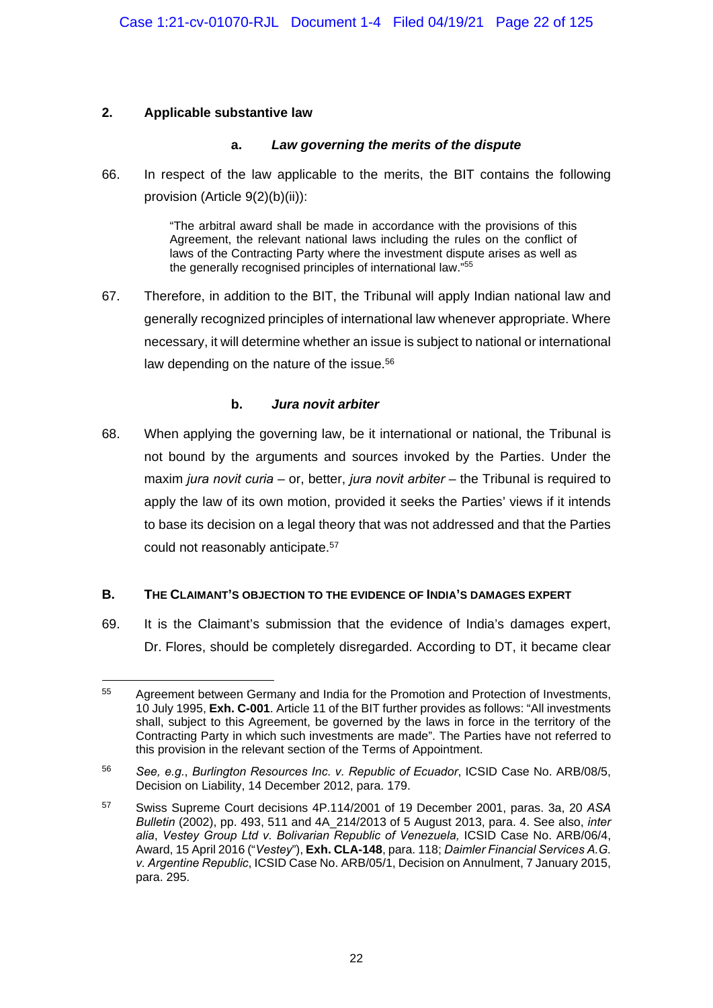#### **2. Applicable substantive law**

-

#### **a.** *Law governing the merits of the dispute*

66. In respect of the law applicable to the merits, the BIT contains the following provision (Article 9(2)(b)(ii)):

> "The arbitral award shall be made in accordance with the provisions of this Agreement, the relevant national laws including the rules on the conflict of laws of the Contracting Party where the investment dispute arises as well as the generally recognised principles of international law."55

67. Therefore, in addition to the BIT, the Tribunal will apply Indian national law and generally recognized principles of international law whenever appropriate. Where necessary, it will determine whether an issue is subject to national or international law depending on the nature of the issue.<sup>56</sup>

#### **b.** *Jura novit arbiter*

68. When applying the governing law, be it international or national, the Tribunal is not bound by the arguments and sources invoked by the Parties. Under the maxim *jura novit curia* – or, better, *jura novit arbiter* – the Tribunal is required to apply the law of its own motion, provided it seeks the Parties' views if it intends to base its decision on a legal theory that was not addressed and that the Parties could not reasonably anticipate.57

#### **B. THE CLAIMANT'S OBJECTION TO THE EVIDENCE OF INDIA'S DAMAGES EXPERT**

69. It is the Claimant's submission that the evidence of India's damages expert, Dr. Flores, should be completely disregarded. According to DT, it became clear

<sup>&</sup>lt;sup>55</sup> Agreement between Germany and India for the Promotion and Protection of Investments, 10 July 1995, **Exh. C-001**. Article 11 of the BIT further provides as follows: "All investments shall, subject to this Agreement, be governed by the laws in force in the territory of the Contracting Party in which such investments are made". The Parties have not referred to this provision in the relevant section of the Terms of Appointment.

<sup>56</sup> *See, e.g.*, *Burlington Resources Inc. v. Republic of Ecuador*, ICSID Case No. ARB/08/5, Decision on Liability, 14 December 2012, para. 179.

<sup>57</sup> Swiss Supreme Court decisions 4P.114/2001 of 19 December 2001, paras. 3a, 20 *ASA Bulletin* (2002), pp. 493, 511 and 4A\_214/2013 of 5 August 2013, para. 4. See also, *inter alia*, *Vestey Group Ltd v. Bolivarian Republic of Venezuela,* ICSID Case No. ARB/06/4, Award, 15 April 2016 ("*Vestey*"), **Exh. CLA-148**, para. 118; *Daimler Financial Services A.G. v. Argentine Republic*, ICSID Case No. ARB/05/1, Decision on Annulment, 7 January 2015, para. 295.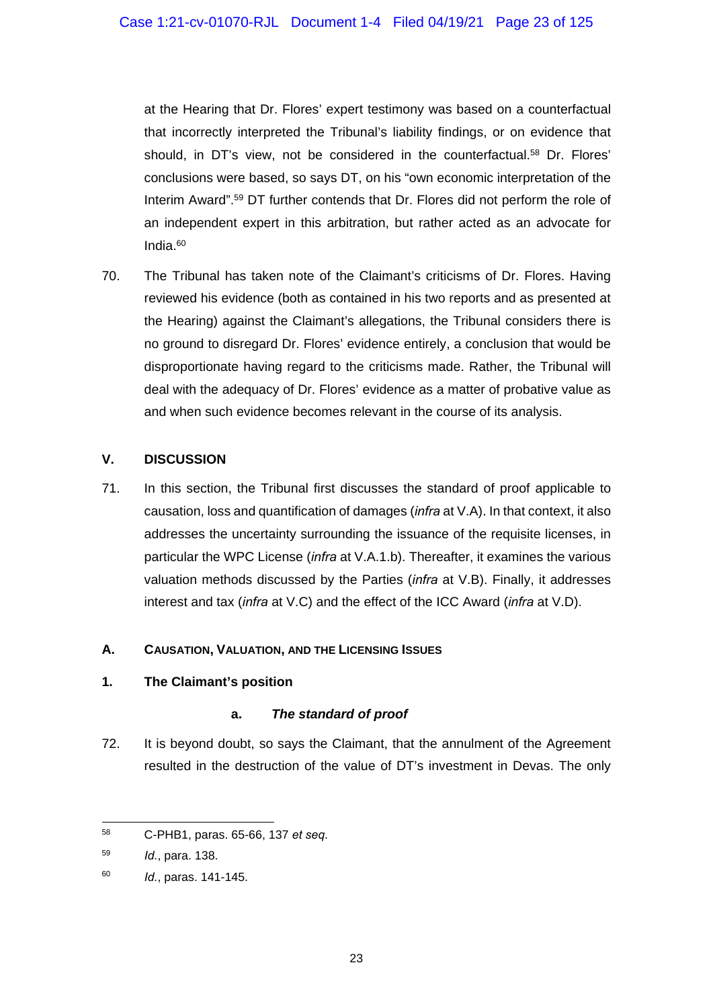at the Hearing that Dr. Flores' expert testimony was based on a counterfactual that incorrectly interpreted the Tribunal's liability findings, or on evidence that should, in DT's view, not be considered in the counterfactual.<sup>58</sup> Dr. Flores' conclusions were based, so says DT, on his "own economic interpretation of the Interim Award".59 DT further contends that Dr. Flores did not perform the role of an independent expert in this arbitration, but rather acted as an advocate for India.60

70. The Tribunal has taken note of the Claimant's criticisms of Dr. Flores. Having reviewed his evidence (both as contained in his two reports and as presented at the Hearing) against the Claimant's allegations, the Tribunal considers there is no ground to disregard Dr. Flores' evidence entirely, a conclusion that would be disproportionate having regard to the criticisms made. Rather, the Tribunal will deal with the adequacy of Dr. Flores' evidence as a matter of probative value as and when such evidence becomes relevant in the course of its analysis.

## **V. DISCUSSION**

71. In this section, the Tribunal first discusses the standard of proof applicable to causation, loss and quantification of damages (*infra* at V.A). In that context, it also addresses the uncertainty surrounding the issuance of the requisite licenses, in particular the WPC License (*infra* at V.A.1.b). Thereafter, it examines the various valuation methods discussed by the Parties (*infra* at V.B). Finally, it addresses interest and tax (*infra* at V.C) and the effect of the ICC Award (*infra* at V.D).

## **A. CAUSATION, VALUATION, AND THE LICENSING ISSUES**

## **1. The Claimant's position**

## **a.** *The standard of proof*

72. It is beyond doubt, so says the Claimant, that the annulment of the Agreement resulted in the destruction of the value of DT's investment in Devas. The only

<sup>-</sup>58 C-PHB1, paras. 65-66, 137 *et seq*.

<sup>59</sup> *Id.*, para. 138.

<sup>60</sup> *Id.*, paras. 141-145.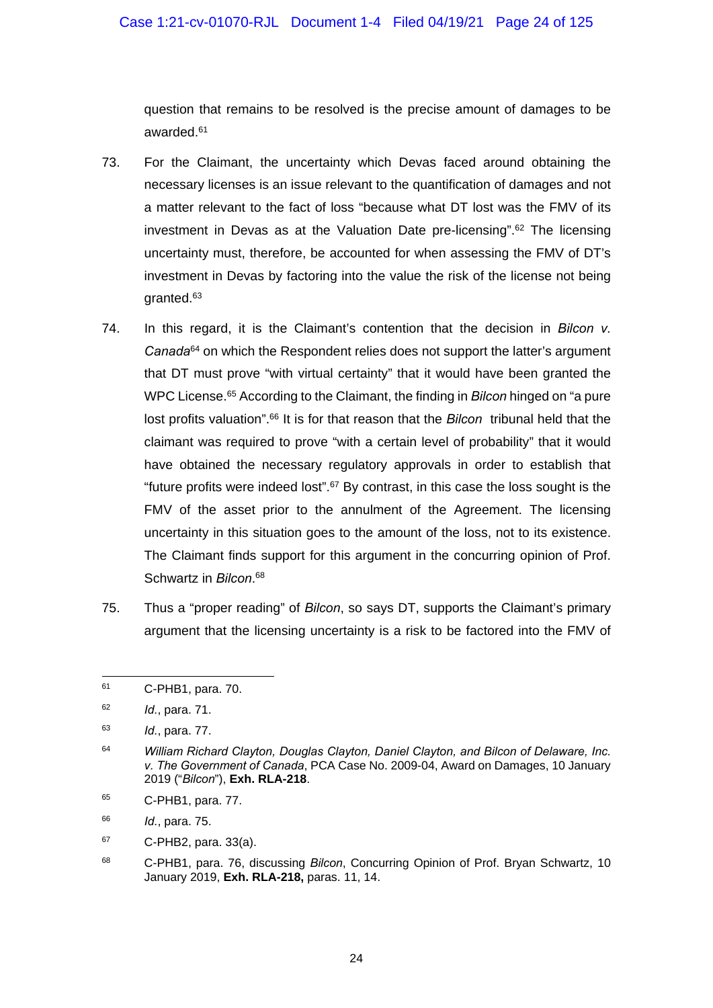question that remains to be resolved is the precise amount of damages to be awarded.61

- 73. For the Claimant, the uncertainty which Devas faced around obtaining the necessary licenses is an issue relevant to the quantification of damages and not a matter relevant to the fact of loss "because what DT lost was the FMV of its investment in Devas as at the Valuation Date pre-licensing".62 The licensing uncertainty must, therefore, be accounted for when assessing the FMV of DT's investment in Devas by factoring into the value the risk of the license not being granted.63
- 74. In this regard, it is the Claimant's contention that the decision in *Bilcon v. Canada*64 on which the Respondent relies does not support the latter's argument that DT must prove "with virtual certainty" that it would have been granted the WPC License.<sup>65</sup> According to the Claimant, the finding in *Bilcon* hinged on "a pure lost profits valuation".66 It is for that reason that the *Bilcon* tribunal held that the claimant was required to prove "with a certain level of probability" that it would have obtained the necessary regulatory approvals in order to establish that "future profits were indeed lost".67 By contrast, in this case the loss sought is the FMV of the asset prior to the annulment of the Agreement. The licensing uncertainty in this situation goes to the amount of the loss, not to its existence. The Claimant finds support for this argument in the concurring opinion of Prof. Schwartz in *Bilcon*. 68
- 75. Thus a "proper reading" of *Bilcon*, so says DT, supports the Claimant's primary argument that the licensing uncertainty is a risk to be factored into the FMV of

65 C-PHB1, para. 77.

66 *Id.*, para. 75.

 $67$  C-PHB2, para. 33(a).

<sup>1</sup> 61 C-PHB1, para. 70.

<sup>62</sup> *Id.*, para. 71.

<sup>63</sup> *Id.*, para. 77.

<sup>64</sup> *William Richard Clayton, Douglas Clayton, Daniel Clayton, and Bilcon of Delaware, Inc. v. The Government of Canada*, PCA Case No. 2009-04, Award on Damages, 10 January 2019 ("*Bilcon*"), **Exh. RLA-218**.

<sup>68</sup> C-PHB1, para. 76, discussing *Bilcon*, Concurring Opinion of Prof. Bryan Schwartz, 10 January 2019, **Exh. RLA-218,** paras. 11, 14.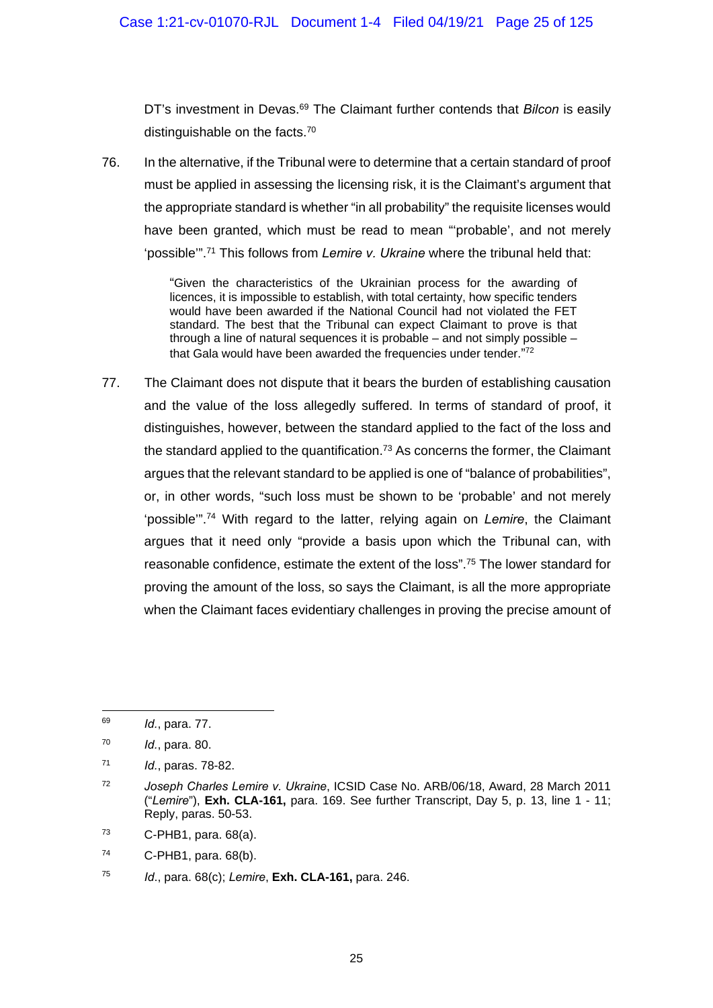DT's investment in Devas.<sup>69</sup> The Claimant further contends that *Bilcon* is easily distinguishable on the facts.70

76. In the alternative, if the Tribunal were to determine that a certain standard of proof must be applied in assessing the licensing risk, it is the Claimant's argument that the appropriate standard is whether "in all probability" the requisite licenses would have been granted, which must be read to mean "'probable', and not merely 'possible'".71 This follows from *Lemire v. Ukraine* where the tribunal held that:

> "Given the characteristics of the Ukrainian process for the awarding of licences, it is impossible to establish, with total certainty, how specific tenders would have been awarded if the National Council had not violated the FET standard. The best that the Tribunal can expect Claimant to prove is that through a line of natural sequences it is probable – and not simply possible – that Gala would have been awarded the frequencies under tender."72

77. The Claimant does not dispute that it bears the burden of establishing causation and the value of the loss allegedly suffered. In terms of standard of proof, it distinguishes, however, between the standard applied to the fact of the loss and the standard applied to the quantification.<sup>73</sup> As concerns the former, the Claimant argues that the relevant standard to be applied is one of "balance of probabilities", or, in other words, "such loss must be shown to be 'probable' and not merely 'possible'".74 With regard to the latter, relying again on *Lemire*, the Claimant argues that it need only "provide a basis upon which the Tribunal can, with reasonable confidence, estimate the extent of the loss".75 The lower standard for proving the amount of the loss, so says the Claimant, is all the more appropriate when the Claimant faces evidentiary challenges in proving the precise amount of

-

74 C-PHB1, para. 68(b).

<sup>69</sup> *Id.*, para. 77.

<sup>70</sup> *Id.*, para. 80.

<sup>71</sup> *Id.*, paras. 78-82.

<sup>72</sup> *Joseph Charles Lemire v. Ukraine*, ICSID Case No. ARB/06/18, Award, 28 March 2011 ("*Lemire*"), **Exh. CLA-161,** para. 169. See further Transcript, Day 5, p. 13, line 1 - 11; Reply, paras. 50-53.

 $73$  C-PHB1, para.  $68(a)$ .

<sup>75</sup> *Id*., para. 68(c); *Lemire*, **Exh. CLA-161,** para. 246.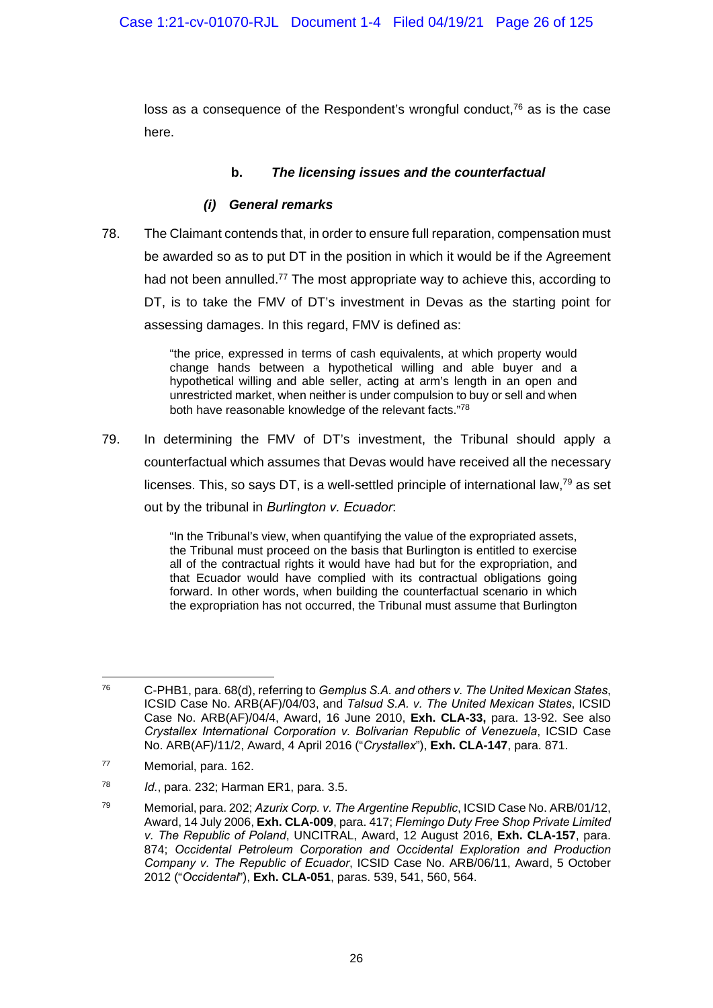loss as a consequence of the Respondent's wrongful conduct, $76$  as is the case here.

## **b.** *The licensing issues and the counterfactual*

#### *(i) General remarks*

78. The Claimant contends that, in order to ensure full reparation, compensation must be awarded so as to put DT in the position in which it would be if the Agreement had not been annulled.<sup>77</sup> The most appropriate way to achieve this, according to DT, is to take the FMV of DT's investment in Devas as the starting point for assessing damages. In this regard, FMV is defined as:

> "the price, expressed in terms of cash equivalents, at which property would change hands between a hypothetical willing and able buyer and a hypothetical willing and able seller, acting at arm's length in an open and unrestricted market, when neither is under compulsion to buy or sell and when both have reasonable knowledge of the relevant facts."78

79. In determining the FMV of DT's investment, the Tribunal should apply a counterfactual which assumes that Devas would have received all the necessary licenses. This, so says DT, is a well-settled principle of international law, $^{79}$  as set out by the tribunal in *Burlington v. Ecuador*:

> "In the Tribunal's view, when quantifying the value of the expropriated assets, the Tribunal must proceed on the basis that Burlington is entitled to exercise all of the contractual rights it would have had but for the expropriation, and that Ecuador would have complied with its contractual obligations going forward. In other words, when building the counterfactual scenario in which the expropriation has not occurred, the Tribunal must assume that Burlington

<sup>76</sup> 76 C-PHB1, para. 68(d), referring to *Gemplus S.A. and others v. The United Mexican States*, ICSID Case No. ARB(AF)/04/03, and *Talsud S.A. v. The United Mexican States*, ICSID Case No. ARB(AF)/04/4, Award, 16 June 2010, **Exh. CLA-33,** para. 13-92. See also *Crystallex International Corporation v. Bolivarian Republic of Venezuela*, ICSID Case No. ARB(AF)/11/2, Award, 4 April 2016 ("*Crystallex*"), **Exh. CLA-147**, para. 871.

<sup>77</sup> Memorial, para. 162.

<sup>78</sup> *Id.*, para. 232; Harman ER1, para. 3.5.

<sup>79</sup> Memorial, para. 202; *Azurix Corp. v. The Argentine Republic*, ICSID Case No. ARB/01/12, Award, 14 July 2006, **Exh. CLA-009**, para. 417; *Flemingo Duty Free Shop Private Limited v. The Republic of Poland*, UNCITRAL, Award, 12 August 2016, **Exh. CLA-157**, para. 874; *Occidental Petroleum Corporation and Occidental Exploration and Production Company v. The Republic of Ecuador*, ICSID Case No. ARB/06/11, Award, 5 October 2012 ("*Occidental*"), **Exh. CLA-051**, paras. 539, 541, 560, 564.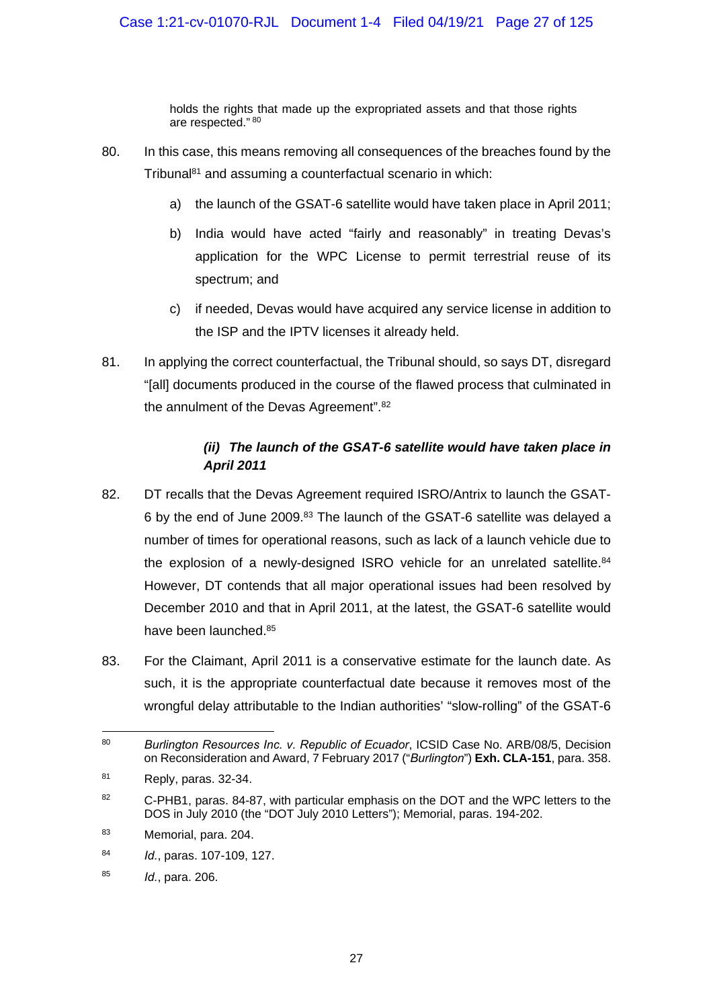holds the rights that made up the expropriated assets and that those rights are respected." 80

- 80. In this case, this means removing all consequences of the breaches found by the Tribunal81 and assuming a counterfactual scenario in which:
	- a) the launch of the GSAT-6 satellite would have taken place in April 2011;
	- b) India would have acted "fairly and reasonably" in treating Devas's application for the WPC License to permit terrestrial reuse of its spectrum; and
	- c) if needed, Devas would have acquired any service license in addition to the ISP and the IPTV licenses it already held.
- 81. In applying the correct counterfactual, the Tribunal should, so says DT, disregard "[all] documents produced in the course of the flawed process that culminated in the annulment of the Devas Agreement".<sup>82</sup>

# *(ii) The launch of the GSAT-6 satellite would have taken place in April 2011*

- 82. DT recalls that the Devas Agreement required ISRO/Antrix to launch the GSAT-6 by the end of June 2009.83 The launch of the GSAT-6 satellite was delayed a number of times for operational reasons, such as lack of a launch vehicle due to the explosion of a newly-designed ISRO vehicle for an unrelated satellite. $84$ However, DT contends that all major operational issues had been resolved by December 2010 and that in April 2011, at the latest, the GSAT-6 satellite would have been launched.85
- 83. For the Claimant, April 2011 is a conservative estimate for the launch date. As such, it is the appropriate counterfactual date because it removes most of the wrongful delay attributable to the Indian authorities' "slow-rolling" of the GSAT-6

<sup>1</sup> 80 *Burlington Resources Inc. v. Republic of Ecuador*, ICSID Case No. ARB/08/5, Decision on Reconsideration and Award, 7 February 2017 ("*Burlington*") **Exh. CLA-151**, para. 358.

 $81$  Reply, paras. 32-34.

<sup>82</sup> C-PHB1, paras. 84-87, with particular emphasis on the DOT and the WPC letters to the DOS in July 2010 (the "DOT July 2010 Letters"); Memorial, paras. 194-202.

<sup>83</sup> Memorial, para. 204.

<sup>84</sup> *Id.*, paras. 107-109, 127.

<sup>85</sup> *Id.*, para. 206.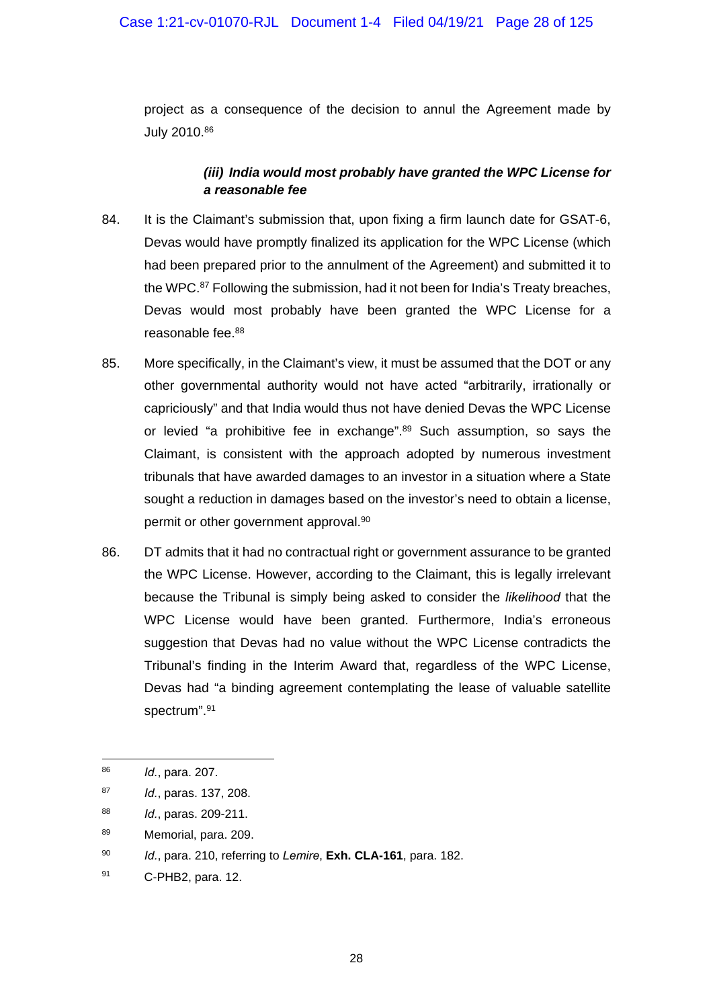project as a consequence of the decision to annul the Agreement made by July 2010.86

## *(iii) India would most probably have granted the WPC License for a reasonable fee*

- 84. It is the Claimant's submission that, upon fixing a firm launch date for GSAT-6, Devas would have promptly finalized its application for the WPC License (which had been prepared prior to the annulment of the Agreement) and submitted it to the WPC.87 Following the submission, had it not been for India's Treaty breaches, Devas would most probably have been granted the WPC License for a reasonable fee.88
- 85. More specifically, in the Claimant's view, it must be assumed that the DOT or any other governmental authority would not have acted "arbitrarily, irrationally or capriciously" and that India would thus not have denied Devas the WPC License or levied "a prohibitive fee in exchange".<sup>89</sup> Such assumption, so says the Claimant, is consistent with the approach adopted by numerous investment tribunals that have awarded damages to an investor in a situation where a State sought a reduction in damages based on the investor's need to obtain a license, permit or other government approval.90
- 86. DT admits that it had no contractual right or government assurance to be granted the WPC License. However, according to the Claimant, this is legally irrelevant because the Tribunal is simply being asked to consider the *likelihood* that the WPC License would have been granted. Furthermore, India's erroneous suggestion that Devas had no value without the WPC License contradicts the Tribunal's finding in the Interim Award that, regardless of the WPC License, Devas had "a binding agreement contemplating the lease of valuable satellite spectrum".91

-

<sup>86</sup> *Id.*, para. 207.

<sup>87</sup> *Id.*, paras. 137, 208.

<sup>88</sup> *Id.*, paras. 209-211.

<sup>89</sup> Memorial, para. 209.

<sup>90</sup> *Id.*, para. 210, referring to *Lemire*, **Exh. CLA-161**, para. 182.

<sup>91</sup> C-PHB2, para. 12.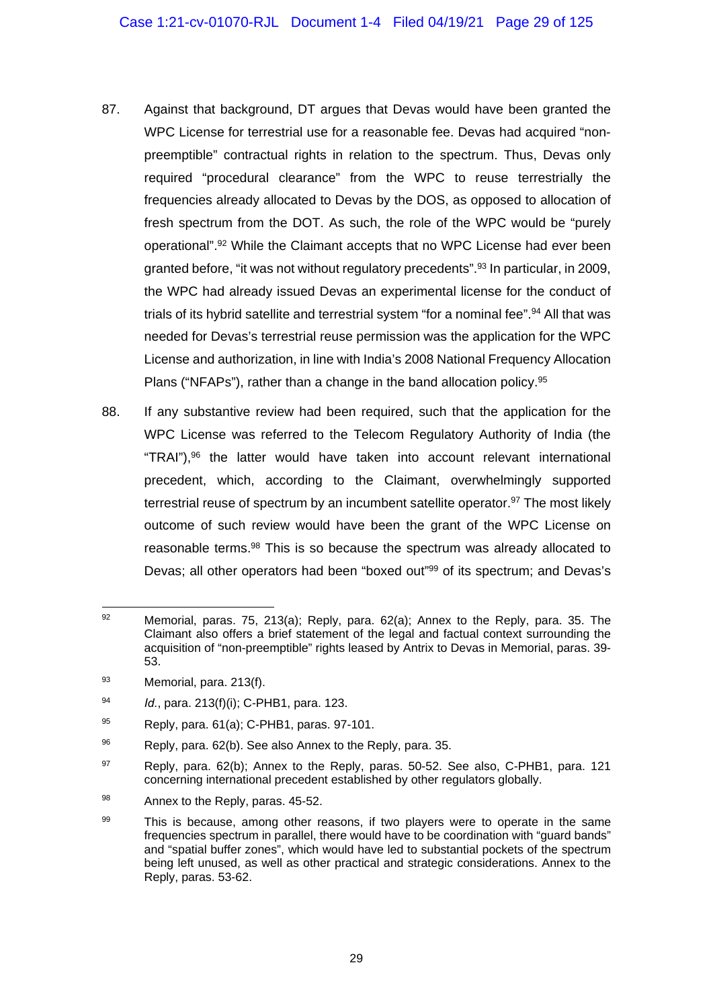- 87. Against that background, DT argues that Devas would have been granted the WPC License for terrestrial use for a reasonable fee. Devas had acquired "nonpreemptible" contractual rights in relation to the spectrum. Thus, Devas only required "procedural clearance" from the WPC to reuse terrestrially the frequencies already allocated to Devas by the DOS, as opposed to allocation of fresh spectrum from the DOT. As such, the role of the WPC would be "purely operational".92 While the Claimant accepts that no WPC License had ever been granted before, "it was not without regulatory precedents".<sup>93</sup> In particular, in 2009, the WPC had already issued Devas an experimental license for the conduct of trials of its hybrid satellite and terrestrial system "for a nominal fee".<sup>94</sup> All that was needed for Devas's terrestrial reuse permission was the application for the WPC License and authorization, in line with India's 2008 National Frequency Allocation Plans ("NFAPs"), rather than a change in the band allocation policy.<sup>95</sup>
- 88. If any substantive review had been required, such that the application for the WPC License was referred to the Telecom Regulatory Authority of India (the "TRAI"), $96$  the latter would have taken into account relevant international precedent, which, according to the Claimant, overwhelmingly supported terrestrial reuse of spectrum by an incumbent satellite operator.<sup>97</sup> The most likely outcome of such review would have been the grant of the WPC License on reasonable terms.<sup>98</sup> This is so because the spectrum was already allocated to Devas; all other operators had been "boxed out"99 of its spectrum; and Devas's

<sup>1</sup> 92 Memorial, paras. 75, 213(a); Reply, para. 62(a); Annex to the Reply, para. 35. The Claimant also offers a brief statement of the legal and factual context surrounding the acquisition of "non-preemptible" rights leased by Antrix to Devas in Memorial, paras. 39- 53.

<sup>93</sup> Memorial, para. 213(f).

<sup>94</sup> *Id.*, para. 213(f)(i); C-PHB1, para. 123.

<sup>95</sup> Reply, para. 61(a); C-PHB1, paras. 97-101.

 $96$  Reply, para. 62(b). See also Annex to the Reply, para. 35.

 $97$  Reply, para. 62(b); Annex to the Reply, paras. 50-52. See also, C-PHB1, para. 121 concerning international precedent established by other regulators globally.

<sup>98</sup> Annex to the Reply, paras. 45-52.

<sup>99</sup> This is because, among other reasons, if two players were to operate in the same frequencies spectrum in parallel, there would have to be coordination with "guard bands" and "spatial buffer zones", which would have led to substantial pockets of the spectrum being left unused, as well as other practical and strategic considerations. Annex to the Reply, paras. 53-62.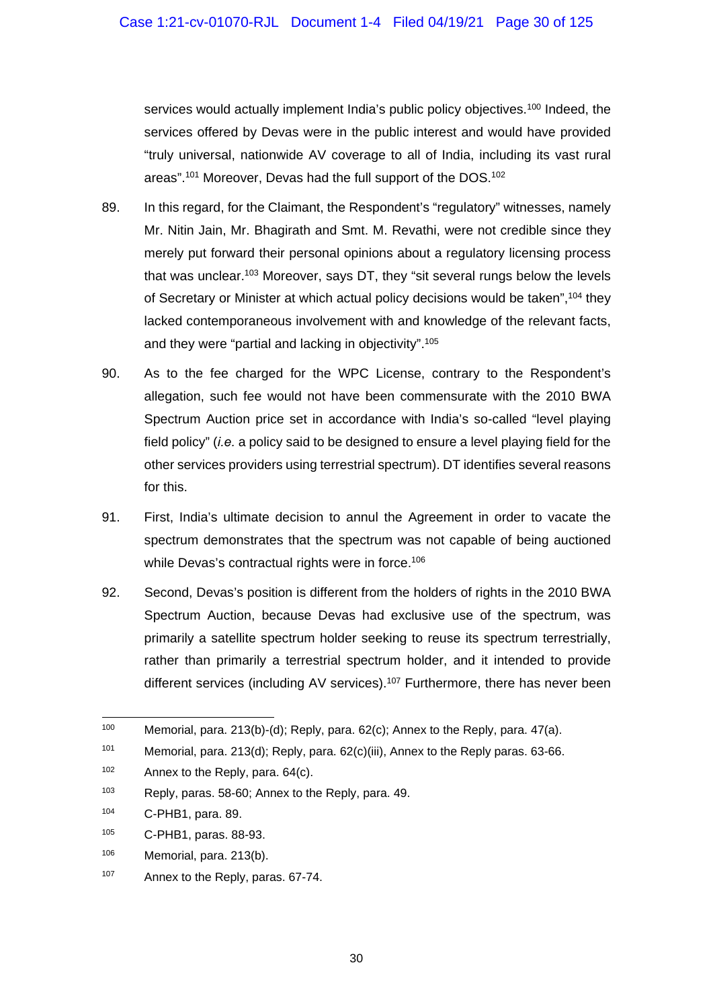services would actually implement India's public policy objectives.<sup>100</sup> Indeed, the services offered by Devas were in the public interest and would have provided "truly universal, nationwide AV coverage to all of India, including its vast rural areas".<sup>101</sup> Moreover, Devas had the full support of the DOS.<sup>102</sup>

- 89. In this regard, for the Claimant, the Respondent's "regulatory" witnesses, namely Mr. Nitin Jain, Mr. Bhagirath and Smt. M. Revathi, were not credible since they merely put forward their personal opinions about a regulatory licensing process that was unclear.<sup>103</sup> Moreover, says DT, they "sit several rungs below the levels of Secretary or Minister at which actual policy decisions would be taken",104 they lacked contemporaneous involvement with and knowledge of the relevant facts, and they were "partial and lacking in objectivity".105
- 90. As to the fee charged for the WPC License, contrary to the Respondent's allegation, such fee would not have been commensurate with the 2010 BWA Spectrum Auction price set in accordance with India's so-called "level playing field policy" (*i.e.* a policy said to be designed to ensure a level playing field for the other services providers using terrestrial spectrum). DT identifies several reasons for this.
- 91. First, India's ultimate decision to annul the Agreement in order to vacate the spectrum demonstrates that the spectrum was not capable of being auctioned while Devas's contractual rights were in force.<sup>106</sup>
- 92. Second, Devas's position is different from the holders of rights in the 2010 BWA Spectrum Auction, because Devas had exclusive use of the spectrum, was primarily a satellite spectrum holder seeking to reuse its spectrum terrestrially, rather than primarily a terrestrial spectrum holder, and it intended to provide different services (including AV services).<sup>107</sup> Furthermore, there has never been

1

<sup>&</sup>lt;sup>100</sup> Memorial, para. 213(b)-(d); Reply, para. 62(c); Annex to the Reply, para. 47(a).

<sup>101</sup> Memorial, para. 213(d); Reply, para. 62(c)(iii), Annex to the Reply paras. 63-66.

<sup>102</sup> Annex to the Reply, para. 64(c).

<sup>103</sup> Reply, paras. 58-60; Annex to the Reply, para. 49.

<sup>104</sup> C-PHB1, para. 89.

<sup>105</sup> C-PHB1, paras. 88-93.

 $106$  Memorial, para. 213(b).

<sup>107</sup> Annex to the Reply, paras. 67-74.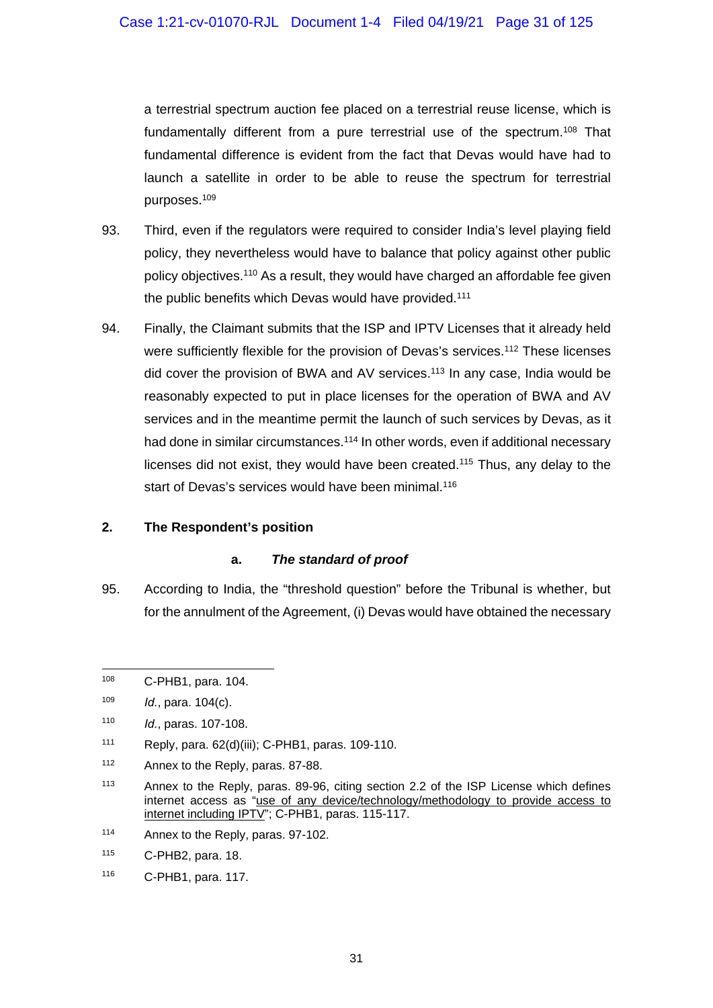a terrestrial spectrum auction fee placed on a terrestrial reuse license, which is fundamentally different from a pure terrestrial use of the spectrum.108 That fundamental difference is evident from the fact that Devas would have had to launch a satellite in order to be able to reuse the spectrum for terrestrial purposes.109

- 93. Third, even if the regulators were required to consider India's level playing field policy, they nevertheless would have to balance that policy against other public policy objectives.<sup>110</sup> As a result, they would have charged an affordable fee given the public benefits which Devas would have provided.<sup>111</sup>
- 94. Finally, the Claimant submits that the ISP and IPTV Licenses that it already held were sufficiently flexible for the provision of Devas's services.<sup>112</sup> These licenses did cover the provision of BWA and AV services.113 In any case, India would be reasonably expected to put in place licenses for the operation of BWA and AV services and in the meantime permit the launch of such services by Devas, as it had done in similar circumstances.<sup>114</sup> In other words, even if additional necessary licenses did not exist, they would have been created.115 Thus, any delay to the start of Devas's services would have been minimal.<sup>116</sup>

#### **2. The Respondent's position**

#### **a.** *The standard of proof*

95. According to India, the "threshold question" before the Tribunal is whether, but for the annulment of the Agreement, (i) Devas would have obtained the necessary

114 Annex to the Reply, paras. 97-102.

<sup>1</sup> 108 C-PHB1, para. 104.

<sup>109</sup> *Id.*, para. 104(c).

<sup>110</sup> *Id.*, paras. 107-108.

<sup>111</sup> Reply, para. 62(d)(iii); C-PHB1, paras. 109-110.

<sup>112</sup> Annex to the Reply, paras. 87-88.

<sup>&</sup>lt;sup>113</sup> Annex to the Reply, paras. 89-96, citing section 2.2 of the ISP License which defines internet access as "use of any device/technology/methodology to provide access to internet including IPTV"; C-PHB1, paras. 115-117.

<sup>115</sup> C-PHB2, para. 18.

<sup>116</sup> C-PHB1, para. 117.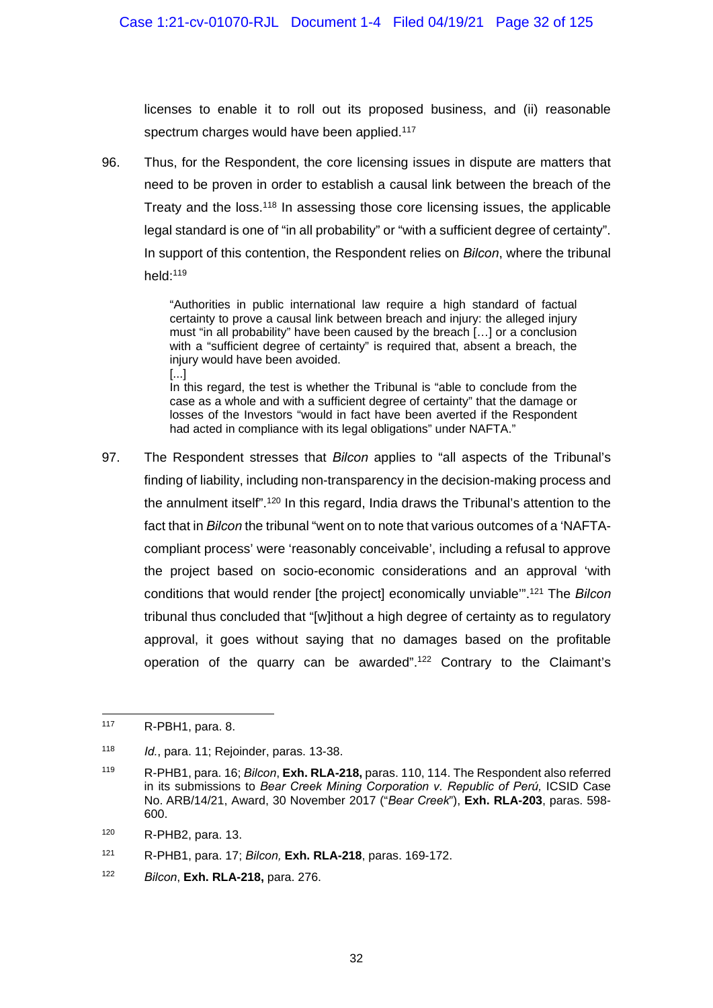licenses to enable it to roll out its proposed business, and (ii) reasonable spectrum charges would have been applied.<sup>117</sup>

96. Thus, for the Respondent, the core licensing issues in dispute are matters that need to be proven in order to establish a causal link between the breach of the Treaty and the loss.118 In assessing those core licensing issues, the applicable legal standard is one of "in all probability" or "with a sufficient degree of certainty". In support of this contention, the Respondent relies on *Bilcon*, where the tribunal held:119

> "Authorities in public international law require a high standard of factual certainty to prove a causal link between breach and injury: the alleged injury must "in all probability" have been caused by the breach […] or a conclusion with a "sufficient degree of certainty" is required that, absent a breach, the injury would have been avoided.

> [...] In this regard, the test is whether the Tribunal is "able to conclude from the case as a whole and with a sufficient degree of certainty" that the damage or losses of the Investors "would in fact have been averted if the Respondent had acted in compliance with its legal obligations" under NAFTA."

97. The Respondent stresses that *Bilcon* applies to "all aspects of the Tribunal's finding of liability, including non-transparency in the decision-making process and the annulment itself".120 In this regard, India draws the Tribunal's attention to the fact that in *Bilcon* the tribunal "went on to note that various outcomes of a 'NAFTAcompliant process' were 'reasonably conceivable', including a refusal to approve the project based on socio-economic considerations and an approval 'with conditions that would render [the project] economically unviable'".121 The *Bilcon*  tribunal thus concluded that "[w]ithout a high degree of certainty as to regulatory approval, it goes without saying that no damages based on the profitable operation of the quarry can be awarded".<sup>122</sup> Contrary to the Claimant's

<sup>1</sup> 117 R-PBH1, para. 8.

<sup>118</sup> *Id.*, para. 11; Rejoinder, paras. 13-38.

<sup>119</sup> R-PHB1, para. 16; *Bilcon*, **Exh. RLA-218,** paras. 110, 114. The Respondent also referred in its submissions to *Bear Creek Mining Corporation v. Republic of Perú,* ICSID Case No. ARB/14/21, Award, 30 November 2017 ("*Bear Creek*"), **Exh. RLA-203**, paras. 598- 600.

<sup>120</sup> R-PHB2, para. 13.

<sup>121</sup> R-PHB1, para. 17; *Bilcon,* **Exh. RLA-218**, paras. 169-172.

<sup>122</sup> *Bilcon*, **Exh. RLA-218,** para. 276.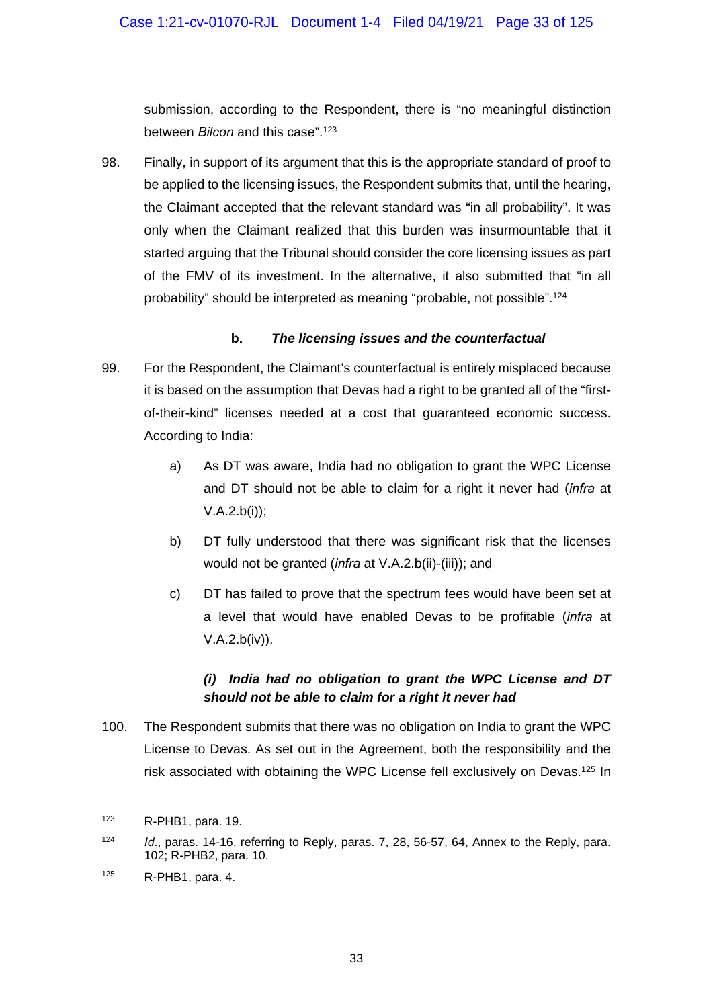submission, according to the Respondent, there is "no meaningful distinction between *Bilcon* and this case".123

98. Finally, in support of its argument that this is the appropriate standard of proof to be applied to the licensing issues, the Respondent submits that, until the hearing, the Claimant accepted that the relevant standard was "in all probability". It was only when the Claimant realized that this burden was insurmountable that it started arguing that the Tribunal should consider the core licensing issues as part of the FMV of its investment. In the alternative, it also submitted that "in all probability" should be interpreted as meaning "probable, not possible".124

#### **b.** *The licensing issues and the counterfactual*

- 99. For the Respondent, the Claimant's counterfactual is entirely misplaced because it is based on the assumption that Devas had a right to be granted all of the "firstof-their-kind" licenses needed at a cost that guaranteed economic success. According to India:
	- a) As DT was aware, India had no obligation to grant the WPC License and DT should not be able to claim for a right it never had (*infra* at V.A.2.b(i));
	- b) DT fully understood that there was significant risk that the licenses would not be granted (*infra* at V.A.2.b(ii)-(iii)); and
	- c) DT has failed to prove that the spectrum fees would have been set at a level that would have enabled Devas to be profitable (*infra* at V.A.2.b(iv)).

# *(i) India had no obligation to grant the WPC License and DT should not be able to claim for a right it never had*

100. The Respondent submits that there was no obligation on India to grant the WPC License to Devas. As set out in the Agreement, both the responsibility and the risk associated with obtaining the WPC License fell exclusively on Devas.125 In

1

<sup>123</sup> R-PHB1, para. 19.

<sup>124</sup> *Id*., paras. 14-16, referring to Reply, paras. 7, 28, 56-57, 64, Annex to the Reply, para. 102; R-PHB2, para. 10.

 $125$  R-PHB1, para. 4.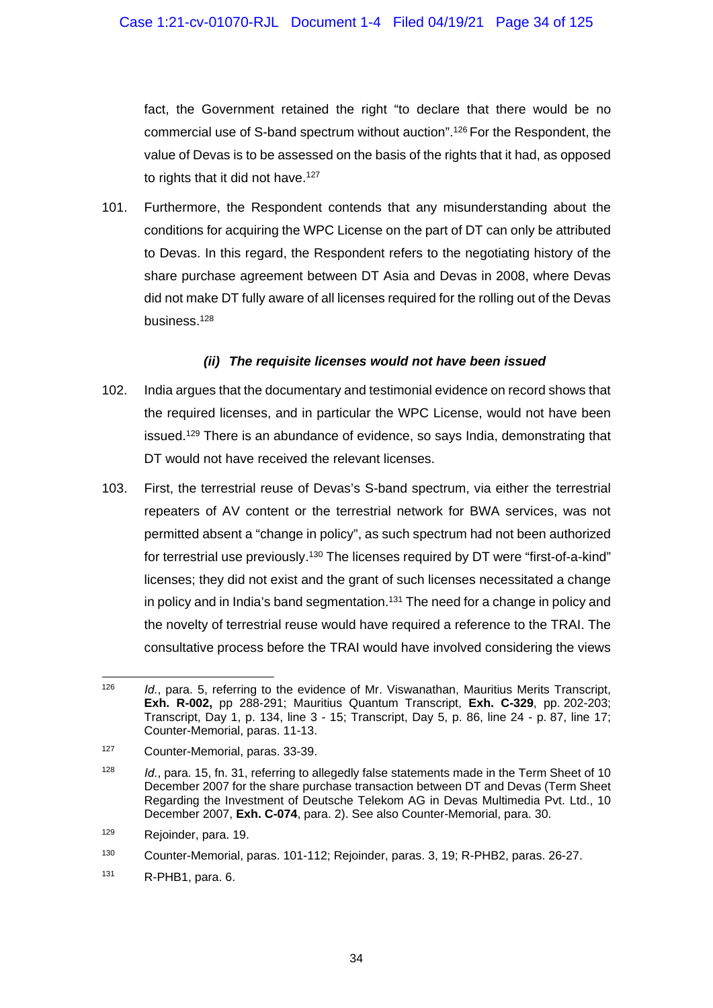fact, the Government retained the right "to declare that there would be no commercial use of S-band spectrum without auction".126 For the Respondent, the value of Devas is to be assessed on the basis of the rights that it had, as opposed to rights that it did not have.<sup>127</sup>

101. Furthermore, the Respondent contends that any misunderstanding about the conditions for acquiring the WPC License on the part of DT can only be attributed to Devas. In this regard, the Respondent refers to the negotiating history of the share purchase agreement between DT Asia and Devas in 2008, where Devas did not make DT fully aware of all licenses required for the rolling out of the Devas business.128

#### *(ii) The requisite licenses would not have been issued*

- 102. India argues that the documentary and testimonial evidence on record shows that the required licenses, and in particular the WPC License, would not have been issued.129 There is an abundance of evidence, so says India, demonstrating that DT would not have received the relevant licenses.
- 103. First, the terrestrial reuse of Devas's S-band spectrum, via either the terrestrial repeaters of AV content or the terrestrial network for BWA services, was not permitted absent a "change in policy", as such spectrum had not been authorized for terrestrial use previously.130 The licenses required by DT were "first-of-a-kind" licenses; they did not exist and the grant of such licenses necessitated a change in policy and in India's band segmentation.<sup>131</sup> The need for a change in policy and the novelty of terrestrial reuse would have required a reference to the TRAI. The consultative process before the TRAI would have involved considering the views

<sup>126</sup> Id., para. 5, referring to the evidence of Mr. Viswanathan, Mauritius Merits Transcript, **Exh. R-002,** pp 288-291; Mauritius Quantum Transcript, **Exh. C-329**, pp. 202-203; Transcript, Day 1, p. 134, line 3 - 15; Transcript, Day 5, p. 86, line 24 - p. 87, line 17; Counter-Memorial, paras. 11-13.

<sup>127</sup> Counter-Memorial, paras. 33-39.

<sup>128</sup> *Id.*, para. 15, fn. 31, referring to allegedly false statements made in the Term Sheet of 10 December 2007 for the share purchase transaction between DT and Devas (Term Sheet Regarding the Investment of Deutsche Telekom AG in Devas Multimedia Pvt. Ltd., 10 December 2007, **Exh. C-074**, para. 2). See also Counter-Memorial, para. 30.

<sup>129</sup> Rejoinder, para. 19.

<sup>130</sup> Counter-Memorial, paras. 101-112; Rejoinder, paras. 3, 19; R-PHB2, paras. 26-27.

<sup>131</sup> R-PHB1, para. 6.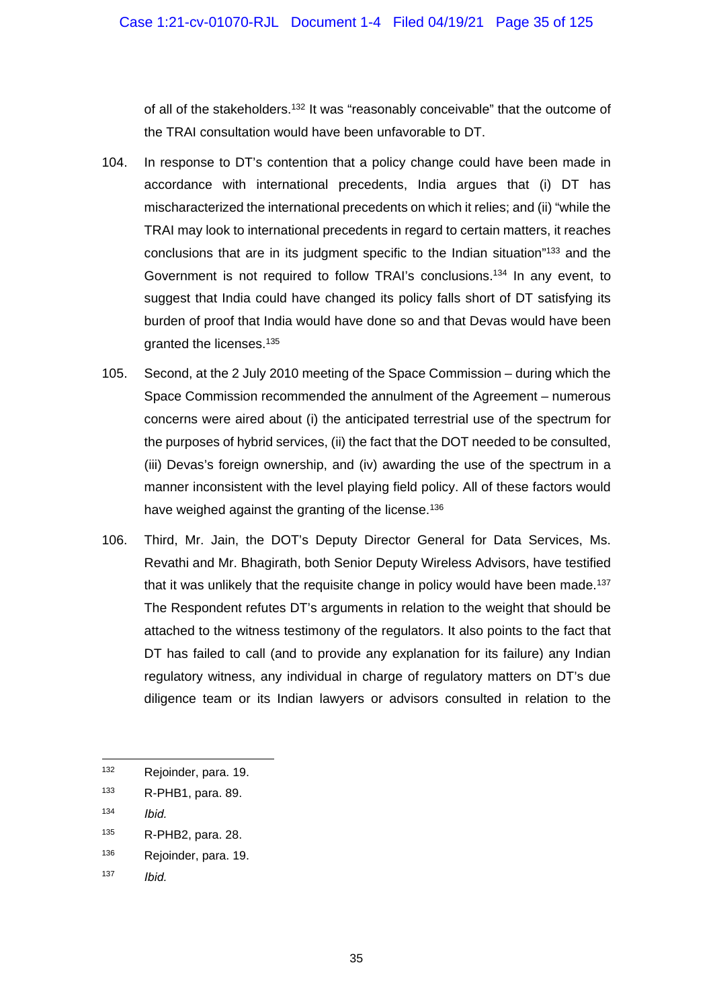of all of the stakeholders.132 It was "reasonably conceivable" that the outcome of the TRAI consultation would have been unfavorable to DT.

- 104. In response to DT's contention that a policy change could have been made in accordance with international precedents, India argues that (i) DT has mischaracterized the international precedents on which it relies; and (ii) "while the TRAI may look to international precedents in regard to certain matters, it reaches conclusions that are in its judgment specific to the Indian situation"133 and the Government is not required to follow TRAI's conclusions.<sup>134</sup> In any event, to suggest that India could have changed its policy falls short of DT satisfying its burden of proof that India would have done so and that Devas would have been granted the licenses.135
- 105. Second, at the 2 July 2010 meeting of the Space Commission during which the Space Commission recommended the annulment of the Agreement – numerous concerns were aired about (i) the anticipated terrestrial use of the spectrum for the purposes of hybrid services, (ii) the fact that the DOT needed to be consulted, (iii) Devas's foreign ownership, and (iv) awarding the use of the spectrum in a manner inconsistent with the level playing field policy. All of these factors would have weighed against the granting of the license.<sup>136</sup>
- 106. Third, Mr. Jain, the DOT's Deputy Director General for Data Services, Ms. Revathi and Mr. Bhagirath, both Senior Deputy Wireless Advisors, have testified that it was unlikely that the requisite change in policy would have been made.<sup>137</sup> The Respondent refutes DT's arguments in relation to the weight that should be attached to the witness testimony of the regulators. It also points to the fact that DT has failed to call (and to provide any explanation for its failure) any Indian regulatory witness, any individual in charge of regulatory matters on DT's due diligence team or its Indian lawyers or advisors consulted in relation to the

<sup>132</sup> Rejoinder, para. 19.

<sup>133</sup> R-PHB1, para. 89.

<sup>134</sup> *Ibid.*

<sup>135</sup> R-PHB2, para. 28.

<sup>136</sup> Rejoinder, para. 19.

<sup>137</sup> *Ibid.*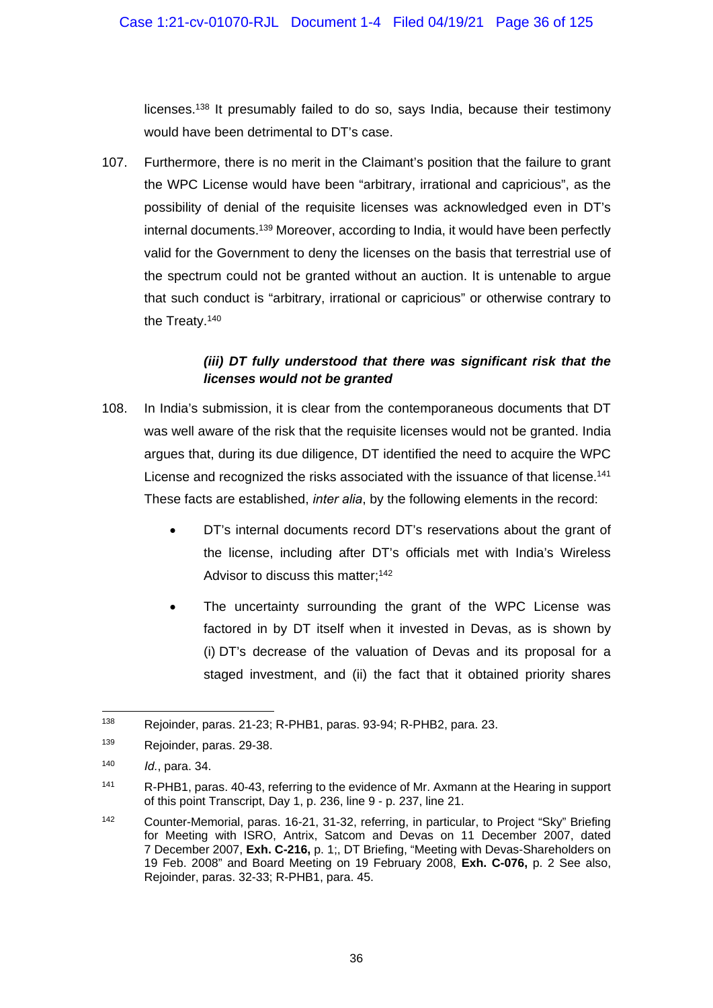licenses.138 It presumably failed to do so, says India, because their testimony would have been detrimental to DT's case.

107. Furthermore, there is no merit in the Claimant's position that the failure to grant the WPC License would have been "arbitrary, irrational and capricious", as the possibility of denial of the requisite licenses was acknowledged even in DT's internal documents.139 Moreover, according to India, it would have been perfectly valid for the Government to deny the licenses on the basis that terrestrial use of the spectrum could not be granted without an auction. It is untenable to argue that such conduct is "arbitrary, irrational or capricious" or otherwise contrary to the Treaty.140

## *(iii) DT fully understood that there was significant risk that the licenses would not be granted*

- 108. In India's submission, it is clear from the contemporaneous documents that DT was well aware of the risk that the requisite licenses would not be granted. India argues that, during its due diligence, DT identified the need to acquire the WPC License and recognized the risks associated with the issuance of that license.<sup>141</sup> These facts are established, *inter alia*, by the following elements in the record:
	- DT's internal documents record DT's reservations about the grant of the license, including after DT's officials met with India's Wireless Advisor to discuss this matter;<sup>142</sup>
	- The uncertainty surrounding the grant of the WPC License was factored in by DT itself when it invested in Devas, as is shown by (i) DT's decrease of the valuation of Devas and its proposal for a staged investment, and (ii) the fact that it obtained priority shares

<sup>1</sup> 138 Rejoinder, paras. 21-23; R-PHB1, paras. 93-94; R-PHB2, para. 23.

<sup>139</sup> Rejoinder, paras. 29-38.

<sup>140</sup> *Id.*, para. 34.

<sup>141</sup> R-PHB1, paras. 40-43, referring to the evidence of Mr. Axmann at the Hearing in support of this point Transcript, Day 1, p. 236, line 9 - p. 237, line 21.

<sup>&</sup>lt;sup>142</sup> Counter-Memorial, paras. 16-21, 31-32, referring, in particular, to Project "Sky" Briefing for Meeting with ISRO, Antrix, Satcom and Devas on 11 December 2007, dated 7 December 2007, **Exh. C-216,** p. 1;, DT Briefing, "Meeting with Devas-Shareholders on 19 Feb. 2008" and Board Meeting on 19 February 2008, **Exh. C-076,** p. 2 See also, Rejoinder, paras. 32-33; R-PHB1, para. 45.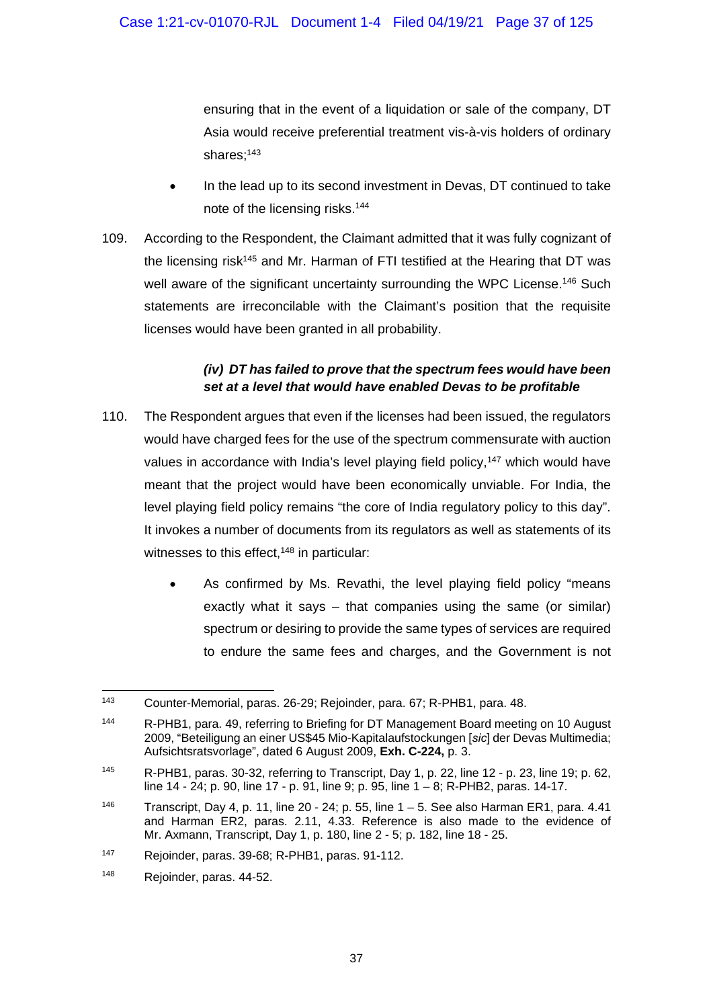ensuring that in the event of a liquidation or sale of the company, DT Asia would receive preferential treatment vis-à-vis holders of ordinary shares:<sup>143</sup>

- In the lead up to its second investment in Devas, DT continued to take note of the licensing risks.144
- 109. According to the Respondent, the Claimant admitted that it was fully cognizant of the licensing risk<sup>145</sup> and Mr. Harman of FTI testified at the Hearing that DT was well aware of the significant uncertainty surrounding the WPC License.<sup>146</sup> Such statements are irreconcilable with the Claimant's position that the requisite licenses would have been granted in all probability.

## *(iv) DT has failed to prove that the spectrum fees would have been set at a level that would have enabled Devas to be profitable*

- 110. The Respondent argues that even if the licenses had been issued, the regulators would have charged fees for the use of the spectrum commensurate with auction values in accordance with India's level playing field policy,<sup>147</sup> which would have meant that the project would have been economically unviable. For India, the level playing field policy remains "the core of India regulatory policy to this day". It invokes a number of documents from its regulators as well as statements of its witnesses to this effect,<sup>148</sup> in particular:
	- As confirmed by Ms. Revathi, the level playing field policy "means exactly what it says – that companies using the same (or similar) spectrum or desiring to provide the same types of services are required to endure the same fees and charges, and the Government is not

<sup>1</sup> 143 Counter-Memorial, paras. 26-29; Rejoinder, para. 67; R-PHB1, para. 48.

<sup>144</sup> R-PHB1, para. 49, referring to Briefing for DT Management Board meeting on 10 August 2009, "Beteiligung an einer US\$45 Mio-Kapitalaufstockungen [*sic*] der Devas Multimedia; Aufsichtsratsvorlage", dated 6 August 2009, **Exh. C-224,** p. 3.

<sup>145</sup> R-PHB1, paras. 30-32, referring to Transcript, Day 1, p. 22, line 12 - p. 23, line 19; p. 62, line 14 - 24; p. 90, line 17 - p. 91, line 9; p. 95, line 1 – 8; R-PHB2, paras. 14-17.

<sup>&</sup>lt;sup>146</sup> Transcript, Day 4, p. 11, line 20 - 24; p. 55, line  $1 - 5$ . See also Harman ER1, para. 4.41 and Harman ER2, paras. 2.11, 4.33. Reference is also made to the evidence of Mr. Axmann, Transcript, Day 1, p. 180, line 2 - 5; p. 182, line 18 - 25.

<sup>147</sup> Rejoinder, paras. 39-68; R-PHB1, paras. 91-112.

<sup>148</sup> Rejoinder, paras. 44-52.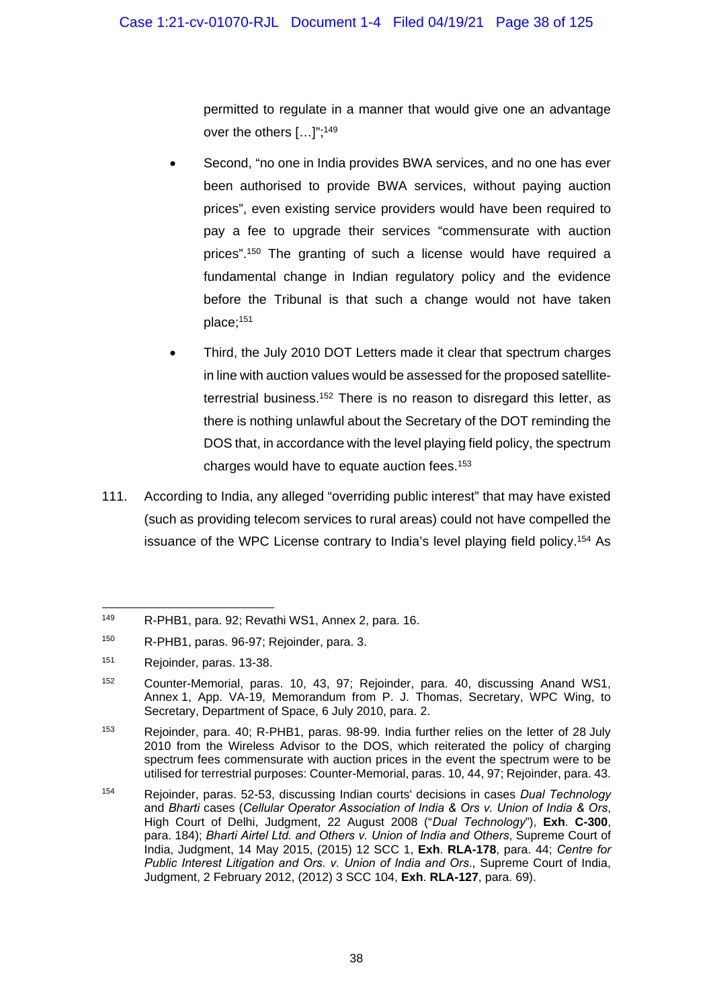permitted to regulate in a manner that would give one an advantage over the others […]";149

- Second, "no one in India provides BWA services, and no one has ever been authorised to provide BWA services, without paying auction prices", even existing service providers would have been required to pay a fee to upgrade their services "commensurate with auction prices".<sup>150</sup> The granting of such a license would have required a fundamental change in Indian regulatory policy and the evidence before the Tribunal is that such a change would not have taken place;151
- Third, the July 2010 DOT Letters made it clear that spectrum charges in line with auction values would be assessed for the proposed satelliteterrestrial business.<sup>152</sup> There is no reason to disregard this letter, as there is nothing unlawful about the Secretary of the DOT reminding the DOS that, in accordance with the level playing field policy, the spectrum charges would have to equate auction fees.153
- 111. According to India, any alleged "overriding public interest" that may have existed (such as providing telecom services to rural areas) could not have compelled the issuance of the WPC License contrary to India's level playing field policy.<sup>154</sup> As

<sup>1</sup> 149 R-PHB1, para. 92; Revathi WS1, Annex 2, para. 16.

<sup>150</sup> R-PHB1, paras. 96-97; Rejoinder, para. 3.

<sup>151</sup> Rejoinder, paras. 13-38.

<sup>152</sup> Counter-Memorial, paras. 10, 43, 97; Rejoinder, para. 40, discussing Anand WS1, Annex 1, App. VA-19, Memorandum from P. J. Thomas, Secretary, WPC Wing, to Secretary, Department of Space, 6 July 2010, para. 2.

<sup>153</sup> Rejoinder, para. 40; R-PHB1, paras. 98-99. India further relies on the letter of 28 July 2010 from the Wireless Advisor to the DOS, which reiterated the policy of charging spectrum fees commensurate with auction prices in the event the spectrum were to be utilised for terrestrial purposes: Counter-Memorial, paras. 10, 44, 97; Rejoinder, para. 43.

<sup>154</sup> Rejoinder, paras. 52-53, discussing Indian courts' decisions in cases *Dual Technology* and *Bharti* cases (*Cellular Operator Association of India & Ors v. Union of India & Ors*, High Court of Delhi, Judgment, 22 August 2008 ("*Dual Technology*"), **Exh**. **C-300**, para. 184); *Bharti Airtel Ltd. and Others v. Union of India and Others*, Supreme Court of India, Judgment, 14 May 2015, (2015) 12 SCC 1, **Exh**. **RLA-178**, para. 44; *Centre for Public Interest Litigation and Ors. v. Union of India and Ors*., Supreme Court of India, Judgment, 2 February 2012, (2012) 3 SCC 104, **Exh**. **RLA-127**, para. 69).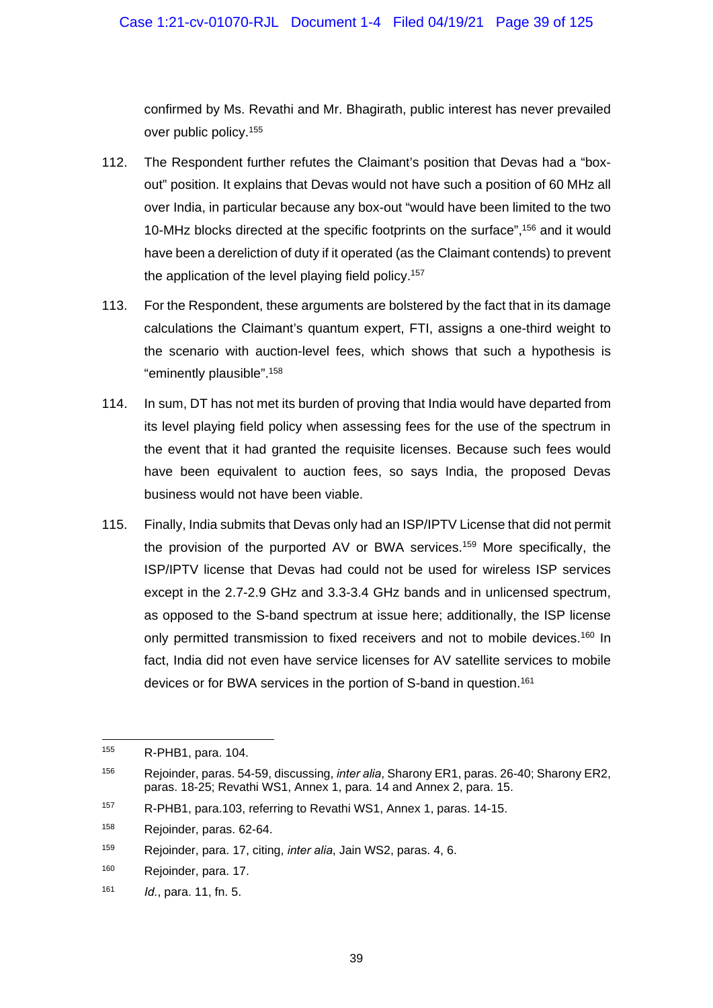confirmed by Ms. Revathi and Mr. Bhagirath, public interest has never prevailed over public policy.155

- 112. The Respondent further refutes the Claimant's position that Devas had a "boxout" position. It explains that Devas would not have such a position of 60 MHz all over India, in particular because any box-out "would have been limited to the two 10-MHz blocks directed at the specific footprints on the surface",156 and it would have been a dereliction of duty if it operated (as the Claimant contends) to prevent the application of the level playing field policy.<sup>157</sup>
- 113. For the Respondent, these arguments are bolstered by the fact that in its damage calculations the Claimant's quantum expert, FTI, assigns a one-third weight to the scenario with auction-level fees, which shows that such a hypothesis is "eminently plausible".158
- 114. In sum, DT has not met its burden of proving that India would have departed from its level playing field policy when assessing fees for the use of the spectrum in the event that it had granted the requisite licenses. Because such fees would have been equivalent to auction fees, so says India, the proposed Devas business would not have been viable.
- 115. Finally, India submits that Devas only had an ISP/IPTV License that did not permit the provision of the purported AV or BWA services.159 More specifically, the ISP/IPTV license that Devas had could not be used for wireless ISP services except in the 2.7-2.9 GHz and 3.3-3.4 GHz bands and in unlicensed spectrum, as opposed to the S-band spectrum at issue here; additionally, the ISP license only permitted transmission to fixed receivers and not to mobile devices.<sup>160</sup> In fact, India did not even have service licenses for AV satellite services to mobile devices or for BWA services in the portion of S-band in question.<sup>161</sup>

1

<sup>155</sup> R-PHB1, para. 104.

<sup>156</sup> Rejoinder, paras. 54-59, discussing, *inter alia*, Sharony ER1, paras. 26-40; Sharony ER2, paras. 18-25; Revathi WS1, Annex 1, para. 14 and Annex 2, para. 15.

<sup>157</sup> R-PHB1, para.103, referring to Revathi WS1, Annex 1, paras. 14-15.

<sup>158</sup> Rejoinder, paras. 62-64.

<sup>159</sup> Rejoinder, para. 17, citing, *inter alia*, Jain WS2, paras. 4, 6.

<sup>160</sup> Rejoinder, para. 17.

<sup>161</sup> *Id.*, para. 11, fn. 5.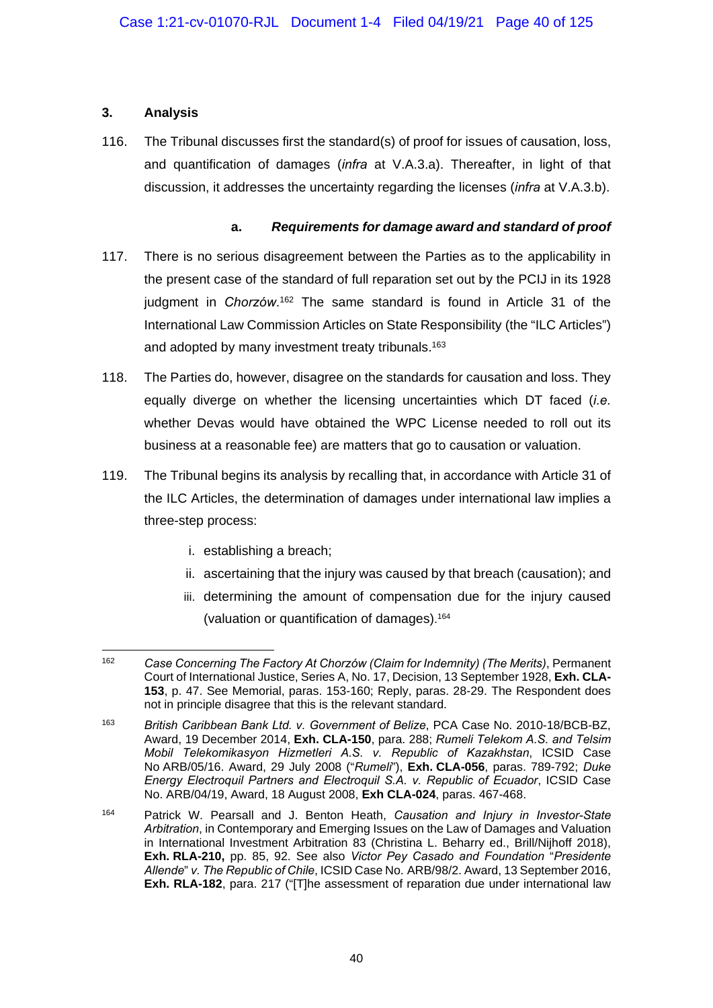## **3. Analysis**

116. The Tribunal discusses first the standard(s) of proof for issues of causation, loss, and quantification of damages (*infra* at V.A.3.a). Thereafter, in light of that discussion, it addresses the uncertainty regarding the licenses (*infra* at V.A.3.b).

### **a.** *Requirements for damage award and standard of proof*

- 117. There is no serious disagreement between the Parties as to the applicability in the present case of the standard of full reparation set out by the PCIJ in its 1928 judgment in *Chorzów*.<sup>162</sup> The same standard is found in Article 31 of the International Law Commission Articles on State Responsibility (the "ILC Articles") and adopted by many investment treaty tribunals.<sup>163</sup>
- 118. The Parties do, however, disagree on the standards for causation and loss. They equally diverge on whether the licensing uncertainties which DT faced (*i.e.* whether Devas would have obtained the WPC License needed to roll out its business at a reasonable fee) are matters that go to causation or valuation.
- 119. The Tribunal begins its analysis by recalling that, in accordance with Article 31 of the ILC Articles, the determination of damages under international law implies a three-step process:
	- i. establishing a breach;
	- ii. ascertaining that the injury was caused by that breach (causation); and
	- iii. determining the amount of compensation due for the injury caused (valuation or quantification of damages). 164

<sup>162</sup> 162 *Case Concerning The Factory At Chorzów (Claim for Indemnity) (The Merits)*, Permanent Court of International Justice, Series A, No. 17, Decision, 13 September 1928, **Exh. CLA-153**, p. 47. See Memorial, paras. 153-160; Reply, paras. 28-29. The Respondent does not in principle disagree that this is the relevant standard.

<sup>163</sup> *British Caribbean Bank Ltd. v. Government of Belize*, PCA Case No. 2010-18/BCB-BZ, Award, 19 December 2014, **Exh. CLA-150**, para. 288; *Rumeli Telekom A.S. and Telsim Mobil Telekomikasyon Hizmetleri A.S. v. Republic of Kazakhstan*, ICSID Case No ARB/05/16. Award, 29 July 2008 ("*Rumeli*"), **Exh. CLA-056**, paras. 789-792; *Duke Energy Electroquil Partners and Electroquil S.A. v. Republic of Ecuador*, ICSID Case No. ARB/04/19, Award, 18 August 2008, **Exh CLA-024**, paras. 467-468.

<sup>164</sup> Patrick W. Pearsall and J. Benton Heath, *Causation and Injury in Investor-State Arbitration*, in Contemporary and Emerging Issues on the Law of Damages and Valuation in International Investment Arbitration 83 (Christina L. Beharry ed., Brill/Nijhoff 2018), **Exh. RLA-210,** pp. 85, 92. See also *Victor Pey Casado and Foundation* "*Presidente Allende*" *v. The Republic of Chile*, ICSID Case No. ARB/98/2. Award, 13 September 2016, **Exh. RLA-182**, para. 217 ("[T]he assessment of reparation due under international law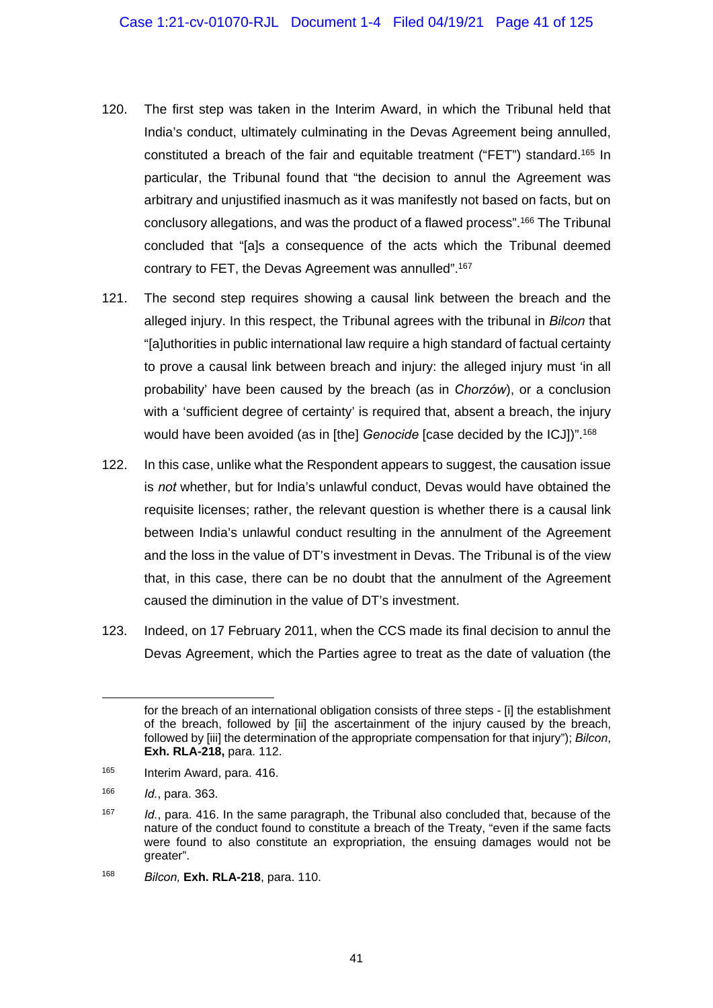- 120. The first step was taken in the Interim Award, in which the Tribunal held that India's conduct, ultimately culminating in the Devas Agreement being annulled, constituted a breach of the fair and equitable treatment ("FET") standard.<sup>165</sup> In particular, the Tribunal found that "the decision to annul the Agreement was arbitrary and unjustified inasmuch as it was manifestly not based on facts, but on conclusory allegations, and was the product of a flawed process".166 The Tribunal concluded that "[a]s a consequence of the acts which the Tribunal deemed contrary to FET, the Devas Agreement was annulled".167
- 121. The second step requires showing a causal link between the breach and the alleged injury. In this respect, the Tribunal agrees with the tribunal in *Bilcon* that "[a]uthorities in public international law require a high standard of factual certainty to prove a causal link between breach and injury: the alleged injury must 'in all probability' have been caused by the breach (as in *Chorzów*), or a conclusion with a 'sufficient degree of certainty' is required that, absent a breach, the injury would have been avoided (as in [the] *Genocide* [case decided by the ICJ])".168
- 122. In this case, unlike what the Respondent appears to suggest, the causation issue is *not* whether, but for India's unlawful conduct, Devas would have obtained the requisite licenses; rather, the relevant question is whether there is a causal link between India's unlawful conduct resulting in the annulment of the Agreement and the loss in the value of DT's investment in Devas. The Tribunal is of the view that, in this case, there can be no doubt that the annulment of the Agreement caused the diminution in the value of DT's investment.
- 123. Indeed, on 17 February 2011, when the CCS made its final decision to annul the Devas Agreement, which the Parties agree to treat as the date of valuation (the

1

for the breach of an international obligation consists of three steps - [i] the establishment of the breach, followed by [ii] the ascertainment of the injury caused by the breach, followed by [iii] the determination of the appropriate compensation for that injury"); *Bilcon*, **Exh. RLA-218,** para. 112.

<sup>165</sup> Interim Award, para. 416.

<sup>166</sup> *Id.*, para. 363.

<sup>167</sup> *Id.*, para. 416. In the same paragraph, the Tribunal also concluded that, because of the nature of the conduct found to constitute a breach of the Treaty, "even if the same facts were found to also constitute an expropriation, the ensuing damages would not be greater".

<sup>168</sup> *Bilcon,* **Exh. RLA-218**, para. 110.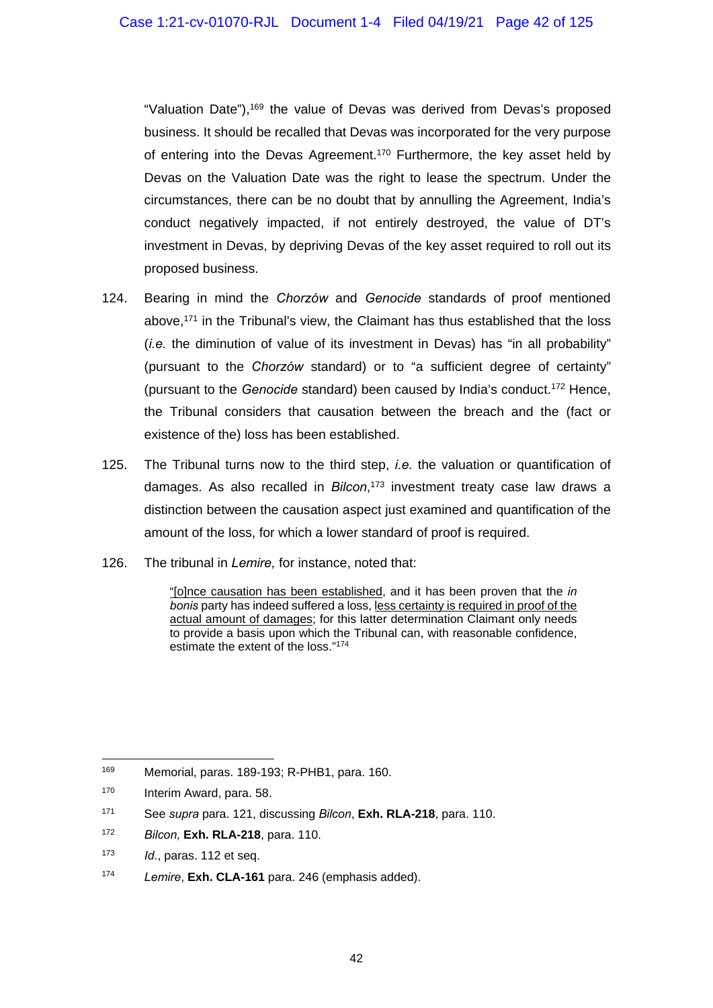"Valuation Date"),169 the value of Devas was derived from Devas's proposed business. It should be recalled that Devas was incorporated for the very purpose of entering into the Devas Agreement.<sup>170</sup> Furthermore, the key asset held by Devas on the Valuation Date was the right to lease the spectrum. Under the circumstances, there can be no doubt that by annulling the Agreement, India's conduct negatively impacted, if not entirely destroyed, the value of DT's investment in Devas, by depriving Devas of the key asset required to roll out its proposed business.

- 124. Bearing in mind the *Chorzów* and *Genocide* standards of proof mentioned above,171 in the Tribunal's view, the Claimant has thus established that the loss (*i.e.* the diminution of value of its investment in Devas) has "in all probability" (pursuant to the *Chorzów* standard) or to "a sufficient degree of certainty" (pursuant to the *Genocide* standard) been caused by India's conduct.172 Hence, the Tribunal considers that causation between the breach and the (fact or existence of the) loss has been established.
- 125. The Tribunal turns now to the third step, *i.e.* the valuation or quantification of damages. As also recalled in *Bilcon*, 173 investment treaty case law draws a distinction between the causation aspect just examined and quantification of the amount of the loss, for which a lower standard of proof is required.
- 126. The tribunal in *Lemire,* for instance, noted that:

"[o]nce causation has been established, and it has been proven that the *in bonis* party has indeed suffered a loss, less certainty is required in proof of the actual amount of damages; for this latter determination Claimant only needs to provide a basis upon which the Tribunal can, with reasonable confidence, estimate the extent of the loss."174

<sup>-</sup>169 Memorial, paras. 189-193; R-PHB1, para. 160.

<sup>170</sup> Interim Award, para. 58.

<sup>171</sup> See *supra* para. 121, discussing *Bilcon*, **Exh. RLA-218**, para. 110.

<sup>172</sup> *Bilcon,* **Exh. RLA-218**, para. 110.

<sup>173</sup> *Id.*, paras. 112 et seq.

<sup>174</sup> *Lemire*, **Exh. CLA-161** para. 246 (emphasis added).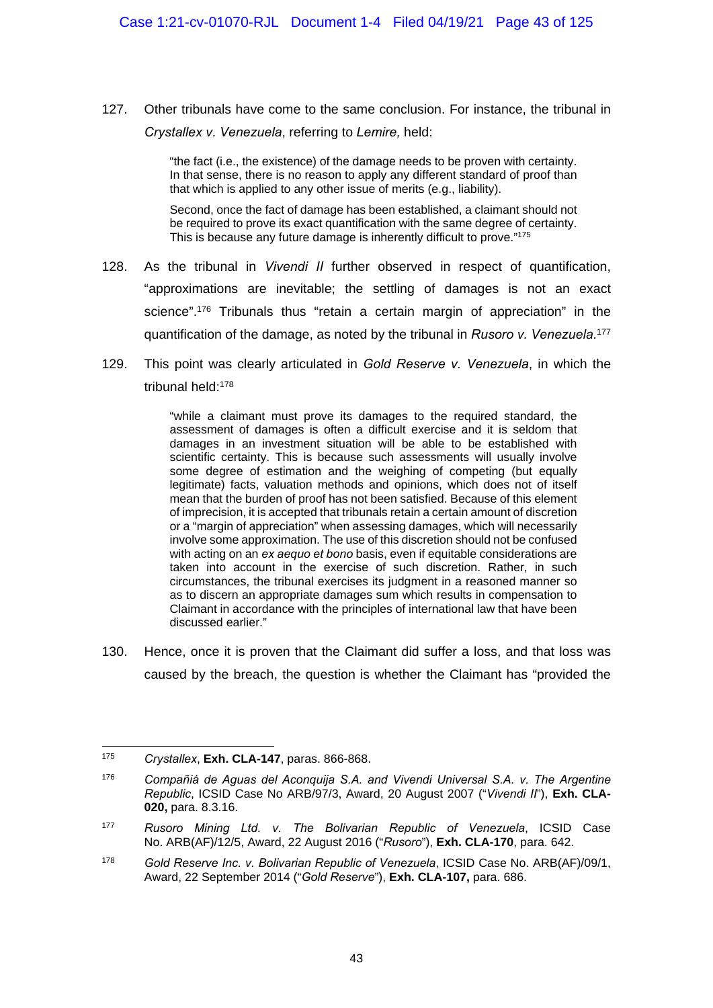127. Other tribunals have come to the same conclusion. For instance, the tribunal in *Crystallex v. Venezuela*, referring to *Lemire,* held:

> "the fact (i.e., the existence) of the damage needs to be proven with certainty. In that sense, there is no reason to apply any different standard of proof than that which is applied to any other issue of merits (e.g., liability).

> Second, once the fact of damage has been established, a claimant should not be required to prove its exact quantification with the same degree of certainty. This is because any future damage is inherently difficult to prove."175

- 128. As the tribunal in *Vivendi II* further observed in respect of quantification, "approximations are inevitable; the settling of damages is not an exact science".<sup>176</sup> Tribunals thus "retain a certain margin of appreciation" in the quantification of the damage, as noted by the tribunal in *Rusoro v. Venezuela.*<sup>177</sup>
- 129. This point was clearly articulated in *Gold Reserve v. Venezuela*, in which the tribunal held:178

"while a claimant must prove its damages to the required standard, the assessment of damages is often a difficult exercise and it is seldom that damages in an investment situation will be able to be established with scientific certainty. This is because such assessments will usually involve some degree of estimation and the weighing of competing (but equally legitimate) facts, valuation methods and opinions, which does not of itself mean that the burden of proof has not been satisfied. Because of this element of imprecision, it is accepted that tribunals retain a certain amount of discretion or a "margin of appreciation" when assessing damages, which will necessarily involve some approximation. The use of this discretion should not be confused with acting on an *ex aequo et bono* basis, even if equitable considerations are taken into account in the exercise of such discretion. Rather, in such circumstances, the tribunal exercises its judgment in a reasoned manner so as to discern an appropriate damages sum which results in compensation to Claimant in accordance with the principles of international law that have been discussed earlier."

130. Hence, once it is proven that the Claimant did suffer a loss, and that loss was caused by the breach, the question is whether the Claimant has "provided the

<sup>1</sup> 175 *Crystallex*, **Exh. CLA-147**, paras. 866-868.

<sup>176</sup> *Compañiá de Aguas del Aconquija S.A. and Vivendi Universal S.A. v. The Argentine Republic*, ICSID Case No ARB/97/3, Award, 20 August 2007 ("*Vivendi II*"), **Exh. CLA-020,** para. 8.3.16.

<sup>177</sup> *Rusoro Mining Ltd. v. The Bolivarian Republic of Venezuela*, ICSID Case No. ARB(AF)/12/5, Award, 22 August 2016 ("*Rusoro*"), **Exh. CLA-170**, para. 642.

<sup>178</sup> *Gold Reserve Inc. v. Bolivarian Republic of Venezuela*, ICSID Case No. ARB(AF)/09/1, Award, 22 September 2014 ("*Gold Reserve*"), **Exh. CLA-107,** para. 686.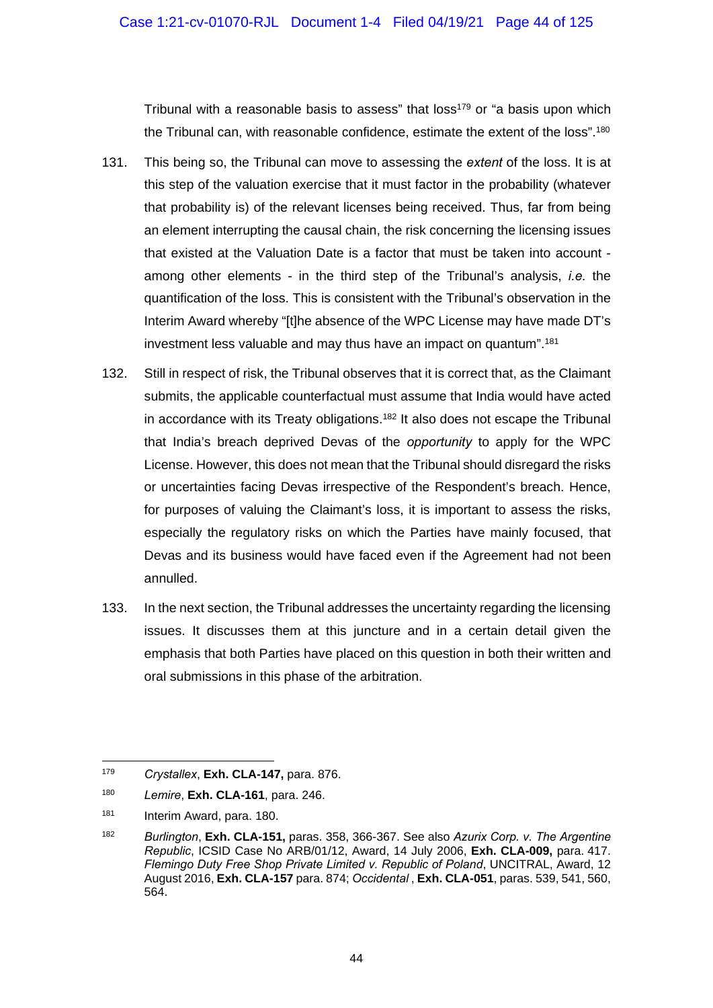Tribunal with a reasonable basis to assess" that loss<sup>179</sup> or "a basis upon which the Tribunal can, with reasonable confidence, estimate the extent of the loss",<sup>180</sup>

- 131. This being so, the Tribunal can move to assessing the *extent* of the loss. It is at this step of the valuation exercise that it must factor in the probability (whatever that probability is) of the relevant licenses being received. Thus, far from being an element interrupting the causal chain, the risk concerning the licensing issues that existed at the Valuation Date is a factor that must be taken into account among other elements - in the third step of the Tribunal's analysis, *i.e.* the quantification of the loss. This is consistent with the Tribunal's observation in the Interim Award whereby "[t]he absence of the WPC License may have made DT's investment less valuable and may thus have an impact on quantum".181
- 132. Still in respect of risk, the Tribunal observes that it is correct that, as the Claimant submits, the applicable counterfactual must assume that India would have acted in accordance with its Treaty obligations.<sup>182</sup> It also does not escape the Tribunal that India's breach deprived Devas of the *opportunity* to apply for the WPC License. However, this does not mean that the Tribunal should disregard the risks or uncertainties facing Devas irrespective of the Respondent's breach. Hence, for purposes of valuing the Claimant's loss, it is important to assess the risks, especially the regulatory risks on which the Parties have mainly focused, that Devas and its business would have faced even if the Agreement had not been annulled.
- 133. In the next section, the Tribunal addresses the uncertainty regarding the licensing issues. It discusses them at this juncture and in a certain detail given the emphasis that both Parties have placed on this question in both their written and oral submissions in this phase of the arbitration.

<sup>170</sup> 179 *Crystallex*, **Exh. CLA-147,** para. 876.

<sup>180</sup> *Lemire*, **Exh. CLA-161**, para. 246.

<sup>181</sup> Interim Award, para. 180.

<sup>182</sup> *Burlington*, **Exh. CLA-151,** paras. 358, 366-367. See also *Azurix Corp. v. The Argentine Republic*, ICSID Case No ARB/01/12, Award, 14 July 2006, **Exh. CLA-009,** para. 417. *Flemingo Duty Free Shop Private Limited v. Republic of Poland*, UNCITRAL, Award, 12 August 2016, **Exh. CLA-157** para. 874; *Occidental* , **Exh. CLA-051**, paras. 539, 541, 560, 564.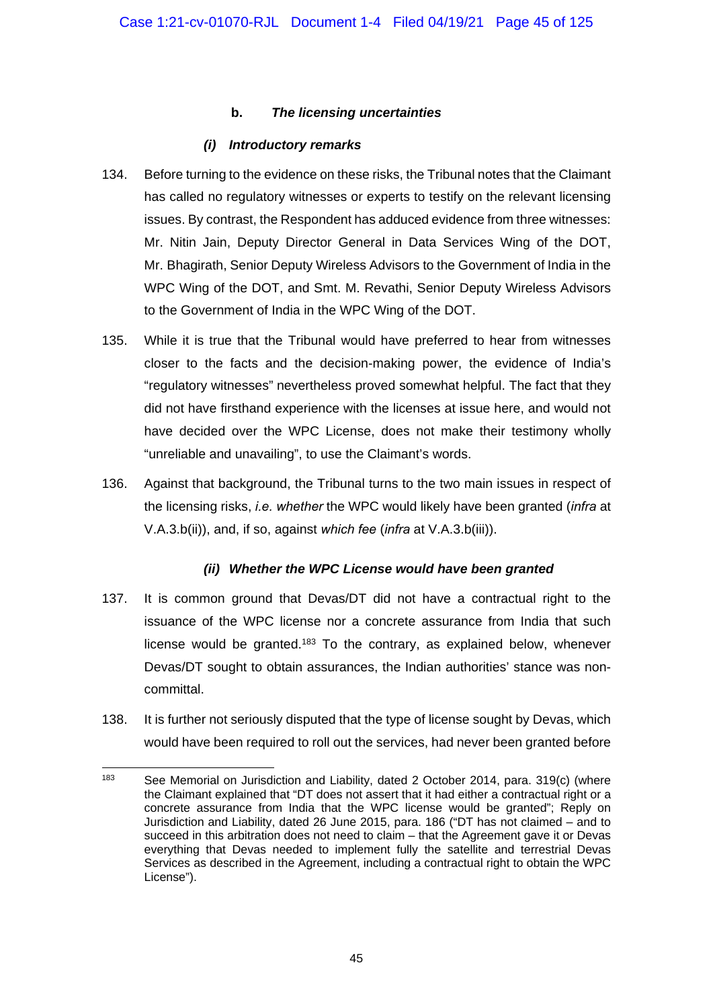### **b.** *The licensing uncertainties*

### *(i) Introductory remarks*

- 134. Before turning to the evidence on these risks, the Tribunal notes that the Claimant has called no regulatory witnesses or experts to testify on the relevant licensing issues. By contrast, the Respondent has adduced evidence from three witnesses: Mr. Nitin Jain, Deputy Director General in Data Services Wing of the DOT, Mr. Bhagirath, Senior Deputy Wireless Advisors to the Government of India in the WPC Wing of the DOT, and Smt. M. Revathi, Senior Deputy Wireless Advisors to the Government of India in the WPC Wing of the DOT.
- 135. While it is true that the Tribunal would have preferred to hear from witnesses closer to the facts and the decision-making power, the evidence of India's "regulatory witnesses" nevertheless proved somewhat helpful. The fact that they did not have firsthand experience with the licenses at issue here, and would not have decided over the WPC License, does not make their testimony wholly "unreliable and unavailing", to use the Claimant's words.
- 136. Against that background, the Tribunal turns to the two main issues in respect of the licensing risks, *i.e. whether* the WPC would likely have been granted (*infra* at V.A.3.b(ii)), and, if so, against *which fee* (*infra* at V.A.3.b(iii)).

## *(ii) Whether the WPC License would have been granted*

- 137. It is common ground that Devas/DT did not have a contractual right to the issuance of the WPC license nor a concrete assurance from India that such license would be granted.<sup>183</sup> To the contrary, as explained below, whenever Devas/DT sought to obtain assurances, the Indian authorities' stance was noncommittal.
- 138. It is further not seriously disputed that the type of license sought by Devas, which would have been required to roll out the services, had never been granted before

 $\overline{a}$ <sup>183</sup> See Memorial on Jurisdiction and Liability, dated 2 October 2014, para, 319(c) (where the Claimant explained that "DT does not assert that it had either a contractual right or a concrete assurance from India that the WPC license would be granted"; Reply on Jurisdiction and Liability, dated 26 June 2015, para. 186 ("DT has not claimed – and to succeed in this arbitration does not need to claim – that the Agreement gave it or Devas everything that Devas needed to implement fully the satellite and terrestrial Devas Services as described in the Agreement, including a contractual right to obtain the WPC License").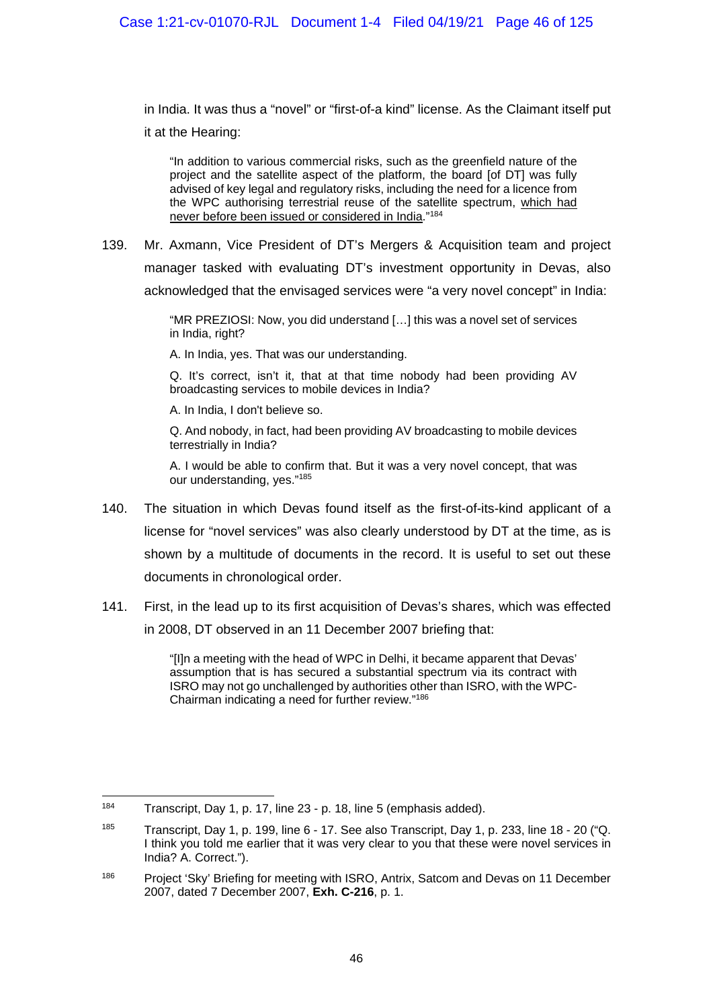in India. It was thus a "novel" or "first-of-a kind" license. As the Claimant itself put it at the Hearing:

"In addition to various commercial risks, such as the greenfield nature of the project and the satellite aspect of the platform, the board [of DT] was fully advised of key legal and regulatory risks, including the need for a licence from the WPC authorising terrestrial reuse of the satellite spectrum, which had never before been issued or considered in India."184

139. Mr. Axmann, Vice President of DT's Mergers & Acquisition team and project manager tasked with evaluating DT's investment opportunity in Devas, also acknowledged that the envisaged services were "a very novel concept" in India:

> "MR PREZIOSI: Now, you did understand […] this was a novel set of services in India, right?

A. In India, yes. That was our understanding.

Q. It's correct, isn't it, that at that time nobody had been providing AV broadcasting services to mobile devices in India?

A. In India, I don't believe so.

Q. And nobody, in fact, had been providing AV broadcasting to mobile devices terrestrially in India?

A. I would be able to confirm that. But it was a very novel concept, that was our understanding, yes."185

- 140. The situation in which Devas found itself as the first-of-its-kind applicant of a license for "novel services" was also clearly understood by DT at the time, as is shown by a multitude of documents in the record. It is useful to set out these documents in chronological order.
- 141. First, in the lead up to its first acquisition of Devas's shares, which was effected in 2008, DT observed in an 11 December 2007 briefing that:

"[I]n a meeting with the head of WPC in Delhi, it became apparent that Devas' assumption that is has secured a substantial spectrum via its contract with ISRO may not go unchallenged by authorities other than ISRO, with the WPC-Chairman indicating a need for further review."186

<sup>184</sup> Transcript, Day 1, p. 17, line 23 - p. 18, line 5 (emphasis added).

<sup>&</sup>lt;sup>185</sup> Transcript, Day 1, p. 199, line 6 - 17. See also Transcript, Day 1, p. 233, line 18 - 20 ("Q. I think you told me earlier that it was very clear to you that these were novel services in India? A. Correct.").

<sup>&</sup>lt;sup>186</sup> Project 'Sky' Briefing for meeting with ISRO, Antrix, Satcom and Devas on 11 December 2007, dated 7 December 2007, **Exh. C-216**, p. 1.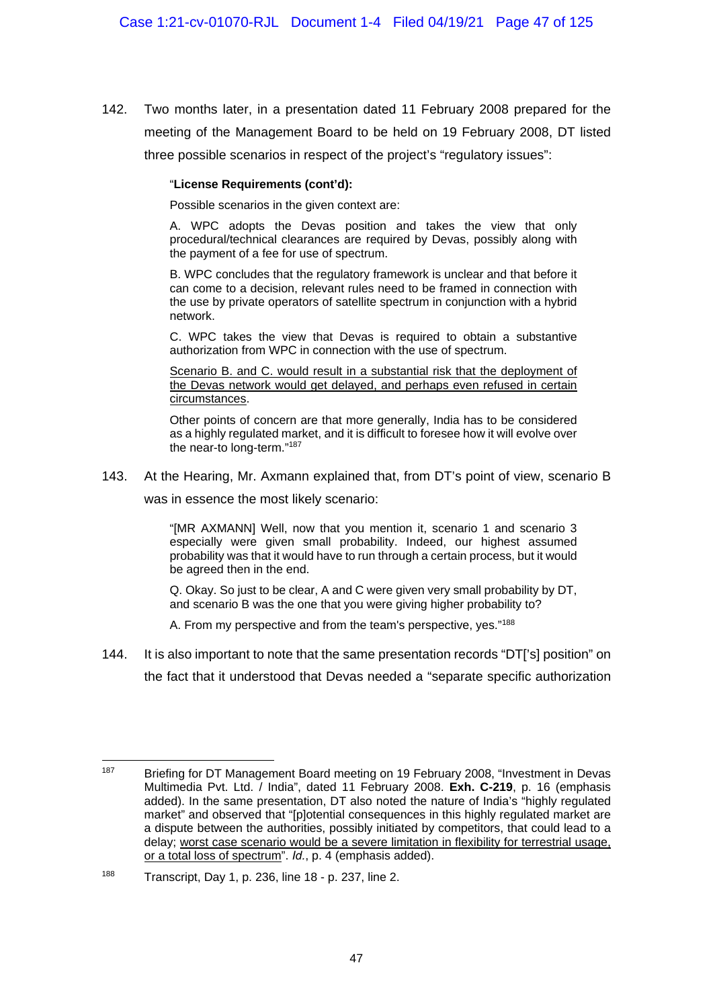142. Two months later, in a presentation dated 11 February 2008 prepared for the meeting of the Management Board to be held on 19 February 2008, DT listed three possible scenarios in respect of the project's "regulatory issues":

#### "**License Requirements (cont'd):**

Possible scenarios in the given context are:

A. WPC adopts the Devas position and takes the view that only procedural/technical clearances are required by Devas, possibly along with the payment of a fee for use of spectrum.

B. WPC concludes that the regulatory framework is unclear and that before it can come to a decision, relevant rules need to be framed in connection with the use by private operators of satellite spectrum in conjunction with a hybrid network.

C. WPC takes the view that Devas is required to obtain a substantive authorization from WPC in connection with the use of spectrum.

Scenario B. and C. would result in a substantial risk that the deployment of the Devas network would get delayed, and perhaps even refused in certain circumstances.

Other points of concern are that more generally, India has to be considered as a highly regulated market, and it is difficult to foresee how it will evolve over the near-to long-term."187

143. At the Hearing, Mr. Axmann explained that, from DT's point of view, scenario B

was in essence the most likely scenario:

"[MR AXMANN] Well, now that you mention it, scenario 1 and scenario 3 especially were given small probability. Indeed, our highest assumed probability was that it would have to run through a certain process, but it would be agreed then in the end.

Q. Okay. So just to be clear, A and C were given very small probability by DT, and scenario B was the one that you were giving higher probability to?

A. From my perspective and from the team's perspective, yes."<sup>188</sup>

144. It is also important to note that the same presentation records "DT['s] position" on the fact that it understood that Devas needed a "separate specific authorization

<sup>187</sup> 187 Briefing for DT Management Board meeting on 19 February 2008, "Investment in Devas Multimedia Pvt. Ltd. / India", dated 11 February 2008. **Exh. C-219**, p. 16 (emphasis added). In the same presentation, DT also noted the nature of India's "highly regulated market" and observed that "[p]otential consequences in this highly regulated market are a dispute between the authorities, possibly initiated by competitors, that could lead to a delay; worst case scenario would be a severe limitation in flexibility for terrestrial usage, or a total loss of spectrum". *Id.*, p. 4 (emphasis added).

<sup>188</sup> Transcript, Day 1, p. 236, line 18 - p. 237, line 2.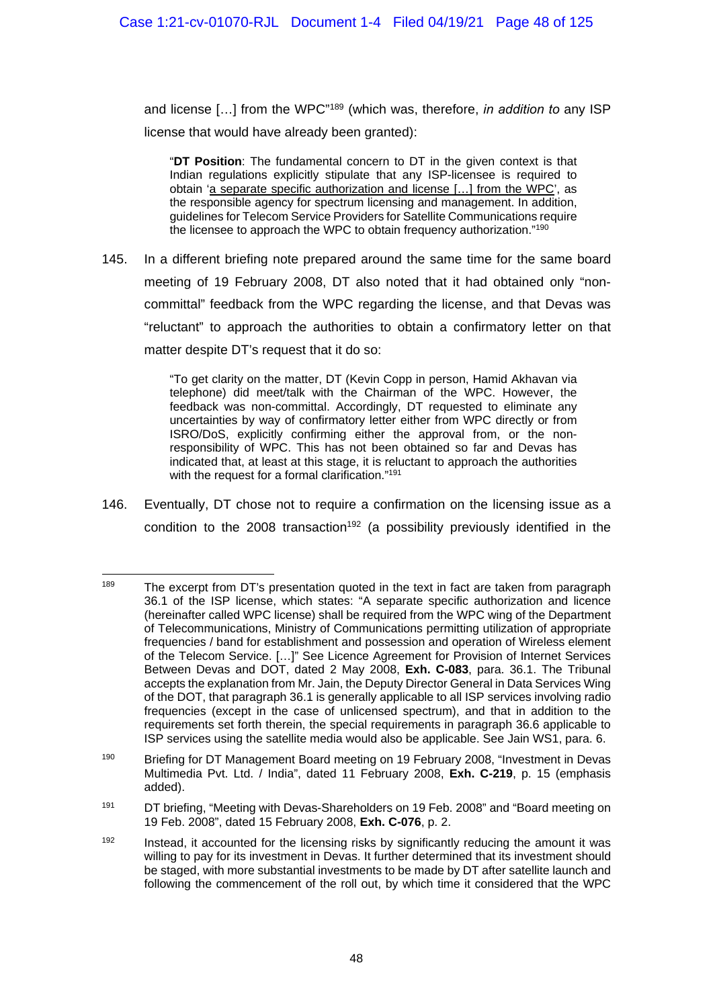and license […] from the WPC"189 (which was, therefore, *in addition to* any ISP license that would have already been granted):

"**DT Position**: The fundamental concern to DT in the given context is that Indian regulations explicitly stipulate that any ISP-licensee is required to obtain 'a separate specific authorization and license […] from the WPC', as the responsible agency for spectrum licensing and management. In addition, guidelines for Telecom Service Providers for Satellite Communications require the licensee to approach the WPC to obtain frequency authorization."190

145. In a different briefing note prepared around the same time for the same board meeting of 19 February 2008, DT also noted that it had obtained only "noncommittal" feedback from the WPC regarding the license, and that Devas was "reluctant" to approach the authorities to obtain a confirmatory letter on that matter despite DT's request that it do so:

> "To get clarity on the matter, DT (Kevin Copp in person, Hamid Akhavan via telephone) did meet/talk with the Chairman of the WPC. However, the feedback was non-committal. Accordingly, DT requested to eliminate any uncertainties by way of confirmatory letter either from WPC directly or from ISRO/DoS, explicitly confirming either the approval from, or the nonresponsibility of WPC. This has not been obtained so far and Devas has indicated that, at least at this stage, it is reluctant to approach the authorities with the request for a formal clarification."<sup>191</sup>

146. Eventually, DT chose not to require a confirmation on the licensing issue as a condition to the 2008 transaction<sup>192</sup> (a possibility previously identified in the

<sup>189</sup> The excerpt from DT's presentation quoted in the text in fact are taken from paragraph 36.1 of the ISP license, which states: "A separate specific authorization and licence (hereinafter called WPC license) shall be required from the WPC wing of the Department of Telecommunications, Ministry of Communications permitting utilization of appropriate frequencies / band for establishment and possession and operation of Wireless element of the Telecom Service. […]" See Licence Agreement for Provision of Internet Services Between Devas and DOT, dated 2 May 2008, **Exh. C-083**, para. 36.1. The Tribunal accepts the explanation from Mr. Jain, the Deputy Director General in Data Services Wing of the DOT, that paragraph 36.1 is generally applicable to all ISP services involving radio frequencies (except in the case of unlicensed spectrum), and that in addition to the requirements set forth therein, the special requirements in paragraph 36.6 applicable to ISP services using the satellite media would also be applicable. See Jain WS1, para. 6.

<sup>&</sup>lt;sup>190</sup> Briefing for DT Management Board meeting on 19 February 2008, "Investment in Devas Multimedia Pvt. Ltd. / India", dated 11 February 2008, **Exh. C-219**, p. 15 (emphasis added).

<sup>&</sup>lt;sup>191</sup> DT briefing, "Meeting with Devas-Shareholders on 19 Feb. 2008" and "Board meeting on 19 Feb. 2008", dated 15 February 2008, **Exh. C-076**, p. 2.

 $192$  Instead, it accounted for the licensing risks by significantly reducing the amount it was willing to pay for its investment in Devas. It further determined that its investment should be staged, with more substantial investments to be made by DT after satellite launch and following the commencement of the roll out, by which time it considered that the WPC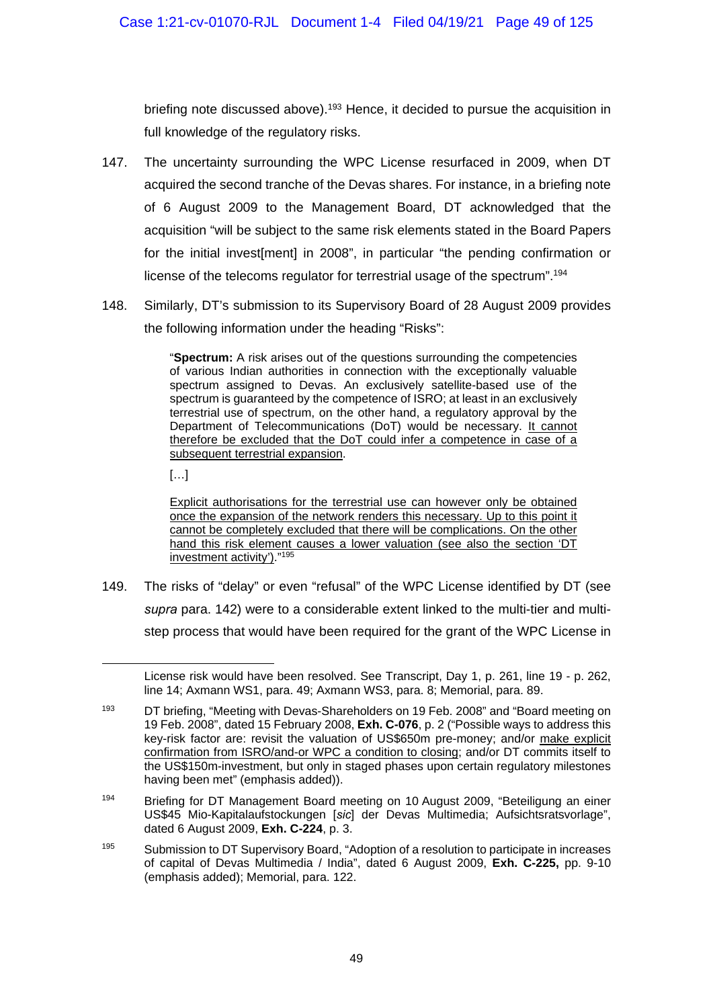briefing note discussed above).<sup>193</sup> Hence, it decided to pursue the acquisition in full knowledge of the regulatory risks.

- 147. The uncertainty surrounding the WPC License resurfaced in 2009, when DT acquired the second tranche of the Devas shares. For instance, in a briefing note of 6 August 2009 to the Management Board, DT acknowledged that the acquisition "will be subject to the same risk elements stated in the Board Papers for the initial invest[ment] in 2008", in particular "the pending confirmation or license of the telecoms regulator for terrestrial usage of the spectrum".194
- 148. Similarly, DT's submission to its Supervisory Board of 28 August 2009 provides the following information under the heading "Risks":

"**Spectrum:** A risk arises out of the questions surrounding the competencies of various Indian authorities in connection with the exceptionally valuable spectrum assigned to Devas. An exclusively satellite-based use of the spectrum is guaranteed by the competence of ISRO; at least in an exclusively terrestrial use of spectrum, on the other hand, a regulatory approval by the Department of Telecommunications (DoT) would be necessary. It cannot therefore be excluded that the DoT could infer a competence in case of a subsequent terrestrial expansion.

[…]

1

Explicit authorisations for the terrestrial use can however only be obtained once the expansion of the network renders this necessary. Up to this point it cannot be completely excluded that there will be complications. On the other hand this risk element causes a lower valuation (see also the section 'DT investment activity')."<sup>195</sup>

149. The risks of "delay" or even "refusal" of the WPC License identified by DT (see *supra* para. 142) were to a considerable extent linked to the multi-tier and multistep process that would have been required for the grant of the WPC License in

License risk would have been resolved. See Transcript, Day 1, p. 261, line 19 - p. 262, line 14; Axmann WS1, para. 49; Axmann WS3, para. 8; Memorial, para. 89.

<sup>&</sup>lt;sup>193</sup> DT briefing, "Meeting with Devas-Shareholders on 19 Feb. 2008" and "Board meeting on 19 Feb. 2008", dated 15 February 2008, **Exh. C-076**, p. 2 ("Possible ways to address this key-risk factor are: revisit the valuation of US\$650m pre-money; and/or make explicit confirmation from ISRO/and-or WPC a condition to closing; and/or DT commits itself to the US\$150m-investment, but only in staged phases upon certain regulatory milestones having been met" (emphasis added)).

<sup>194</sup> Briefing for DT Management Board meeting on 10 August 2009, "Beteiligung an einer US\$45 Mio-Kapitalaufstockungen [*sic*] der Devas Multimedia; Aufsichtsratsvorlage", dated 6 August 2009, **Exh. C-224**, p. 3.

<sup>195</sup> Submission to DT Supervisory Board, "Adoption of a resolution to participate in increases of capital of Devas Multimedia / India", dated 6 August 2009, **Exh. C-225,** pp. 9-10 (emphasis added); Memorial, para. 122.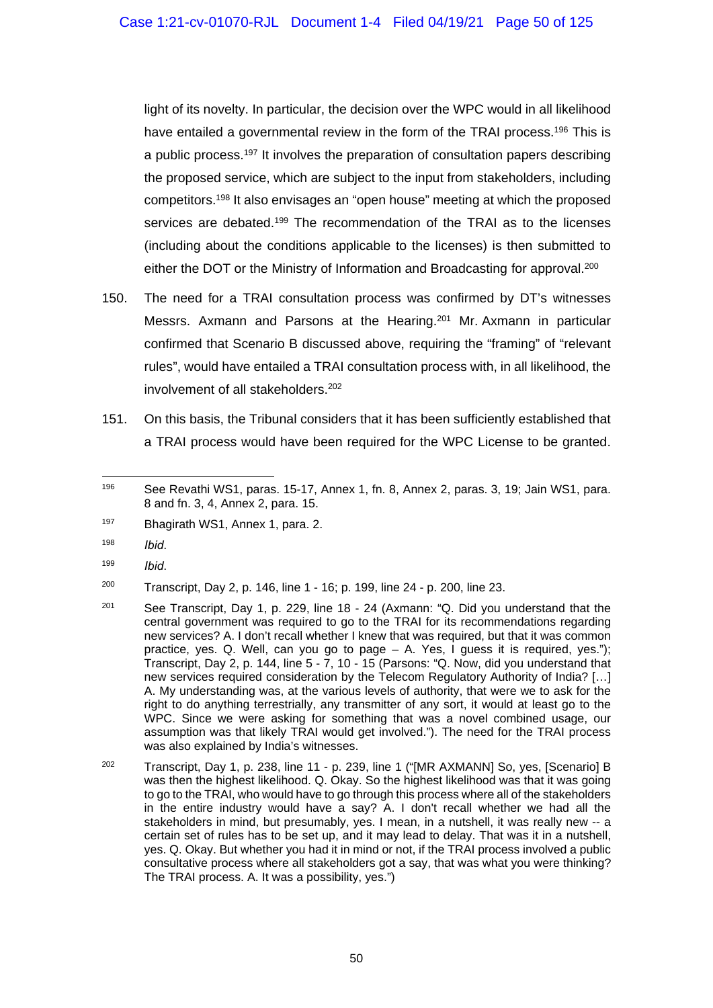light of its novelty. In particular, the decision over the WPC would in all likelihood have entailed a governmental review in the form of the TRAI process.<sup>196</sup> This is a public process.197 It involves the preparation of consultation papers describing the proposed service, which are subject to the input from stakeholders, including competitors.198 It also envisages an "open house" meeting at which the proposed services are debated.<sup>199</sup> The recommendation of the TRAI as to the licenses (including about the conditions applicable to the licenses) is then submitted to either the DOT or the Ministry of Information and Broadcasting for approval.<sup>200</sup>

- 150. The need for a TRAI consultation process was confirmed by DT's witnesses Messrs. Axmann and Parsons at the Hearing.201 Mr. Axmann in particular confirmed that Scenario B discussed above, requiring the "framing" of "relevant rules", would have entailed a TRAI consultation process with, in all likelihood, the involvement of all stakeholders.<sup>202</sup>
- 151. On this basis, the Tribunal considers that it has been sufficiently established that a TRAI process would have been required for the WPC License to be granted.

- 198 *Ibid*.
- 199 *Ibid*.

<sup>200</sup> Transcript, Day 2, p. 146, line 1 - 16; p. 199, line 24 - p. 200, line 23.

- <sup>201</sup> See Transcript, Day 1, p. 229, line 18 24 (Axmann: "Q. Did you understand that the central government was required to go to the TRAI for its recommendations regarding new services? A. I don't recall whether I knew that was required, but that it was common practice, yes. Q. Well, can you go to page – A. Yes, I guess it is required, yes."); Transcript, Day 2, p. 144, line 5 - 7, 10 - 15 (Parsons: "Q. Now, did you understand that new services required consideration by the Telecom Regulatory Authority of India? […] A. My understanding was, at the various levels of authority, that were we to ask for the right to do anything terrestrially, any transmitter of any sort, it would at least go to the WPC. Since we were asking for something that was a novel combined usage, our assumption was that likely TRAI would get involved."). The need for the TRAI process was also explained by India's witnesses.
- 202 Transcript, Day 1, p. 238, line 11 p. 239, line 1 ("[MR AXMANN] So, yes, [Scenario] B was then the highest likelihood. Q. Okay. So the highest likelihood was that it was going to go to the TRAI, who would have to go through this process where all of the stakeholders in the entire industry would have a say? A. I don't recall whether we had all the stakeholders in mind, but presumably, yes. I mean, in a nutshell, it was really new -- a certain set of rules has to be set up, and it may lead to delay. That was it in a nutshell, yes. Q. Okay. But whether you had it in mind or not, if the TRAI process involved a public consultative process where all stakeholders got a say, that was what you were thinking? The TRAI process. A. It was a possibility, yes.")

<sup>1</sup> 196 See Revathi WS1, paras. 15-17, Annex 1, fn. 8, Annex 2, paras. 3, 19; Jain WS1, para. 8 and fn. 3, 4, Annex 2, para. 15.

<sup>197</sup> Bhagirath WS1, Annex 1, para. 2.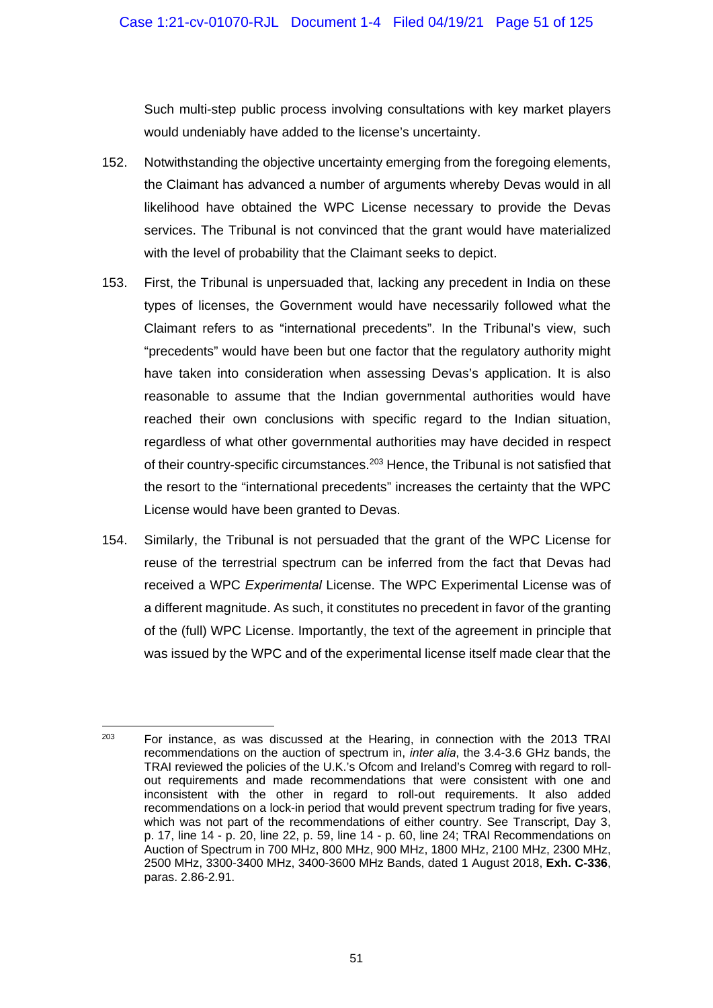Such multi-step public process involving consultations with key market players would undeniably have added to the license's uncertainty.

- 152. Notwithstanding the objective uncertainty emerging from the foregoing elements, the Claimant has advanced a number of arguments whereby Devas would in all likelihood have obtained the WPC License necessary to provide the Devas services. The Tribunal is not convinced that the grant would have materialized with the level of probability that the Claimant seeks to depict.
- 153. First, the Tribunal is unpersuaded that, lacking any precedent in India on these types of licenses, the Government would have necessarily followed what the Claimant refers to as "international precedents". In the Tribunal's view, such "precedents" would have been but one factor that the regulatory authority might have taken into consideration when assessing Devas's application. It is also reasonable to assume that the Indian governmental authorities would have reached their own conclusions with specific regard to the Indian situation, regardless of what other governmental authorities may have decided in respect of their country-specific circumstances.<sup>203</sup> Hence, the Tribunal is not satisfied that the resort to the "international precedents" increases the certainty that the WPC License would have been granted to Devas.
- 154. Similarly, the Tribunal is not persuaded that the grant of the WPC License for reuse of the terrestrial spectrum can be inferred from the fact that Devas had received a WPC *Experimental* License. The WPC Experimental License was of a different magnitude. As such, it constitutes no precedent in favor of the granting of the (full) WPC License. Importantly, the text of the agreement in principle that was issued by the WPC and of the experimental license itself made clear that the

<sup>1</sup>  $203$  For instance, as was discussed at the Hearing, in connection with the 2013 TRAI recommendations on the auction of spectrum in, *inter alia*, the 3.4-3.6 GHz bands, the TRAI reviewed the policies of the U.K.'s Ofcom and Ireland's Comreg with regard to rollout requirements and made recommendations that were consistent with one and inconsistent with the other in regard to roll-out requirements. It also added recommendations on a lock-in period that would prevent spectrum trading for five years, which was not part of the recommendations of either country. See Transcript, Day 3, p. 17, line 14 - p. 20, line 22, p. 59, line 14 - p. 60, line 24; TRAI Recommendations on Auction of Spectrum in 700 MHz, 800 MHz, 900 MHz, 1800 MHz, 2100 MHz, 2300 MHz, 2500 MHz, 3300-3400 MHz, 3400-3600 MHz Bands, dated 1 August 2018, **Exh. C-336**, paras. 2.86-2.91.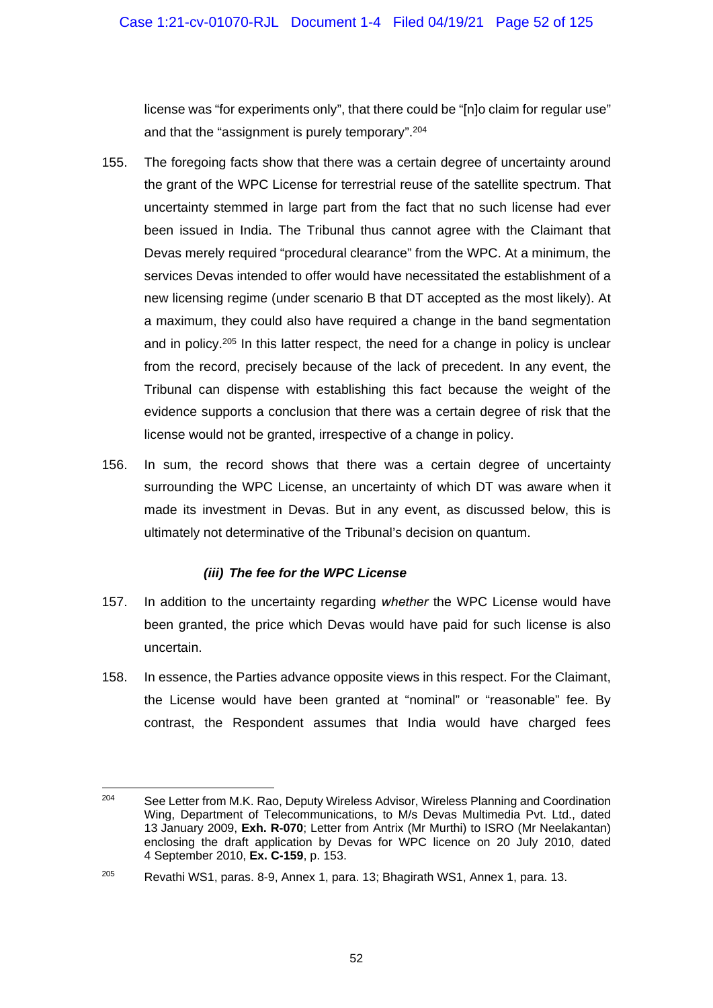license was "for experiments only", that there could be "[n]o claim for regular use" and that the "assignment is purely temporary".<sup>204</sup>

- 155. The foregoing facts show that there was a certain degree of uncertainty around the grant of the WPC License for terrestrial reuse of the satellite spectrum. That uncertainty stemmed in large part from the fact that no such license had ever been issued in India. The Tribunal thus cannot agree with the Claimant that Devas merely required "procedural clearance" from the WPC. At a minimum, the services Devas intended to offer would have necessitated the establishment of a new licensing regime (under scenario B that DT accepted as the most likely). At a maximum, they could also have required a change in the band segmentation and in policy.<sup>205</sup> In this latter respect, the need for a change in policy is unclear from the record, precisely because of the lack of precedent. In any event, the Tribunal can dispense with establishing this fact because the weight of the evidence supports a conclusion that there was a certain degree of risk that the license would not be granted, irrespective of a change in policy.
- 156. In sum, the record shows that there was a certain degree of uncertainty surrounding the WPC License, an uncertainty of which DT was aware when it made its investment in Devas. But in any event, as discussed below, this is ultimately not determinative of the Tribunal's decision on quantum.

## *(iii) The fee for the WPC License*

- 157. In addition to the uncertainty regarding *whether* the WPC License would have been granted, the price which Devas would have paid for such license is also uncertain.
- 158. In essence, the Parties advance opposite views in this respect. For the Claimant, the License would have been granted at "nominal" or "reasonable" fee. By contrast, the Respondent assumes that India would have charged fees

 $204$ See Letter from M.K. Rao, Deputy Wireless Advisor, Wireless Planning and Coordination Wing, Department of Telecommunications, to M/s Devas Multimedia Pvt. Ltd., dated 13 January 2009, **Exh. R-070**; Letter from Antrix (Mr Murthi) to ISRO (Mr Neelakantan) enclosing the draft application by Devas for WPC licence on 20 July 2010, dated 4 September 2010, **Ex. C-159**, p. 153.

<sup>205</sup> Revathi WS1, paras. 8-9, Annex 1, para. 13; Bhagirath WS1, Annex 1, para. 13.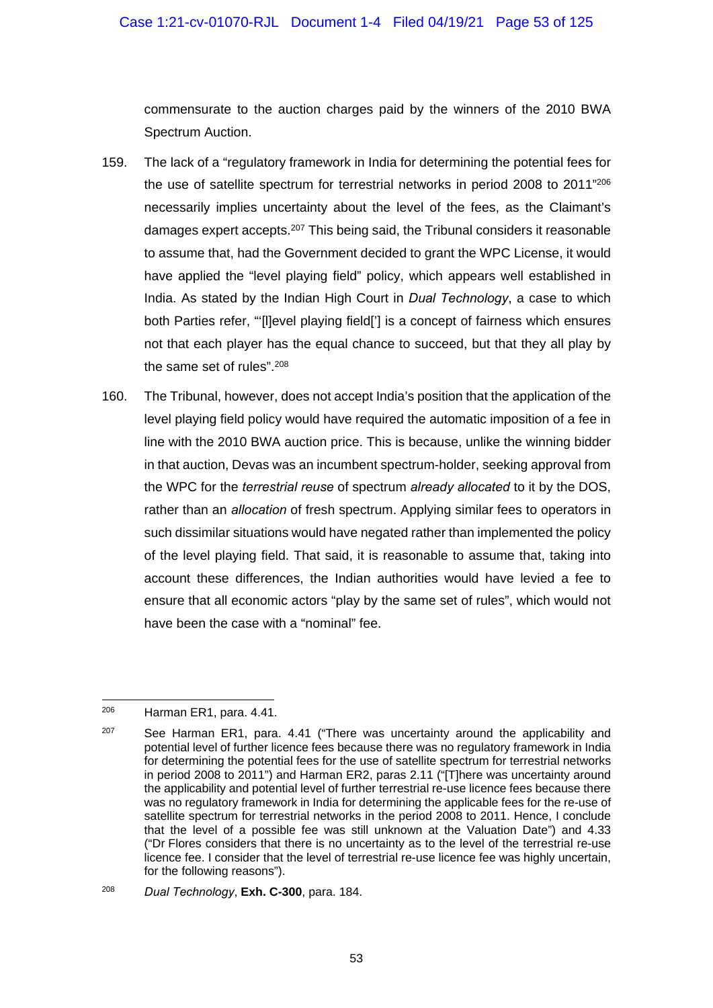commensurate to the auction charges paid by the winners of the 2010 BWA Spectrum Auction.

- 159. The lack of a "regulatory framework in India for determining the potential fees for the use of satellite spectrum for terrestrial networks in period 2008 to 2011"206 necessarily implies uncertainty about the level of the fees, as the Claimant's damages expert accepts.207 This being said, the Tribunal considers it reasonable to assume that, had the Government decided to grant the WPC License, it would have applied the "level playing field" policy, which appears well established in India. As stated by the Indian High Court in *Dual Technology*, a case to which both Parties refer, "'[l]evel playing field['] is a concept of fairness which ensures not that each player has the equal chance to succeed, but that they all play by the same set of rules".208
- 160. The Tribunal, however, does not accept India's position that the application of the level playing field policy would have required the automatic imposition of a fee in line with the 2010 BWA auction price. This is because, unlike the winning bidder in that auction, Devas was an incumbent spectrum-holder, seeking approval from the WPC for the *terrestrial reuse* of spectrum *already allocated* to it by the DOS, rather than an *allocation* of fresh spectrum. Applying similar fees to operators in such dissimilar situations would have negated rather than implemented the policy of the level playing field. That said, it is reasonable to assume that, taking into account these differences, the Indian authorities would have levied a fee to ensure that all economic actors "play by the same set of rules", which would not have been the case with a "nominal" fee.

<sup>206</sup> Harman ER1, para, 4.41.

 $207$  See Harman ER1, para. 4.41 ("There was uncertainty around the applicability and potential level of further licence fees because there was no regulatory framework in India for determining the potential fees for the use of satellite spectrum for terrestrial networks in period 2008 to 2011") and Harman ER2, paras 2.11 ("[T]here was uncertainty around the applicability and potential level of further terrestrial re-use licence fees because there was no regulatory framework in India for determining the applicable fees for the re-use of satellite spectrum for terrestrial networks in the period 2008 to 2011. Hence, I conclude that the level of a possible fee was still unknown at the Valuation Date") and 4.33 ("Dr Flores considers that there is no uncertainty as to the level of the terrestrial re-use licence fee. I consider that the level of terrestrial re-use licence fee was highly uncertain, for the following reasons").

<sup>208</sup> *Dual Technology*, **Exh. C-300**, para. 184.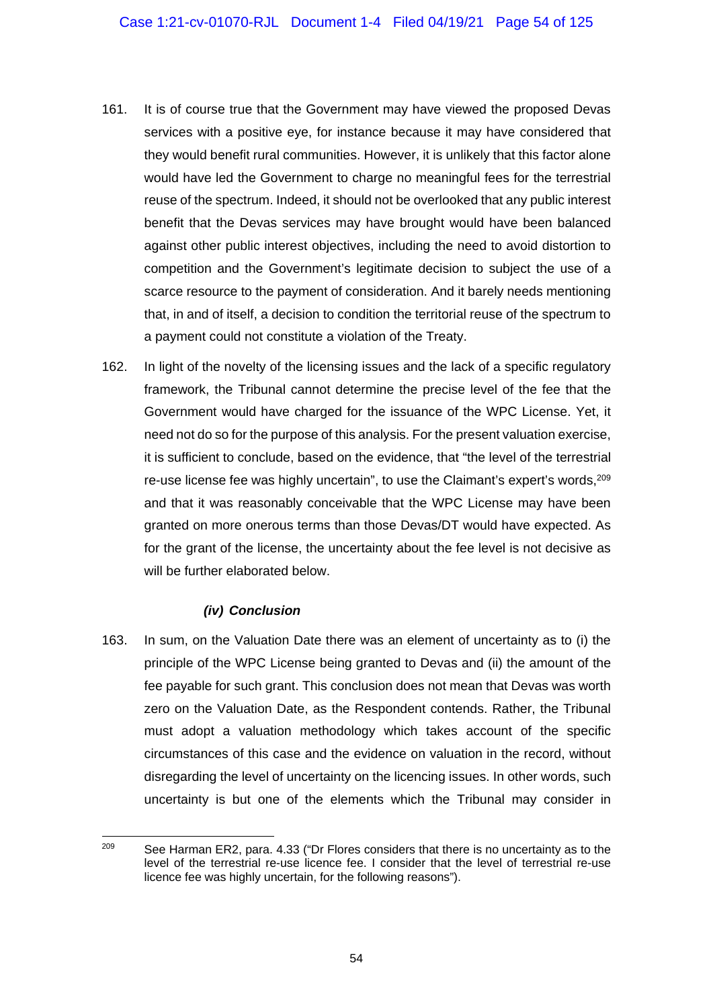- 161. It is of course true that the Government may have viewed the proposed Devas services with a positive eye, for instance because it may have considered that they would benefit rural communities. However, it is unlikely that this factor alone would have led the Government to charge no meaningful fees for the terrestrial reuse of the spectrum. Indeed, it should not be overlooked that any public interest benefit that the Devas services may have brought would have been balanced against other public interest objectives, including the need to avoid distortion to competition and the Government's legitimate decision to subject the use of a scarce resource to the payment of consideration. And it barely needs mentioning that, in and of itself, a decision to condition the territorial reuse of the spectrum to a payment could not constitute a violation of the Treaty.
- 162. In light of the novelty of the licensing issues and the lack of a specific regulatory framework, the Tribunal cannot determine the precise level of the fee that the Government would have charged for the issuance of the WPC License. Yet, it need not do so for the purpose of this analysis. For the present valuation exercise, it is sufficient to conclude, based on the evidence, that "the level of the terrestrial re-use license fee was highly uncertain", to use the Claimant's expert's words, <sup>209</sup> and that it was reasonably conceivable that the WPC License may have been granted on more onerous terms than those Devas/DT would have expected. As for the grant of the license, the uncertainty about the fee level is not decisive as will be further elaborated below.

## *(iv) Conclusion*

163. In sum, on the Valuation Date there was an element of uncertainty as to (i) the principle of the WPC License being granted to Devas and (ii) the amount of the fee payable for such grant. This conclusion does not mean that Devas was worth zero on the Valuation Date, as the Respondent contends. Rather, the Tribunal must adopt a valuation methodology which takes account of the specific circumstances of this case and the evidence on valuation in the record, without disregarding the level of uncertainty on the licencing issues. In other words, such uncertainty is but one of the elements which the Tribunal may consider in

<sup>209</sup> See Harman ER2, para. 4.33 ("Dr Flores considers that there is no uncertainty as to the level of the terrestrial re-use licence fee. I consider that the level of terrestrial re-use licence fee was highly uncertain, for the following reasons").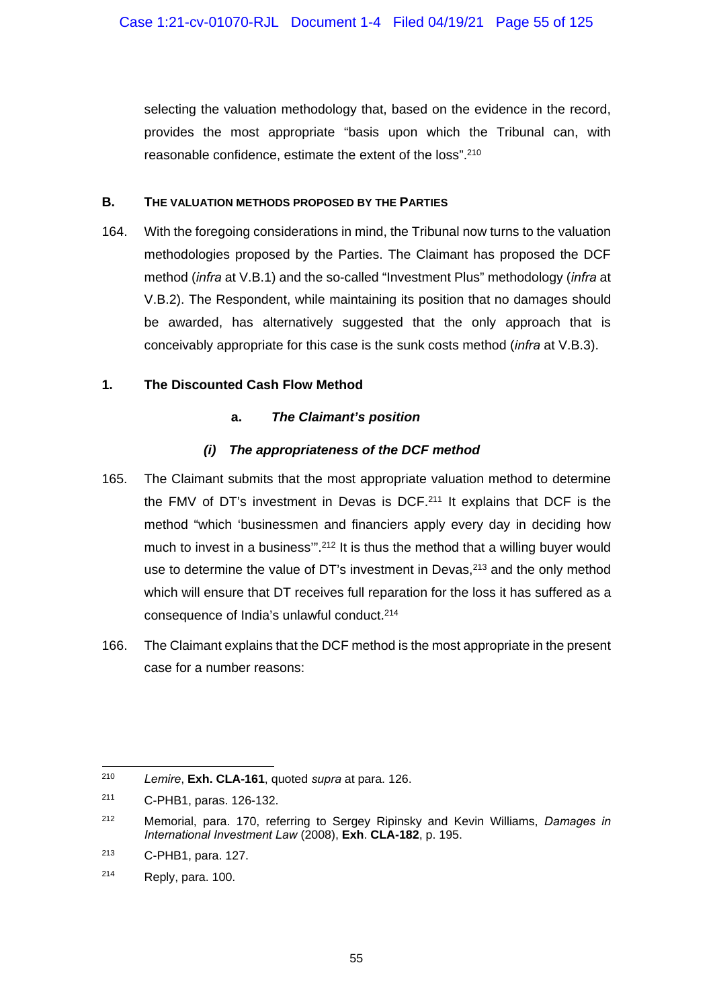selecting the valuation methodology that, based on the evidence in the record, provides the most appropriate "basis upon which the Tribunal can, with reasonable confidence, estimate the extent of the loss".210

### **B. THE VALUATION METHODS PROPOSED BY THE PARTIES**

164. With the foregoing considerations in mind, the Tribunal now turns to the valuation methodologies proposed by the Parties. The Claimant has proposed the DCF method (*infra* at V.B.1) and the so-called "Investment Plus" methodology (*infra* at V.B.2). The Respondent, while maintaining its position that no damages should be awarded, has alternatively suggested that the only approach that is conceivably appropriate for this case is the sunk costs method (*infra* at V.B.3).

## **1. The Discounted Cash Flow Method**

## **a.** *The Claimant's position*

## *(i) The appropriateness of the DCF method*

- 165. The Claimant submits that the most appropriate valuation method to determine the FMV of DT's investment in Devas is DCF.211 It explains that DCF is the method "which 'businessmen and financiers apply every day in deciding how much to invest in a business"<sup>212</sup> It is thus the method that a willing buyer would use to determine the value of DT's investment in Devas,<sup>213</sup> and the only method which will ensure that DT receives full reparation for the loss it has suffered as a consequence of India's unlawful conduct.214
- 166. The Claimant explains that the DCF method is the most appropriate in the present case for a number reasons:

<sup>-</sup>210 *Lemire*, **Exh. CLA-161**, quoted *supra* at para. 126.

<sup>211</sup> C-PHB1, paras. 126-132.

<sup>212</sup> Memorial, para. 170, referring to Sergey Ripinsky and Kevin Williams, *Damages in International Investment Law* (2008), **Exh**. **CLA-182**, p. 195.

<sup>213</sup> C-PHB1, para. 127.

<sup>214</sup> Reply, para. 100.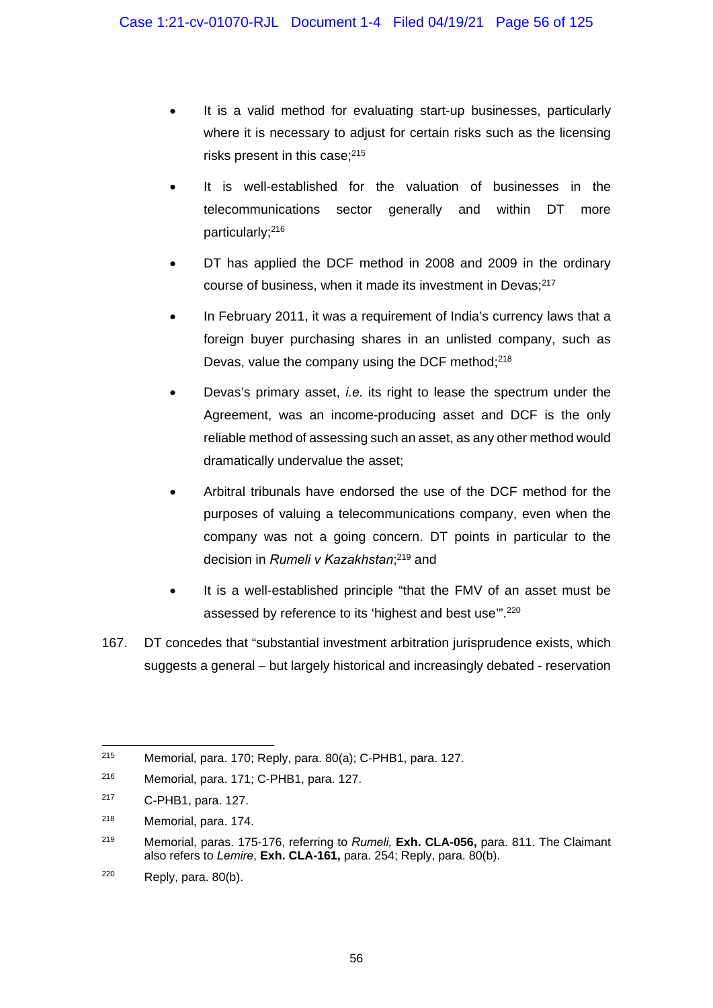- It is a valid method for evaluating start-up businesses, particularly where it is necessary to adjust for certain risks such as the licensing risks present in this case;<sup>215</sup>
- It is well-established for the valuation of businesses in the telecommunications sector generally and within DT more particularly;216
- DT has applied the DCF method in 2008 and 2009 in the ordinary course of business, when it made its investment in Devas;<sup>217</sup>
- In February 2011, it was a requirement of India's currency laws that a foreign buyer purchasing shares in an unlisted company, such as Devas, value the company using the DCF method;218
- Devas's primary asset, *i.e.* its right to lease the spectrum under the Agreement, was an income-producing asset and DCF is the only reliable method of assessing such an asset, as any other method would dramatically undervalue the asset;
- Arbitral tribunals have endorsed the use of the DCF method for the purposes of valuing a telecommunications company, even when the company was not a going concern. DT points in particular to the decision in *Rumeli v Kazakhstan*; 219 and
- It is a well-established principle "that the FMV of an asset must be assessed by reference to its 'highest and best use'".220
- 167. DT concedes that "substantial investment arbitration jurisprudence exists, which suggests a general – but largely historical and increasingly debated - reservation

<sup>215</sup> Memorial, para. 170; Reply, para. 80(a); C-PHB1, para. 127.

<sup>216</sup> Memorial, para. 171; C-PHB1, para. 127.

<sup>217</sup> C-PHB1, para. 127.

<sup>218</sup> Memorial, para. 174.

<sup>219</sup> Memorial, paras. 175-176, referring to *Rumeli,* **Exh. CLA-056,** para. 811. The Claimant also refers to *Lemire*, **Exh. CLA-161,** para. 254; Reply, para. 80(b).

 $220$  Reply, para.  $80(b)$ .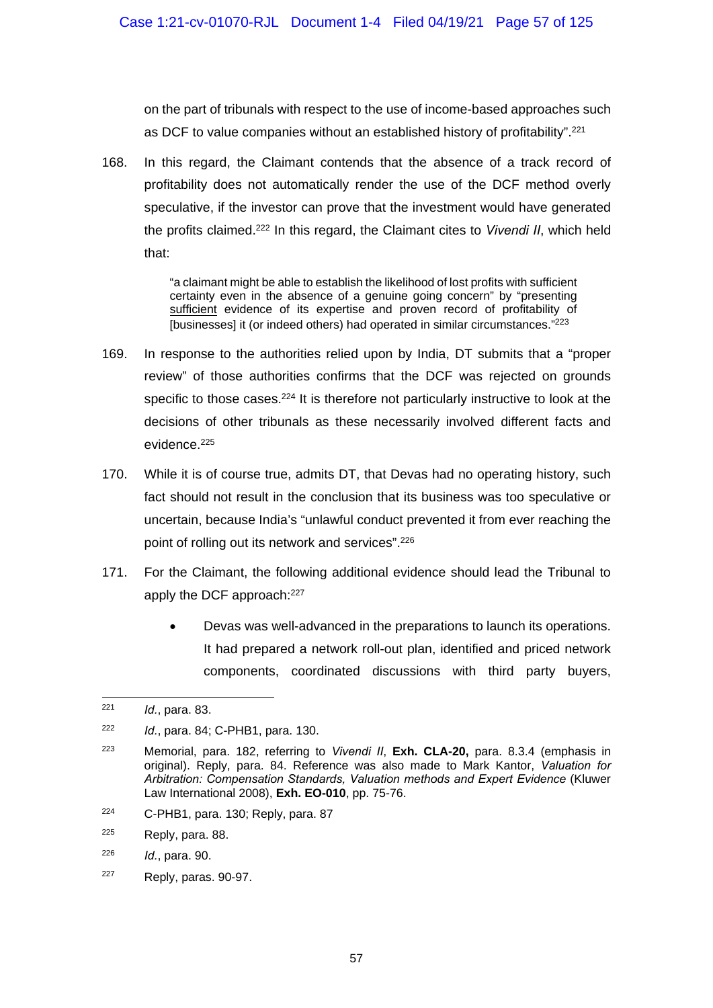on the part of tribunals with respect to the use of income-based approaches such as DCF to value companies without an established history of profitability".221

168. In this regard, the Claimant contends that the absence of a track record of profitability does not automatically render the use of the DCF method overly speculative, if the investor can prove that the investment would have generated the profits claimed.222 In this regard, the Claimant cites to *Vivendi II*, which held that:

> "a claimant might be able to establish the likelihood of lost profits with sufficient certainty even in the absence of a genuine going concern" by "presenting sufficient evidence of its expertise and proven record of profitability of [businesses] it (or indeed others) had operated in similar circumstances."<sup>223</sup>

- 169. In response to the authorities relied upon by India, DT submits that a "proper review" of those authorities confirms that the DCF was rejected on grounds specific to those cases.<sup>224</sup> It is therefore not particularly instructive to look at the decisions of other tribunals as these necessarily involved different facts and evidence.225
- 170. While it is of course true, admits DT, that Devas had no operating history, such fact should not result in the conclusion that its business was too speculative or uncertain, because India's "unlawful conduct prevented it from ever reaching the point of rolling out its network and services".<sup>226</sup>
- 171. For the Claimant, the following additional evidence should lead the Tribunal to apply the DCF approach:<sup>227</sup>
	- Devas was well-advanced in the preparations to launch its operations. It had prepared a network roll-out plan, identified and priced network components, coordinated discussions with third party buyers,

1

224 C-PHB1, para. 130; Reply, para. 87

<sup>221</sup> *Id.*, para. 83.

<sup>222</sup> *Id.*, para. 84; C-PHB1, para. 130.

<sup>223</sup> Memorial, para. 182, referring to *Vivendi II*, **Exh. CLA-20,** para. 8.3.4 (emphasis in original). Reply, para. 84. Reference was also made to Mark Kantor, *Valuation for Arbitration: Compensation Standards, Valuation methods and Expert Evidence* (Kluwer Law International 2008), **Exh. EO-010**, pp. 75-76.

<sup>225</sup> Reply, para. 88.

<sup>226</sup> *Id.*, para. 90.

 $227$  Reply, paras. 90-97.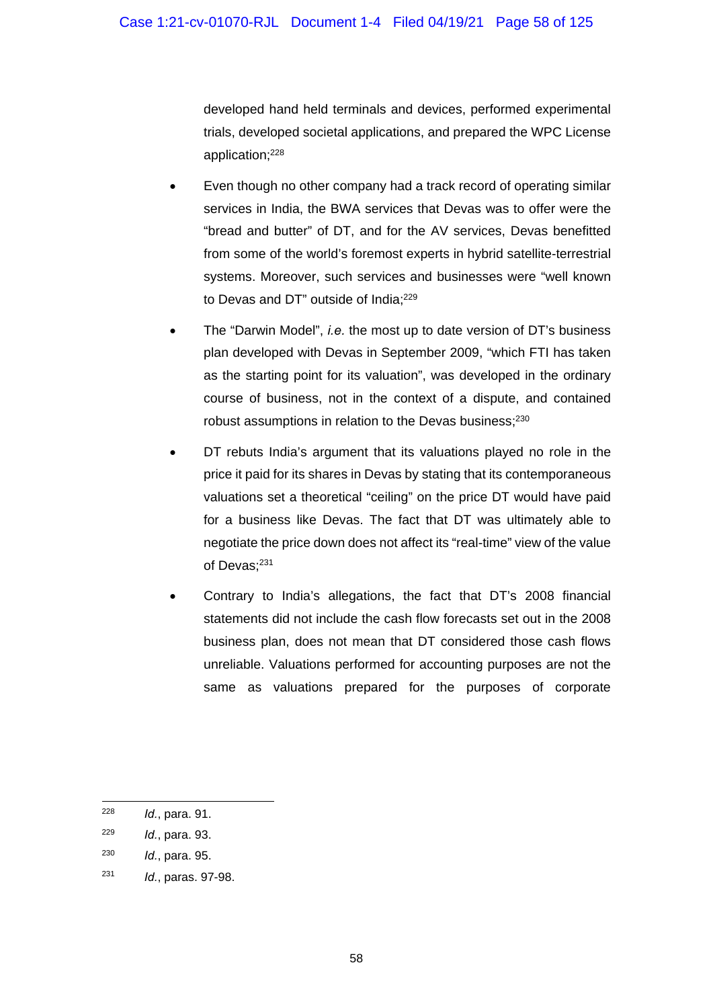developed hand held terminals and devices, performed experimental trials, developed societal applications, and prepared the WPC License application;228

- Even though no other company had a track record of operating similar services in India, the BWA services that Devas was to offer were the "bread and butter" of DT, and for the AV services, Devas benefitted from some of the world's foremost experts in hybrid satellite-terrestrial systems. Moreover, such services and businesses were "well known to Devas and DT" outside of India;229
- The "Darwin Model", *i.e.* the most up to date version of DT's business plan developed with Devas in September 2009, "which FTI has taken as the starting point for its valuation", was developed in the ordinary course of business, not in the context of a dispute, and contained robust assumptions in relation to the Devas business;230
- DT rebuts India's argument that its valuations played no role in the price it paid for its shares in Devas by stating that its contemporaneous valuations set a theoretical "ceiling" on the price DT would have paid for a business like Devas. The fact that DT was ultimately able to negotiate the price down does not affect its "real-time" view of the value of Devas;<sup>231</sup>
- Contrary to India's allegations, the fact that DT's 2008 financial statements did not include the cash flow forecasts set out in the 2008 business plan, does not mean that DT considered those cash flows unreliable. Valuations performed for accounting purposes are not the same as valuations prepared for the purposes of corporate

<sup>228</sup> *Id.*, para. 91.

<sup>229</sup> *Id.*, para. 93.

<sup>230</sup> *Id.*, para. 95.

<sup>231</sup> *Id.*, paras. 97-98.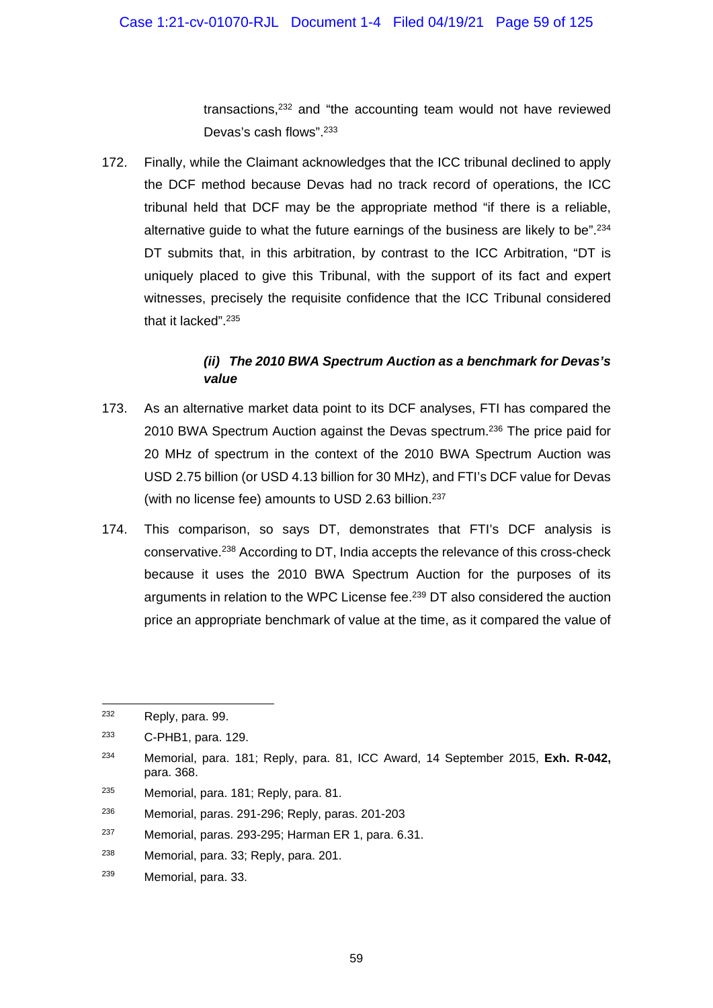transactions,232 and "the accounting team would not have reviewed Devas's cash flows".<sup>233</sup>

172. Finally, while the Claimant acknowledges that the ICC tribunal declined to apply the DCF method because Devas had no track record of operations, the ICC tribunal held that DCF may be the appropriate method "if there is a reliable, alternative guide to what the future earnings of the business are likely to be".<sup>234</sup> DT submits that, in this arbitration, by contrast to the ICC Arbitration, "DT is uniquely placed to give this Tribunal, with the support of its fact and expert witnesses, precisely the requisite confidence that the ICC Tribunal considered that it lacked".235

# *(ii) The 2010 BWA Spectrum Auction as a benchmark for Devas's value*

- 173. As an alternative market data point to its DCF analyses, FTI has compared the 2010 BWA Spectrum Auction against the Devas spectrum.<sup>236</sup> The price paid for 20 MHz of spectrum in the context of the 2010 BWA Spectrum Auction was USD 2.75 billion (or USD 4.13 billion for 30 MHz), and FTI's DCF value for Devas (with no license fee) amounts to USD 2.63 billion.<sup>237</sup>
- 174. This comparison, so says DT, demonstrates that FTI's DCF analysis is conservative.238 According to DT, India accepts the relevance of this cross-check because it uses the 2010 BWA Spectrum Auction for the purposes of its arguments in relation to the WPC License fee.<sup>239</sup> DT also considered the auction price an appropriate benchmark of value at the time, as it compared the value of

<sup>232</sup> Reply, para. 99.

<sup>233</sup> C-PHB1, para. 129.

<sup>234</sup> Memorial, para. 181; Reply, para. 81, ICC Award, 14 September 2015, **Exh. R-042,**  para. 368.

<sup>235</sup> Memorial, para. 181; Reply, para. 81.

<sup>236</sup> Memorial, paras. 291-296; Reply, paras. 201-203

<sup>237</sup> Memorial, paras. 293-295; Harman ER 1, para. 6.31.

<sup>238</sup> Memorial, para. 33; Reply, para. 201.

<sup>239</sup> Memorial, para. 33.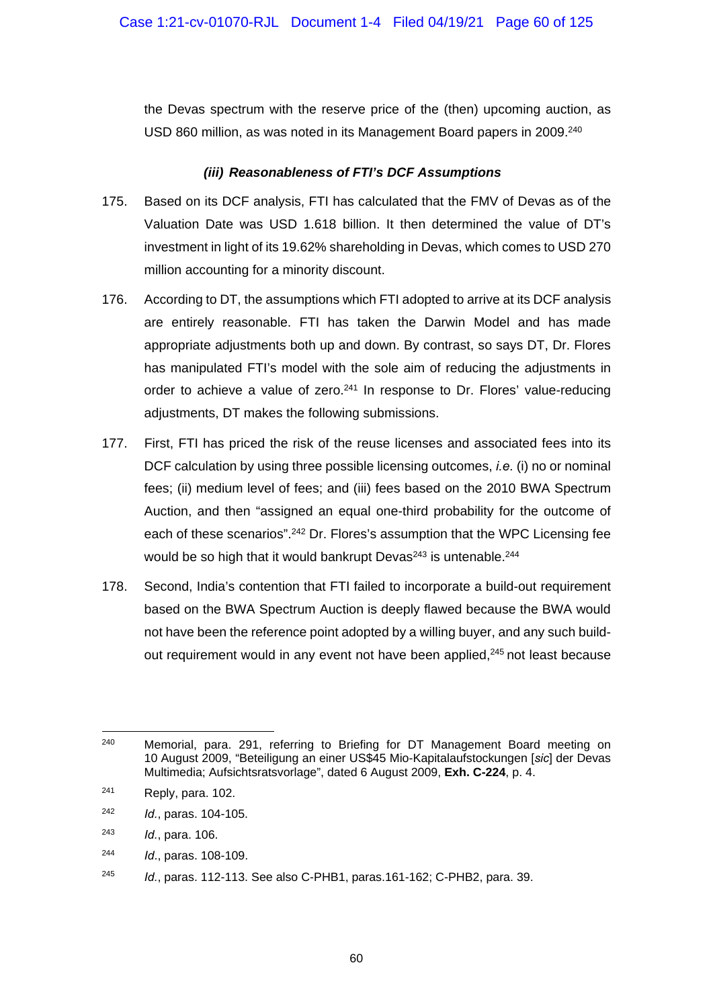the Devas spectrum with the reserve price of the (then) upcoming auction, as USD 860 million, as was noted in its Management Board papers in 2009.<sup>240</sup>

#### *(iii) Reasonableness of FTI's DCF Assumptions*

- 175. Based on its DCF analysis, FTI has calculated that the FMV of Devas as of the Valuation Date was USD 1.618 billion. It then determined the value of DT's investment in light of its 19.62% shareholding in Devas, which comes to USD 270 million accounting for a minority discount.
- 176. According to DT, the assumptions which FTI adopted to arrive at its DCF analysis are entirely reasonable. FTI has taken the Darwin Model and has made appropriate adjustments both up and down. By contrast, so says DT, Dr. Flores has manipulated FTI's model with the sole aim of reducing the adjustments in order to achieve a value of zero.<sup>241</sup> In response to Dr. Flores' value-reducing adiustments, DT makes the following submissions.
- 177. First, FTI has priced the risk of the reuse licenses and associated fees into its DCF calculation by using three possible licensing outcomes, *i.e.* (i) no or nominal fees; (ii) medium level of fees; and (iii) fees based on the 2010 BWA Spectrum Auction, and then "assigned an equal one-third probability for the outcome of each of these scenarios".<sup>242</sup> Dr. Flores's assumption that the WPC Licensing fee would be so high that it would bankrupt Devas<sup>243</sup> is untenable.<sup>244</sup>
- 178. Second, India's contention that FTI failed to incorporate a build-out requirement based on the BWA Spectrum Auction is deeply flawed because the BWA would not have been the reference point adopted by a willing buyer, and any such buildout requirement would in any event not have been applied,<sup>245</sup> not least because

- 242 *Id.*, paras. 104-105.
- 243 *Id.*, para. 106.
- 244 *Id*., paras. 108-109.

<sup>1</sup>  $240$  Memorial, para. 291, referring to Briefing for DT Management Board meeting on 10 August 2009, "Beteiligung an einer US\$45 Mio-Kapitalaufstockungen [*sic*] der Devas Multimedia; Aufsichtsratsvorlage", dated 6 August 2009, **Exh. C-224**, p. 4.

 $241$  Reply, para, 102.

<sup>245</sup> *Id.*, paras. 112-113. See also C-PHB1, paras.161-162; C-PHB2, para. 39.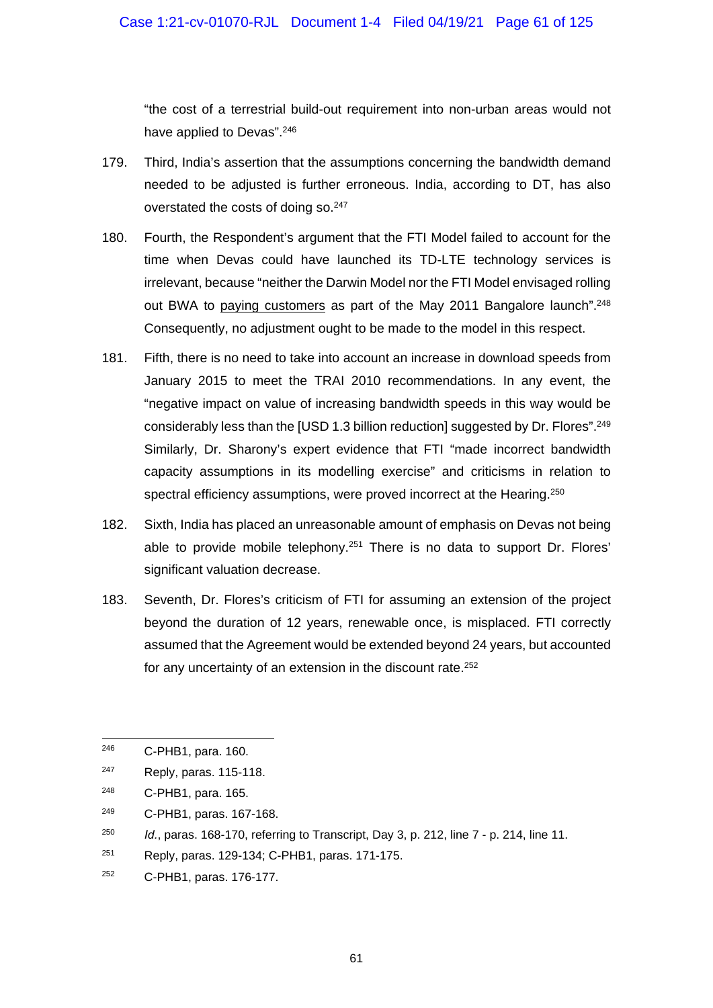"the cost of a terrestrial build-out requirement into non-urban areas would not have applied to Devas".<sup>246</sup>

- 179. Third, India's assertion that the assumptions concerning the bandwidth demand needed to be adjusted is further erroneous. India, according to DT, has also overstated the costs of doing so.<sup>247</sup>
- 180. Fourth, the Respondent's argument that the FTI Model failed to account for the time when Devas could have launched its TD-LTE technology services is irrelevant, because "neither the Darwin Model nor the FTI Model envisaged rolling out BWA to paying customers as part of the May 2011 Bangalore launch".<sup>248</sup> Consequently, no adjustment ought to be made to the model in this respect.
- 181. Fifth, there is no need to take into account an increase in download speeds from January 2015 to meet the TRAI 2010 recommendations. In any event, the "negative impact on value of increasing bandwidth speeds in this way would be considerably less than the [USD 1.3 billion reduction] suggested by Dr. Flores".249 Similarly, Dr. Sharony's expert evidence that FTI "made incorrect bandwidth capacity assumptions in its modelling exercise" and criticisms in relation to spectral efficiency assumptions, were proved incorrect at the Hearing.<sup>250</sup>
- 182. Sixth, India has placed an unreasonable amount of emphasis on Devas not being able to provide mobile telephony.<sup>251</sup> There is no data to support Dr. Flores' significant valuation decrease.
- 183. Seventh, Dr. Flores's criticism of FTI for assuming an extension of the project beyond the duration of 12 years, renewable once, is misplaced. FTI correctly assumed that the Agreement would be extended beyond 24 years, but accounted for any uncertainty of an extension in the discount rate.<sup>252</sup>

1

252 C-PHB1, paras. 176-177.

<sup>246</sup> C-PHB1, para. 160.

<sup>247</sup> Reply, paras. 115-118.

<sup>248</sup> C-PHB1, para. 165.

<sup>249</sup> C-PHB1, paras. 167-168.

<sup>250</sup> *Id.*, paras. 168-170, referring to Transcript, Day 3, p. 212, line 7 - p. 214, line 11.

<sup>251</sup> Reply, paras. 129-134; C-PHB1, paras. 171-175.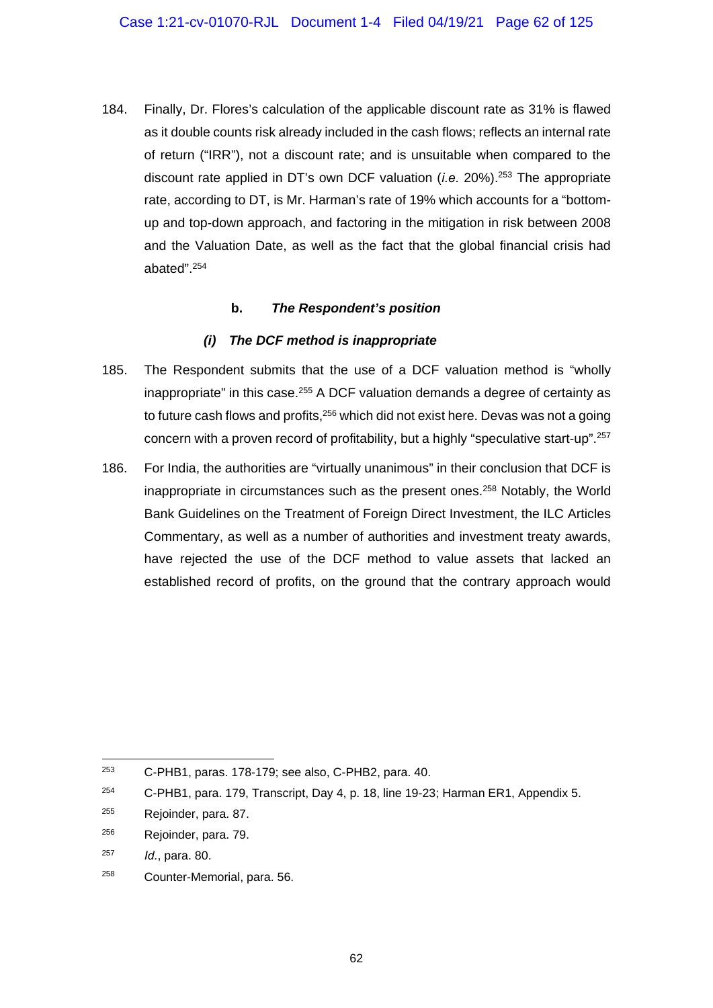184. Finally, Dr. Flores's calculation of the applicable discount rate as 31% is flawed as it double counts risk already included in the cash flows; reflects an internal rate of return ("IRR"), not a discount rate; and is unsuitable when compared to the discount rate applied in DT's own DCF valuation (*i.e.* 20%).253 The appropriate rate, according to DT, is Mr. Harman's rate of 19% which accounts for a "bottomup and top-down approach, and factoring in the mitigation in risk between 2008 and the Valuation Date, as well as the fact that the global financial crisis had abated".254

### **b.** *The Respondent's position*

### *(i) The DCF method is inappropriate*

- 185. The Respondent submits that the use of a DCF valuation method is "wholly inappropriate" in this case.<sup>255</sup> A DCF valuation demands a degree of certainty as to future cash flows and profits, <sup>256</sup> which did not exist here. Devas was not a going concern with a proven record of profitability, but a highly "speculative start-up".257
- 186. For India, the authorities are "virtually unanimous" in their conclusion that DCF is inappropriate in circumstances such as the present ones.258 Notably, the World Bank Guidelines on the Treatment of Foreign Direct Investment, the ILC Articles Commentary, as well as a number of authorities and investment treaty awards, have rejected the use of the DCF method to value assets that lacked an established record of profits, on the ground that the contrary approach would

<sup>253</sup> 253 C-PHB1, paras. 178-179; see also, C-PHB2, para. 40.

<sup>&</sup>lt;sup>254</sup> C-PHB1, para. 179, Transcript, Day 4, p. 18, line 19-23; Harman ER1, Appendix 5.

<sup>255</sup> Rejoinder, para. 87.

<sup>256</sup> Rejoinder, para. 79.

<sup>257</sup> *Id.*, para. 80.

<sup>258</sup> Counter-Memorial, para. 56.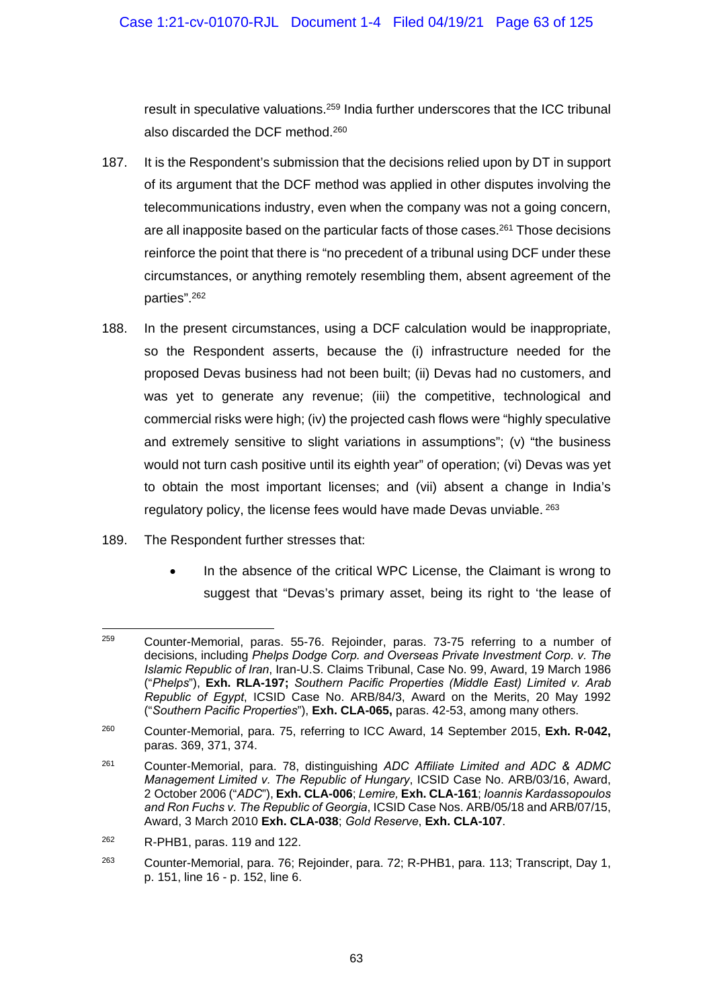result in speculative valuations.259 India further underscores that the ICC tribunal also discarded the DCF method.260

- 187. It is the Respondent's submission that the decisions relied upon by DT in support of its argument that the DCF method was applied in other disputes involving the telecommunications industry, even when the company was not a going concern, are all inapposite based on the particular facts of those cases.<sup>261</sup> Those decisions reinforce the point that there is "no precedent of a tribunal using DCF under these circumstances, or anything remotely resembling them, absent agreement of the parties".262
- 188. In the present circumstances, using a DCF calculation would be inappropriate, so the Respondent asserts, because the (i) infrastructure needed for the proposed Devas business had not been built; (ii) Devas had no customers, and was yet to generate any revenue; (iii) the competitive, technological and commercial risks were high; (iv) the projected cash flows were "highly speculative and extremely sensitive to slight variations in assumptions"; (v) "the business would not turn cash positive until its eighth year" of operation; (vi) Devas was yet to obtain the most important licenses; and (vii) absent a change in India's regulatory policy, the license fees would have made Devas unviable. <sup>263</sup>
- 189. The Respondent further stresses that:
	- In the absence of the critical WPC License, the Claimant is wrong to suggest that "Devas's primary asset, being its right to 'the lease of

262 R-PHB1, paras. 119 and 122.

<sup>259</sup> Counter-Memorial, paras. 55-76. Rejoinder, paras. 73-75 referring to a number of decisions, including *Phelps Dodge Corp. and Overseas Private Investment Corp. v. The Islamic Republic of Iran*, Iran-U.S. Claims Tribunal, Case No. 99, Award, 19 March 1986 ("*Phelps*"), **Exh. RLA-197;** *Southern Pacific Properties (Middle East) Limited v. Arab Republic of Egypt*, ICSID Case No. ARB/84/3, Award on the Merits, 20 May 1992 ("*Southern Pacific Properties*"), **Exh. CLA-065,** paras. 42-53, among many others.

<sup>260</sup> Counter-Memorial, para. 75, referring to ICC Award, 14 September 2015, **Exh. R-042,**  paras. 369, 371, 374.

<sup>261</sup> Counter-Memorial, para. 78, distinguishing *ADC Affiliate Limited and ADC & ADMC Management Limited v. The Republic of Hungary*, ICSID Case No. ARB/03/16, Award, 2 October 2006 ("*ADC*"), **Exh. CLA-006**; *Lemire,* **Exh. CLA-161**; *Ioannis Kardassopoulos and Ron Fuchs v. The Republic of Georgia*, ICSID Case Nos. ARB/05/18 and ARB/07/15, Award, 3 March 2010 **Exh. CLA-038**; *Gold Reserve*, **Exh. CLA-107**.

<sup>263</sup> Counter-Memorial, para. 76; Rejoinder, para. 72; R-PHB1, para. 113; Transcript, Day 1, p. 151, line 16 - p. 152, line 6.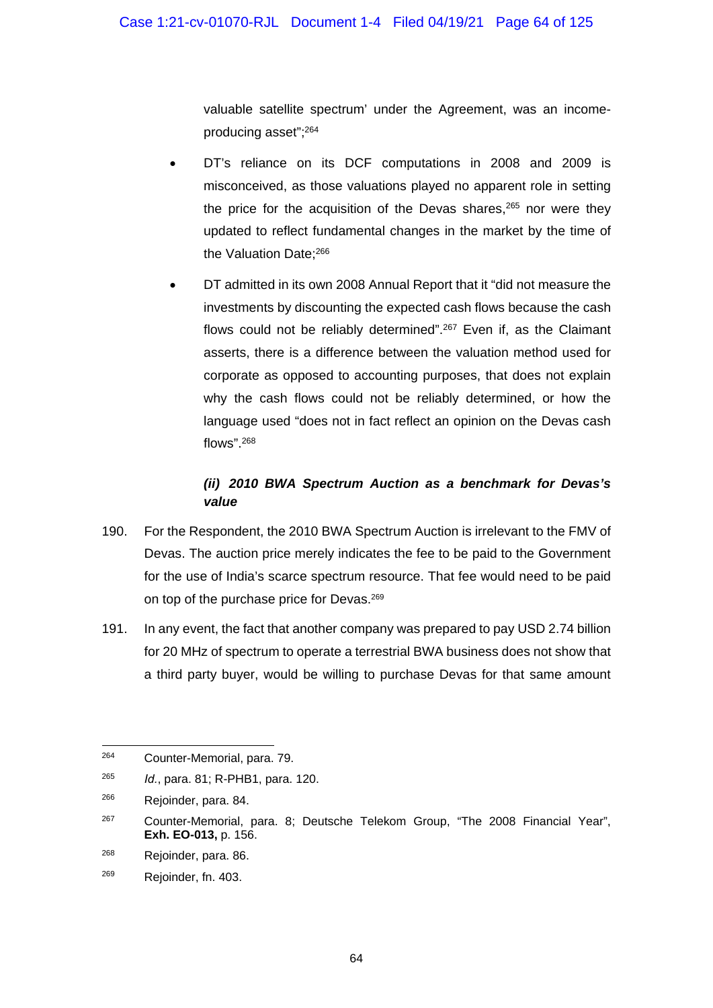valuable satellite spectrum' under the Agreement, was an incomeproducing asset";264

- DT's reliance on its DCF computations in 2008 and 2009 is misconceived, as those valuations played no apparent role in setting the price for the acquisition of the Devas shares.<sup>265</sup> nor were they updated to reflect fundamental changes in the market by the time of the Valuation Date;<sup>266</sup>
- DT admitted in its own 2008 Annual Report that it "did not measure the investments by discounting the expected cash flows because the cash flows could not be reliably determined".267 Even if, as the Claimant asserts, there is a difference between the valuation method used for corporate as opposed to accounting purposes, that does not explain why the cash flows could not be reliably determined, or how the language used "does not in fact reflect an opinion on the Devas cash flows".268

# *(ii) 2010 BWA Spectrum Auction as a benchmark for Devas's value*

- 190. For the Respondent, the 2010 BWA Spectrum Auction is irrelevant to the FMV of Devas. The auction price merely indicates the fee to be paid to the Government for the use of India's scarce spectrum resource. That fee would need to be paid on top of the purchase price for Devas.269
- 191. In any event, the fact that another company was prepared to pay USD 2.74 billion for 20 MHz of spectrum to operate a terrestrial BWA business does not show that a third party buyer, would be willing to purchase Devas for that same amount

<sup>264</sup> Counter-Memorial, para. 79.

<sup>265</sup> *Id.*, para. 81; R-PHB1, para. 120.

<sup>&</sup>lt;sup>266</sup> Rejoinder, para. 84.

<sup>267</sup> Counter-Memorial, para. 8; Deutsche Telekom Group, "The 2008 Financial Year", **Exh. EO-013,** p. 156.

<sup>268</sup> Rejoinder, para. 86.

<sup>269</sup> Rejoinder, fn. 403.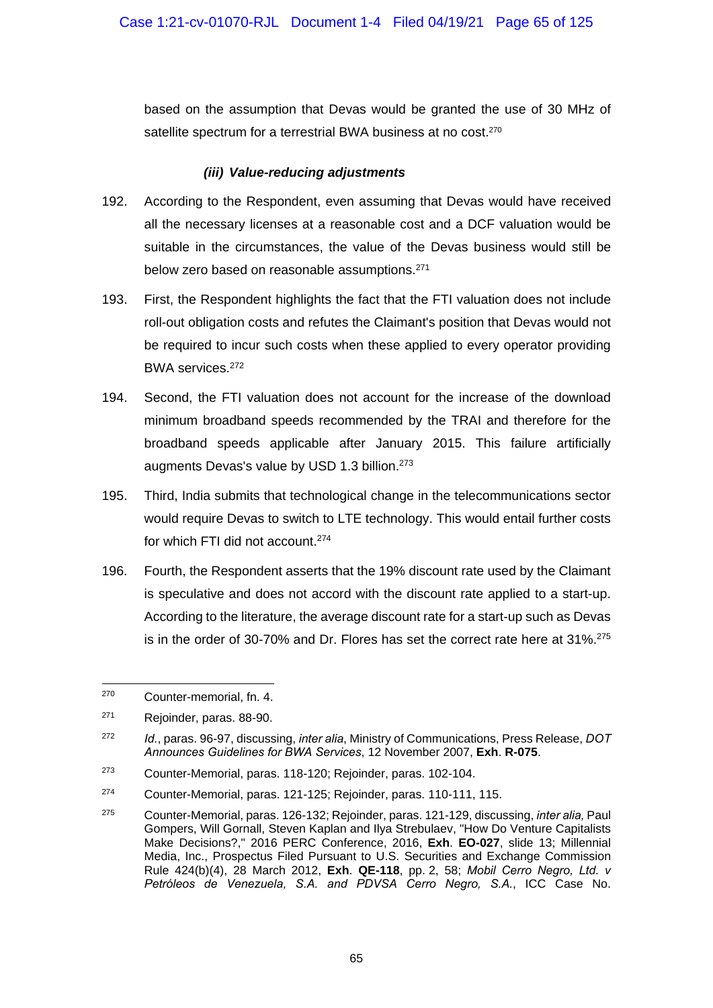based on the assumption that Devas would be granted the use of 30 MHz of satellite spectrum for a terrestrial BWA business at no cost.<sup>270</sup>

#### *(iii) Value-reducing adjustments*

- 192. According to the Respondent, even assuming that Devas would have received all the necessary licenses at a reasonable cost and a DCF valuation would be suitable in the circumstances, the value of the Devas business would still be below zero based on reasonable assumptions.<sup>271</sup>
- 193. First, the Respondent highlights the fact that the FTI valuation does not include roll-out obligation costs and refutes the Claimant's position that Devas would not be required to incur such costs when these applied to every operator providing BWA services.272
- 194. Second, the FTI valuation does not account for the increase of the download minimum broadband speeds recommended by the TRAI and therefore for the broadband speeds applicable after January 2015. This failure artificially augments Devas's value by USD 1.3 billion.<sup>273</sup>
- 195. Third, India submits that technological change in the telecommunications sector would require Devas to switch to LTE technology. This would entail further costs for which FTI did not account.274
- 196. Fourth, the Respondent asserts that the 19% discount rate used by the Claimant is speculative and does not accord with the discount rate applied to a start-up. According to the literature, the average discount rate for a start-up such as Devas is in the order of 30-70% and Dr. Flores has set the correct rate here at  $31\%$ <sup>275</sup>

-

<sup>270</sup> Counter-memorial, fn. 4.

<sup>271</sup> Rejoinder, paras. 88-90.

<sup>272</sup> *Id.*, paras. 96-97, discussing, *inter alia*, Ministry of Communications, Press Release, *DOT Announces Guidelines for BWA Services*, 12 November 2007, **Exh**. **R-075**.

<sup>273</sup> Counter-Memorial, paras. 118-120; Rejoinder, paras. 102-104.

<sup>274</sup> Counter-Memorial, paras. 121-125; Rejoinder, paras. 110-111, 115.

<sup>275</sup> Counter-Memorial, paras. 126-132; Rejoinder, paras. 121-129, discussing, *inter alia,* Paul Gompers, Will Gornall, Steven Kaplan and Ilya Strebulaev, "How Do Venture Capitalists Make Decisions?," 2016 PERC Conference, 2016, **Exh**. **EO-027**, slide 13; Millennial Media, Inc., Prospectus Filed Pursuant to U.S. Securities and Exchange Commission Rule 424(b)(4), 28 March 2012, **Exh**. **QE-118**, pp. 2, 58; *Mobil Cerro Negro, Ltd. v Petróleos de Venezuela, S.A. and PDVSA Cerro Negro, S.A.*, ICC Case No.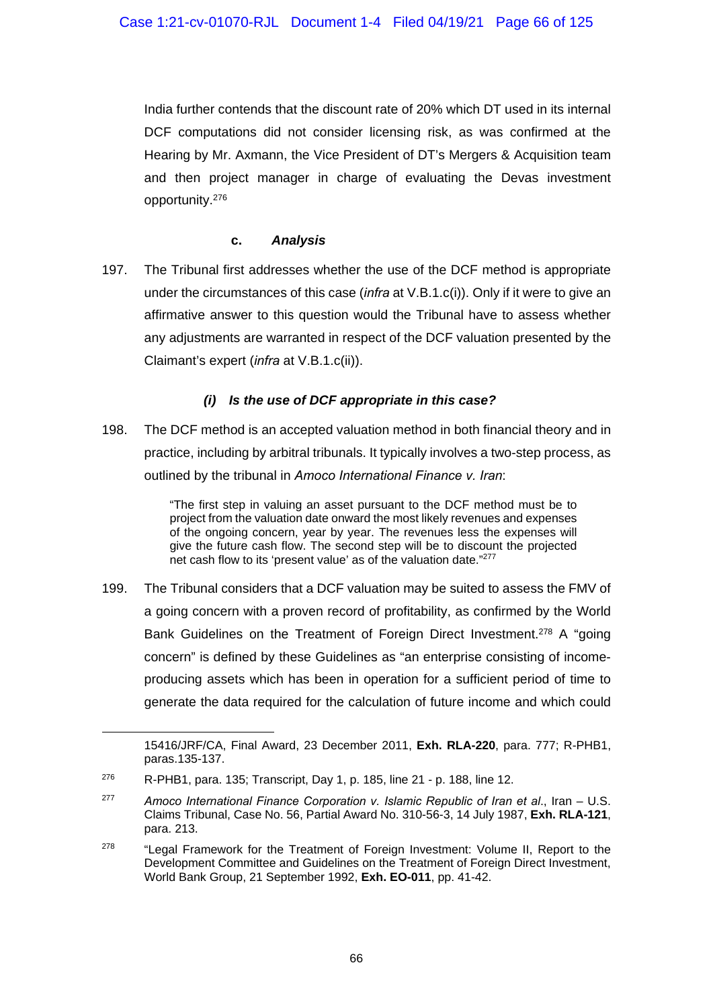India further contends that the discount rate of 20% which DT used in its internal DCF computations did not consider licensing risk, as was confirmed at the Hearing by Mr. Axmann, the Vice President of DT's Mergers & Acquisition team and then project manager in charge of evaluating the Devas investment opportunity.276

### **c.** *Analysis*

197. The Tribunal first addresses whether the use of the DCF method is appropriate under the circumstances of this case (*infra* at V.B.1.c(i)). Only if it were to give an affirmative answer to this question would the Tribunal have to assess whether any adjustments are warranted in respect of the DCF valuation presented by the Claimant's expert (*infra* at V.B.1.c(ii)).

## *(i) Is the use of DCF appropriate in this case?*

198. The DCF method is an accepted valuation method in both financial theory and in practice, including by arbitral tribunals. It typically involves a two-step process, as outlined by the tribunal in *Amoco International Finance v. Iran*:

> "The first step in valuing an asset pursuant to the DCF method must be to project from the valuation date onward the most likely revenues and expenses of the ongoing concern, year by year. The revenues less the expenses will give the future cash flow. The second step will be to discount the projected net cash flow to its 'present value' as of the valuation date."277

199. The Tribunal considers that a DCF valuation may be suited to assess the FMV of a going concern with a proven record of profitability, as confirmed by the World Bank Guidelines on the Treatment of Foreign Direct Investment.<sup>278</sup> A "going concern" is defined by these Guidelines as "an enterprise consisting of incomeproducing assets which has been in operation for a sufficient period of time to generate the data required for the calculation of future income and which could

-

<sup>15416/</sup>JRF/CA, Final Award, 23 December 2011, **Exh. RLA-220**, para. 777; R-PHB1, paras.135-137.

 $276$  R-PHB1, para. 135; Transcript, Day 1, p. 185, line 21 - p. 188, line 12.

<sup>277</sup> *Amoco International Finance Corporation v. Islamic Republic of Iran et al*., Iran – U.S. Claims Tribunal, Case No. 56, Partial Award No. 310-56-3, 14 July 1987, **Exh. RLA-121**, para. 213.

<sup>&</sup>lt;sup>278</sup> "Legal Framework for the Treatment of Foreign Investment: Volume II, Report to the Development Committee and Guidelines on the Treatment of Foreign Direct Investment, World Bank Group, 21 September 1992, **Exh. EO-011**, pp. 41-42.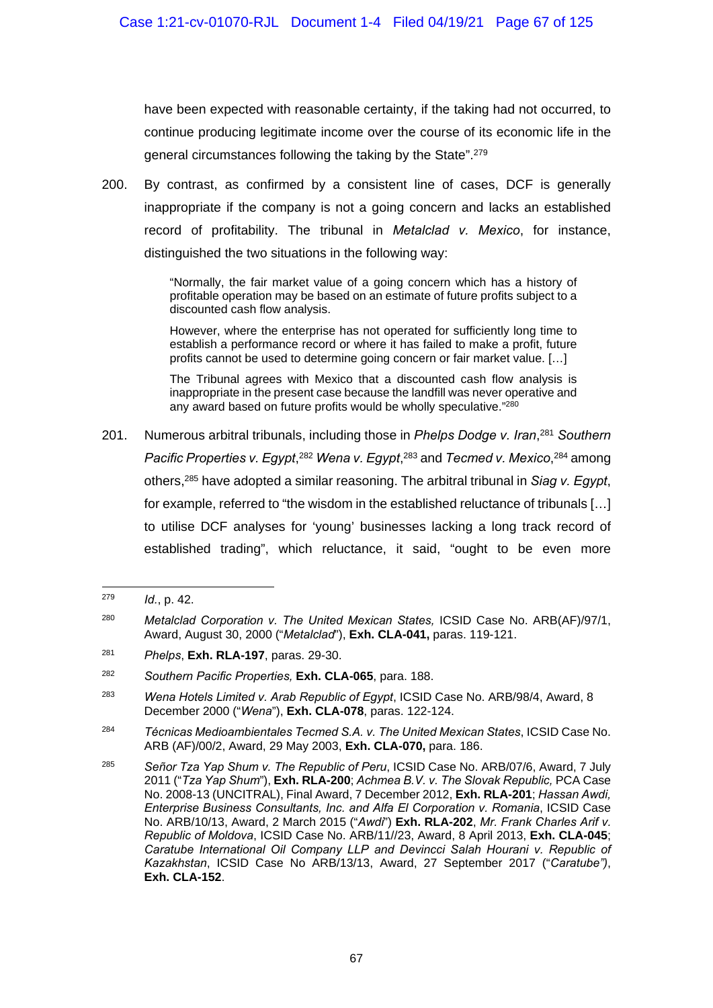have been expected with reasonable certainty, if the taking had not occurred, to continue producing legitimate income over the course of its economic life in the general circumstances following the taking by the State".279

200. By contrast, as confirmed by a consistent line of cases, DCF is generally inappropriate if the company is not a going concern and lacks an established record of profitability. The tribunal in *Metalclad v. Mexico*, for instance, distinguished the two situations in the following way:

> "Normally, the fair market value of a going concern which has a history of profitable operation may be based on an estimate of future profits subject to a discounted cash flow analysis.

> However, where the enterprise has not operated for sufficiently long time to establish a performance record or where it has failed to make a profit, future profits cannot be used to determine going concern or fair market value. […]

> The Tribunal agrees with Mexico that a discounted cash flow analysis is inappropriate in the present case because the landfill was never operative and any award based on future profits would be wholly speculative."280

201. Numerous arbitral tribunals, including those in *Phelps Dodge v. Iran*, <sup>281</sup> *Southern*  Pacific Properties v. Egypt,<sup>282</sup> Wena v. Egypt,<sup>283</sup> and Tecmed v. Mexico,<sup>284</sup> among others,285 have adopted a similar reasoning. The arbitral tribunal in *Siag v. Egypt*, for example, referred to "the wisdom in the established reluctance of tribunals […] to utilise DCF analyses for 'young' businesses lacking a long track record of established trading", which reluctance, it said, "ought to be even more

-

<sup>279</sup> *Id.*, p. 42.

<sup>280</sup> *Metalclad Corporation v. The United Mexican States,* ICSID Case No. ARB(AF)/97/1, Award, August 30, 2000 ("*Metalclad*"), **Exh. CLA-041,** paras. 119-121.

<sup>281</sup> *Phelps*, **Exh. RLA-197**, paras. 29-30.

<sup>282</sup> *Southern Pacific Properties,* **Exh. CLA-065**, para. 188.

<sup>283</sup> *Wena Hotels Limited v. Arab Republic of Egypt*, ICSID Case No. ARB/98/4, Award, 8 December 2000 ("*Wena*"), **Exh. CLA-078**, paras. 122-124.

<sup>284</sup> *Técnicas Medioambientales Tecmed S.A. v. The United Mexican States*, ICSID Case No. ARB (AF)/00/2, Award, 29 May 2003, **Exh. CLA-070,** para. 186.

<sup>285</sup> *Señor Tza Yap Shum v. The Republic of Peru*, ICSID Case No. ARB/07/6, Award, 7 July 2011 ("*Tza Yap Shum*"), **Exh. RLA-200**; *Achmea B.V. v. The Slovak Republic,* PCA Case No. 2008-13 (UNCITRAL), Final Award, 7 December 2012, **Exh. RLA-201**; *Hassan Awdi, Enterprise Business Consultants, Inc. and Alfa El Corporation v. Romania*, ICSID Case No. ARB/10/13, Award, 2 March 2015 ("*Awdi*") **Exh. RLA-202**, *Mr. Frank Charles Arif v. Republic of Moldova*, ICSID Case No. ARB/11//23, Award, 8 April 2013, **Exh. CLA-045**; *Caratube International Oil Company LLP and Devincci Salah Hourani v. Republic of Kazakhstan*, ICSID Case No ARB/13/13, Award, 27 September 2017 ("*Caratube")*, **Exh. CLA-152**.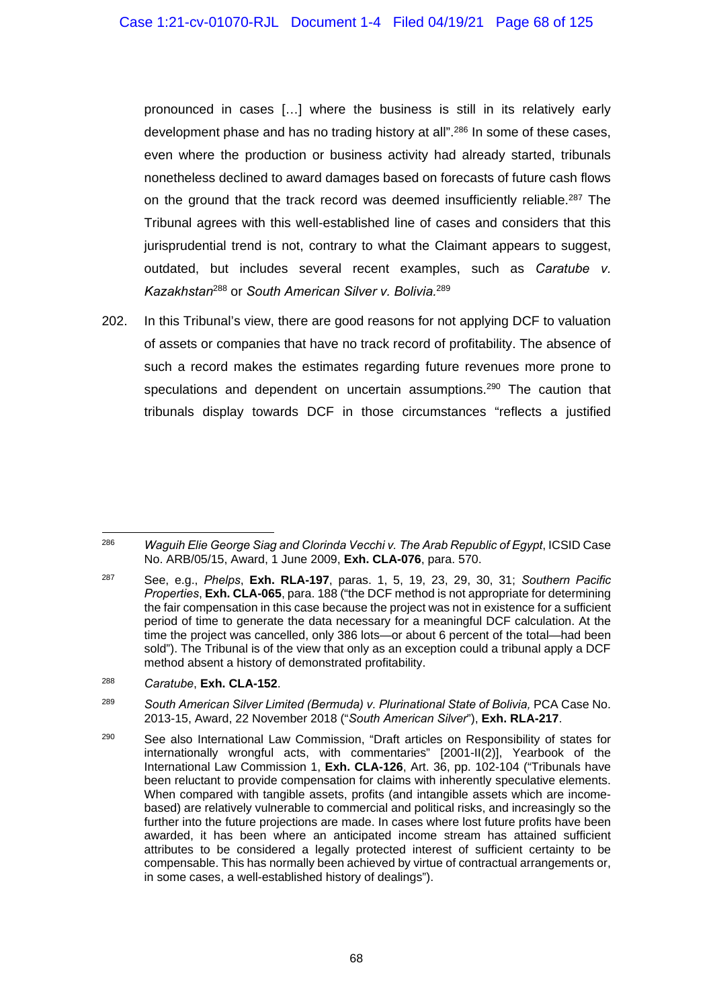pronounced in cases […] where the business is still in its relatively early development phase and has no trading history at all".<sup>286</sup> In some of these cases, even where the production or business activity had already started, tribunals nonetheless declined to award damages based on forecasts of future cash flows on the ground that the track record was deemed insufficiently reliable.<sup>287</sup> The Tribunal agrees with this well-established line of cases and considers that this jurisprudential trend is not, contrary to what the Claimant appears to suggest, outdated, but includes several recent examples, such as *Caratube v. Kazakhstan*<sup>288</sup> or *South American Silver v. Bolivia.*<sup>289</sup>

202. In this Tribunal's view, there are good reasons for not applying DCF to valuation of assets or companies that have no track record of profitability. The absence of such a record makes the estimates regarding future revenues more prone to speculations and dependent on uncertain assumptions.<sup>290</sup> The caution that tribunals display towards DCF in those circumstances "reflects a justified

<sup>1</sup> 286 *Waguih Elie George Siag and Clorinda Vecchi v. The Arab Republic of Egypt*, ICSID Case No. ARB/05/15, Award, 1 June 2009, **Exh. CLA-076**, para. 570.

<sup>287</sup> See, e.g., *Phelps*, **Exh. RLA-197**, paras. 1, 5, 19, 23, 29, 30, 31; *Southern Pacific Properties*, **Exh. CLA-065**, para. 188 ("the DCF method is not appropriate for determining the fair compensation in this case because the project was not in existence for a sufficient period of time to generate the data necessary for a meaningful DCF calculation. At the time the project was cancelled, only 386 lots—or about 6 percent of the total—had been sold"). The Tribunal is of the view that only as an exception could a tribunal apply a DCF method absent a history of demonstrated profitability.

<sup>288</sup> *Caratube*, **Exh. CLA-152**.

<sup>&</sup>lt;sup>289</sup> South American Silver Limited (Bermuda) v. Plurinational State of Bolivia, PCA Case No. 2013-15, Award, 22 November 2018 ("*South American Silver*"), **Exh. RLA-217**.

<sup>&</sup>lt;sup>290</sup> See also International Law Commission, "Draft articles on Responsibility of states for internationally wrongful acts, with commentaries" [2001-II(2)], Yearbook of the International Law Commission 1, **Exh. CLA-126**, Art. 36, pp. 102-104 ("Tribunals have been reluctant to provide compensation for claims with inherently speculative elements. When compared with tangible assets, profits (and intangible assets which are incomebased) are relatively vulnerable to commercial and political risks, and increasingly so the further into the future projections are made. In cases where lost future profits have been awarded, it has been where an anticipated income stream has attained sufficient attributes to be considered a legally protected interest of sufficient certainty to be compensable. This has normally been achieved by virtue of contractual arrangements or, in some cases, a well-established history of dealings").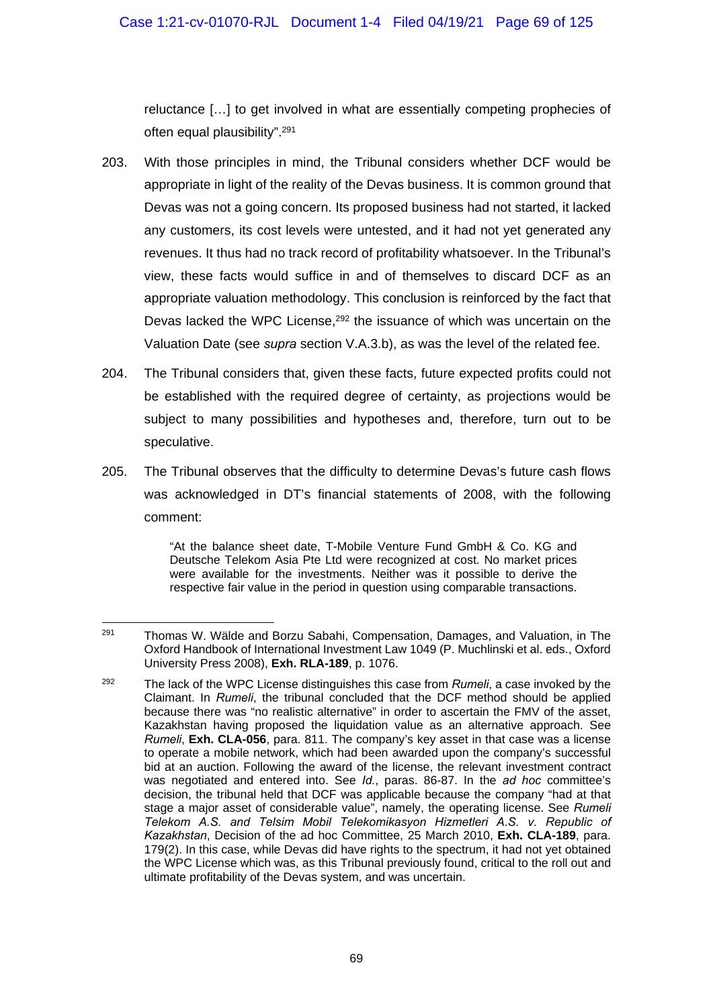reluctance […] to get involved in what are essentially competing prophecies of often equal plausibility".291

- 203. With those principles in mind, the Tribunal considers whether DCF would be appropriate in light of the reality of the Devas business. It is common ground that Devas was not a going concern. Its proposed business had not started, it lacked any customers, its cost levels were untested, and it had not yet generated any revenues. It thus had no track record of profitability whatsoever. In the Tribunal's view, these facts would suffice in and of themselves to discard DCF as an appropriate valuation methodology. This conclusion is reinforced by the fact that Devas lacked the WPC License,<sup>292</sup> the issuance of which was uncertain on the Valuation Date (see *supra* section V.A.3.b), as was the level of the related fee.
- 204. The Tribunal considers that, given these facts, future expected profits could not be established with the required degree of certainty, as projections would be subject to many possibilities and hypotheses and, therefore, turn out to be speculative.
- 205. The Tribunal observes that the difficulty to determine Devas's future cash flows was acknowledged in DT's financial statements of 2008, with the following comment:

"At the balance sheet date, T-Mobile Venture Fund GmbH & Co. KG and Deutsche Telekom Asia Pte Ltd were recognized at cost. No market prices were available for the investments. Neither was it possible to derive the respective fair value in the period in question using comparable transactions.

<sup>291</sup> Thomas W. Wälde and Borzu Sabahi, Compensation, Damages, and Valuation, in The Oxford Handbook of International Investment Law 1049 (P. Muchlinski et al. eds., Oxford University Press 2008), **Exh. RLA-189**, p. 1076.

<sup>292</sup> The lack of the WPC License distinguishes this case from *Rumeli*, a case invoked by the Claimant. In *Rumeli*, the tribunal concluded that the DCF method should be applied because there was "no realistic alternative" in order to ascertain the FMV of the asset, Kazakhstan having proposed the liquidation value as an alternative approach. See *Rumeli*, **Exh. CLA-056**, para. 811. The company's key asset in that case was a license to operate a mobile network, which had been awarded upon the company's successful bid at an auction. Following the award of the license, the relevant investment contract was negotiated and entered into. See *Id.*, paras. 86-87. In the *ad hoc* committee's decision, the tribunal held that DCF was applicable because the company "had at that stage a major asset of considerable value", namely, the operating license. See *Rumeli Telekom A.S. and Telsim Mobil Telekomikasyon Hizmetleri A.S. v. Republic of Kazakhstan*, Decision of the ad hoc Committee, 25 March 2010, **Exh. CLA-189**, para. 179(2). In this case, while Devas did have rights to the spectrum, it had not yet obtained the WPC License which was, as this Tribunal previously found, critical to the roll out and ultimate profitability of the Devas system, and was uncertain.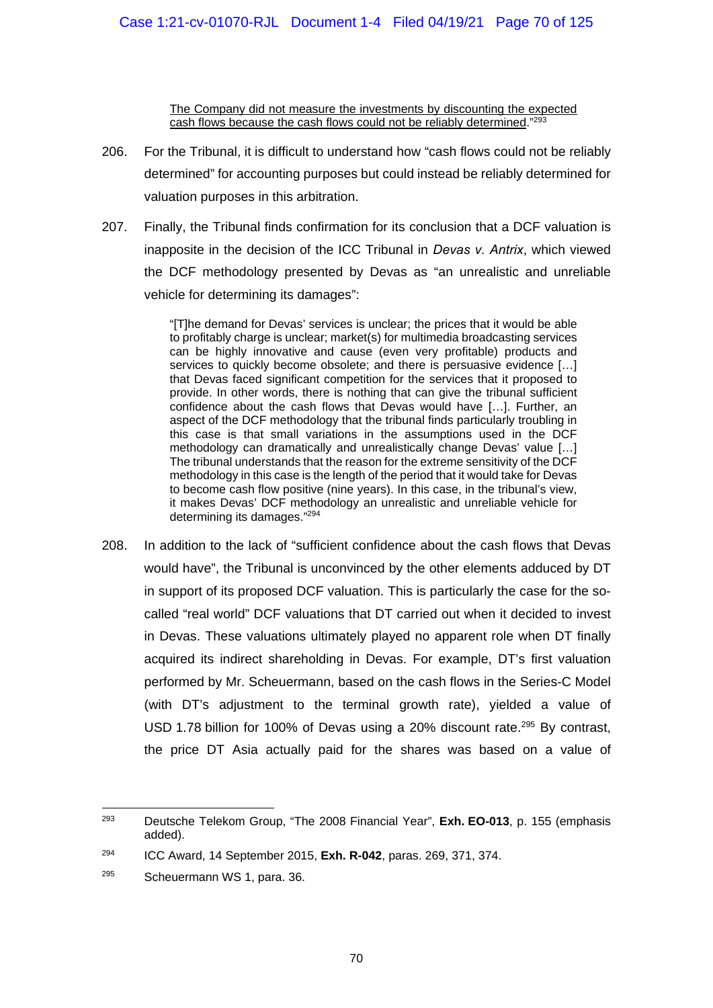The Company did not measure the investments by discounting the expected cash flows because the cash flows could not be reliably determined."293

- 206. For the Tribunal, it is difficult to understand how "cash flows could not be reliably determined" for accounting purposes but could instead be reliably determined for valuation purposes in this arbitration.
- 207. Finally, the Tribunal finds confirmation for its conclusion that a DCF valuation is inapposite in the decision of the ICC Tribunal in *Devas v. Antrix*, which viewed the DCF methodology presented by Devas as "an unrealistic and unreliable vehicle for determining its damages":

"[T]he demand for Devas' services is unclear; the prices that it would be able to profitably charge is unclear; market(s) for multimedia broadcasting services can be highly innovative and cause (even very profitable) products and services to quickly become obsolete; and there is persuasive evidence […] that Devas faced significant competition for the services that it proposed to provide. In other words, there is nothing that can give the tribunal sufficient confidence about the cash flows that Devas would have […]. Further, an aspect of the DCF methodology that the tribunal finds particularly troubling in this case is that small variations in the assumptions used in the DCF methodology can dramatically and unrealistically change Devas' value […] The tribunal understands that the reason for the extreme sensitivity of the DCF methodology in this case is the length of the period that it would take for Devas to become cash flow positive (nine years). In this case, in the tribunal's view, it makes Devas' DCF methodology an unrealistic and unreliable vehicle for determining its damages."294

208. In addition to the lack of "sufficient confidence about the cash flows that Devas would have", the Tribunal is unconvinced by the other elements adduced by DT in support of its proposed DCF valuation. This is particularly the case for the socalled "real world" DCF valuations that DT carried out when it decided to invest in Devas. These valuations ultimately played no apparent role when DT finally acquired its indirect shareholding in Devas. For example, DT's first valuation performed by Mr. Scheuermann, based on the cash flows in the Series-C Model (with DT's adjustment to the terminal growth rate), yielded a value of USD 1.78 billion for 100% of Devas using a 20% discount rate.295 By contrast, the price DT Asia actually paid for the shares was based on a value of

<sup>1</sup> 293 Deutsche Telekom Group, "The 2008 Financial Year", **Exh. EO-013**, p. 155 (emphasis added).

<sup>294</sup> ICC Award, 14 September 2015, **Exh. R-042**, paras. 269, 371, 374.

<sup>295</sup> Scheuermann WS 1, para. 36.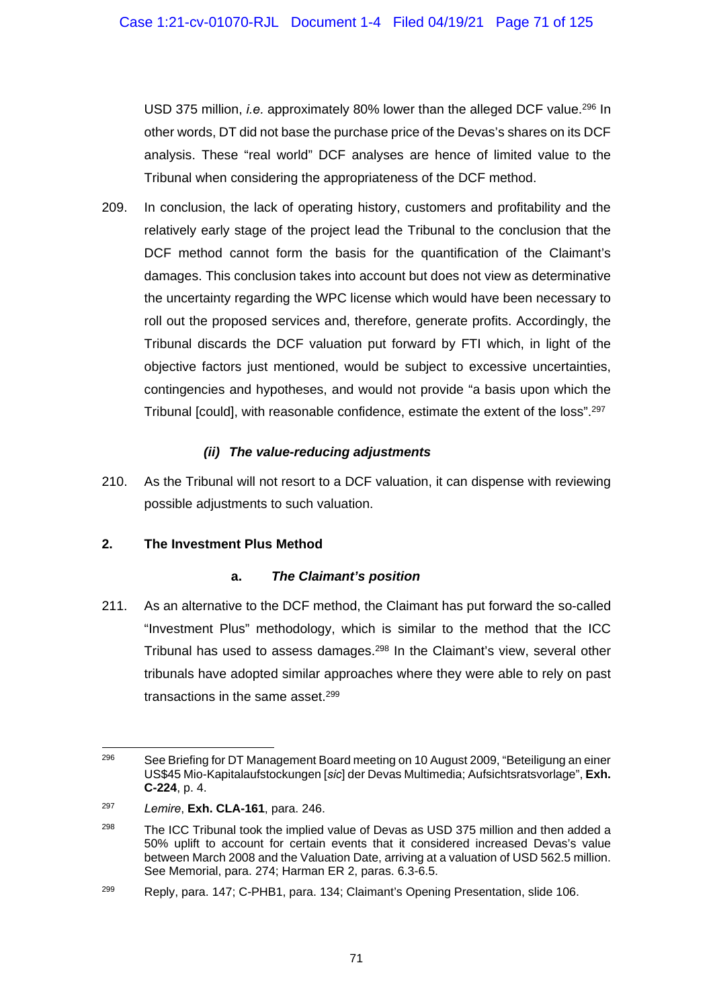USD 375 million, *i.e.* approximately 80% lower than the alleged DCF value.296 In other words, DT did not base the purchase price of the Devas's shares on its DCF analysis. These "real world" DCF analyses are hence of limited value to the Tribunal when considering the appropriateness of the DCF method.

209. In conclusion, the lack of operating history, customers and profitability and the relatively early stage of the project lead the Tribunal to the conclusion that the DCF method cannot form the basis for the quantification of the Claimant's damages. This conclusion takes into account but does not view as determinative the uncertainty regarding the WPC license which would have been necessary to roll out the proposed services and, therefore, generate profits. Accordingly, the Tribunal discards the DCF valuation put forward by FTI which, in light of the objective factors just mentioned, would be subject to excessive uncertainties, contingencies and hypotheses, and would not provide "a basis upon which the Tribunal [could], with reasonable confidence, estimate the extent of the loss".297

## *(ii) The value-reducing adjustments*

210. As the Tribunal will not resort to a DCF valuation, it can dispense with reviewing possible adjustments to such valuation.

## **2. The Investment Plus Method**

## **a.** *The Claimant's position*

211. As an alternative to the DCF method, the Claimant has put forward the so-called "Investment Plus" methodology, which is similar to the method that the ICC Tribunal has used to assess damages.<sup>298</sup> In the Claimant's view, several other tribunals have adopted similar approaches where they were able to rely on past transactions in the same asset.299

 $296$ See Briefing for DT Management Board meeting on 10 August 2009, "Beteiligung an einer US\$45 Mio-Kapitalaufstockungen [*sic*] der Devas Multimedia; Aufsichtsratsvorlage", **Exh. C-224**, p. 4.

<sup>297</sup> *Lemire*, **Exh. CLA-161**, para. 246.

 $298$  The ICC Tribunal took the implied value of Devas as USD 375 million and then added a 50% uplift to account for certain events that it considered increased Devas's value between March 2008 and the Valuation Date, arriving at a valuation of USD 562.5 million. See Memorial, para. 274; Harman ER 2, paras. 6.3-6.5.

<sup>299</sup> Reply, para. 147; C-PHB1, para. 134; Claimant's Opening Presentation, slide 106.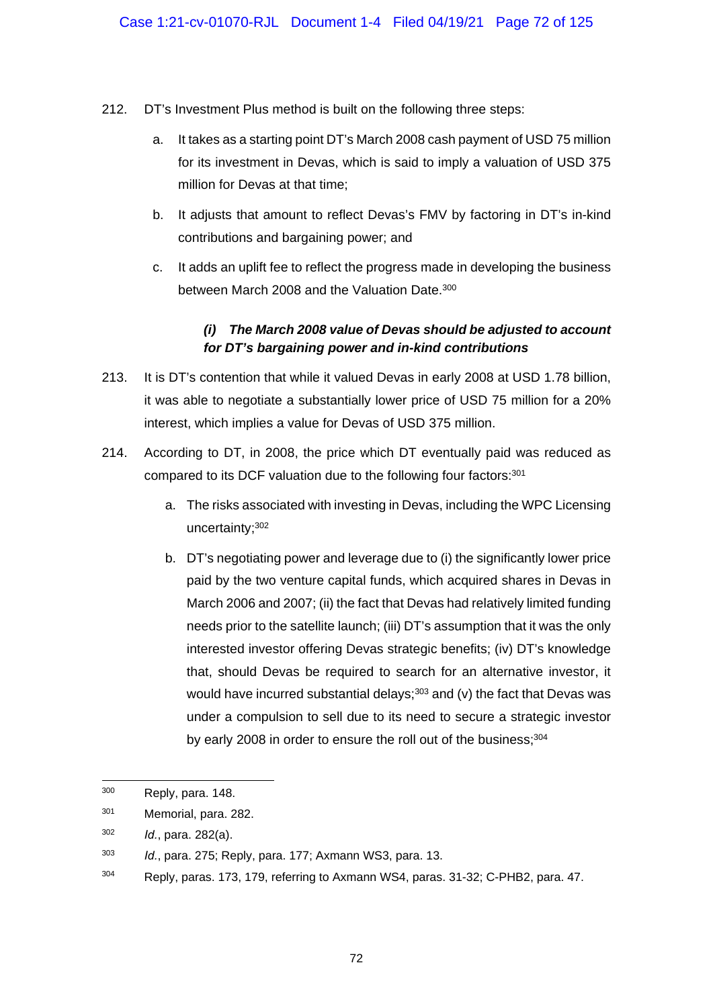- 212. DT's Investment Plus method is built on the following three steps:
	- a. It takes as a starting point DT's March 2008 cash payment of USD 75 million for its investment in Devas, which is said to imply a valuation of USD 375 million for Devas at that time;
	- b. It adjusts that amount to reflect Devas's FMV by factoring in DT's in-kind contributions and bargaining power; and
	- c. It adds an uplift fee to reflect the progress made in developing the business between March 2008 and the Valuation Date.<sup>300</sup>

# *(i) The March 2008 value of Devas should be adjusted to account for DT's bargaining power and in-kind contributions*

- 213. It is DT's contention that while it valued Devas in early 2008 at USD 1.78 billion, it was able to negotiate a substantially lower price of USD 75 million for a 20% interest, which implies a value for Devas of USD 375 million.
- 214. According to DT, in 2008, the price which DT eventually paid was reduced as compared to its DCF valuation due to the following four factors: 301
	- a. The risks associated with investing in Devas, including the WPC Licensing uncertainty;302
	- b. DT's negotiating power and leverage due to (i) the significantly lower price paid by the two venture capital funds, which acquired shares in Devas in March 2006 and 2007; (ii) the fact that Devas had relatively limited funding needs prior to the satellite launch; (iii) DT's assumption that it was the only interested investor offering Devas strategic benefits; (iv) DT's knowledge that, should Devas be required to search for an alternative investor, it would have incurred substantial delays; $303$  and (v) the fact that Devas was under a compulsion to sell due to its need to secure a strategic investor by early 2008 in order to ensure the roll out of the business; 304

 $\overline{a}$ 

 $300$  Reply, para, 148.

<sup>301</sup> Memorial, para. 282.

<sup>302</sup> *Id.*, para. 282(a).

<sup>303</sup> *Id.*, para. 275; Reply, para. 177; Axmann WS3, para. 13.

<sup>304</sup> Reply, paras. 173, 179, referring to Axmann WS4, paras. 31-32; C-PHB2, para. 47.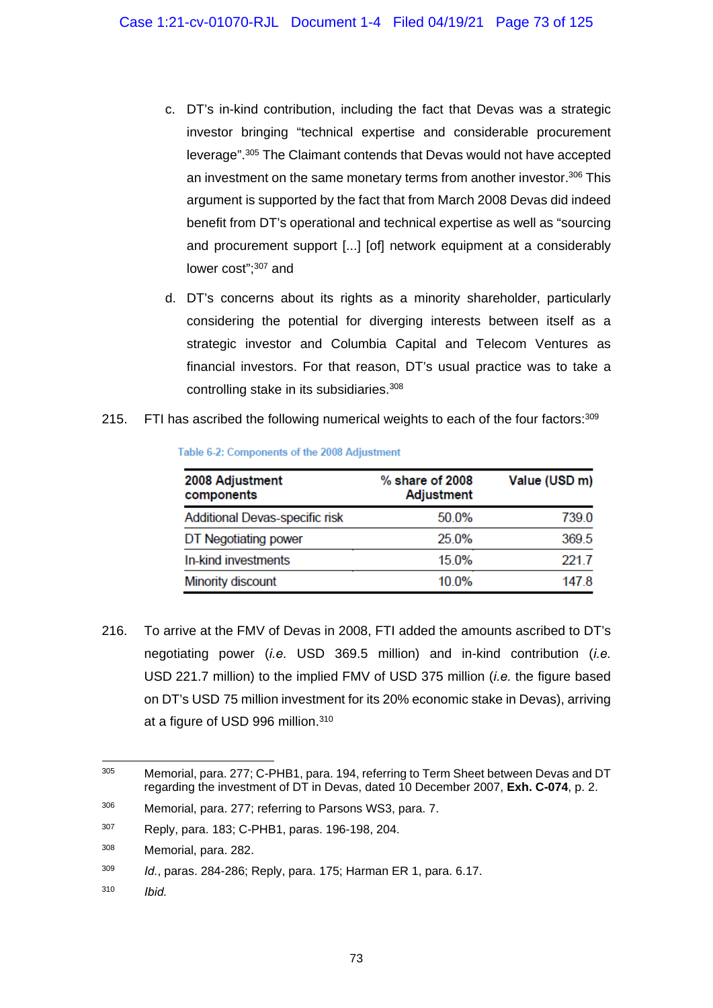- c. DT's in-kind contribution, including the fact that Devas was a strategic investor bringing "technical expertise and considerable procurement leverage".305 The Claimant contends that Devas would not have accepted an investment on the same monetary terms from another investor.<sup>306</sup> This argument is supported by the fact that from March 2008 Devas did indeed benefit from DT's operational and technical expertise as well as "sourcing and procurement support [...] [of] network equipment at a considerably lower cost";<sup>307</sup> and
- d. DT's concerns about its rights as a minority shareholder, particularly considering the potential for diverging interests between itself as a strategic investor and Columbia Capital and Telecom Ventures as financial investors. For that reason, DT's usual practice was to take a controlling stake in its subsidiaries.308
- 215. FTI has ascribed the following numerical weights to each of the four factors: $309$

| 2008 Adjustment<br>components  | $%$ share of 2008<br><b>Adjustment</b> | Value (USD m) |
|--------------------------------|----------------------------------------|---------------|
| Additional Devas-specific risk | 50.0%                                  | 739.0         |
| DT Negotiating power           | 25.0%                                  | 369.5         |
| In-kind investments            | 15.0%                                  | 221.7         |
| Minority discount              | 10 0%                                  | 1478          |

Table 6-2: Components of the 2008 Adjustment

216. To arrive at the FMV of Devas in 2008, FTI added the amounts ascribed to DT's negotiating power (*i.e.* USD 369.5 million) and in-kind contribution (*i.e.* USD 221.7 million) to the implied FMV of USD 375 million (*i.e.* the figure based on DT's USD 75 million investment for its 20% economic stake in Devas), arriving at a figure of USD 996 million.<sup>310</sup>

 $305$ Memorial, para. 277; C-PHB1, para. 194, referring to Term Sheet between Devas and DT regarding the investment of DT in Devas, dated 10 December 2007, **Exh. C-074**, p. 2.

<sup>306</sup> Memorial, para. 277; referring to Parsons WS3, para. 7.

<sup>307</sup> Reply, para. 183; C-PHB1, paras. 196-198, 204.

<sup>308</sup> Memorial, para. 282.

<sup>309</sup> *Id.*, paras. 284-286; Reply, para. 175; Harman ER 1, para. 6.17.

<sup>310</sup> *Ibid.*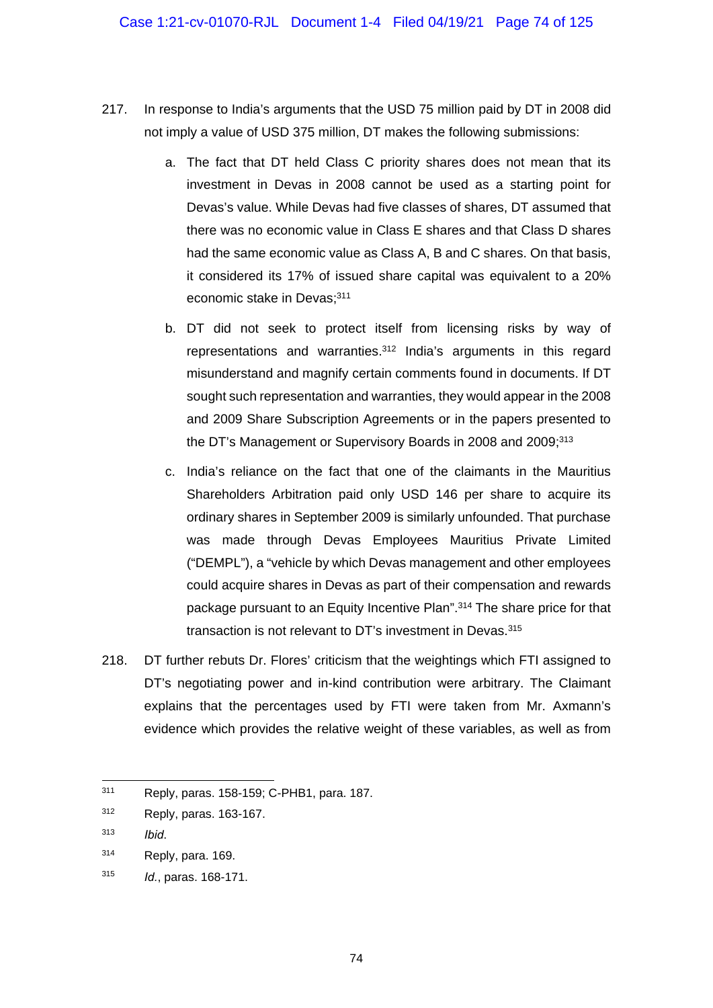- 217. In response to India's arguments that the USD 75 million paid by DT in 2008 did not imply a value of USD 375 million, DT makes the following submissions:
	- a. The fact that DT held Class C priority shares does not mean that its investment in Devas in 2008 cannot be used as a starting point for Devas's value. While Devas had five classes of shares, DT assumed that there was no economic value in Class E shares and that Class D shares had the same economic value as Class A, B and C shares. On that basis, it considered its 17% of issued share capital was equivalent to a 20% economic stake in Devas: 311
	- b. DT did not seek to protect itself from licensing risks by way of representations and warranties.312 India's arguments in this regard misunderstand and magnify certain comments found in documents. If DT sought such representation and warranties, they would appear in the 2008 and 2009 Share Subscription Agreements or in the papers presented to the DT's Management or Supervisory Boards in 2008 and 2009:<sup>313</sup>
	- c. India's reliance on the fact that one of the claimants in the Mauritius Shareholders Arbitration paid only USD 146 per share to acquire its ordinary shares in September 2009 is similarly unfounded. That purchase was made through Devas Employees Mauritius Private Limited ("DEMPL"), a "vehicle by which Devas management and other employees could acquire shares in Devas as part of their compensation and rewards package pursuant to an Equity Incentive Plan".314 The share price for that transaction is not relevant to DT's investment in Devas.<sup>315</sup>
- 218. DT further rebuts Dr. Flores' criticism that the weightings which FTI assigned to DT's negotiating power and in-kind contribution were arbitrary. The Claimant explains that the percentages used by FTI were taken from Mr. Axmann's evidence which provides the relative weight of these variables, as well as from

 $\overline{a}$ 

<sup>311</sup> Reply, paras. 158-159; C-PHB1, para. 187.

<sup>312</sup> Reply, paras. 163-167.

<sup>313</sup> *Ibid*.

<sup>314</sup> Reply, para. 169.

<sup>315</sup> *Id.*, paras. 168-171.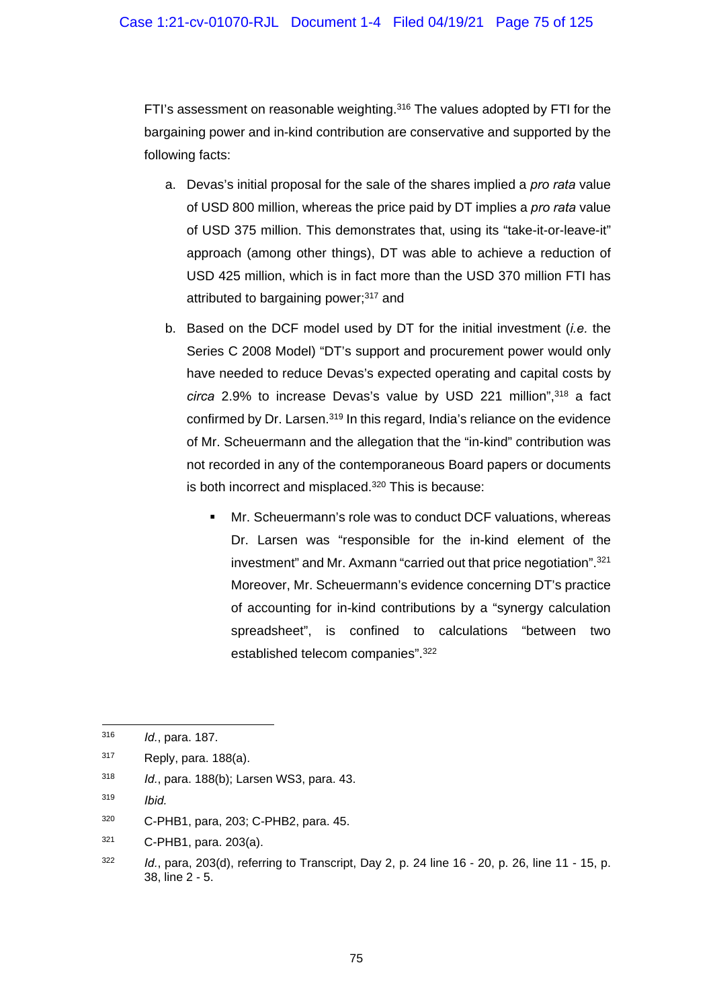FTI's assessment on reasonable weighting.316 The values adopted by FTI for the bargaining power and in-kind contribution are conservative and supported by the following facts:

- a. Devas's initial proposal for the sale of the shares implied a *pro rata* value of USD 800 million, whereas the price paid by DT implies a *pro rata* value of USD 375 million. This demonstrates that, using its "take-it-or-leave-it" approach (among other things), DT was able to achieve a reduction of USD 425 million, which is in fact more than the USD 370 million FTI has attributed to bargaining power;<sup>317</sup> and
- b. Based on the DCF model used by DT for the initial investment (*i.e.* the Series C 2008 Model) "DT's support and procurement power would only have needed to reduce Devas's expected operating and capital costs by *circa* 2.9% to increase Devas's value by USD 221 million",318 a fact confirmed by Dr. Larsen.<sup>319</sup> In this regard, India's reliance on the evidence of Mr. Scheuermann and the allegation that the "in-kind" contribution was not recorded in any of the contemporaneous Board papers or documents is both incorrect and misplaced.<sup>320</sup> This is because:
	- Mr. Scheuermann's role was to conduct DCF valuations, whereas Dr. Larsen was "responsible for the in-kind element of the investment" and Mr. Axmann "carried out that price negotiation".321 Moreover, Mr. Scheuermann's evidence concerning DT's practice of accounting for in-kind contributions by a "synergy calculation spreadsheet", is confined to calculations "between two established telecom companies".322

1

321 C-PHB1, para. 203(a).

<sup>316</sup> *Id.*, para. 187.

 $317$  Reply, para. 188(a).

<sup>318</sup> *Id.*, para. 188(b); Larsen WS3, para. 43.

<sup>319</sup> *Ibid.*

<sup>320</sup> C-PHB1, para, 203; C-PHB2, para. 45.

<sup>322</sup> *Id.*, para, 203(d), referring to Transcript, Day 2, p. 24 line 16 - 20, p. 26, line 11 - 15, p. 38, line 2 - 5.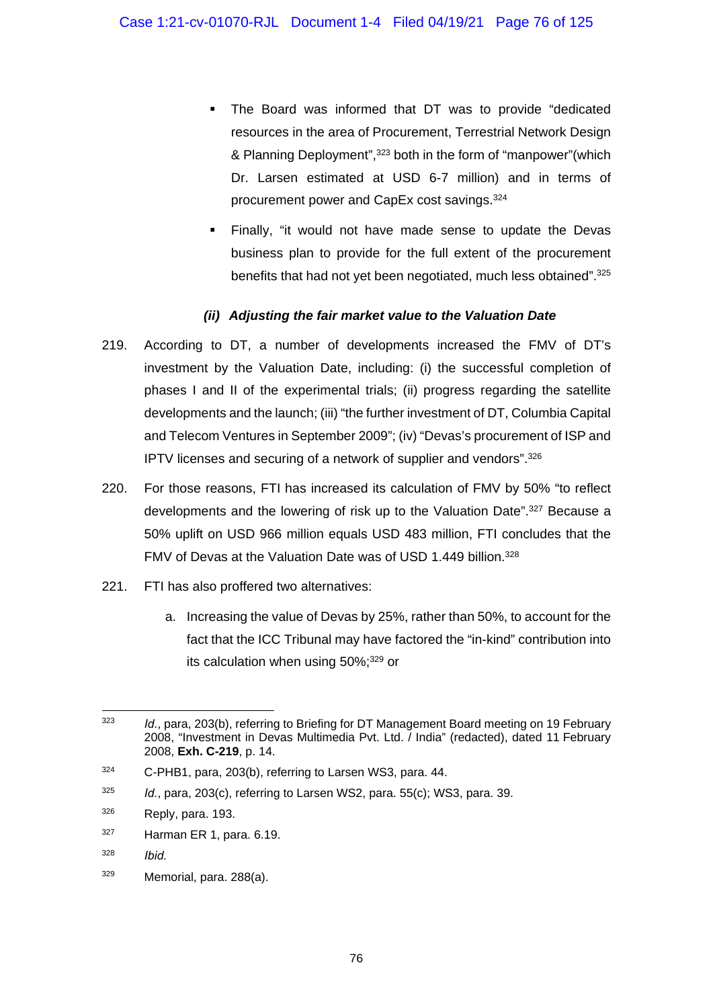- The Board was informed that DT was to provide "dedicated resources in the area of Procurement, Terrestrial Network Design & Planning Deployment",323 both in the form of "manpower"(which Dr. Larsen estimated at USD 6-7 million) and in terms of procurement power and CapEx cost savings.324
- Finally, "it would not have made sense to update the Devas business plan to provide for the full extent of the procurement benefits that had not yet been negotiated, much less obtained".325

## *(ii) Adjusting the fair market value to the Valuation Date*

- 219. According to DT, a number of developments increased the FMV of DT's investment by the Valuation Date, including: (i) the successful completion of phases I and II of the experimental trials; (ii) progress regarding the satellite developments and the launch; (iii) "the further investment of DT, Columbia Capital and Telecom Ventures in September 2009"; (iv) "Devas's procurement of ISP and IPTV licenses and securing of a network of supplier and vendors".326
- 220. For those reasons, FTI has increased its calculation of FMV by 50% "to reflect developments and the lowering of risk up to the Valuation Date".<sup>327</sup> Because a 50% uplift on USD 966 million equals USD 483 million, FTI concludes that the FMV of Devas at the Valuation Date was of USD 1.449 billion.<sup>328</sup>
- 221. FTI has also proffered two alternatives:
	- a. Increasing the value of Devas by 25%, rather than 50%, to account for the fact that the ICC Tribunal may have factored the "in-kind" contribution into its calculation when using 50%;329 or

<sup>-</sup>323 *Id.*, para, 203(b), referring to Briefing for DT Management Board meeting on 19 February 2008, "Investment in Devas Multimedia Pvt. Ltd. / India" (redacted), dated 11 February 2008, **Exh. C-219**, p. 14.

<sup>324</sup> C-PHB1, para, 203(b), referring to Larsen WS3, para. 44.

<sup>325</sup> *Id.*, para, 203(c), referring to Larsen WS2, para. 55(c); WS3, para. 39.

 $326$  Reply, para. 193.

 $327$  Harman ER 1, para. 6.19.

<sup>328</sup> *Ibid.* 

<sup>329</sup> Memorial, para. 288(a).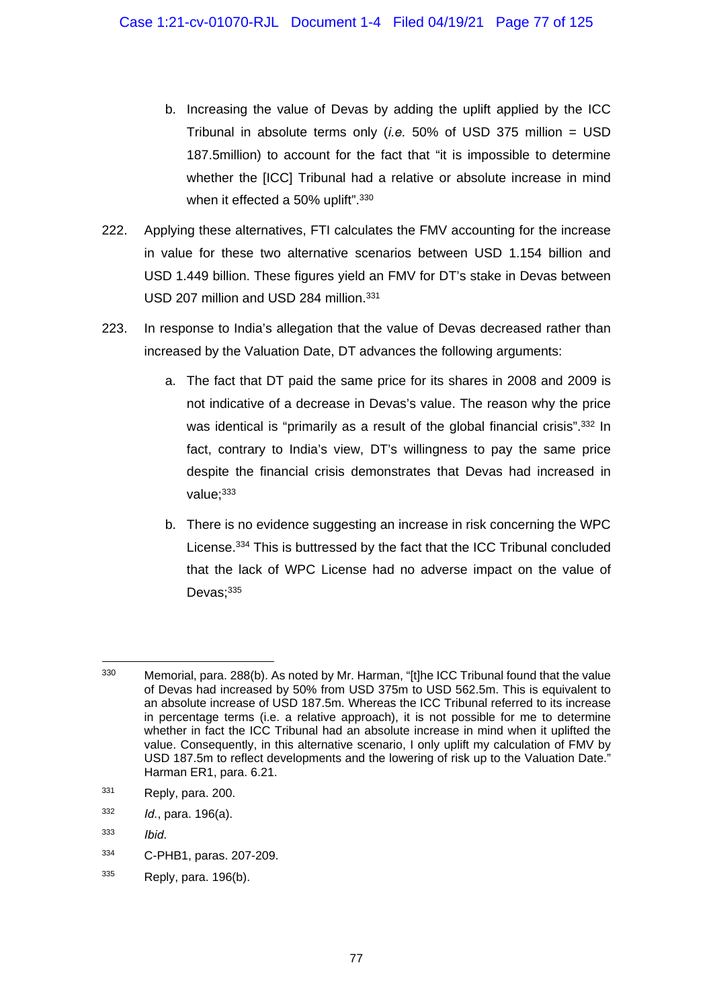- b. Increasing the value of Devas by adding the uplift applied by the ICC Tribunal in absolute terms only (*i.e.* 50% of USD 375 million = USD 187.5million) to account for the fact that "it is impossible to determine whether the [ICC] Tribunal had a relative or absolute increase in mind when it effected a 50% uplift".<sup>330</sup>
- 222. Applying these alternatives, FTI calculates the FMV accounting for the increase in value for these two alternative scenarios between USD 1.154 billion and USD 1.449 billion. These figures yield an FMV for DT's stake in Devas between USD 207 million and USD 284 million.<sup>331</sup>
- 223. In response to India's allegation that the value of Devas decreased rather than increased by the Valuation Date, DT advances the following arguments:
	- a. The fact that DT paid the same price for its shares in 2008 and 2009 is not indicative of a decrease in Devas's value. The reason why the price was identical is "primarily as a result of the global financial crisis".<sup>332</sup> In fact, contrary to India's view, DT's willingness to pay the same price despite the financial crisis demonstrates that Devas had increased in value: 333
	- b. There is no evidence suggesting an increase in risk concerning the WPC License.334 This is buttressed by the fact that the ICC Tribunal concluded that the lack of WPC License had no adverse impact on the value of Devas;<sup>335</sup>

332 *Id.*, para. 196(a).

- 334 C-PHB1, paras. 207-209.
- $335$  Reply, para. 196(b).

<sup>1</sup>  $330$  Memorial, para. 288(b). As noted by Mr. Harman, "It the ICC Tribunal found that the value of Devas had increased by 50% from USD 375m to USD 562.5m. This is equivalent to an absolute increase of USD 187.5m. Whereas the ICC Tribunal referred to its increase in percentage terms (i.e. a relative approach), it is not possible for me to determine whether in fact the ICC Tribunal had an absolute increase in mind when it uplifted the value. Consequently, in this alternative scenario, I only uplift my calculation of FMV by USD 187.5m to reflect developments and the lowering of risk up to the Valuation Date." Harman ER1, para. 6.21.

 $331$  Reply, para, 200.

<sup>333</sup> *Ibid*.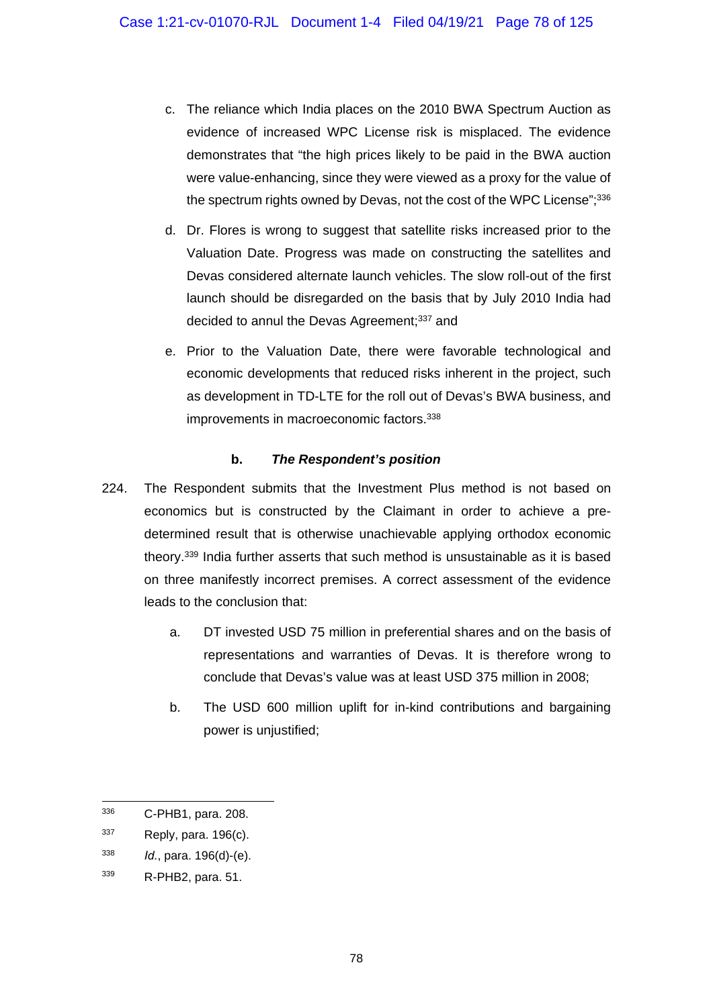- c. The reliance which India places on the 2010 BWA Spectrum Auction as evidence of increased WPC License risk is misplaced. The evidence demonstrates that "the high prices likely to be paid in the BWA auction were value-enhancing, since they were viewed as a proxy for the value of the spectrum rights owned by Devas, not the cost of the WPC License";<sup>336</sup>
- d. Dr. Flores is wrong to suggest that satellite risks increased prior to the Valuation Date. Progress was made on constructing the satellites and Devas considered alternate launch vehicles. The slow roll-out of the first launch should be disregarded on the basis that by July 2010 India had decided to annul the Devas Agreement;<sup>337</sup> and
- e. Prior to the Valuation Date, there were favorable technological and economic developments that reduced risks inherent in the project, such as development in TD-LTE for the roll out of Devas's BWA business, and improvements in macroeconomic factors.<sup>338</sup>

### **b.** *The Respondent's position*

- 224. The Respondent submits that the Investment Plus method is not based on economics but is constructed by the Claimant in order to achieve a predetermined result that is otherwise unachievable applying orthodox economic theory.339 India further asserts that such method is unsustainable as it is based on three manifestly incorrect premises. A correct assessment of the evidence leads to the conclusion that:
	- a. DT invested USD 75 million in preferential shares and on the basis of representations and warranties of Devas. It is therefore wrong to conclude that Devas's value was at least USD 375 million in 2008;
	- b. The USD 600 million uplift for in-kind contributions and bargaining power is uniustified:

<sup>336</sup> 336 C-PHB1, para. 208.

 $337$  Reply, para. 196(c).

<sup>338</sup> *Id.*, para. 196(d)-(e).

<sup>339</sup> R-PHB2, para. 51.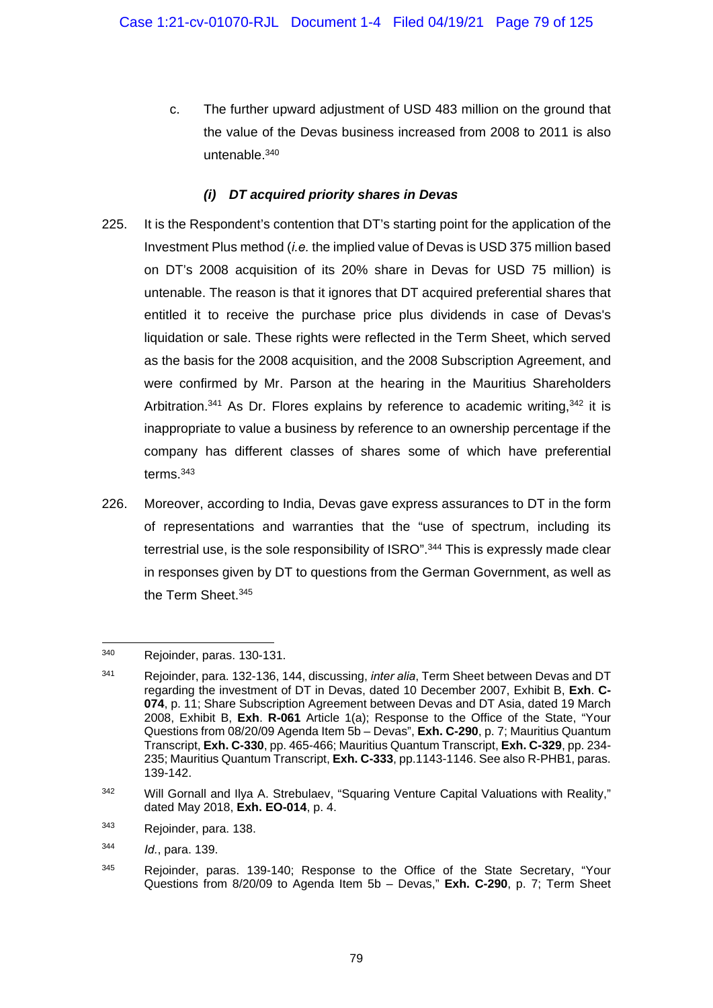c. The further upward adjustment of USD 483 million on the ground that the value of the Devas business increased from 2008 to 2011 is also untenable.340

## *(i) DT acquired priority shares in Devas*

- 225. It is the Respondent's contention that DT's starting point for the application of the Investment Plus method (*i.e.* the implied value of Devas is USD 375 million based on DT's 2008 acquisition of its 20% share in Devas for USD 75 million) is untenable. The reason is that it ignores that DT acquired preferential shares that entitled it to receive the purchase price plus dividends in case of Devas's liquidation or sale. These rights were reflected in the Term Sheet, which served as the basis for the 2008 acquisition, and the 2008 Subscription Agreement, and were confirmed by Mr. Parson at the hearing in the Mauritius Shareholders Arbitration.<sup>341</sup> As Dr. Flores explains by reference to academic writing.<sup>342</sup> it is inappropriate to value a business by reference to an ownership percentage if the company has different classes of shares some of which have preferential terms.343
- 226. Moreover, according to India, Devas gave express assurances to DT in the form of representations and warranties that the "use of spectrum, including its terrestrial use, is the sole responsibility of ISRO".<sup>344</sup> This is expressly made clear in responses given by DT to questions from the German Government, as well as the Term Sheet.345

<sup>340</sup> Rejoinder, paras. 130-131.

<sup>341</sup> Rejoinder, para. 132-136, 144, discussing, *inter alia*, Term Sheet between Devas and DT regarding the investment of DT in Devas, dated 10 December 2007, Exhibit B, **Exh**. **C-074**, p. 11; Share Subscription Agreement between Devas and DT Asia, dated 19 March 2008, Exhibit B, **Exh**. **R-061** Article 1(a); Response to the Office of the State, "Your Questions from 08/20/09 Agenda Item 5b – Devas", **Exh. C-290**, p. 7; Mauritius Quantum Transcript, **Exh. C-330**, pp. 465-466; Mauritius Quantum Transcript, **Exh. C-329**, pp. 234- 235; Mauritius Quantum Transcript, **Exh. C-333**, pp.1143-1146. See also R-PHB1, paras. 139-142.

<sup>&</sup>lt;sup>342</sup> Will Gornall and Ilya A. Strebulaev, "Squaring Venture Capital Valuations with Reality," dated May 2018, **Exh. EO-014**, p. 4.

<sup>343</sup> Rejoinder, para. 138.

<sup>344</sup> *Id.*, para. 139.

 $345$  Rejoinder, paras. 139-140; Response to the Office of the State Secretary, "Your Questions from 8/20/09 to Agenda Item 5b – Devas," **Exh. C-290**, p. 7; Term Sheet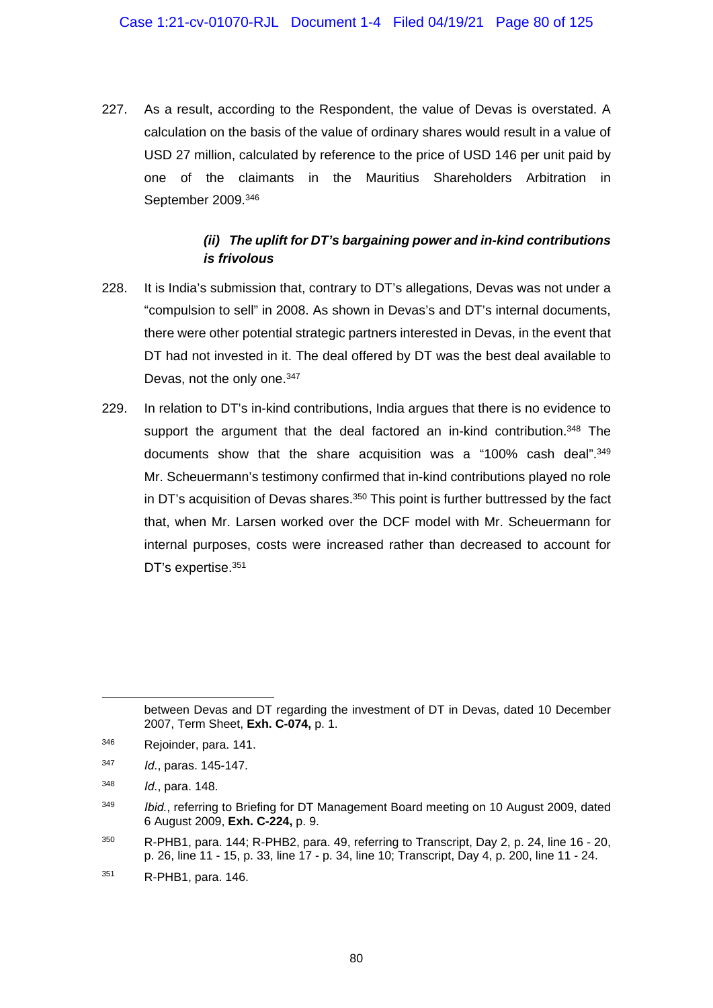227. As a result, according to the Respondent, the value of Devas is overstated. A calculation on the basis of the value of ordinary shares would result in a value of USD 27 million, calculated by reference to the price of USD 146 per unit paid by one of the claimants in the Mauritius Shareholders Arbitration in September 2009.346

### *(ii) The uplift for DT's bargaining power and in-kind contributions is frivolous*

- 228. It is India's submission that, contrary to DT's allegations, Devas was not under a "compulsion to sell" in 2008. As shown in Devas's and DT's internal documents, there were other potential strategic partners interested in Devas, in the event that DT had not invested in it. The deal offered by DT was the best deal available to Devas, not the only one.<sup>347</sup>
- 229. In relation to DT's in-kind contributions, India argues that there is no evidence to support the argument that the deal factored an in-kind contribution.<sup>348</sup> The documents show that the share acquisition was a "100% cash deal".<sup>349</sup> Mr. Scheuermann's testimony confirmed that in-kind contributions played no role in DT's acquisition of Devas shares.<sup>350</sup> This point is further buttressed by the fact that, when Mr. Larsen worked over the DCF model with Mr. Scheuermann for internal purposes, costs were increased rather than decreased to account for DT's expertise.<sup>351</sup>

between Devas and DT regarding the investment of DT in Devas, dated 10 December 2007, Term Sheet, **Exh. C-074,** p. 1.

<sup>346</sup> Rejoinder, para. 141.

<sup>347</sup> *Id.*, paras. 145-147.

<sup>348</sup> *Id.*, para. 148.

<sup>349</sup> *Ibid.*, referring to Briefing for DT Management Board meeting on 10 August 2009, dated 6 August 2009, **Exh. C-224,** p. 9.

<sup>350</sup> R-PHB1, para. 144; R-PHB2, para. 49, referring to Transcript, Day 2, p. 24, line 16 - 20, p. 26, line 11 - 15, p. 33, line 17 - p. 34, line 10; Transcript, Day 4, p. 200, line 11 - 24.

<sup>351</sup> R-PHB1, para. 146.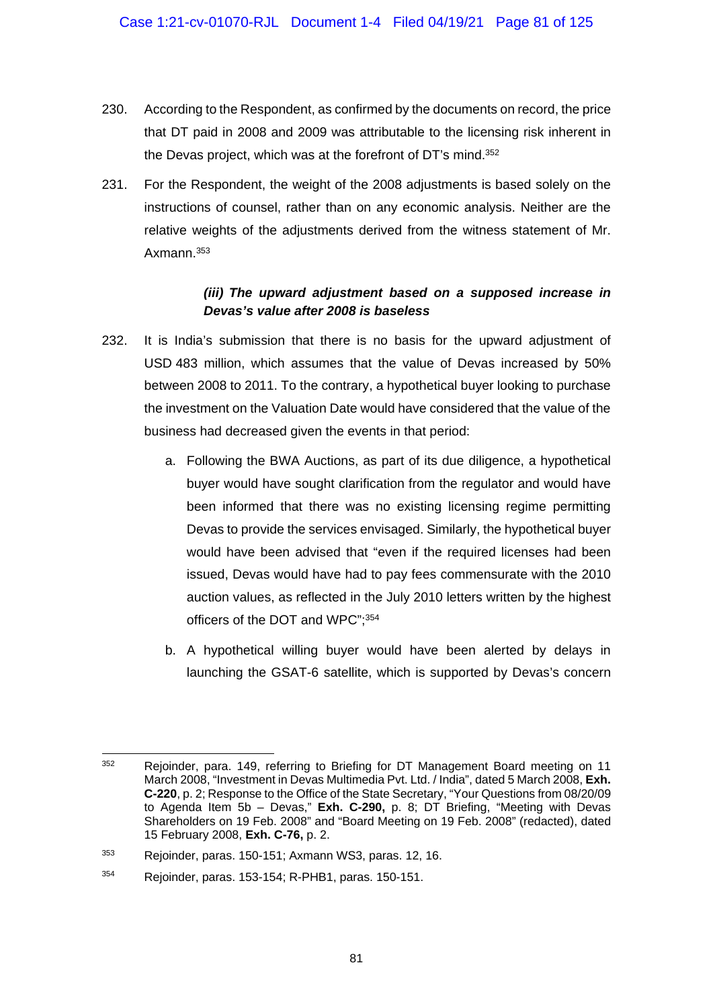- 230. According to the Respondent, as confirmed by the documents on record, the price that DT paid in 2008 and 2009 was attributable to the licensing risk inherent in the Devas project, which was at the forefront of DT's mind.352
- 231. For the Respondent, the weight of the 2008 adjustments is based solely on the instructions of counsel, rather than on any economic analysis. Neither are the relative weights of the adjustments derived from the witness statement of Mr. Axmann.353

### *(iii) The upward adjustment based on a supposed increase in Devas's value after 2008 is baseless*

- 232. It is India's submission that there is no basis for the upward adjustment of USD 483 million, which assumes that the value of Devas increased by 50% between 2008 to 2011. To the contrary, a hypothetical buyer looking to purchase the investment on the Valuation Date would have considered that the value of the business had decreased given the events in that period:
	- a. Following the BWA Auctions, as part of its due diligence, a hypothetical buyer would have sought clarification from the regulator and would have been informed that there was no existing licensing regime permitting Devas to provide the services envisaged. Similarly, the hypothetical buyer would have been advised that "even if the required licenses had been issued, Devas would have had to pay fees commensurate with the 2010 auction values, as reflected in the July 2010 letters written by the highest officers of the DOT and WPC";354
	- b. A hypothetical willing buyer would have been alerted by delays in launching the GSAT-6 satellite, which is supported by Devas's concern

<sup>1</sup> 352 Rejoinder, para. 149, referring to Briefing for DT Management Board meeting on 11 March 2008, "Investment in Devas Multimedia Pvt. Ltd. / India", dated 5 March 2008, **Exh. C-220**, p. 2; Response to the Office of the State Secretary, "Your Questions from 08/20/09 to Agenda Item 5b – Devas," **Exh. C-290,** p. 8; DT Briefing, "Meeting with Devas Shareholders on 19 Feb. 2008" and "Board Meeting on 19 Feb. 2008" (redacted), dated 15 February 2008, **Exh. C-76,** p. 2.

<sup>353</sup> Rejoinder, paras. 150-151; Axmann WS3, paras. 12, 16.

<sup>354</sup> Rejoinder, paras. 153-154; R-PHB1, paras. 150-151.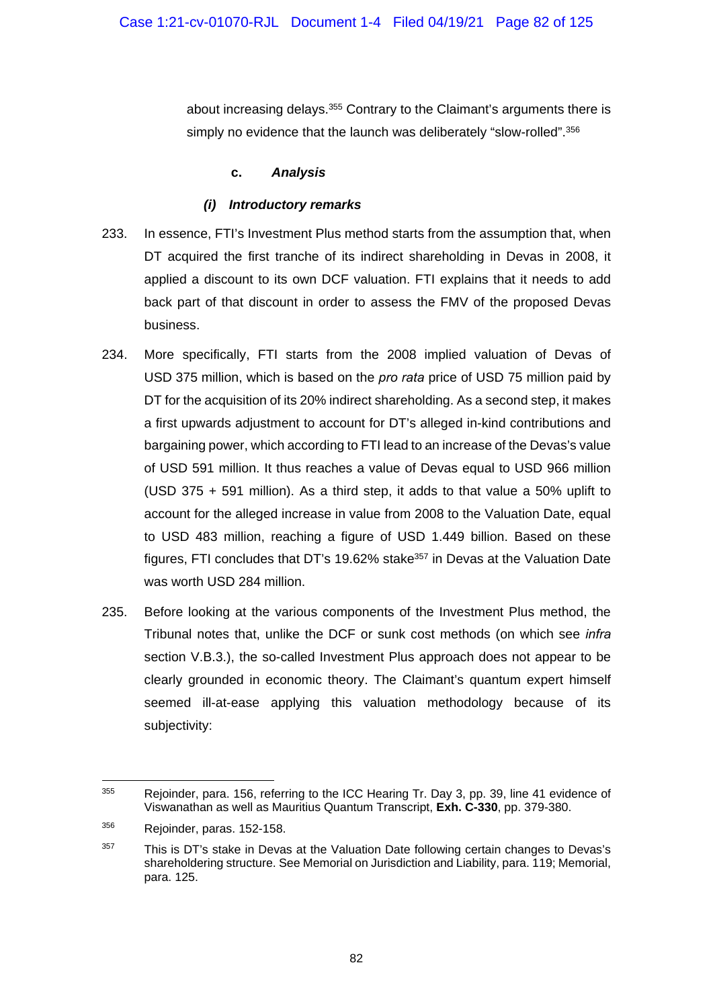about increasing delays.<sup>355</sup> Contrary to the Claimant's arguments there is simply no evidence that the launch was deliberately "slow-rolled".<sup>356</sup>

### **c.** *Analysis*

## *(i) Introductory remarks*

- 233. In essence, FTI's Investment Plus method starts from the assumption that, when DT acquired the first tranche of its indirect shareholding in Devas in 2008, it applied a discount to its own DCF valuation. FTI explains that it needs to add back part of that discount in order to assess the FMV of the proposed Devas business.
- 234. More specifically, FTI starts from the 2008 implied valuation of Devas of USD 375 million, which is based on the *pro rata* price of USD 75 million paid by DT for the acquisition of its 20% indirect shareholding. As a second step, it makes a first upwards adjustment to account for DT's alleged in-kind contributions and bargaining power, which according to FTI lead to an increase of the Devas's value of USD 591 million. It thus reaches a value of Devas equal to USD 966 million (USD 375 + 591 million). As a third step, it adds to that value a 50% uplift to account for the alleged increase in value from 2008 to the Valuation Date, equal to USD 483 million, reaching a figure of USD 1.449 billion. Based on these figures, FTI concludes that DT's 19.62% stake<sup>357</sup> in Devas at the Valuation Date was worth USD 284 million.
- 235. Before looking at the various components of the Investment Plus method, the Tribunal notes that, unlike the DCF or sunk cost methods (on which see *infra*  section V.B.3.), the so-called Investment Plus approach does not appear to be clearly grounded in economic theory. The Claimant's quantum expert himself seemed ill-at-ease applying this valuation methodology because of its subjectivity:

<sup>355</sup> Rejoinder, para. 156, referring to the ICC Hearing Tr. Day 3, pp. 39, line 41 evidence of Viswanathan as well as Mauritius Quantum Transcript, **Exh. C-330**, pp. 379-380.

<sup>356</sup> Rejoinder, paras. 152-158.

<sup>&</sup>lt;sup>357</sup> This is DT's stake in Devas at the Valuation Date following certain changes to Devas's shareholdering structure. See Memorial on Jurisdiction and Liability, para. 119; Memorial, para. 125.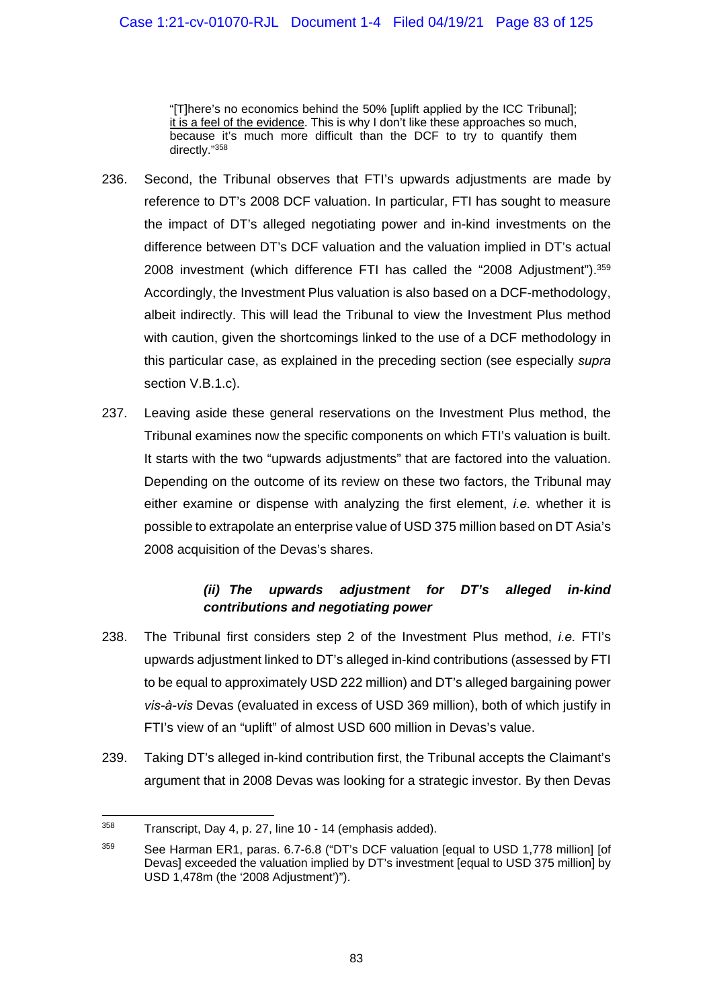"[T]here's no economics behind the 50% [uplift applied by the ICC Tribunal]; it is a feel of the evidence. This is why I don't like these approaches so much, because it's much more difficult than the DCF to try to quantify them directly."358

- 236. Second, the Tribunal observes that FTI's upwards adjustments are made by reference to DT's 2008 DCF valuation. In particular, FTI has sought to measure the impact of DT's alleged negotiating power and in-kind investments on the difference between DT's DCF valuation and the valuation implied in DT's actual 2008 investment (which difference FTI has called the "2008 Adjustment"). 359 Accordingly, the Investment Plus valuation is also based on a DCF-methodology, albeit indirectly. This will lead the Tribunal to view the Investment Plus method with caution, given the shortcomings linked to the use of a DCF methodology in this particular case, as explained in the preceding section (see especially *supra*  section V.B.1.c).
- 237. Leaving aside these general reservations on the Investment Plus method, the Tribunal examines now the specific components on which FTI's valuation is built. It starts with the two "upwards adjustments" that are factored into the valuation. Depending on the outcome of its review on these two factors, the Tribunal may either examine or dispense with analyzing the first element, *i.e.* whether it is possible to extrapolate an enterprise value of USD 375 million based on DT Asia's 2008 acquisition of the Devas's shares.

# *(ii) The upwards adjustment for DT's alleged in-kind contributions and negotiating power*

- 238. The Tribunal first considers step 2 of the Investment Plus method, *i.e.* FTI's upwards adjustment linked to DT's alleged in-kind contributions (assessed by FTI to be equal to approximately USD 222 million) and DT's alleged bargaining power *vis-à-vis* Devas (evaluated in excess of USD 369 million), both of which justify in FTI's view of an "uplift" of almost USD 600 million in Devas's value.
- 239. Taking DT's alleged in-kind contribution first, the Tribunal accepts the Claimant's argument that in 2008 Devas was looking for a strategic investor. By then Devas

<sup>1</sup> 358 Transcript, Day 4, p. 27, line 10 - 14 (emphasis added).

<sup>&</sup>lt;sup>359</sup> See Harman ER1, paras. 6.7-6.8 ("DT's DCF valuation [equal to USD 1,778 million] [of Devas] exceeded the valuation implied by DT's investment [equal to USD 375 million] by USD 1,478m (the '2008 Adjustment')").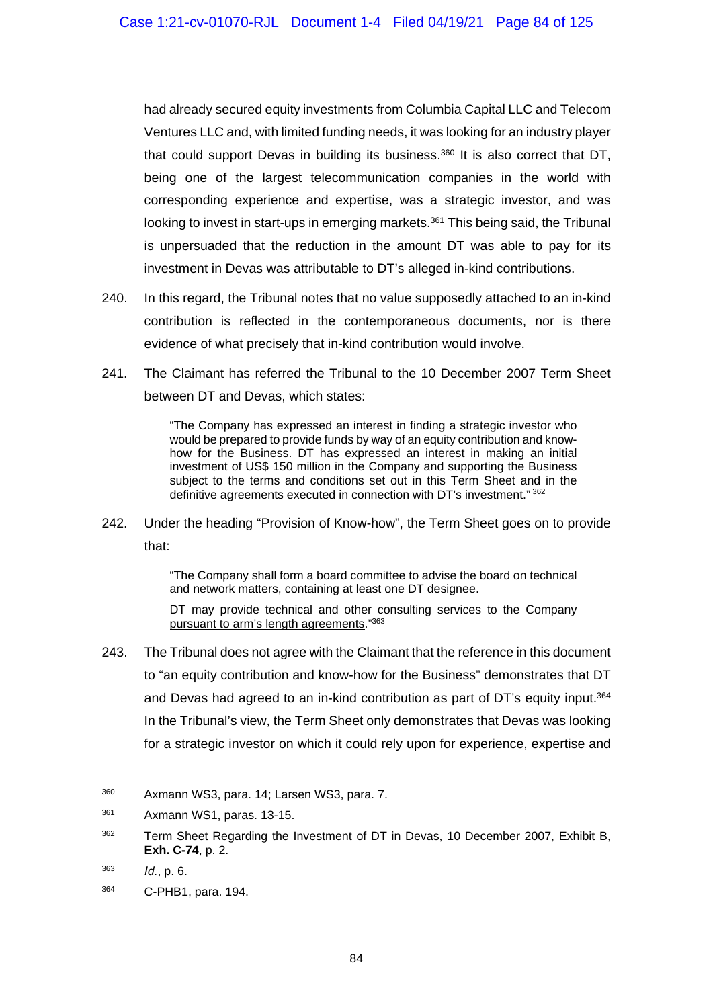had already secured equity investments from Columbia Capital LLC and Telecom Ventures LLC and, with limited funding needs, it was looking for an industry player that could support Devas in building its business. $360$  It is also correct that DT, being one of the largest telecommunication companies in the world with corresponding experience and expertise, was a strategic investor, and was looking to invest in start-ups in emerging markets.<sup>361</sup> This being said, the Tribunal is unpersuaded that the reduction in the amount DT was able to pay for its investment in Devas was attributable to DT's alleged in-kind contributions.

- 240. In this regard, the Tribunal notes that no value supposedly attached to an in-kind contribution is reflected in the contemporaneous documents, nor is there evidence of what precisely that in-kind contribution would involve.
- 241. The Claimant has referred the Tribunal to the 10 December 2007 Term Sheet between DT and Devas, which states:

"The Company has expressed an interest in finding a strategic investor who would be prepared to provide funds by way of an equity contribution and knowhow for the Business. DT has expressed an interest in making an initial investment of US\$ 150 million in the Company and supporting the Business subject to the terms and conditions set out in this Term Sheet and in the definitive agreements executed in connection with DT's investment." 362

242. Under the heading "Provision of Know-how", the Term Sheet goes on to provide that:

> "The Company shall form a board committee to advise the board on technical and network matters, containing at least one DT designee.

> DT may provide technical and other consulting services to the Company pursuant to arm's length agreements."363

243. The Tribunal does not agree with the Claimant that the reference in this document to "an equity contribution and know-how for the Business" demonstrates that DT and Devas had agreed to an in-kind contribution as part of DT's equity input.364 In the Tribunal's view, the Term Sheet only demonstrates that Devas was looking for a strategic investor on which it could rely upon for experience, expertise and

 $\overline{a}$ 

<sup>360</sup> Axmann WS3, para. 14; Larsen WS3, para. 7.

<sup>361</sup> Axmann WS1, paras. 13-15.

<sup>&</sup>lt;sup>362</sup> Term Sheet Regarding the Investment of DT in Devas, 10 December 2007, Exhibit B, **Exh. C-74**, p. 2.

<sup>363</sup> *Id.*, p. 6.

<sup>364</sup> C-PHB1, para. 194.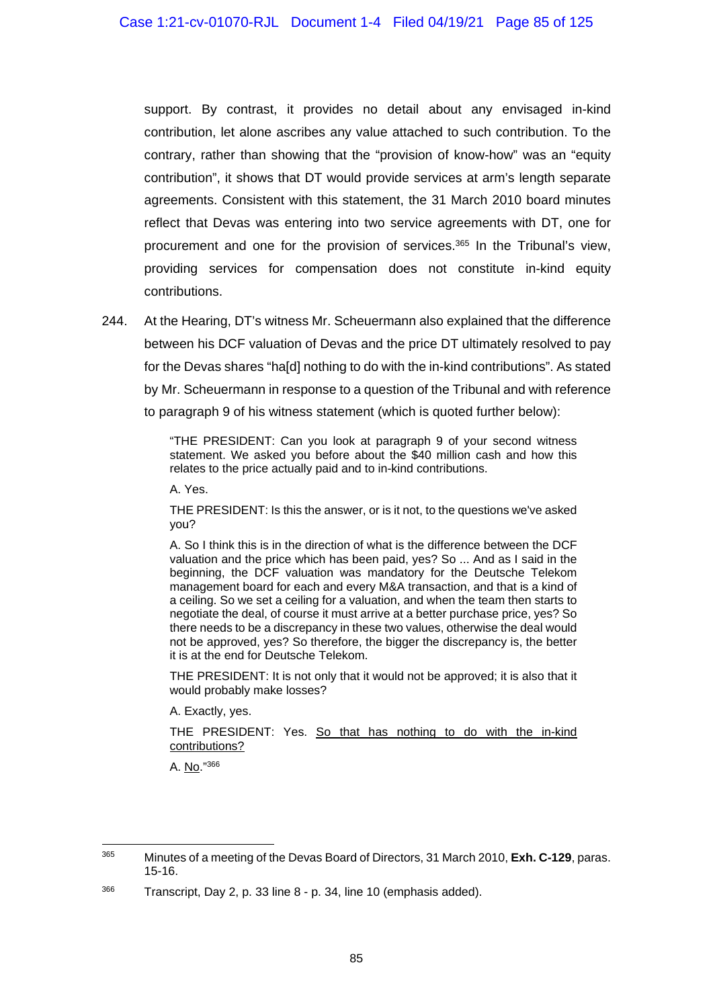support. By contrast, it provides no detail about any envisaged in-kind contribution, let alone ascribes any value attached to such contribution. To the contrary, rather than showing that the "provision of know-how" was an "equity contribution", it shows that DT would provide services at arm's length separate agreements. Consistent with this statement, the 31 March 2010 board minutes reflect that Devas was entering into two service agreements with DT, one for procurement and one for the provision of services.365 In the Tribunal's view, providing services for compensation does not constitute in-kind equity contributions.

244. At the Hearing, DT's witness Mr. Scheuermann also explained that the difference between his DCF valuation of Devas and the price DT ultimately resolved to pay for the Devas shares "ha[d] nothing to do with the in-kind contributions". As stated by Mr. Scheuermann in response to a question of the Tribunal and with reference to paragraph 9 of his witness statement (which is quoted further below):

> "THE PRESIDENT: Can you look at paragraph 9 of your second witness statement. We asked you before about the \$40 million cash and how this relates to the price actually paid and to in-kind contributions.

A. Yes.

THE PRESIDENT: Is this the answer, or is it not, to the questions we've asked you?

A. So I think this is in the direction of what is the difference between the DCF valuation and the price which has been paid, yes? So ... And as I said in the beginning, the DCF valuation was mandatory for the Deutsche Telekom management board for each and every M&A transaction, and that is a kind of a ceiling. So we set a ceiling for a valuation, and when the team then starts to negotiate the deal, of course it must arrive at a better purchase price, yes? So there needs to be a discrepancy in these two values, otherwise the deal would not be approved, yes? So therefore, the bigger the discrepancy is, the better it is at the end for Deutsche Telekom.

THE PRESIDENT: It is not only that it would not be approved; it is also that it would probably make losses?

A. Exactly, yes.

THE PRESIDENT: Yes. So that has nothing to do with the in-kind contributions?

A. No."366

<sup>365</sup> 365 Minutes of a meeting of the Devas Board of Directors, 31 March 2010, **Exh. C-129**, paras. 15-16.

<sup>366</sup> Transcript, Day 2, p. 33 line 8 - p. 34, line 10 (emphasis added).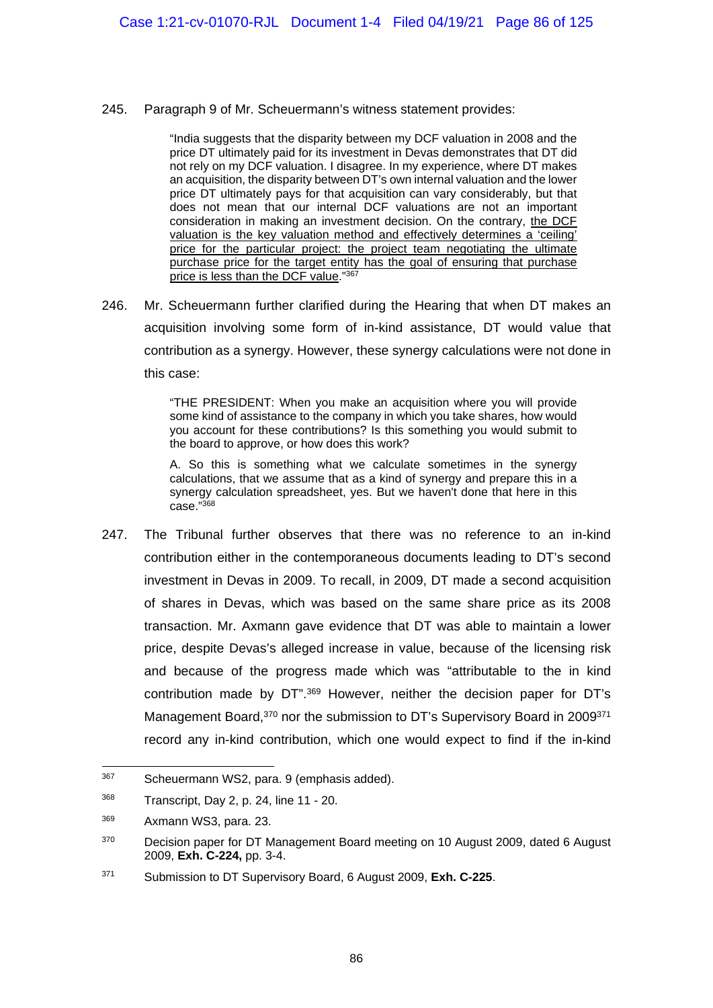245. Paragraph 9 of Mr. Scheuermann's witness statement provides:

"India suggests that the disparity between my DCF valuation in 2008 and the price DT ultimately paid for its investment in Devas demonstrates that DT did not rely on my DCF valuation. I disagree. In my experience, where DT makes an acquisition, the disparity between DT's own internal valuation and the lower price DT ultimately pays for that acquisition can vary considerably, but that does not mean that our internal DCF valuations are not an important consideration in making an investment decision. On the contrary, the DCF valuation is the key valuation method and effectively determines a 'ceiling' price for the particular project: the project team negotiating the ultimate purchase price for the target entity has the goal of ensuring that purchase price is less than the DCF value."367

246. Mr. Scheuermann further clarified during the Hearing that when DT makes an acquisition involving some form of in-kind assistance, DT would value that contribution as a synergy. However, these synergy calculations were not done in this case:

> "THE PRESIDENT: When you make an acquisition where you will provide some kind of assistance to the company in which you take shares, how would you account for these contributions? Is this something you would submit to the board to approve, or how does this work?

> A. So this is something what we calculate sometimes in the synergy calculations, that we assume that as a kind of synergy and prepare this in a synergy calculation spreadsheet, yes. But we haven't done that here in this case."368

247. The Tribunal further observes that there was no reference to an in-kind contribution either in the contemporaneous documents leading to DT's second investment in Devas in 2009. To recall, in 2009, DT made a second acquisition of shares in Devas, which was based on the same share price as its 2008 transaction. Mr. Axmann gave evidence that DT was able to maintain a lower price, despite Devas's alleged increase in value, because of the licensing risk and because of the progress made which was "attributable to the in kind contribution made by DT".369 However, neither the decision paper for DT's Management Board,<sup>370</sup> nor the submission to DT's Supervisory Board in 2009<sup>371</sup> record any in-kind contribution, which one would expect to find if the in-kind

-

<sup>367</sup> Scheuermann WS2, para. 9 (emphasis added).

<sup>368</sup> Transcript, Day 2, p. 24, line 11 - 20.

<sup>369</sup> Axmann WS3, para. 23.

<sup>&</sup>lt;sup>370</sup> Decision paper for DT Management Board meeting on 10 August 2009, dated 6 August 2009, **Exh. C-224,** pp. 3-4.

<sup>371</sup> Submission to DT Supervisory Board, 6 August 2009, **Exh. C-225**.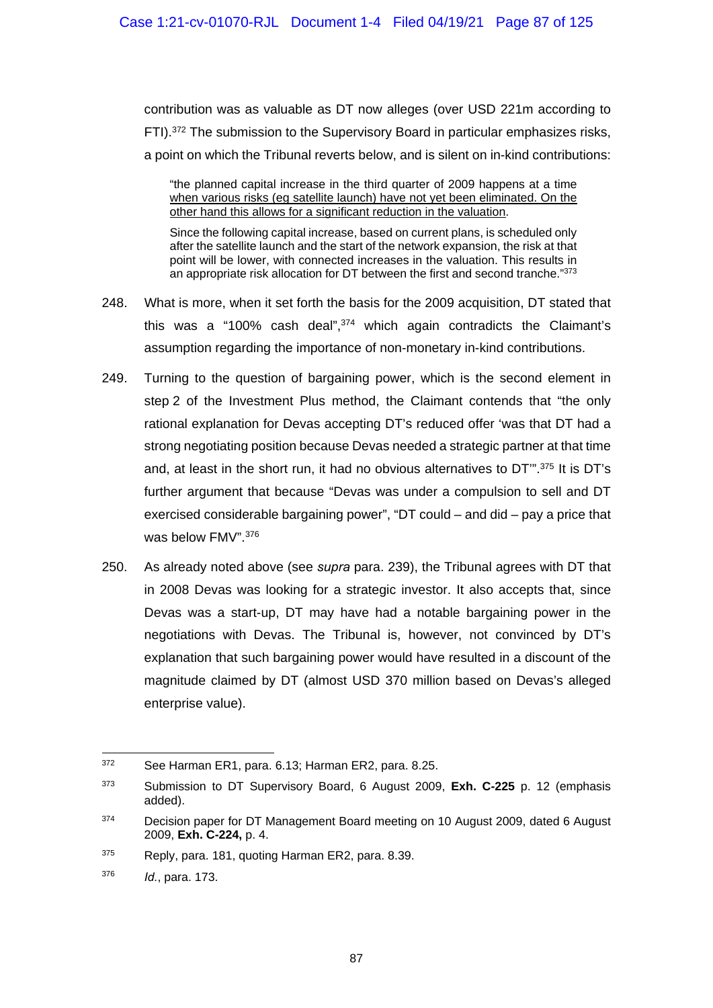contribution was as valuable as DT now alleges (over USD 221m according to FTI).372 The submission to the Supervisory Board in particular emphasizes risks, a point on which the Tribunal reverts below, and is silent on in-kind contributions:

"the planned capital increase in the third quarter of 2009 happens at a time when various risks (eg satellite launch) have not yet been eliminated. On the other hand this allows for a significant reduction in the valuation.

Since the following capital increase, based on current plans, is scheduled only after the satellite launch and the start of the network expansion, the risk at that point will be lower, with connected increases in the valuation. This results in an appropriate risk allocation for DT between the first and second tranche."373

- 248. What is more, when it set forth the basis for the 2009 acquisition, DT stated that this was a "100% cash deal", $374$  which again contradicts the Claimant's assumption regarding the importance of non-monetary in-kind contributions.
- 249. Turning to the question of bargaining power, which is the second element in step 2 of the Investment Plus method, the Claimant contends that "the only rational explanation for Devas accepting DT's reduced offer 'was that DT had a strong negotiating position because Devas needed a strategic partner at that time and, at least in the short run, it had no obvious alternatives to DT'".375 It is DT's further argument that because "Devas was under a compulsion to sell and DT exercised considerable bargaining power", "DT could – and did – pay a price that was below FMV".376
- 250. As already noted above (see *supra* para. 239), the Tribunal agrees with DT that in 2008 Devas was looking for a strategic investor. It also accepts that, since Devas was a start-up, DT may have had a notable bargaining power in the negotiations with Devas. The Tribunal is, however, not convinced by DT's explanation that such bargaining power would have resulted in a discount of the magnitude claimed by DT (almost USD 370 million based on Devas's alleged enterprise value).

<sup>372</sup> See Harman ER1, para. 6.13; Harman ER2, para. 8.25.

<sup>373</sup> Submission to DT Supervisory Board, 6 August 2009, **Exh. C-225** p. 12 (emphasis added).

<sup>&</sup>lt;sup>374</sup> Decision paper for DT Management Board meeting on 10 August 2009, dated 6 August 2009, **Exh. C-224,** p. 4.

<sup>375</sup> Reply, para. 181, quoting Harman ER2, para. 8.39.

<sup>376</sup> *Id.*, para. 173.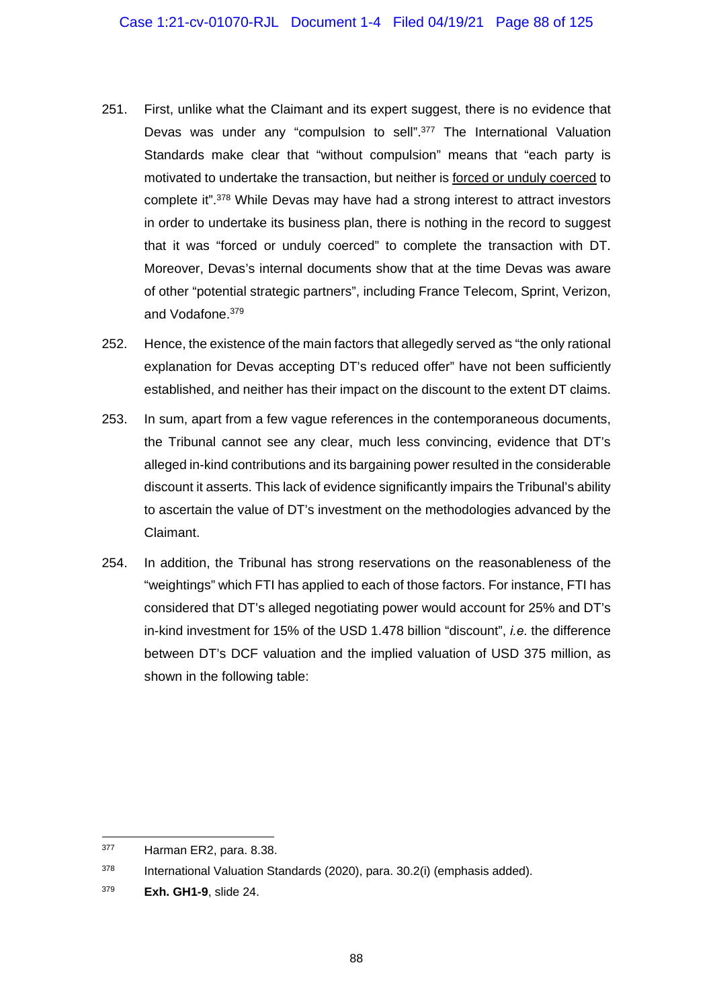- 251. First, unlike what the Claimant and its expert suggest, there is no evidence that Devas was under any "compulsion to sell".377 The International Valuation Standards make clear that "without compulsion" means that "each party is motivated to undertake the transaction, but neither is forced or unduly coerced to complete it".378 While Devas may have had a strong interest to attract investors in order to undertake its business plan, there is nothing in the record to suggest that it was "forced or unduly coerced" to complete the transaction with DT. Moreover, Devas's internal documents show that at the time Devas was aware of other "potential strategic partners", including France Telecom, Sprint, Verizon, and Vodafone.379
- 252. Hence, the existence of the main factors that allegedly served as "the only rational explanation for Devas accepting DT's reduced offer" have not been sufficiently established, and neither has their impact on the discount to the extent DT claims.
- 253. In sum, apart from a few vague references in the contemporaneous documents, the Tribunal cannot see any clear, much less convincing, evidence that DT's alleged in-kind contributions and its bargaining power resulted in the considerable discount it asserts. This lack of evidence significantly impairs the Tribunal's ability to ascertain the value of DT's investment on the methodologies advanced by the Claimant.
- 254. In addition, the Tribunal has strong reservations on the reasonableness of the "weightings" which FTI has applied to each of those factors. For instance, FTI has considered that DT's alleged negotiating power would account for 25% and DT's in-kind investment for 15% of the USD 1.478 billion "discount", *i.e.* the difference between DT's DCF valuation and the implied valuation of USD 375 million, as shown in the following table:

<sup>377</sup> Harman ER2, para. 8.38.

<sup>378</sup> International Valuation Standards (2020), para. 30.2(i) (emphasis added).

<sup>379</sup> **Exh. GH1-9**, slide 24.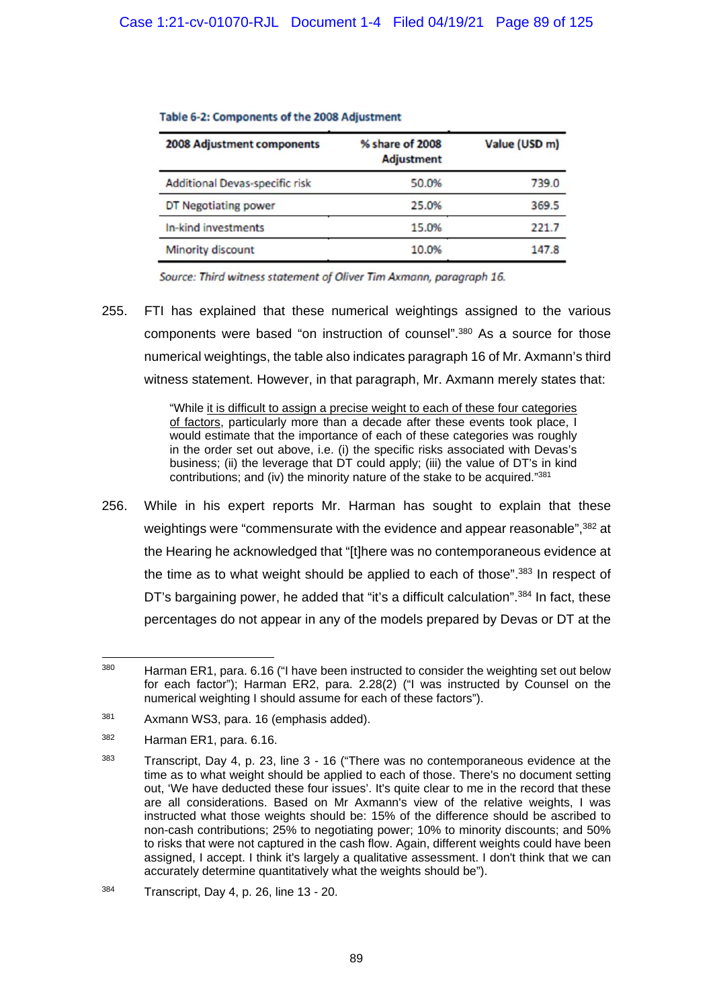| 2008 Adjustment components            | % share of 2008<br><b>Adjustment</b> | Value (USD m) |
|---------------------------------------|--------------------------------------|---------------|
| <b>Additional Devas-specific risk</b> | 50.0%                                | 739.0         |
| DT Negotiating power                  | 25.0%                                | 369.5         |
| In-kind investments                   | 15.0%                                | 221.7         |
| <b>Minority discount</b>              | 10.0%                                | 147.8         |

#### Table 6-2: Components of the 2008 Adjustment

Source: Third witness statement of Oliver Tim Axmann, paragraph 16.

255. FTI has explained that these numerical weightings assigned to the various components were based "on instruction of counsel".380 As a source for those numerical weightings, the table also indicates paragraph 16 of Mr. Axmann's third witness statement. However, in that paragraph, Mr. Axmann merely states that:

> "While it is difficult to assign a precise weight to each of these four categories of factors, particularly more than a decade after these events took place, I would estimate that the importance of each of these categories was roughly in the order set out above, i.e. (i) the specific risks associated with Devas's business; (ii) the leverage that DT could apply; (iii) the value of DT's in kind contributions; and (iv) the minority nature of the stake to be acquired."381

256. While in his expert reports Mr. Harman has sought to explain that these weightings were "commensurate with the evidence and appear reasonable",<sup>382</sup> at the Hearing he acknowledged that "[t]here was no contemporaneous evidence at the time as to what weight should be applied to each of those".<sup>383</sup> In respect of DT's bargaining power, he added that "it's a difficult calculation".<sup>384</sup> In fact, these percentages do not appear in any of the models prepared by Devas or DT at the

<sup>1</sup> <sup>380</sup> Harman ER1, para. 6.16 ("I have been instructed to consider the weighting set out below for each factor"); Harman ER2, para. 2.28(2) ("I was instructed by Counsel on the numerical weighting I should assume for each of these factors").

<sup>381</sup> Axmann WS3, para. 16 (emphasis added).

<sup>382</sup> Harman ER1, para. 6.16.

<sup>&</sup>lt;sup>383</sup> Transcript, Day 4, p. 23, line 3 - 16 ("There was no contemporaneous evidence at the time as to what weight should be applied to each of those. There's no document setting out, 'We have deducted these four issues'. It's quite clear to me in the record that these are all considerations. Based on Mr Axmann's view of the relative weights, I was instructed what those weights should be: 15% of the difference should be ascribed to non-cash contributions; 25% to negotiating power; 10% to minority discounts; and 50% to risks that were not captured in the cash flow. Again, different weights could have been assigned, I accept. I think it's largely a qualitative assessment. I don't think that we can accurately determine quantitatively what the weights should be").

<sup>384</sup> Transcript, Day 4, p. 26, line 13 - 20.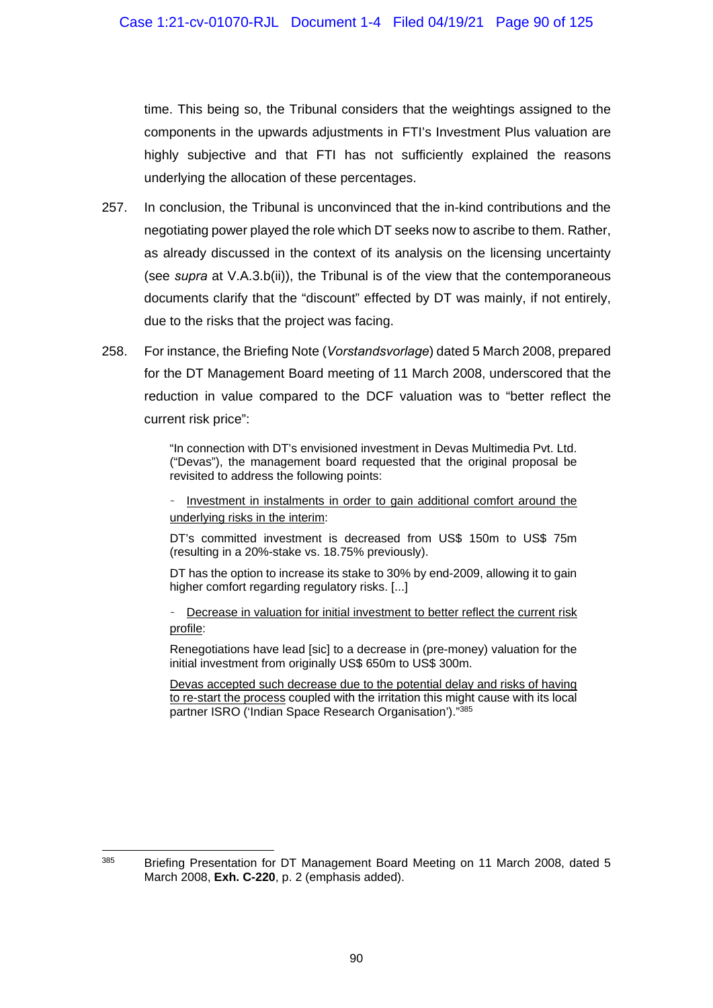time. This being so, the Tribunal considers that the weightings assigned to the components in the upwards adjustments in FTI's Investment Plus valuation are highly subjective and that FTI has not sufficiently explained the reasons underlying the allocation of these percentages.

- 257. In conclusion, the Tribunal is unconvinced that the in-kind contributions and the negotiating power played the role which DT seeks now to ascribe to them. Rather, as already discussed in the context of its analysis on the licensing uncertainty (see *supra* at V.A.3.b(ii)), the Tribunal is of the view that the contemporaneous documents clarify that the "discount" effected by DT was mainly, if not entirely, due to the risks that the project was facing.
- 258. For instance, the Briefing Note (*Vorstandsvorlage*) dated 5 March 2008, prepared for the DT Management Board meeting of 11 March 2008, underscored that the reduction in value compared to the DCF valuation was to "better reflect the current risk price":

"In connection with DT's envisioned investment in Devas Multimedia Pvt. Ltd. ("Devas"), the management board requested that the original proposal be revisited to address the following points:

- Investment in instalments in order to gain additional comfort around the underlying risks in the interim:

DT's committed investment is decreased from US\$ 150m to US\$ 75m (resulting in a 20%-stake vs. 18.75% previously).

DT has the option to increase its stake to 30% by end-2009, allowing it to gain higher comfort regarding regulatory risks. [...]

- Decrease in valuation for initial investment to better reflect the current risk profile:

Renegotiations have lead [sic] to a decrease in (pre-money) valuation for the initial investment from originally US\$ 650m to US\$ 300m.

Devas accepted such decrease due to the potential delay and risks of having to re-start the process coupled with the irritation this might cause with its local partner ISRO ('Indian Space Research Organisation')."385

 $\overline{a}$ <sup>385</sup> Briefing Presentation for DT Management Board Meeting on 11 March 2008, dated 5 March 2008, **Exh. C-220**, p. 2 (emphasis added).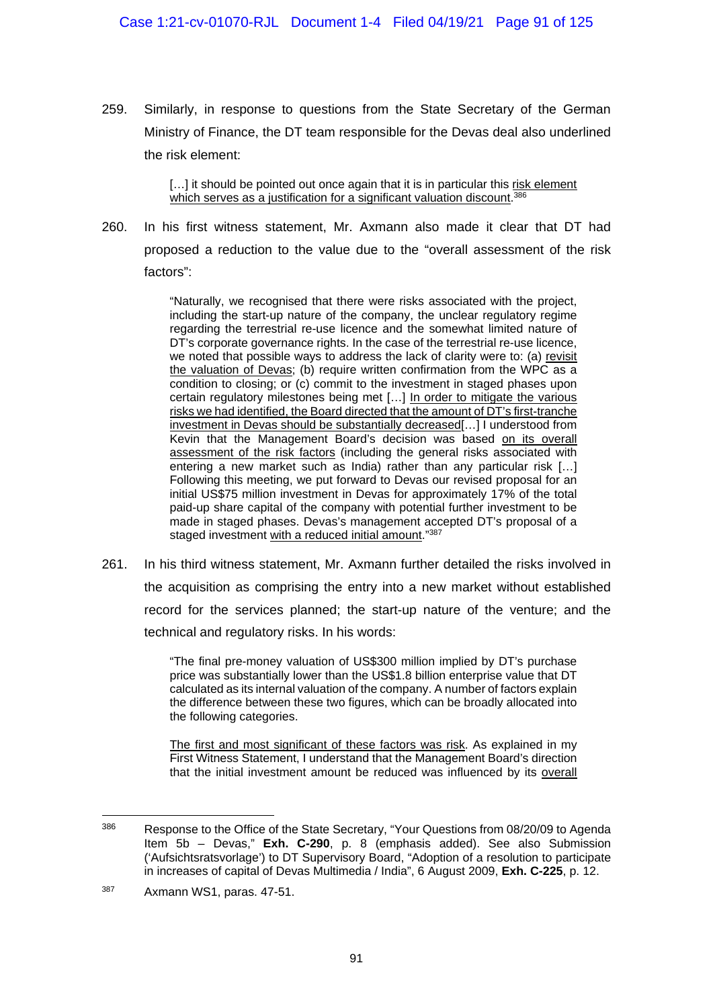259. Similarly, in response to questions from the State Secretary of the German Ministry of Finance, the DT team responsible for the Devas deal also underlined the risk element:

> [...] it should be pointed out once again that it is in particular this risk element which serves as a justification for a significant valuation discount.<sup>386</sup>

260. In his first witness statement, Mr. Axmann also made it clear that DT had proposed a reduction to the value due to the "overall assessment of the risk factors":

> "Naturally, we recognised that there were risks associated with the project, including the start-up nature of the company, the unclear regulatory regime regarding the terrestrial re-use licence and the somewhat limited nature of DT's corporate governance rights. In the case of the terrestrial re-use licence, we noted that possible ways to address the lack of clarity were to: (a) revisit the valuation of Devas; (b) require written confirmation from the WPC as a condition to closing; or (c) commit to the investment in staged phases upon certain regulatory milestones being met […] In order to mitigate the various risks we had identified, the Board directed that the amount of DT's first-tranche investment in Devas should be substantially decreased[…] I understood from Kevin that the Management Board's decision was based on its overall assessment of the risk factors (including the general risks associated with entering a new market such as India) rather than any particular risk […] Following this meeting, we put forward to Devas our revised proposal for an initial US\$75 million investment in Devas for approximately 17% of the total paid-up share capital of the company with potential further investment to be made in staged phases. Devas's management accepted DT's proposal of a staged investment with a reduced initial amount."387

261. In his third witness statement, Mr. Axmann further detailed the risks involved in the acquisition as comprising the entry into a new market without established record for the services planned; the start-up nature of the venture; and the technical and regulatory risks. In his words:

> "The final pre-money valuation of US\$300 million implied by DT's purchase price was substantially lower than the US\$1.8 billion enterprise value that DT calculated as its internal valuation of the company. A number of factors explain the difference between these two figures, which can be broadly allocated into the following categories.

> The first and most significant of these factors was risk. As explained in my First Witness Statement, I understand that the Management Board's direction that the initial investment amount be reduced was influenced by its overall

<sup>&</sup>lt;sup>386</sup> Response to the Office of the State Secretary, "Your Questions from 08/20/09 to Agenda Item 5b – Devas," **Exh. C-290**, p. 8 (emphasis added). See also Submission ('Aufsichtsratsvorlage') to DT Supervisory Board, "Adoption of a resolution to participate in increases of capital of Devas Multimedia / India", 6 August 2009, **Exh. C-225**, p. 12.

<sup>387</sup> Axmann WS1, paras. 47-51.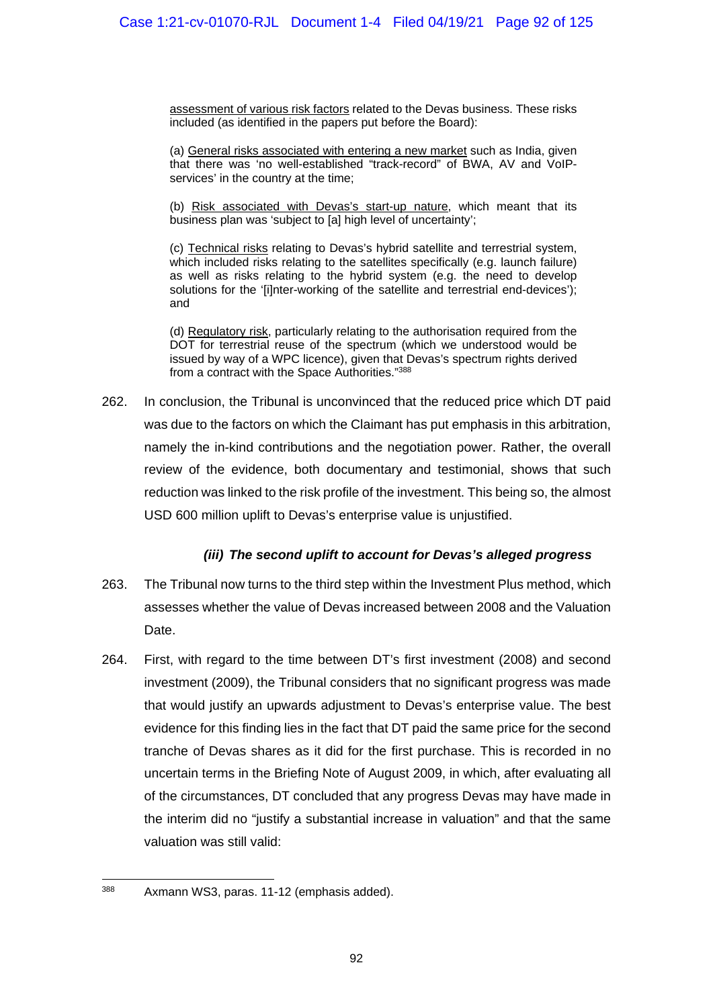assessment of various risk factors related to the Devas business. These risks included (as identified in the papers put before the Board):

(a) General risks associated with entering a new market such as India, given that there was 'no well-established "track-record" of BWA, AV and VoIPservices' in the country at the time;

(b) Risk associated with Devas's start-up nature, which meant that its business plan was 'subject to [a] high level of uncertainty';

(c) Technical risks relating to Devas's hybrid satellite and terrestrial system, which included risks relating to the satellites specifically (e.g. launch failure) as well as risks relating to the hybrid system (e.g. the need to develop solutions for the '[i]nter-working of the satellite and terrestrial end-devices'); and

(d) Regulatory risk, particularly relating to the authorisation required from the DOT for terrestrial reuse of the spectrum (which we understood would be issued by way of a WPC licence), given that Devas's spectrum rights derived from a contract with the Space Authorities."388

262. In conclusion, the Tribunal is unconvinced that the reduced price which DT paid was due to the factors on which the Claimant has put emphasis in this arbitration, namely the in-kind contributions and the negotiation power. Rather, the overall review of the evidence, both documentary and testimonial, shows that such reduction was linked to the risk profile of the investment. This being so, the almost USD 600 million uplift to Devas's enterprise value is unjustified.

### *(iii) The second uplift to account for Devas's alleged progress*

- 263. The Tribunal now turns to the third step within the Investment Plus method, which assesses whether the value of Devas increased between 2008 and the Valuation Date.
- 264. First, with regard to the time between DT's first investment (2008) and second investment (2009), the Tribunal considers that no significant progress was made that would justify an upwards adjustment to Devas's enterprise value. The best evidence for this finding lies in the fact that DT paid the same price for the second tranche of Devas shares as it did for the first purchase. This is recorded in no uncertain terms in the Briefing Note of August 2009, in which, after evaluating all of the circumstances, DT concluded that any progress Devas may have made in the interim did no "justify a substantial increase in valuation" and that the same valuation was still valid:

<sup>1</sup> 388 Axmann WS3, paras. 11-12 (emphasis added).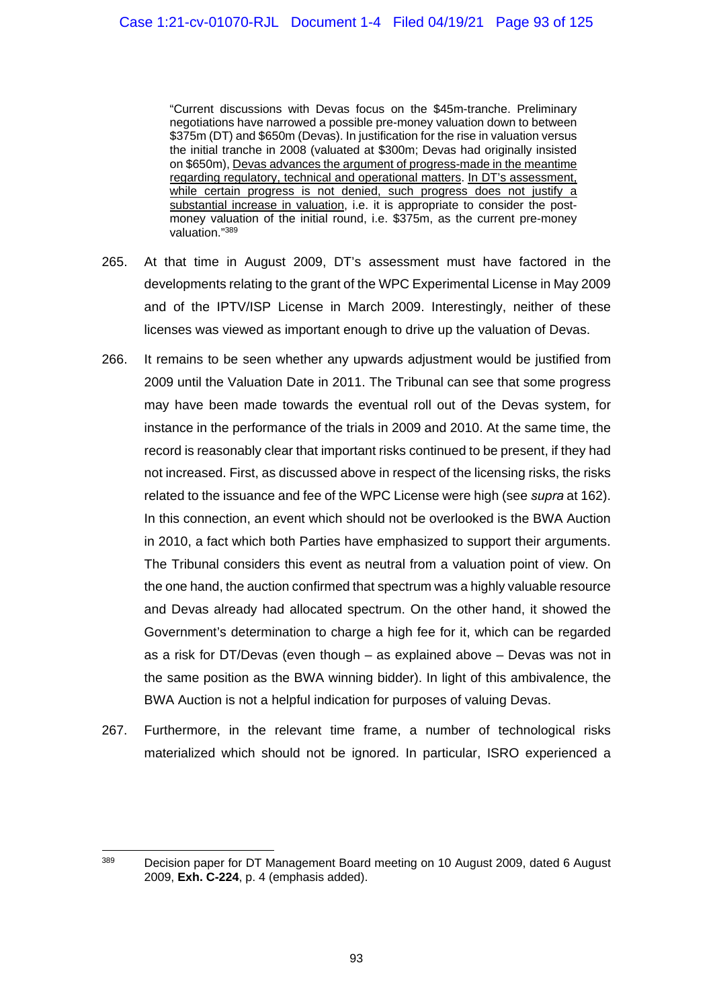"Current discussions with Devas focus on the \$45m-tranche. Preliminary negotiations have narrowed a possible pre-money valuation down to between \$375m (DT) and \$650m (Devas). In justification for the rise in valuation versus the initial tranche in 2008 (valuated at \$300m; Devas had originally insisted on \$650m), Devas advances the argument of progress-made in the meantime regarding regulatory, technical and operational matters. In DT's assessment, while certain progress is not denied, such progress does not justify a substantial increase in valuation, i.e. it is appropriate to consider the postmoney valuation of the initial round, i.e. \$375m, as the current pre-money valuation."389

- 265. At that time in August 2009, DT's assessment must have factored in the developments relating to the grant of the WPC Experimental License in May 2009 and of the IPTV/ISP License in March 2009. Interestingly, neither of these licenses was viewed as important enough to drive up the valuation of Devas.
- 266. It remains to be seen whether any upwards adjustment would be justified from 2009 until the Valuation Date in 2011. The Tribunal can see that some progress may have been made towards the eventual roll out of the Devas system, for instance in the performance of the trials in 2009 and 2010. At the same time, the record is reasonably clear that important risks continued to be present, if they had not increased. First, as discussed above in respect of the licensing risks, the risks related to the issuance and fee of the WPC License were high (see *supra* at 162). In this connection, an event which should not be overlooked is the BWA Auction in 2010, a fact which both Parties have emphasized to support their arguments. The Tribunal considers this event as neutral from a valuation point of view. On the one hand, the auction confirmed that spectrum was a highly valuable resource and Devas already had allocated spectrum. On the other hand, it showed the Government's determination to charge a high fee for it, which can be regarded as a risk for DT/Devas (even though – as explained above – Devas was not in the same position as the BWA winning bidder). In light of this ambivalence, the BWA Auction is not a helpful indication for purposes of valuing Devas.
- 267. Furthermore, in the relevant time frame, a number of technological risks materialized which should not be ignored. In particular, ISRO experienced a

 $\overline{a}$ <sup>389</sup> Decision paper for DT Management Board meeting on 10 August 2009, dated 6 August 2009, **Exh. C-224**, p. 4 (emphasis added).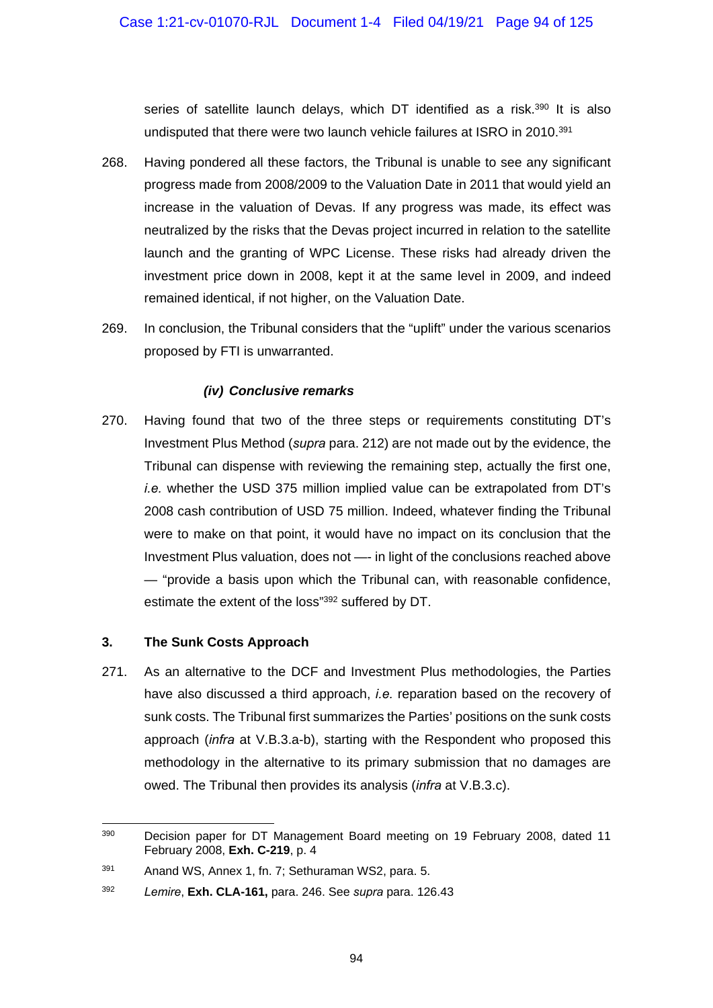series of satellite launch delays, which DT identified as a risk.<sup>390</sup> It is also undisputed that there were two launch vehicle failures at ISRO in 2010.391

- 268. Having pondered all these factors, the Tribunal is unable to see any significant progress made from 2008/2009 to the Valuation Date in 2011 that would yield an increase in the valuation of Devas. If any progress was made, its effect was neutralized by the risks that the Devas project incurred in relation to the satellite launch and the granting of WPC License. These risks had already driven the investment price down in 2008, kept it at the same level in 2009, and indeed remained identical, if not higher, on the Valuation Date.
- 269. In conclusion, the Tribunal considers that the "uplift" under the various scenarios proposed by FTI is unwarranted.

### *(iv) Conclusive remarks*

270. Having found that two of the three steps or requirements constituting DT's Investment Plus Method (*supra* para. 212) are not made out by the evidence, the Tribunal can dispense with reviewing the remaining step, actually the first one, *i.e.* whether the USD 375 million implied value can be extrapolated from DT's 2008 cash contribution of USD 75 million. Indeed, whatever finding the Tribunal were to make on that point, it would have no impact on its conclusion that the Investment Plus valuation, does not —- in light of the conclusions reached above — "provide a basis upon which the Tribunal can, with reasonable confidence, estimate the extent of the loss"392 suffered by DT.

### **3. The Sunk Costs Approach**

271. As an alternative to the DCF and Investment Plus methodologies, the Parties have also discussed a third approach, *i.e.* reparation based on the recovery of sunk costs. The Tribunal first summarizes the Parties' positions on the sunk costs approach (*infra* at V.B.3.a-b), starting with the Respondent who proposed this methodology in the alternative to its primary submission that no damages are owed. The Tribunal then provides its analysis (*infra* at V.B.3.c).

<sup>390</sup> Decision paper for DT Management Board meeting on 19 February 2008, dated 11 February 2008, **Exh. C-219**, p. 4

<sup>391</sup> Anand WS, Annex 1, fn. 7; Sethuraman WS2, para. 5.

<sup>392</sup> *Lemire*, **Exh. CLA-161,** para. 246. See *supra* para. 126.43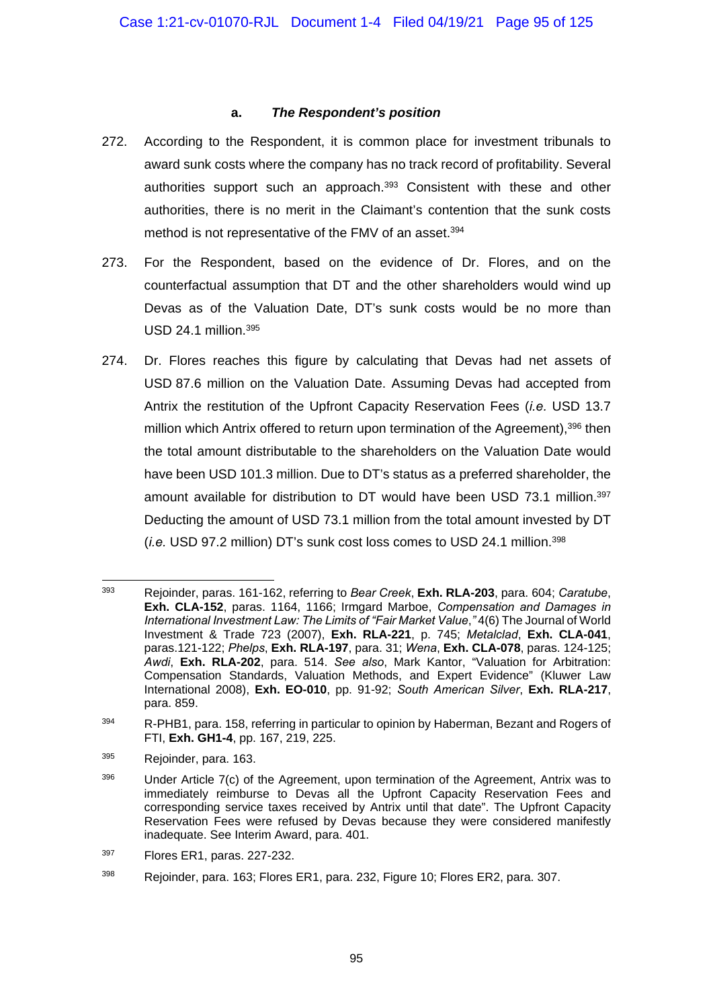#### **a.** *The Respondent's position*

- 272. According to the Respondent, it is common place for investment tribunals to award sunk costs where the company has no track record of profitability. Several authorities support such an approach.<sup>393</sup> Consistent with these and other authorities, there is no merit in the Claimant's contention that the sunk costs method is not representative of the FMV of an asset.<sup>394</sup>
- 273. For the Respondent, based on the evidence of Dr. Flores, and on the counterfactual assumption that DT and the other shareholders would wind up Devas as of the Valuation Date, DT's sunk costs would be no more than USD 24.1 million.395
- 274. Dr. Flores reaches this figure by calculating that Devas had net assets of USD 87.6 million on the Valuation Date. Assuming Devas had accepted from Antrix the restitution of the Upfront Capacity Reservation Fees (*i.e.* USD 13.7 million which Antrix offered to return upon termination of the Agreement),<sup>396</sup> then the total amount distributable to the shareholders on the Valuation Date would have been USD 101.3 million. Due to DT's status as a preferred shareholder, the amount available for distribution to DT would have been USD 73.1 million.<sup>397</sup> Deducting the amount of USD 73.1 million from the total amount invested by DT (*i.e.* USD 97.2 million) DT's sunk cost loss comes to USD 24.1 million.398

395 Rejoinder, para. 163.

1

397 Flores ER1, paras. 227-232.

<sup>393</sup> Rejoinder, paras. 161-162, referring to *Bear Creek*, **Exh. RLA-203**, para. 604; *Caratube*, **Exh. CLA-152**, paras. 1164, 1166; Irmgard Marboe, *Compensation and Damages in International Investment Law: The Limits of "Fair Market Value*,*"* 4(6) The Journal of World Investment & Trade 723 (2007), **Exh. RLA-221**, p. 745; *Metalclad*, **Exh. CLA-041**, paras.121-122; *Phelps*, **Exh. RLA-197**, para. 31; *Wena*, **Exh. CLA-078**, paras. 124-125; *Awdi*, **Exh. RLA-202**, para. 514. *See also*, Mark Kantor, "Valuation for Arbitration: Compensation Standards, Valuation Methods, and Expert Evidence" (Kluwer Law International 2008), **Exh. EO-010**, pp. 91-92; *South American Silver*, **Exh. RLA-217**, para. 859.

<sup>&</sup>lt;sup>394</sup> R-PHB1, para. 158, referring in particular to opinion by Haberman, Bezant and Rogers of FTI, **Exh. GH1-4**, pp. 167, 219, 225.

<sup>&</sup>lt;sup>396</sup> Under Article 7(c) of the Agreement, upon termination of the Agreement, Antrix was to immediately reimburse to Devas all the Upfront Capacity Reservation Fees and corresponding service taxes received by Antrix until that date". The Upfront Capacity Reservation Fees were refused by Devas because they were considered manifestly inadequate. See Interim Award, para. 401.

<sup>398</sup> Rejoinder, para. 163; Flores ER1, para. 232, Figure 10; Flores ER2, para. 307.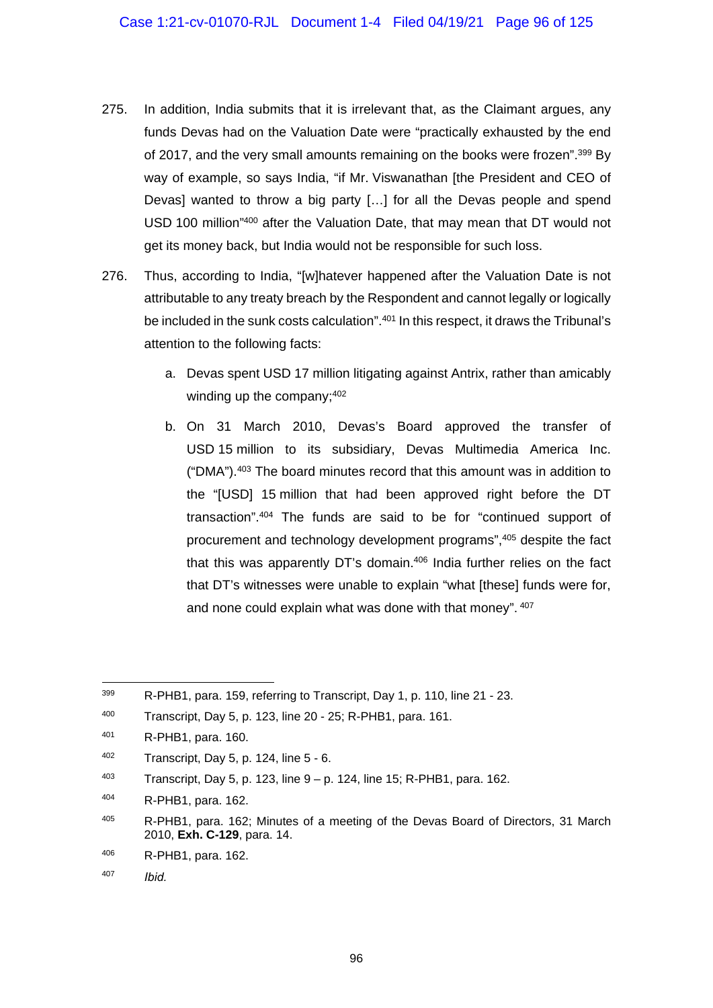- 275. In addition, India submits that it is irrelevant that, as the Claimant argues, any funds Devas had on the Valuation Date were "practically exhausted by the end of 2017, and the very small amounts remaining on the books were frozen".<sup>399</sup> By way of example, so says India, "if Mr. Viswanathan [the President and CEO of Devas] wanted to throw a big party […] for all the Devas people and spend USD 100 million"400 after the Valuation Date, that may mean that DT would not get its money back, but India would not be responsible for such loss.
- 276. Thus, according to India, "[w]hatever happened after the Valuation Date is not attributable to any treaty breach by the Respondent and cannot legally or logically be included in the sunk costs calculation".<sup>401</sup> In this respect, it draws the Tribunal's attention to the following facts:
	- a. Devas spent USD 17 million litigating against Antrix, rather than amicably winding up the company: 402
	- b. On 31 March 2010, Devas's Board approved the transfer of USD 15 million to its subsidiary, Devas Multimedia America Inc. ("DMA").403 The board minutes record that this amount was in addition to the "[USD] 15 million that had been approved right before the DT transaction".404 The funds are said to be for "continued support of procurement and technology development programs",405 despite the fact that this was apparently DT's domain.406 India further relies on the fact that DT's witnesses were unable to explain "what [these] funds were for, and none could explain what was done with that money". 407

<sup>399</sup> R-PHB1, para. 159, referring to Transcript, Day 1, p. 110, line 21 - 23.

<sup>400</sup> Transcript, Day 5, p. 123, line 20 - 25; R-PHB1, para. 161.

<sup>401</sup> R-PHB1, para. 160.

<sup>402</sup> Transcript, Day 5, p. 124, line 5 - 6.

 $403$  Transcript, Day 5, p. 123, line  $9 - p$ . 124, line 15; R-PHB1, para. 162.

<sup>404</sup> R-PHB1, para. 162.

<sup>405</sup> R-PHB1, para. 162; Minutes of a meeting of the Devas Board of Directors, 31 March 2010, **Exh. C-129**, para. 14.

<sup>406</sup> R-PHB1, para. 162.

<sup>407</sup> *Ibid.*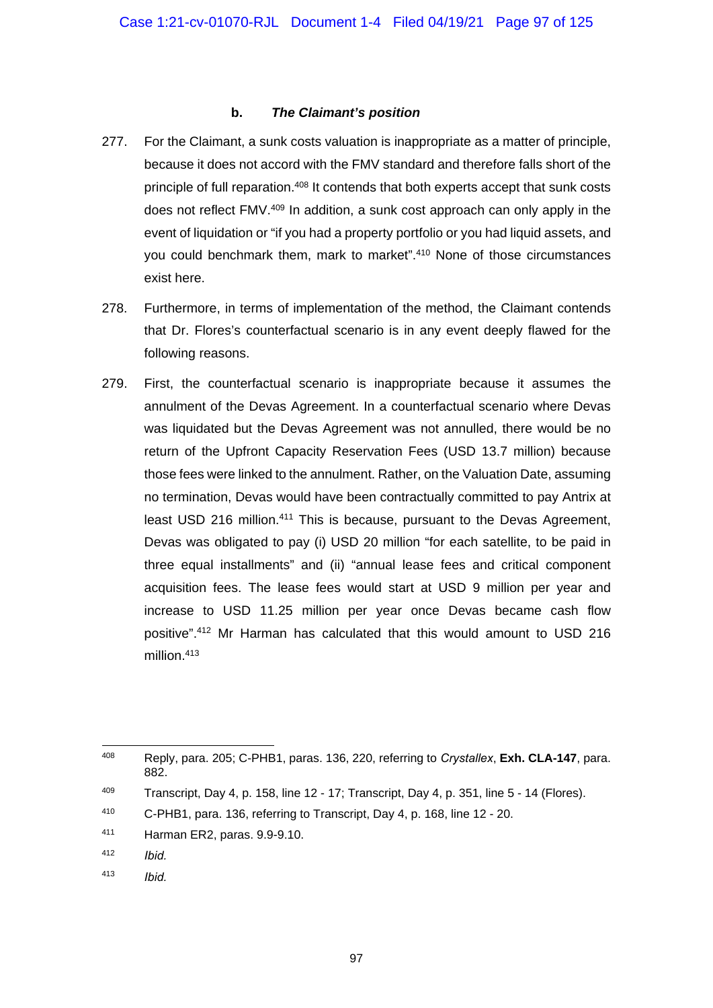#### **b.** *The Claimant's position*

- 277. For the Claimant, a sunk costs valuation is inappropriate as a matter of principle, because it does not accord with the FMV standard and therefore falls short of the principle of full reparation.<sup>408</sup> It contends that both experts accept that sunk costs does not reflect FMV.409 In addition, a sunk cost approach can only apply in the event of liquidation or "if you had a property portfolio or you had liquid assets, and you could benchmark them, mark to market".<sup>410</sup> None of those circumstances exist here.
- 278. Furthermore, in terms of implementation of the method, the Claimant contends that Dr. Flores's counterfactual scenario is in any event deeply flawed for the following reasons.
- 279. First, the counterfactual scenario is inappropriate because it assumes the annulment of the Devas Agreement. In a counterfactual scenario where Devas was liquidated but the Devas Agreement was not annulled, there would be no return of the Upfront Capacity Reservation Fees (USD 13.7 million) because those fees were linked to the annulment. Rather, on the Valuation Date, assuming no termination, Devas would have been contractually committed to pay Antrix at least USD 216 million.<sup>411</sup> This is because, pursuant to the Devas Agreement, Devas was obligated to pay (i) USD 20 million "for each satellite, to be paid in three equal installments" and (ii) "annual lease fees and critical component acquisition fees. The lease fees would start at USD 9 million per year and increase to USD 11.25 million per year once Devas became cash flow positive".412 Mr Harman has calculated that this would amount to USD 216 million.<sup>413</sup>

- 412 *Ibid.*
- 413 *Ibid.*

<sup>408</sup> 408 Reply, para. 205; C-PHB1, paras. 136, 220, referring to *Crystallex*, **Exh. CLA-147**, para. 882.

 $409$  Transcript, Day 4, p. 158, line 12 - 17; Transcript, Day 4, p. 351, line 5 - 14 (Flores).

<sup>410</sup> C-PHB1, para. 136, referring to Transcript, Day 4, p. 168, line 12 - 20.

<sup>411</sup> Harman ER2, paras. 9.9-9.10.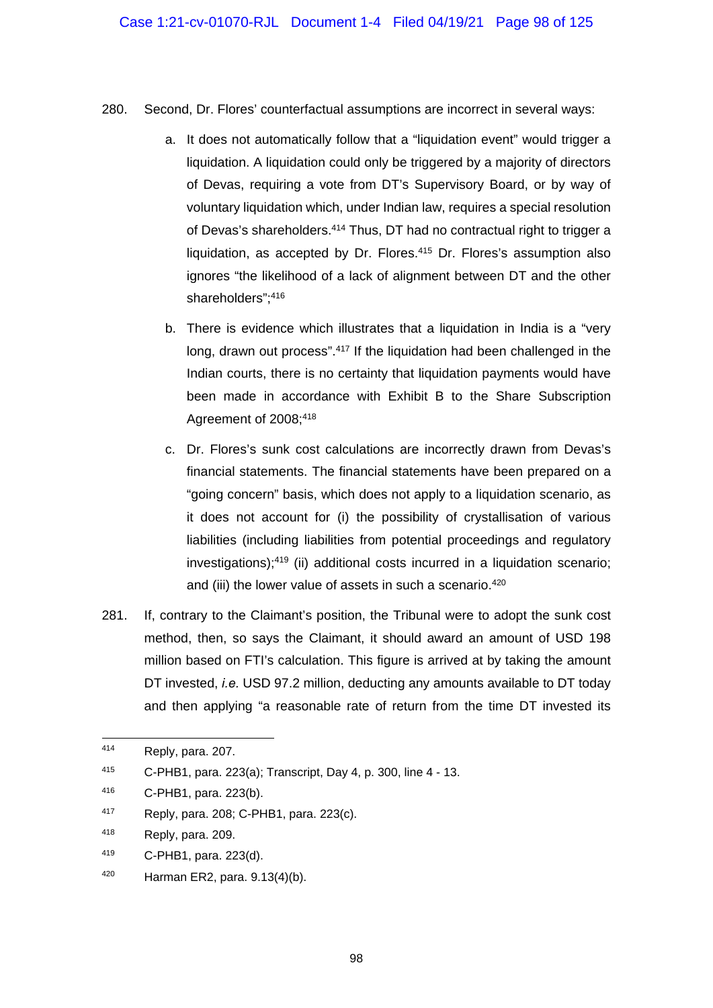- 280. Second, Dr. Flores' counterfactual assumptions are incorrect in several ways:
	- a. It does not automatically follow that a "liquidation event" would trigger a liquidation. A liquidation could only be triggered by a majority of directors of Devas, requiring a vote from DT's Supervisory Board, or by way of voluntary liquidation which, under Indian law, requires a special resolution of Devas's shareholders.<sup>414</sup> Thus, DT had no contractual right to trigger a liquidation, as accepted by Dr. Flores.<sup>415</sup> Dr. Flores's assumption also ignores "the likelihood of a lack of alignment between DT and the other shareholders": 416
	- b. There is evidence which illustrates that a liquidation in India is a "very long, drawn out process".<sup>417</sup> If the liquidation had been challenged in the Indian courts, there is no certainty that liquidation payments would have been made in accordance with Exhibit B to the Share Subscription Agreement of 2008;<sup>418</sup>
	- c. Dr. Flores's sunk cost calculations are incorrectly drawn from Devas's financial statements. The financial statements have been prepared on a "going concern" basis, which does not apply to a liquidation scenario, as it does not account for (i) the possibility of crystallisation of various liabilities (including liabilities from potential proceedings and regulatory investigations);419 (ii) additional costs incurred in a liquidation scenario; and (iii) the lower value of assets in such a scenario.<sup>420</sup>
- 281. If, contrary to the Claimant's position, the Tribunal were to adopt the sunk cost method, then, so says the Claimant, it should award an amount of USD 198 million based on FTI's calculation. This figure is arrived at by taking the amount DT invested, *i.e.* USD 97.2 million, deducting any amounts available to DT today and then applying "a reasonable rate of return from the time DT invested its

<sup>414</sup> Reply, para. 207.

<sup>415</sup> C-PHB1, para. 223(a); Transcript, Day 4, p. 300, line 4 - 13.

<sup>416</sup> C-PHB1, para. 223(b).

<sup>417</sup> Reply, para. 208; C-PHB1, para. 223(c).

<sup>418</sup> Reply, para. 209.

<sup>419</sup> C-PHB1, para. 223(d).

<sup>420</sup> Harman ER2, para. 9.13(4)(b).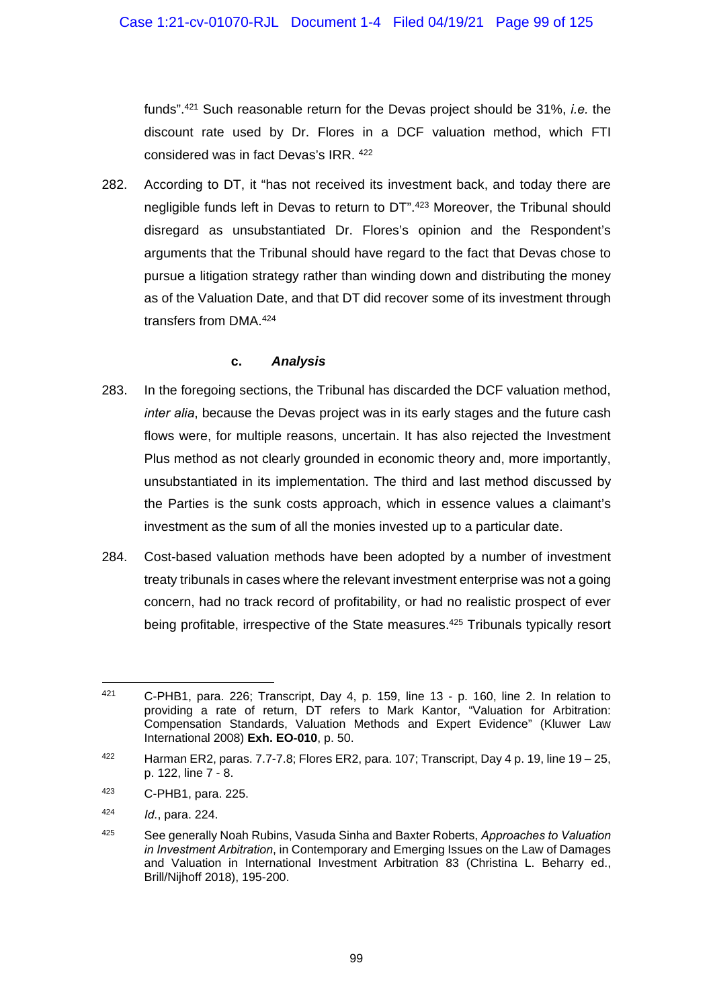funds".421 Such reasonable return for the Devas project should be 31%, *i.e.* the discount rate used by Dr. Flores in a DCF valuation method, which FTI considered was in fact Devas's IRR. 422

282. According to DT, it "has not received its investment back, and today there are negligible funds left in Devas to return to DT".423 Moreover, the Tribunal should disregard as unsubstantiated Dr. Flores's opinion and the Respondent's arguments that the Tribunal should have regard to the fact that Devas chose to pursue a litigation strategy rather than winding down and distributing the money as of the Valuation Date, and that DT did recover some of its investment through transfers from DMA.424

### **c.** *Analysis*

- 283. In the foregoing sections, the Tribunal has discarded the DCF valuation method, *inter alia*, because the Devas project was in its early stages and the future cash flows were, for multiple reasons, uncertain. It has also rejected the Investment Plus method as not clearly grounded in economic theory and, more importantly, unsubstantiated in its implementation. The third and last method discussed by the Parties is the sunk costs approach, which in essence values a claimant's investment as the sum of all the monies invested up to a particular date.
- 284. Cost-based valuation methods have been adopted by a number of investment treaty tribunals in cases where the relevant investment enterprise was not a going concern, had no track record of profitability, or had no realistic prospect of ever being profitable, irrespective of the State measures.425 Tribunals typically resort

-

<sup>421</sup> C-PHB1, para. 226; Transcript, Day 4, p. 159, line 13 - p. 160, line 2. In relation to providing a rate of return, DT refers to Mark Kantor, "Valuation for Arbitration: Compensation Standards, Valuation Methods and Expert Evidence" (Kluwer Law International 2008) **Exh. EO-010**, p. 50.

 $422$  Harman ER2, paras. 7.7-7.8; Flores ER2, para. 107; Transcript, Day 4 p. 19, line 19 – 25, p. 122, line 7 - 8.

<sup>423</sup> C-PHB1, para. 225.

<sup>424</sup> *Id.*, para. 224.

<sup>425</sup> See generally Noah Rubins, Vasuda Sinha and Baxter Roberts, *Approaches to Valuation in Investment Arbitration*, in Contemporary and Emerging Issues on the Law of Damages and Valuation in International Investment Arbitration 83 (Christina L. Beharry ed., Brill/Nijhoff 2018), 195-200.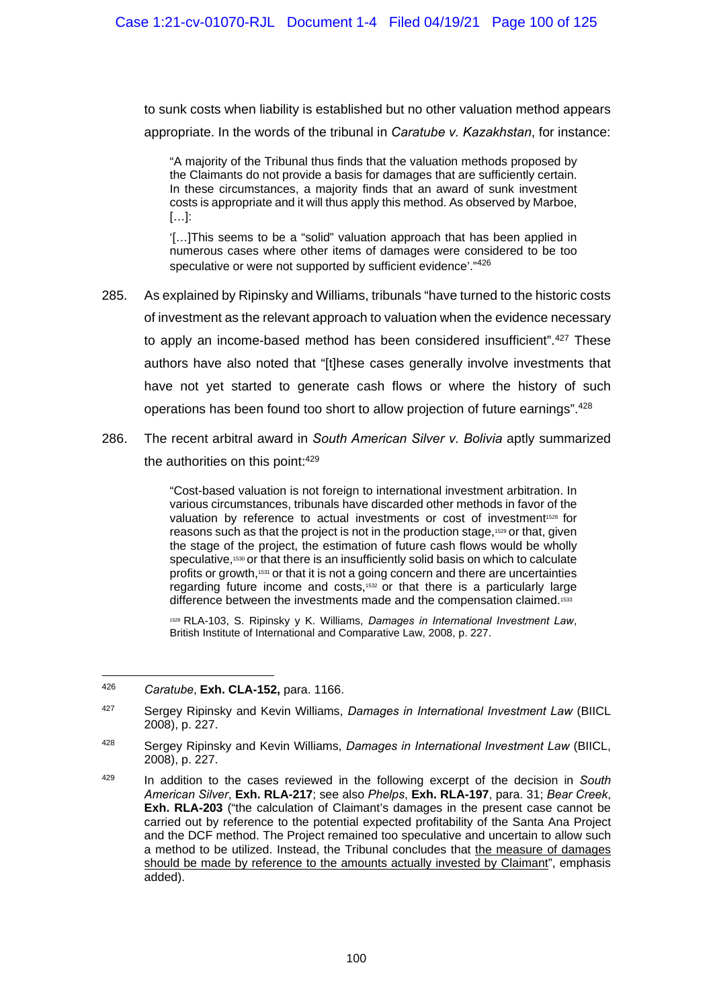to sunk costs when liability is established but no other valuation method appears appropriate. In the words of the tribunal in *Caratube v. Kazakhstan*, for instance:

"A majority of the Tribunal thus finds that the valuation methods proposed by the Claimants do not provide a basis for damages that are sufficiently certain. In these circumstances, a majority finds that an award of sunk investment costs is appropriate and it will thus apply this method. As observed by Marboe, […]:

'[…]This seems to be a "solid" valuation approach that has been applied in numerous cases where other items of damages were considered to be too speculative or were not supported by sufficient evidence'."<sup>426</sup>

- 285. As explained by Ripinsky and Williams, tribunals "have turned to the historic costs of investment as the relevant approach to valuation when the evidence necessary to apply an income-based method has been considered insufficient".<sup>427</sup> These authors have also noted that "[t]hese cases generally involve investments that have not yet started to generate cash flows or where the history of such operations has been found too short to allow projection of future earnings".428
- 286. The recent arbitral award in *South American Silver v. Bolivia* aptly summarized the authorities on this point: 429

"Cost-based valuation is not foreign to international investment arbitration. In various circumstances, tribunals have discarded other methods in favor of the valuation by reference to actual investments or cost of investment<sup>1528</sup> for reasons such as that the project is not in the production stage,1529 or that, given the stage of the project, the estimation of future cash flows would be wholly speculative,<sup>1530</sup> or that there is an insufficiently solid basis on which to calculate profits or growth,1531 or that it is not a going concern and there are uncertainties regarding future income and costs,1532 or that there is a particularly large difference between the investments made and the compensation claimed.<sup>1533</sup>

<sup>1528</sup> RLA-103, S. Ripinsky y K. Williams, *Damages in International Investment Law*, British Institute of International and Comparative Law, 2008, p. 227.

<sup>426</sup> *Caratube*, **Exh. CLA-152,** para. 1166.

<sup>427</sup> Sergey Ripinsky and Kevin Williams, *Damages in International Investment Law* (BIICL 2008), p. 227.

<sup>428</sup> Sergey Ripinsky and Kevin Williams, *Damages in International Investment Law* (BIICL, 2008), p. 227.

<sup>429</sup> In addition to the cases reviewed in the following excerpt of the decision in *South American Silver*, **Exh. RLA-217**; see also *Phelps*, **Exh. RLA-197**, para. 31; *Bear Creek*, **Exh. RLA-203** ("the calculation of Claimant's damages in the present case cannot be carried out by reference to the potential expected profitability of the Santa Ana Project and the DCF method. The Project remained too speculative and uncertain to allow such a method to be utilized. Instead, the Tribunal concludes that the measure of damages should be made by reference to the amounts actually invested by Claimant", emphasis added).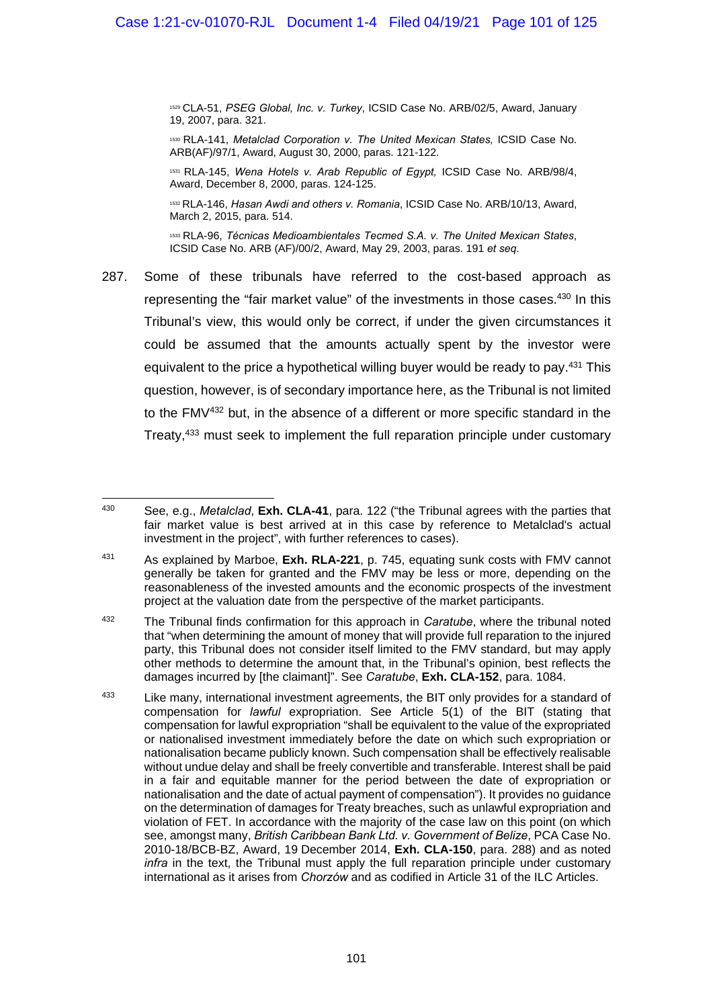<sup>1529</sup> CLA-51, *PSEG Global, Inc. v. Turkey*, ICSID Case No. ARB/02/5, Award, January 19, 2007, para. 321.

<sup>1530</sup> RLA-141, *Metalclad Corporation v. The United Mexican States,* ICSID Case No. ARB(AF)/97/1, Award, August 30, 2000, paras. 121-122.

<sup>1531</sup> RLA-145, *Wena Hotels v. Arab Republic of Egypt,* ICSID Case No. ARB/98/4, Award, December 8, 2000, paras. 124-125.

<sup>1532</sup> RLA-146, *Hasan Awdi and others v. Romania*, ICSID Case No. ARB/10/13, Award, March 2, 2015, para. 514.

<sup>1533</sup> RLA-96, *Técnicas Medioambientales Tecmed S.A. v. The United Mexican States*, ICSID Case No. ARB (AF)/00/2, Award, May 29, 2003, paras. 191 *et seq*.

287. Some of these tribunals have referred to the cost-based approach as representing the "fair market value" of the investments in those cases.<sup>430</sup> In this Tribunal's view, this would only be correct, if under the given circumstances it could be assumed that the amounts actually spent by the investor were equivalent to the price a hypothetical willing buyer would be ready to pay.431 This question, however, is of secondary importance here, as the Tribunal is not limited to the FMV432 but, in the absence of a different or more specific standard in the Treaty,433 must seek to implement the full reparation principle under customary

<sup>430</sup> 430 See, e.g., *Metalclad*, **Exh. CLA-41**, para. 122 ("the Tribunal agrees with the parties that fair market value is best arrived at in this case by reference to Metalclad's actual investment in the project", with further references to cases).

<sup>431</sup> As explained by Marboe, **Exh. RLA-221**, p. 745, equating sunk costs with FMV cannot generally be taken for granted and the FMV may be less or more, depending on the reasonableness of the invested amounts and the economic prospects of the investment project at the valuation date from the perspective of the market participants.

<sup>432</sup> The Tribunal finds confirmation for this approach in *Caratube*, where the tribunal noted that "when determining the amount of money that will provide full reparation to the injured party, this Tribunal does not consider itself limited to the FMV standard, but may apply other methods to determine the amount that, in the Tribunal's opinion, best reflects the damages incurred by [the claimant]". See *Caratube*, **Exh. CLA-152**, para. 1084.

<sup>&</sup>lt;sup>433</sup> Like many, international investment agreements, the BIT only provides for a standard of compensation for *lawful* expropriation. See Article 5(1) of the BIT (stating that compensation for lawful expropriation "shall be equivalent to the value of the expropriated or nationalised investment immediately before the date on which such expropriation or nationalisation became publicly known. Such compensation shall be effectively realisable without undue delay and shall be freely convertible and transferable. Interest shall be paid in a fair and equitable manner for the period between the date of expropriation or nationalisation and the date of actual payment of compensation"). It provides no guidance on the determination of damages for Treaty breaches, such as unlawful expropriation and violation of FET. In accordance with the majority of the case law on this point (on which see, amongst many, *British Caribbean Bank Ltd. v. Government of Belize*, PCA Case No. 2010-18/BCB-BZ, Award, 19 December 2014, **Exh. CLA-150**, para. 288) and as noted *infra* in the text, the Tribunal must apply the full reparation principle under customary international as it arises from *Chorzów* and as codified in Article 31 of the ILC Articles.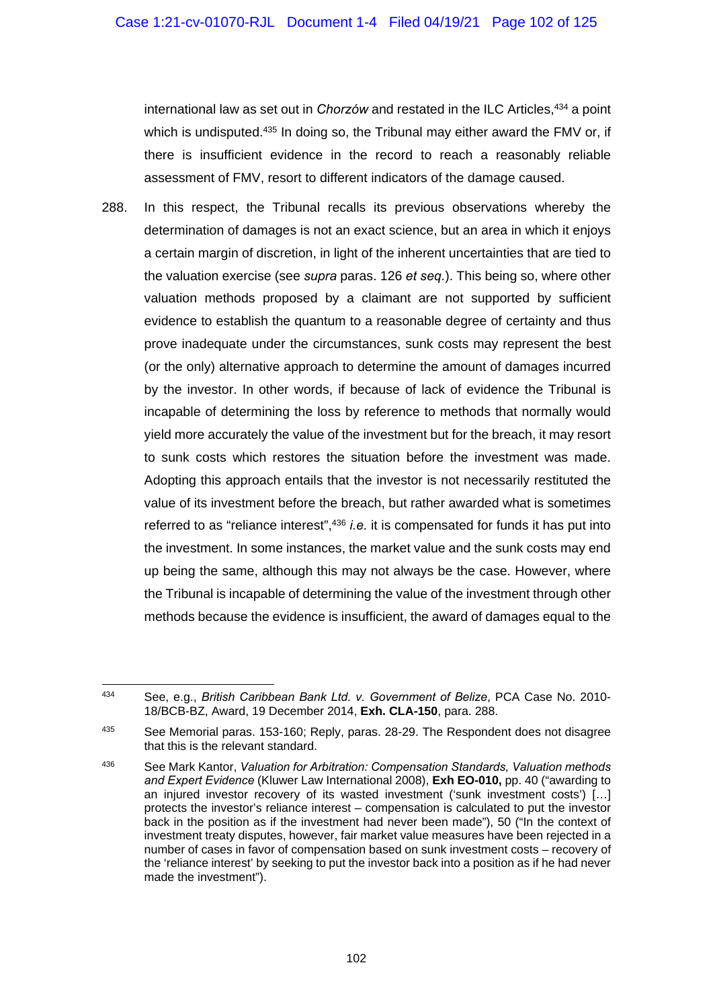international law as set out in *Chorzów* and restated in the ILC Articles,<sup>434</sup> a point which is undisputed.<sup>435</sup> In doing so, the Tribunal may either award the FMV or, if there is insufficient evidence in the record to reach a reasonably reliable assessment of FMV, resort to different indicators of the damage caused.

288. In this respect, the Tribunal recalls its previous observations whereby the determination of damages is not an exact science, but an area in which it enjoys a certain margin of discretion, in light of the inherent uncertainties that are tied to the valuation exercise (see *supra* paras. 126 *et seq.*). This being so, where other valuation methods proposed by a claimant are not supported by sufficient evidence to establish the quantum to a reasonable degree of certainty and thus prove inadequate under the circumstances, sunk costs may represent the best (or the only) alternative approach to determine the amount of damages incurred by the investor. In other words, if because of lack of evidence the Tribunal is incapable of determining the loss by reference to methods that normally would yield more accurately the value of the investment but for the breach, it may resort to sunk costs which restores the situation before the investment was made. Adopting this approach entails that the investor is not necessarily restituted the value of its investment before the breach, but rather awarded what is sometimes referred to as "reliance interest",<sup>436</sup> *i.e.* it is compensated for funds it has put into the investment. In some instances, the market value and the sunk costs may end up being the same, although this may not always be the case. However, where the Tribunal is incapable of determining the value of the investment through other methods because the evidence is insufficient, the award of damages equal to the

<sup>434</sup> See, e.g., *British Caribbean Bank Ltd. v. Government of Belize*, PCA Case No. 2010- 18/BCB-BZ, Award, 19 December 2014, **Exh. CLA-150**, para. 288.

<sup>435</sup> See Memorial paras. 153-160; Reply, paras. 28-29. The Respondent does not disagree that this is the relevant standard.

<sup>436</sup> See Mark Kantor, *Valuation for Arbitration: Compensation Standards, Valuation methods and Expert Evidence* (Kluwer Law International 2008), **Exh EO-010,** pp. 40 ("awarding to an injured investor recovery of its wasted investment ('sunk investment costs') […] protects the investor's reliance interest – compensation is calculated to put the investor back in the position as if the investment had never been made"), 50 ("In the context of investment treaty disputes, however, fair market value measures have been rejected in a number of cases in favor of compensation based on sunk investment costs – recovery of the 'reliance interest' by seeking to put the investor back into a position as if he had never made the investment").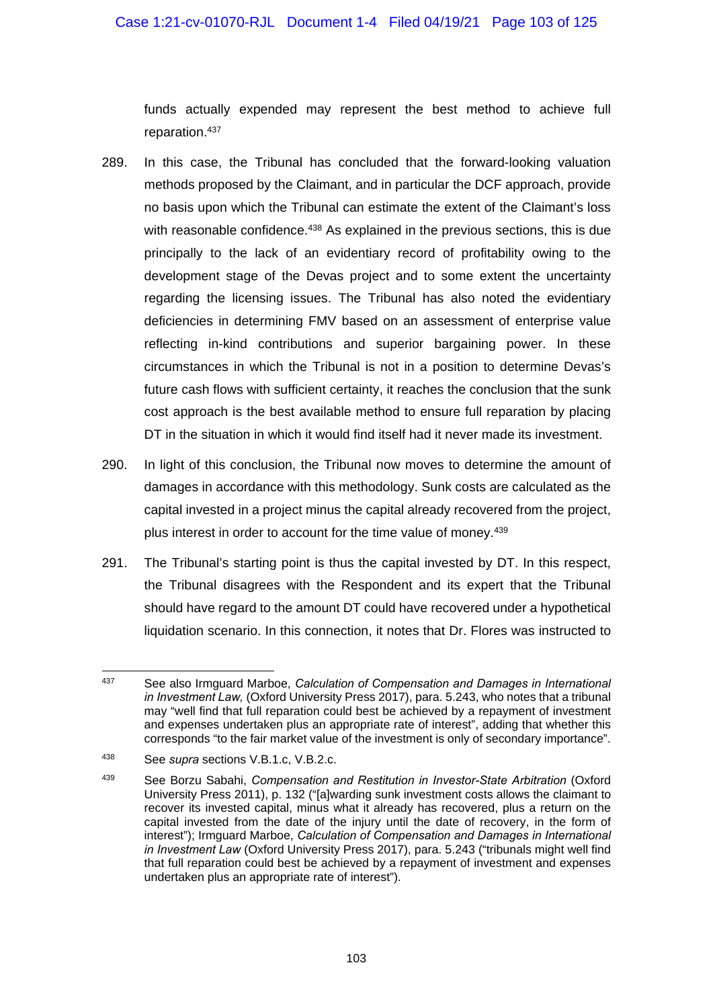funds actually expended may represent the best method to achieve full reparation.437

- 289. In this case, the Tribunal has concluded that the forward-looking valuation methods proposed by the Claimant, and in particular the DCF approach, provide no basis upon which the Tribunal can estimate the extent of the Claimant's loss with reasonable confidence.<sup>438</sup> As explained in the previous sections, this is due principally to the lack of an evidentiary record of profitability owing to the development stage of the Devas project and to some extent the uncertainty regarding the licensing issues. The Tribunal has also noted the evidentiary deficiencies in determining FMV based on an assessment of enterprise value reflecting in-kind contributions and superior bargaining power. In these circumstances in which the Tribunal is not in a position to determine Devas's future cash flows with sufficient certainty, it reaches the conclusion that the sunk cost approach is the best available method to ensure full reparation by placing DT in the situation in which it would find itself had it never made its investment.
- 290. In light of this conclusion, the Tribunal now moves to determine the amount of damages in accordance with this methodology. Sunk costs are calculated as the capital invested in a project minus the capital already recovered from the project, plus interest in order to account for the time value of money.439
- 291. The Tribunal's starting point is thus the capital invested by DT. In this respect, the Tribunal disagrees with the Respondent and its expert that the Tribunal should have regard to the amount DT could have recovered under a hypothetical liquidation scenario. In this connection, it notes that Dr. Flores was instructed to

<sup>1</sup> 437 See also Irmguard Marboe, *Calculation of Compensation and Damages in International in Investment Law,* (Oxford University Press 2017), para. 5.243, who notes that a tribunal may "well find that full reparation could best be achieved by a repayment of investment and expenses undertaken plus an appropriate rate of interest", adding that whether this corresponds "to the fair market value of the investment is only of secondary importance".

<sup>438</sup> See *supra* sections V.B.1.c, V.B.2.c.

<sup>439</sup> See Borzu Sabahi, *Compensation and Restitution in Investor-State Arbitration* (Oxford University Press 2011), p. 132 ("[a]warding sunk investment costs allows the claimant to recover its invested capital, minus what it already has recovered, plus a return on the capital invested from the date of the injury until the date of recovery, in the form of interest"); Irmguard Marboe, *Calculation of Compensation and Damages in International in Investment Law* (Oxford University Press 2017), para. 5.243 ("tribunals might well find that full reparation could best be achieved by a repayment of investment and expenses undertaken plus an appropriate rate of interest").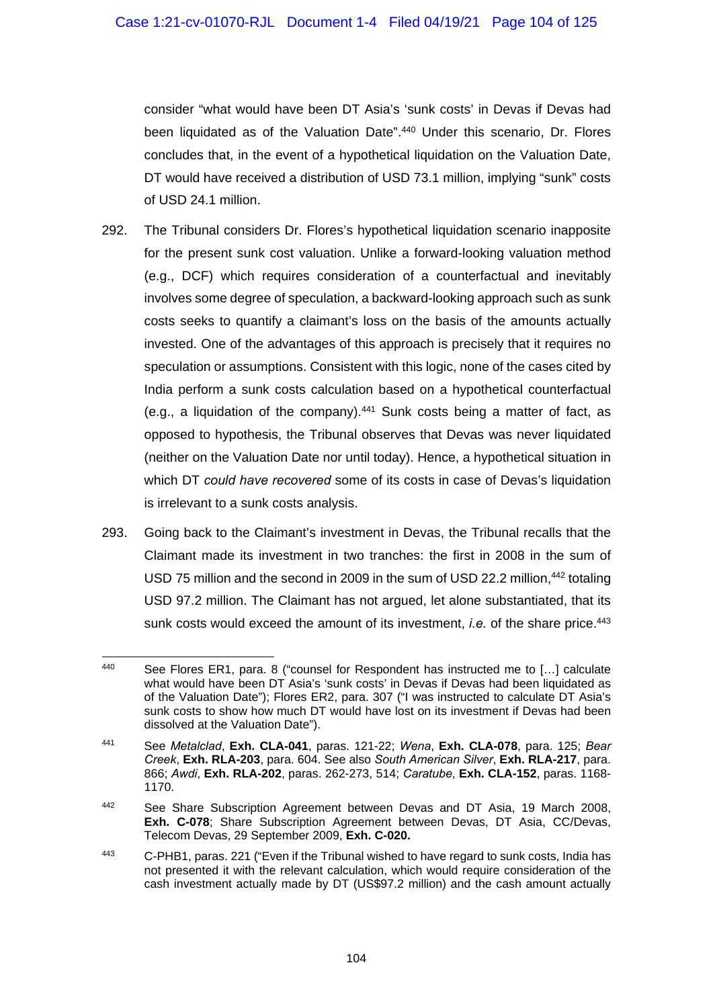consider "what would have been DT Asia's 'sunk costs' in Devas if Devas had been liquidated as of the Valuation Date".440 Under this scenario, Dr. Flores concludes that, in the event of a hypothetical liquidation on the Valuation Date, DT would have received a distribution of USD 73.1 million, implying "sunk" costs of USD 24.1 million.

- 292. The Tribunal considers Dr. Flores's hypothetical liquidation scenario inapposite for the present sunk cost valuation. Unlike a forward-looking valuation method (e.g., DCF) which requires consideration of a counterfactual and inevitably involves some degree of speculation, a backward-looking approach such as sunk costs seeks to quantify a claimant's loss on the basis of the amounts actually invested. One of the advantages of this approach is precisely that it requires no speculation or assumptions. Consistent with this logic, none of the cases cited by India perform a sunk costs calculation based on a hypothetical counterfactual (e.g., a liquidation of the company).441 Sunk costs being a matter of fact, as opposed to hypothesis, the Tribunal observes that Devas was never liquidated (neither on the Valuation Date nor until today). Hence, a hypothetical situation in which DT *could have recovered* some of its costs in case of Devas's liquidation is irrelevant to a sunk costs analysis.
- 293. Going back to the Claimant's investment in Devas, the Tribunal recalls that the Claimant made its investment in two tranches: the first in 2008 in the sum of USD 75 million and the second in 2009 in the sum of USD 22.2 million, <sup>442</sup> totaling USD 97.2 million. The Claimant has not argued, let alone substantiated, that its sunk costs would exceed the amount of its investment, *i.e.* of the share price.<sup>443</sup>

<sup>440</sup> See Flores ER1, para. 8 ("counsel for Respondent has instructed me to  $[...]$  calculate what would have been DT Asia's 'sunk costs' in Devas if Devas had been liquidated as of the Valuation Date"); Flores ER2, para. 307 ("I was instructed to calculate DT Asia's sunk costs to show how much DT would have lost on its investment if Devas had been dissolved at the Valuation Date").

<sup>441</sup> See *Metalclad*, **Exh. CLA-041**, paras. 121-22; *Wena*, **Exh. CLA-078**, para. 125; *Bear Creek*, **Exh. RLA-203**, para. 604. See also *South American Silver*, **Exh. RLA-217**, para. 866; *Awdi*, **Exh. RLA-202**, paras. 262-273, 514; *Caratube*, **Exh. CLA-152**, paras. 1168- 1170.

<sup>442</sup> See Share Subscription Agreement between Devas and DT Asia, 19 March 2008, **Exh. C-078**; Share Subscription Agreement between Devas, DT Asia, CC/Devas, Telecom Devas, 29 September 2009, **Exh. C-020.**

<sup>443</sup> C-PHB1, paras. 221 ("Even if the Tribunal wished to have regard to sunk costs, India has not presented it with the relevant calculation, which would require consideration of the cash investment actually made by DT (US\$97.2 million) and the cash amount actually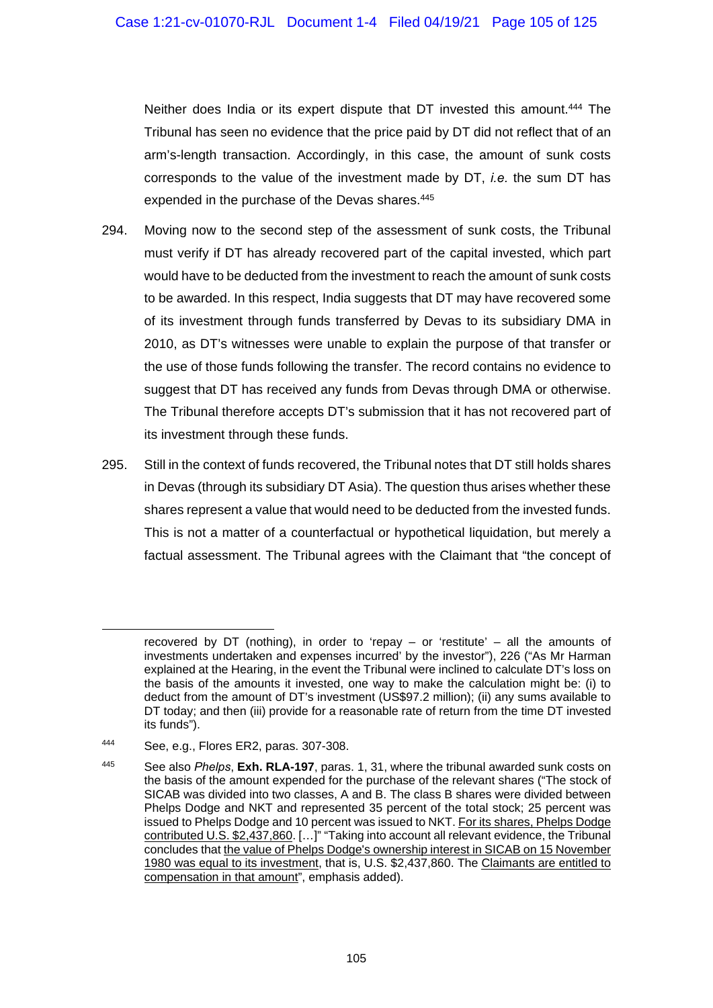Neither does India or its expert dispute that DT invested this amount.444 The Tribunal has seen no evidence that the price paid by DT did not reflect that of an arm's-length transaction. Accordingly, in this case, the amount of sunk costs corresponds to the value of the investment made by DT, *i.e.* the sum DT has expended in the purchase of the Devas shares.<sup>445</sup>

- 294. Moving now to the second step of the assessment of sunk costs, the Tribunal must verify if DT has already recovered part of the capital invested, which part would have to be deducted from the investment to reach the amount of sunk costs to be awarded. In this respect, India suggests that DT may have recovered some of its investment through funds transferred by Devas to its subsidiary DMA in 2010, as DT's witnesses were unable to explain the purpose of that transfer or the use of those funds following the transfer. The record contains no evidence to suggest that DT has received any funds from Devas through DMA or otherwise. The Tribunal therefore accepts DT's submission that it has not recovered part of its investment through these funds.
- 295. Still in the context of funds recovered, the Tribunal notes that DT still holds shares in Devas (through its subsidiary DT Asia). The question thus arises whether these shares represent a value that would need to be deducted from the invested funds. This is not a matter of a counterfactual or hypothetical liquidation, but merely a factual assessment. The Tribunal agrees with the Claimant that "the concept of

recovered by DT (nothing), in order to 'repay – or 'restitute' – all the amounts of investments undertaken and expenses incurred' by the investor"), 226 ("As Mr Harman explained at the Hearing, in the event the Tribunal were inclined to calculate DT's loss on the basis of the amounts it invested, one way to make the calculation might be: (i) to deduct from the amount of DT's investment (US\$97.2 million); (ii) any sums available to DT today; and then (iii) provide for a reasonable rate of return from the time DT invested its funds").

<sup>444</sup> See, e.g., Flores ER2, paras. 307-308.

<sup>445</sup> See also *Phelps*, **Exh. RLA-197**, paras. 1, 31, where the tribunal awarded sunk costs on the basis of the amount expended for the purchase of the relevant shares ("The stock of SICAB was divided into two classes, A and B. The class B shares were divided between Phelps Dodge and NKT and represented 35 percent of the total stock; 25 percent was issued to Phelps Dodge and 10 percent was issued to NKT. For its shares, Phelps Dodge contributed U.S. \$2,437,860. […]" "Taking into account all relevant evidence, the Tribunal concludes that the value of Phelps Dodge's ownership interest in SICAB on 15 November 1980 was equal to its investment, that is, U.S. \$2,437,860. The Claimants are entitled to compensation in that amount", emphasis added).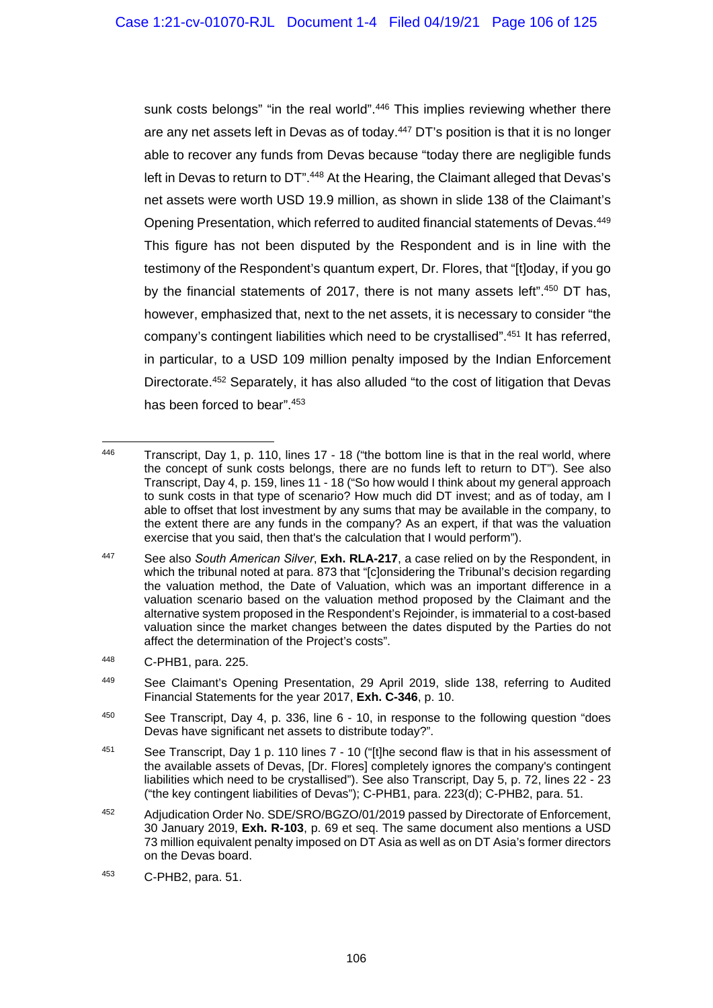sunk costs belongs" "in the real world".<sup>446</sup> This implies reviewing whether there are any net assets left in Devas as of today.447 DT's position is that it is no longer able to recover any funds from Devas because "today there are negligible funds left in Devas to return to DT".448 At the Hearing, the Claimant alleged that Devas's net assets were worth USD 19.9 million, as shown in slide 138 of the Claimant's Opening Presentation, which referred to audited financial statements of Devas.449 This figure has not been disputed by the Respondent and is in line with the testimony of the Respondent's quantum expert, Dr. Flores, that "[t]oday, if you go by the financial statements of 2017, there is not many assets left".450 DT has, however, emphasized that, next to the net assets, it is necessary to consider "the company's contingent liabilities which need to be crystallised".451 It has referred, in particular, to a USD 109 million penalty imposed by the Indian Enforcement Directorate.452 Separately, it has also alluded "to the cost of litigation that Devas has been forced to bear".453

<sup>446</sup> Transcript, Day 1, p. 110, lines 17 - 18 ("the bottom line is that in the real world, where the concept of sunk costs belongs, there are no funds left to return to DT"). See also Transcript, Day 4, p. 159, lines 11 - 18 ("So how would I think about my general approach to sunk costs in that type of scenario? How much did DT invest; and as of today, am I able to offset that lost investment by any sums that may be available in the company, to the extent there are any funds in the company? As an expert, if that was the valuation exercise that you said, then that's the calculation that I would perform").

<sup>447</sup> See also *South American Silver*, **Exh. RLA-217**, a case relied on by the Respondent, in which the tribunal noted at para. 873 that "[c]onsidering the Tribunal's decision regarding the valuation method, the Date of Valuation, which was an important difference in a valuation scenario based on the valuation method proposed by the Claimant and the alternative system proposed in the Respondent's Rejoinder, is immaterial to a cost-based valuation since the market changes between the dates disputed by the Parties do not affect the determination of the Project's costs".

<sup>448</sup> C-PHB1, para. 225.

<sup>449</sup> See Claimant's Opening Presentation, 29 April 2019, slide 138, referring to Audited Financial Statements for the year 2017, **Exh. C-346**, p. 10.

<sup>450</sup> See Transcript, Day 4, p. 336, line 6 - 10, in response to the following question "does Devas have significant net assets to distribute today?".

<sup>&</sup>lt;sup>451</sup> See Transcript, Day 1 p. 110 lines 7 - 10 ("[t]he second flaw is that in his assessment of the available assets of Devas, [Dr. Flores] completely ignores the company's contingent liabilities which need to be crystallised"). See also Transcript, Day 5, p. 72, lines 22 - 23 ("the key contingent liabilities of Devas"); C-PHB1, para. 223(d); C-PHB2, para. 51.

<sup>452</sup> Adjudication Order No. SDE/SRO/BGZO/01/2019 passed by Directorate of Enforcement, 30 January 2019, **Exh. R-103**, p. 69 et seq. The same document also mentions a USD 73 million equivalent penalty imposed on DT Asia as well as on DT Asia's former directors on the Devas board.

<sup>453</sup> C-PHB2, para. 51.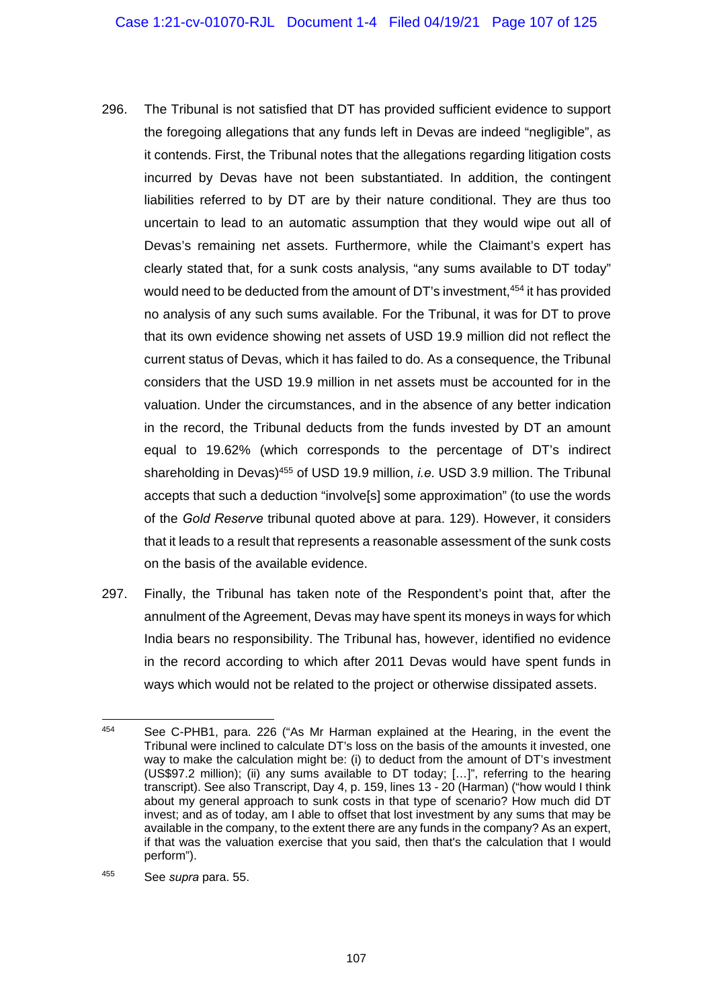- 296. The Tribunal is not satisfied that DT has provided sufficient evidence to support the foregoing allegations that any funds left in Devas are indeed "negligible", as it contends. First, the Tribunal notes that the allegations regarding litigation costs incurred by Devas have not been substantiated. In addition, the contingent liabilities referred to by DT are by their nature conditional. They are thus too uncertain to lead to an automatic assumption that they would wipe out all of Devas's remaining net assets. Furthermore, while the Claimant's expert has clearly stated that, for a sunk costs analysis, "any sums available to DT today" would need to be deducted from the amount of DT's investment,454 it has provided no analysis of any such sums available. For the Tribunal, it was for DT to prove that its own evidence showing net assets of USD 19.9 million did not reflect the current status of Devas, which it has failed to do. As a consequence, the Tribunal considers that the USD 19.9 million in net assets must be accounted for in the valuation. Under the circumstances, and in the absence of any better indication in the record, the Tribunal deducts from the funds invested by DT an amount equal to 19.62% (which corresponds to the percentage of DT's indirect shareholding in Devas)455 of USD 19.9 million, *i.e.* USD 3.9 million. The Tribunal accepts that such a deduction "involve[s] some approximation" (to use the words of the *Gold Reserve* tribunal quoted above at para. 129). However, it considers that it leads to a result that represents a reasonable assessment of the sunk costs on the basis of the available evidence.
- 297. Finally, the Tribunal has taken note of the Respondent's point that, after the annulment of the Agreement, Devas may have spent its moneys in ways for which India bears no responsibility. The Tribunal has, however, identified no evidence in the record according to which after 2011 Devas would have spent funds in ways which would not be related to the project or otherwise dissipated assets.

<sup>1</sup> 454 See C-PHB1, para. 226 ("As Mr Harman explained at the Hearing, in the event the Tribunal were inclined to calculate DT's loss on the basis of the amounts it invested, one way to make the calculation might be: (i) to deduct from the amount of DT's investment (US\$97.2 million); (ii) any sums available to DT today; […]", referring to the hearing transcript). See also Transcript, Day 4, p. 159, lines 13 - 20 (Harman) ("how would I think about my general approach to sunk costs in that type of scenario? How much did DT invest; and as of today, am I able to offset that lost investment by any sums that may be available in the company, to the extent there are any funds in the company? As an expert, if that was the valuation exercise that you said, then that's the calculation that I would perform").

<sup>455</sup> See *supra* para. 55.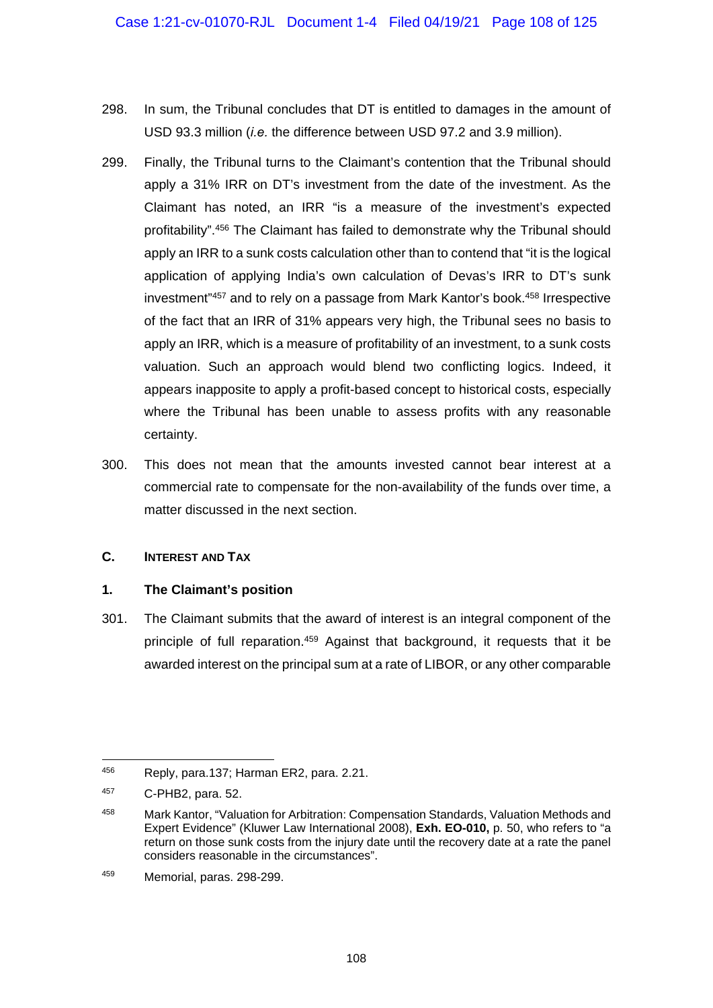- 298. In sum, the Tribunal concludes that DT is entitled to damages in the amount of USD 93.3 million (*i.e.* the difference between USD 97.2 and 3.9 million).
- 299. Finally, the Tribunal turns to the Claimant's contention that the Tribunal should apply a 31% IRR on DT's investment from the date of the investment. As the Claimant has noted, an IRR "is a measure of the investment's expected profitability".456 The Claimant has failed to demonstrate why the Tribunal should apply an IRR to a sunk costs calculation other than to contend that "it is the logical application of applying India's own calculation of Devas's IRR to DT's sunk investment"457 and to rely on a passage from Mark Kantor's book.458 Irrespective of the fact that an IRR of 31% appears very high, the Tribunal sees no basis to apply an IRR, which is a measure of profitability of an investment, to a sunk costs valuation. Such an approach would blend two conflicting logics. Indeed, it appears inapposite to apply a profit-based concept to historical costs, especially where the Tribunal has been unable to assess profits with any reasonable certainty.
- 300. This does not mean that the amounts invested cannot bear interest at a commercial rate to compensate for the non-availability of the funds over time, a matter discussed in the next section.

### **C. INTEREST AND TAX**

### **1. The Claimant's position**

301. The Claimant submits that the award of interest is an integral component of the principle of full reparation.<sup>459</sup> Against that background, it requests that it be awarded interest on the principal sum at a rate of LIBOR, or any other comparable

<sup>456</sup> Reply, para.137; Harman ER2, para. 2.21.

<sup>457</sup> C-PHB2, para. 52.

<sup>458</sup> Mark Kantor, "Valuation for Arbitration: Compensation Standards, Valuation Methods and Expert Evidence" (Kluwer Law International 2008), **Exh. EO-010,** p. 50, who refers to "a return on those sunk costs from the injury date until the recovery date at a rate the panel considers reasonable in the circumstances".

<sup>459</sup> Memorial, paras. 298-299.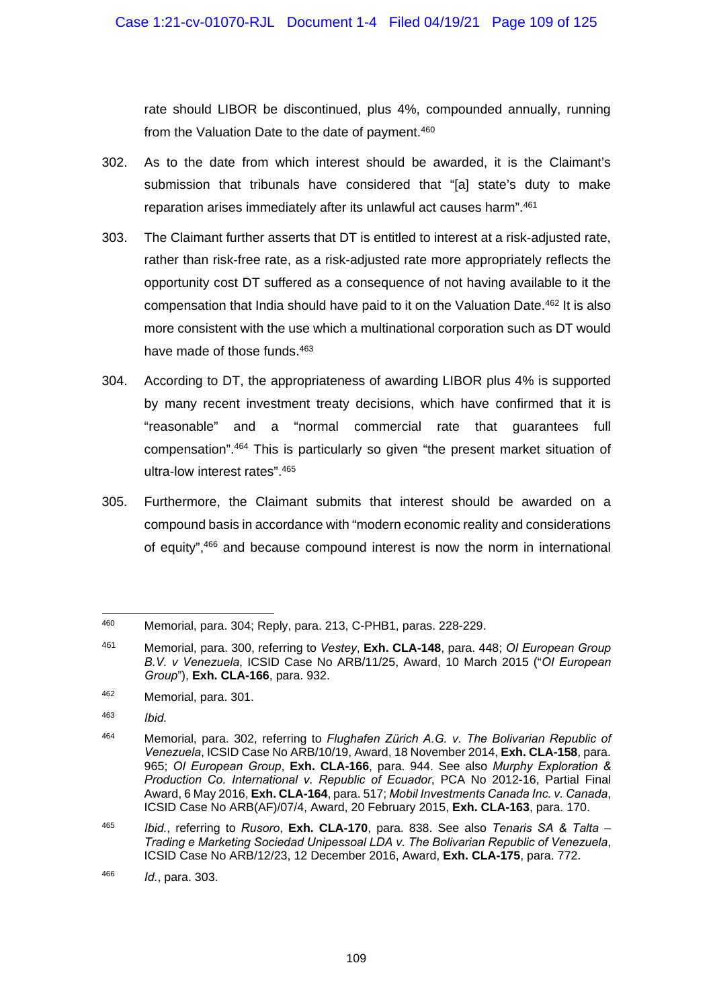rate should LIBOR be discontinued, plus 4%, compounded annually, running from the Valuation Date to the date of payment.<sup>460</sup>

- 302. As to the date from which interest should be awarded, it is the Claimant's submission that tribunals have considered that "[a] state's duty to make reparation arises immediately after its unlawful act causes harm".461
- 303. The Claimant further asserts that DT is entitled to interest at a risk-adjusted rate, rather than risk-free rate, as a risk-adjusted rate more appropriately reflects the opportunity cost DT suffered as a consequence of not having available to it the compensation that India should have paid to it on the Valuation Date.462 It is also more consistent with the use which a multinational corporation such as DT would have made of those funds.<sup>463</sup>
- 304. According to DT, the appropriateness of awarding LIBOR plus 4% is supported by many recent investment treaty decisions, which have confirmed that it is "reasonable" and a "normal commercial rate that guarantees full compensation".464 This is particularly so given "the present market situation of ultra-low interest rates".465
- 305. Furthermore, the Claimant submits that interest should be awarded on a compound basis in accordance with "modern economic reality and considerations of equity",466 and because compound interest is now the norm in international

<sup>460</sup> 460 Memorial, para. 304; Reply, para. 213, C-PHB1, paras. 228-229.

<sup>461</sup> Memorial, para. 300, referring to *Vestey*, **Exh. CLA-148**, para. 448; *OI European Group B.V. v Venezuela*, ICSID Case No ARB/11/25, Award, 10 March 2015 ("*OI European Group*"), **Exh. CLA-166**, para. 932.

<sup>462</sup> Memorial, para. 301.

<sup>463</sup> *Ibid.*

<sup>464</sup> Memorial, para. 302, referring to *Flughafen Zürich A.G. v. The Bolivarian Republic of Venezuela*, ICSID Case No ARB/10/19, Award, 18 November 2014, **Exh. CLA-158**, para. 965; *OI European Group*, **Exh. CLA-166**, para. 944. See also *Murphy Exploration & Production Co. International v. Republic of Ecuador*, PCA No 2012-16, Partial Final Award, 6 May 2016, **Exh. CLA-164**, para. 517; *Mobil Investments Canada Inc. v. Canada*, ICSID Case No ARB(AF)/07/4, Award, 20 February 2015, **Exh. CLA-163**, para. 170.

<sup>465</sup> *Ibid.*, referring to *Rusoro*, **Exh. CLA-170**, para. 838. See also *Tenaris SA & Talta – Trading e Marketing Sociedad Unipessoal LDA v. The Bolivarian Republic of Venezuela*, ICSID Case No ARB/12/23, 12 December 2016, Award, **Exh. CLA-175**, para. 772.

<sup>466</sup> *Id.*, para. 303.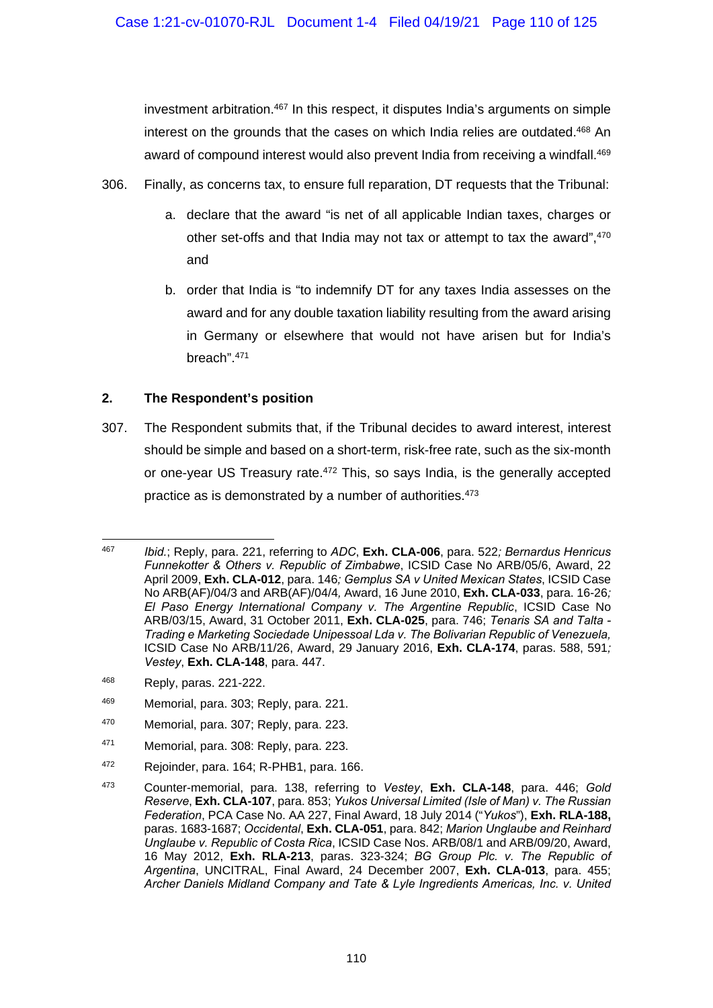investment arbitration.467 In this respect, it disputes India's arguments on simple interest on the grounds that the cases on which India relies are outdated.468 An award of compound interest would also prevent India from receiving a windfall.<sup>469</sup>

- 306. Finally, as concerns tax, to ensure full reparation, DT requests that the Tribunal:
	- a. declare that the award "is net of all applicable Indian taxes, charges or other set-offs and that India may not tax or attempt to tax the award", 470 and
	- b. order that India is "to indemnify DT for any taxes India assesses on the award and for any double taxation liability resulting from the award arising in Germany or elsewhere that would not have arisen but for India's breach".471

# **2. The Respondent's position**

307. The Respondent submits that, if the Tribunal decides to award interest, interest should be simple and based on a short-term, risk-free rate, such as the six-month or one-year US Treasury rate.<sup>472</sup> This, so says India, is the generally accepted practice as is demonstrated by a number of authorities.473

- 468 Reply, paras. 221-222.
- 469 Memorial, para. 303; Reply, para. 221.
- 470 Memorial, para. 307; Reply, para. 223.
- 471 Memorial, para. 308: Reply, para. 223.
- 472 Rejoinder, para. 164; R-PHB1, para. 166.

<sup>467</sup> <sup>467</sup>*Ibid.*; Reply, para. 221, referring to *ADC*, **Exh. CLA-006**, para. 522*; Bernardus Henricus Funnekotter & Others v. Republic of Zimbabwe*, ICSID Case No ARB/05/6, Award, 22 April 2009, **Exh. CLA-012**, para. 146*; Gemplus SA v United Mexican States*, ICSID Case No ARB(AF)/04/3 and ARB(AF)/04/4*,* Award, 16 June 2010, **Exh. CLA-033**, para. 16-26*; El Paso Energy International Company v. The Argentine Republic*, ICSID Case No ARB/03/15, Award, 31 October 2011, **Exh. CLA-025**, para. 746; *Tenaris SA and Talta - Trading e Marketing Sociedade Unipessoal Lda v. The Bolivarian Republic of Venezuela,*  ICSID Case No ARB/11/26, Award, 29 January 2016, **Exh. CLA-174**, paras. 588, 591*; Vestey*, **Exh. CLA-148**, para. 447.

<sup>473</sup> Counter-memorial, para. 138, referring to *Vestey*, **Exh. CLA-148**, para. 446; *Gold Reserve*, **Exh. CLA-107**, para. 853; *Yukos Universal Limited (Isle of Man) v. The Russian Federation*, PCA Case No. AA 227, Final Award, 18 July 2014 ("*Yukos*"), **Exh. RLA-188,**  paras. 1683-1687; *Occidental*, **Exh. CLA-051**, para. 842; *Marion Unglaube and Reinhard Unglaube v. Republic of Costa Rica*, ICSID Case Nos. ARB/08/1 and ARB/09/20, Award, 16 May 2012, **Exh. RLA-213**, paras. 323-324; *BG Group Plc. v. The Republic of Argentina*, UNCITRAL, Final Award, 24 December 2007, **Exh. CLA-013**, para. 455; *Archer Daniels Midland Company and Tate & Lyle Ingredients Americas, Inc. v. United*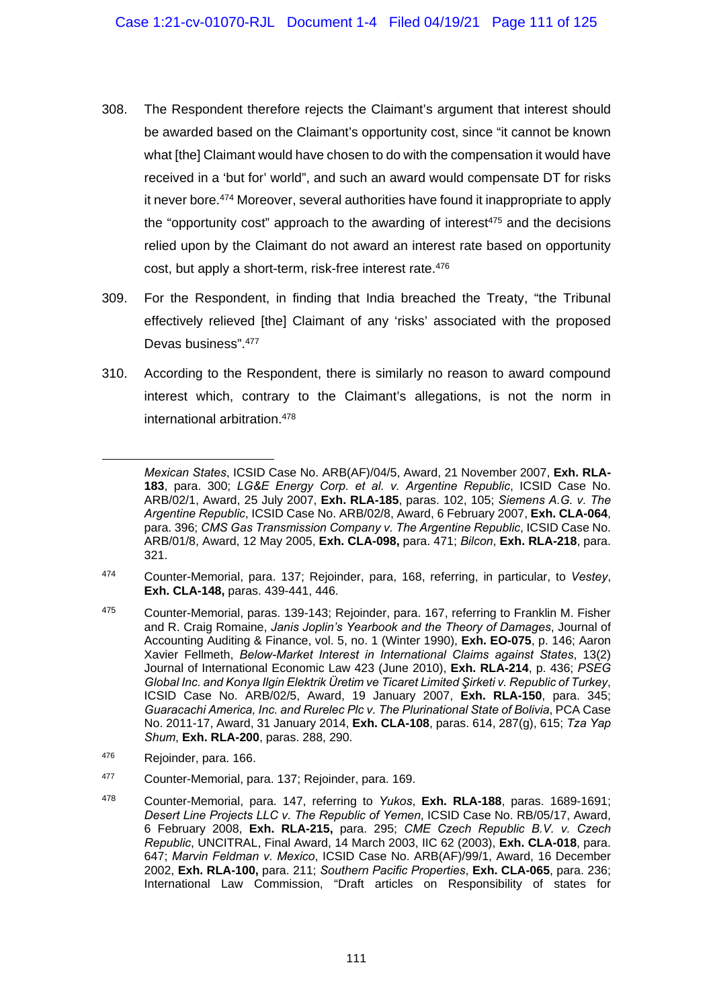- 308. The Respondent therefore rejects the Claimant's argument that interest should be awarded based on the Claimant's opportunity cost, since "it cannot be known what [the] Claimant would have chosen to do with the compensation it would have received in a 'but for' world", and such an award would compensate DT for risks it never bore.474 Moreover, several authorities have found it inappropriate to apply the "opportunity cost" approach to the awarding of interest $475$  and the decisions relied upon by the Claimant do not award an interest rate based on opportunity cost, but apply a short-term, risk-free interest rate.<sup>476</sup>
- 309. For the Respondent, in finding that India breached the Treaty, "the Tribunal effectively relieved [the] Claimant of any 'risks' associated with the proposed Devas business".477
- 310. According to the Respondent, there is similarly no reason to award compound interest which, contrary to the Claimant's allegations, is not the norm in international arbitration.478

- 474 Counter-Memorial, para. 137; Rejoinder, para, 168, referring, in particular, to *Vestey*, **Exh. CLA-148,** paras. 439-441, 446.
- 475 Counter-Memorial, paras. 139-143; Rejoinder, para. 167, referring to Franklin M. Fisher and R. Craig Romaine, *Janis Joplin's Yearbook and the Theory of Damages*, Journal of Accounting Auditing & Finance, vol. 5, no. 1 (Winter 1990), **Exh. EO-075**, p. 146; Aaron Xavier Fellmeth, *Below-Market Interest in International Claims against States*, 13(2) Journal of International Economic Law 423 (June 2010), **Exh. RLA-214**, p. 436; *PSEG Global Inc. and Konya Ilgin Elektrik Üretim ve Ticaret Limited Şirketi v. Republic of Turkey*, ICSID Case No. ARB/02/5, Award, 19 January 2007, **Exh. RLA-150**, para. 345; *Guaracachi America, Inc. and Rurelec Plc v. The Plurinational State of Bolivia*, PCA Case No. 2011-17, Award, 31 January 2014, **Exh. CLA-108**, paras. 614, 287(g), 615; *Tza Yap Shum*, **Exh. RLA-200**, paras. 288, 290.
- <sup>476</sup> Rejoinder, para, 166.

-

- 477 Counter-Memorial, para. 137; Rejoinder, para. 169.
- 478 Counter-Memorial, para. 147, referring to *Yukos*, **Exh. RLA-188**, paras. 1689-1691; *Desert Line Projects LLC v. The Republic of Yemen*, ICSID Case No. RB/05/17, Award, 6 February 2008, **Exh. RLA-215,** para. 295; *CME Czech Republic B.V. v. Czech Republic*, UNCITRAL, Final Award, 14 March 2003, IIC 62 (2003), **Exh. CLA-018**, para. 647; *Marvin Feldman v. Mexico*, ICSID Case No. ARB(AF)/99/1, Award, 16 December 2002, **Exh. RLA-100,** para. 211; *Southern Pacific Properties*, **Exh. CLA-065**, para. 236; International Law Commission, "Draft articles on Responsibility of states for

*Mexican States*, ICSID Case No. ARB(AF)/04/5, Award, 21 November 2007, **Exh. RLA-183**, para. 300; *LG&E Energy Corp. et al. v. Argentine Republic*, ICSID Case No. ARB/02/1, Award, 25 July 2007, **Exh. RLA-185**, paras. 102, 105; *Siemens A.G. v. The Argentine Republic*, ICSID Case No. ARB/02/8, Award, 6 February 2007, **Exh. CLA-064**, para. 396; *CMS Gas Transmission Company v. The Argentine Republic*, ICSID Case No. ARB/01/8, Award, 12 May 2005, **Exh. CLA-098,** para. 471; *Bilcon*, **Exh. RLA-218**, para. 321.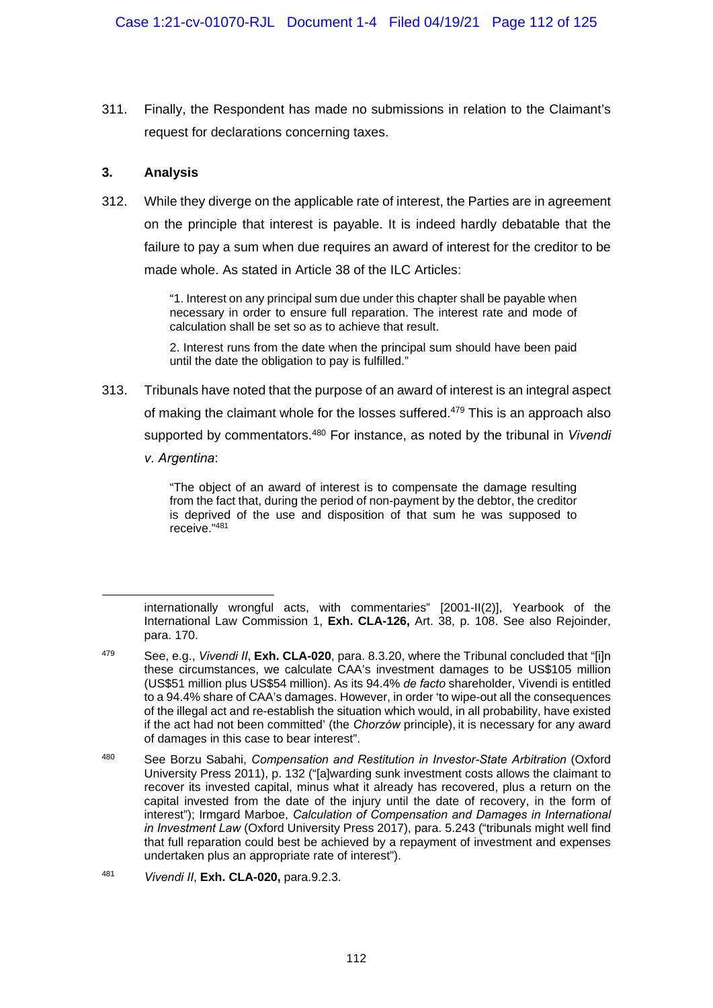311. Finally, the Respondent has made no submissions in relation to the Claimant's request for declarations concerning taxes.

## **3. Analysis**

1

312. While they diverge on the applicable rate of interest, the Parties are in agreement on the principle that interest is payable. It is indeed hardly debatable that the failure to pay a sum when due requires an award of interest for the creditor to be made whole. As stated in Article 38 of the ILC Articles:

> "1. Interest on any principal sum due under this chapter shall be payable when necessary in order to ensure full reparation. The interest rate and mode of calculation shall be set so as to achieve that result.

> 2. Interest runs from the date when the principal sum should have been paid until the date the obligation to pay is fulfilled."

313. Tribunals have noted that the purpose of an award of interest is an integral aspect of making the claimant whole for the losses suffered.<sup>479</sup> This is an approach also supported by commentators.480 For instance, as noted by the tribunal in *Vivendi v. Argentina*:

> "The object of an award of interest is to compensate the damage resulting from the fact that, during the period of non-payment by the debtor, the creditor is deprived of the use and disposition of that sum he was supposed to receive."481

internationally wrongful acts, with commentaries" [2001-II(2)], Yearbook of the International Law Commission 1, **Exh. CLA-126,** Art. 38, p. 108. See also Rejoinder, para. 170.

<sup>479</sup> See, e.g., *Vivendi II*, **Exh. CLA-020**, para. 8.3.20, where the Tribunal concluded that "[i]n these circumstances, we calculate CAA's investment damages to be US\$105 million (US\$51 million plus US\$54 million). As its 94.4% *de facto* shareholder, Vivendi is entitled to a 94.4% share of CAA's damages. However, in order 'to wipe-out all the consequences of the illegal act and re-establish the situation which would, in all probability, have existed if the act had not been committed' (the *Chorzów* principle), it is necessary for any award of damages in this case to bear interest".

<sup>480</sup> See Borzu Sabahi, *Compensation and Restitution in Investor-State Arbitration* (Oxford University Press 2011), p. 132 ("[a]warding sunk investment costs allows the claimant to recover its invested capital, minus what it already has recovered, plus a return on the capital invested from the date of the injury until the date of recovery, in the form of interest"); Irmgard Marboe, *Calculation of Compensation and Damages in International in Investment Law* (Oxford University Press 2017), para. 5.243 ("tribunals might well find that full reparation could best be achieved by a repayment of investment and expenses undertaken plus an appropriate rate of interest").

<sup>481</sup> *Vivendi II*, **Exh. CLA-020,** para.9.2.3.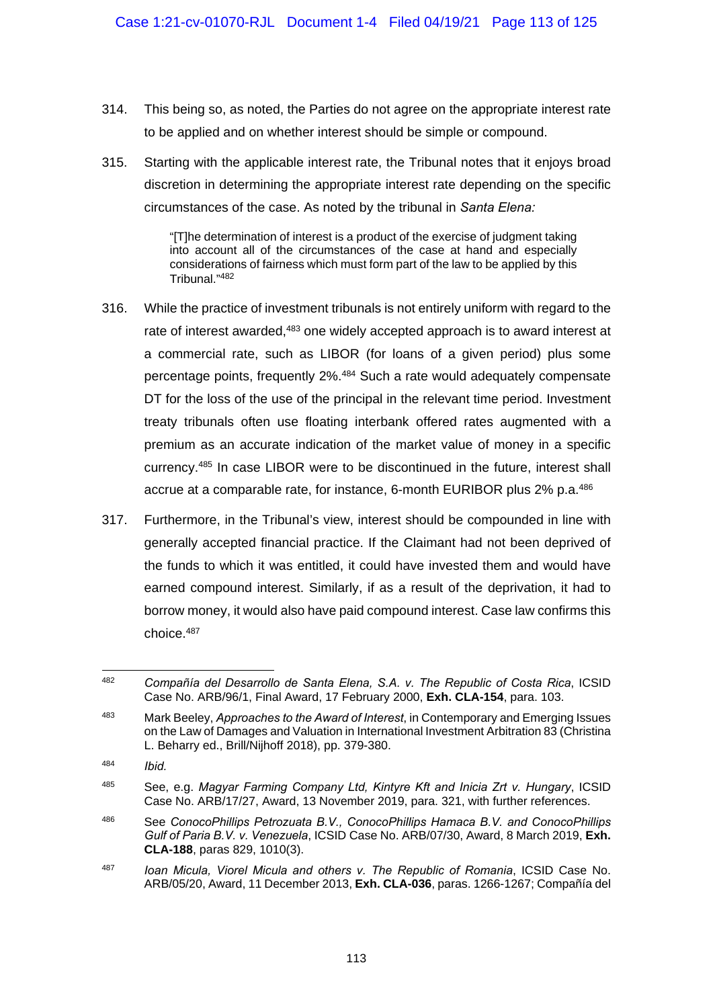- 314. This being so, as noted, the Parties do not agree on the appropriate interest rate to be applied and on whether interest should be simple or compound.
- 315. Starting with the applicable interest rate, the Tribunal notes that it enjoys broad discretion in determining the appropriate interest rate depending on the specific circumstances of the case. As noted by the tribunal in *Santa Elena:*

"[T]he determination of interest is a product of the exercise of judgment taking into account all of the circumstances of the case at hand and especially considerations of fairness which must form part of the law to be applied by this Tribunal."482

- 316. While the practice of investment tribunals is not entirely uniform with regard to the rate of interest awarded,<sup>483</sup> one widely accepted approach is to award interest at a commercial rate, such as LIBOR (for loans of a given period) plus some percentage points, frequently 2%.484 Such a rate would adequately compensate DT for the loss of the use of the principal in the relevant time period. Investment treaty tribunals often use floating interbank offered rates augmented with a premium as an accurate indication of the market value of money in a specific currency.485 In case LIBOR were to be discontinued in the future, interest shall accrue at a comparable rate, for instance, 6-month EURIBOR plus 2% p.a.<sup>486</sup>
- 317. Furthermore, in the Tribunal's view, interest should be compounded in line with generally accepted financial practice. If the Claimant had not been deprived of the funds to which it was entitled, it could have invested them and would have earned compound interest. Similarly, if as a result of the deprivation, it had to borrow money, it would also have paid compound interest. Case law confirms this choice.487

487 *Ioan Micula, Viorel Micula and others v. The Republic of Romania*, ICSID Case No. ARB/05/20, Award, 11 December 2013, **Exh. CLA-036**, paras. 1266-1267; Compañía del

<sup>1</sup> 482 *Compañía del Desarrollo de Santa Elena, S.A. v. The Republic of Costa Rica*, ICSID Case No. ARB/96/1, Final Award, 17 February 2000, **Exh. CLA-154**, para. 103.

<sup>483</sup> Mark Beeley, *Approaches to the Award of Interest*, in Contemporary and Emerging Issues on the Law of Damages and Valuation in International Investment Arbitration 83 (Christina L. Beharry ed., Brill/Nijhoff 2018), pp. 379-380.

<sup>484</sup> *Ibid.* 

<sup>485</sup> See, e.g. *Magyar Farming Company Ltd, Kintyre Kft and Inicia Zrt v. Hungary*, ICSID Case No. ARB/17/27, Award, 13 November 2019, para. 321, with further references.

<sup>486</sup> See *ConocoPhillips Petrozuata B.V., ConocoPhillips Hamaca B.V. and ConocoPhillips Gulf of Paria B.V. v. Venezuela*, ICSID Case No. ARB/07/30, Award, 8 March 2019, **Exh. CLA-188**, paras 829, 1010(3).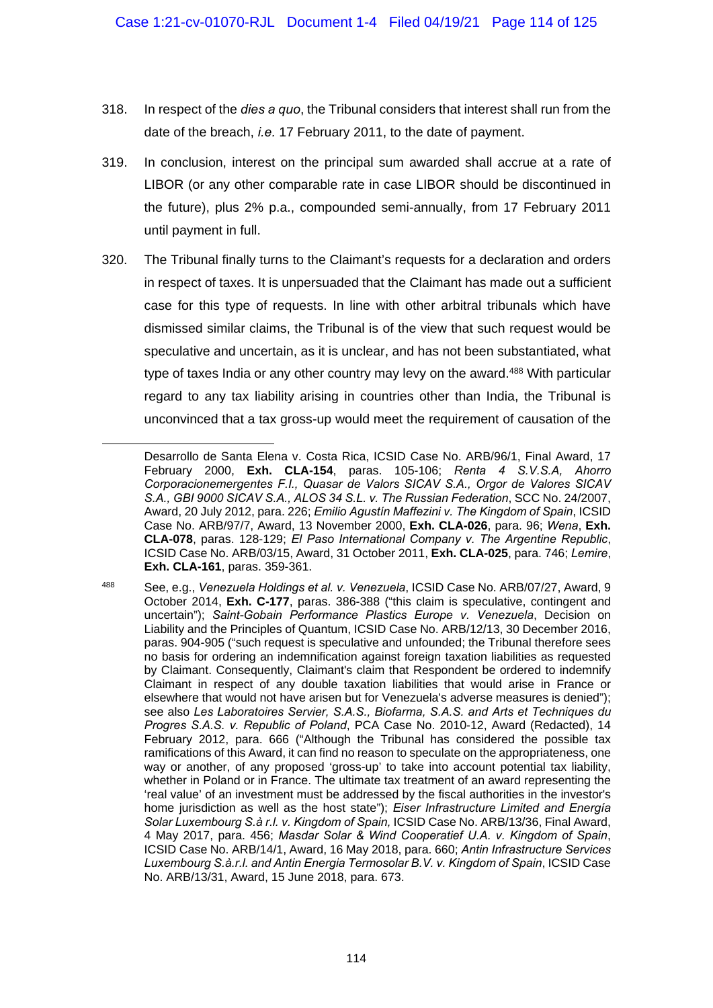- 318. In respect of the *dies a quo*, the Tribunal considers that interest shall run from the date of the breach, *i.e.* 17 February 2011, to the date of payment.
- 319. In conclusion, interest on the principal sum awarded shall accrue at a rate of LIBOR (or any other comparable rate in case LIBOR should be discontinued in the future), plus 2% p.a., compounded semi-annually, from 17 February 2011 until payment in full.
- 320. The Tribunal finally turns to the Claimant's requests for a declaration and orders in respect of taxes. It is unpersuaded that the Claimant has made out a sufficient case for this type of requests. In line with other arbitral tribunals which have dismissed similar claims, the Tribunal is of the view that such request would be speculative and uncertain, as it is unclear, and has not been substantiated, what type of taxes India or any other country may levy on the award.<sup>488</sup> With particular regard to any tax liability arising in countries other than India, the Tribunal is unconvinced that a tax gross-up would meet the requirement of causation of the

1

Desarrollo de Santa Elena v. Costa Rica, ICSID Case No. ARB/96/1, Final Award, 17 February 2000, **Exh. CLA-154**, paras. 105-106; *Renta 4 S.V.S.A, Ahorro Corporacionemergentes F.I., Quasar de Valors SICAV S.A., Orgor de Valores SICAV S.A., GBI 9000 SICAV S.A., ALOS 34 S.L. v. The Russian Federation*, SCC No. 24/2007, Award, 20 July 2012, para. 226; *Emilio Agustín Maffezini v. The Kingdom of Spain*, ICSID Case No. ARB/97/7, Award, 13 November 2000, **Exh. CLA-026**, para. 96; *Wena*, **Exh. CLA-078**, paras. 128-129; *El Paso International Company v. The Argentine Republic*, ICSID Case No. ARB/03/15, Award, 31 October 2011, **Exh. CLA-025**, para. 746; *Lemire*, **Exh. CLA-161**, paras. 359-361.

<sup>488</sup> See, e.g., *Venezuela Holdings et al. v. Venezuela*, ICSID Case No. ARB/07/27, Award, 9 October 2014, **Exh. C-177**, paras. 386-388 ("this claim is speculative, contingent and uncertain"); *Saint-Gobain Performance Plastics Europe v. Venezuela*, Decision on Liability and the Principles of Quantum, ICSID Case No. ARB/12/13, 30 December 2016, paras. 904-905 ("such request is speculative and unfounded; the Tribunal therefore sees no basis for ordering an indemnification against foreign taxation liabilities as requested by Claimant. Consequently, Claimant's claim that Respondent be ordered to indemnify Claimant in respect of any double taxation liabilities that would arise in France or elsewhere that would not have arisen but for Venezuela's adverse measures is denied"); see also *Les Laboratoires Servier, S.A.S., Biofarma, S.A.S. and Arts et Techniques du Progres S.A.S. v. Republic of Poland*, PCA Case No. 2010-12, Award (Redacted), 14 February 2012, para. 666 ("Although the Tribunal has considered the possible tax ramifications of this Award, it can find no reason to speculate on the appropriateness, one way or another, of any proposed 'gross-up' to take into account potential tax liability, whether in Poland or in France. The ultimate tax treatment of an award representing the 'real value' of an investment must be addressed by the fiscal authorities in the investor's home jurisdiction as well as the host state"); *Eiser Infrastructure Limited and Energía Solar Luxembourg S.à r.l. v. Kingdom of Spain,* ICSID Case No. ARB/13/36, Final Award, 4 May 2017, para. 456; *Masdar Solar & Wind Cooperatief U.A. v. Kingdom of Spain*, ICSID Case No. ARB/14/1, Award, 16 May 2018, para. 660; *Antin Infrastructure Services Luxembourg S.à.r.l. and Antin Energia Termosolar B.V. v. Kingdom of Spain*, ICSID Case No. ARB/13/31, Award, 15 June 2018, para. 673.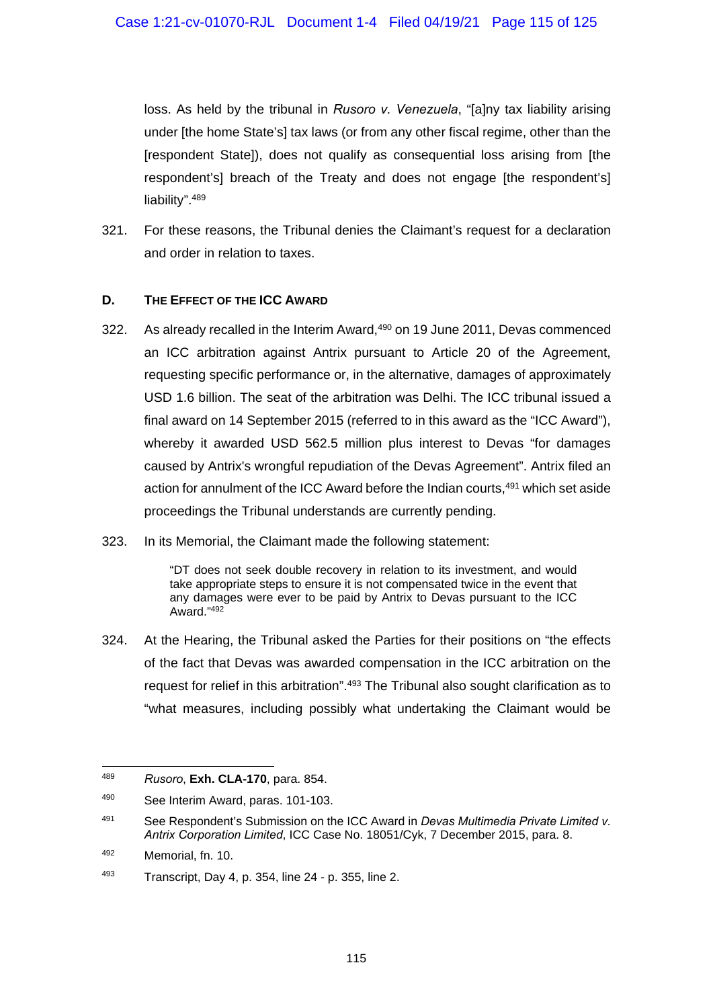loss. As held by the tribunal in *Rusoro v. Venezuela*, "[a]ny tax liability arising under [the home State's] tax laws (or from any other fiscal regime, other than the [respondent State]), does not qualify as consequential loss arising from [the respondent's] breach of the Treaty and does not engage [the respondent's] liability". 489

321. For these reasons, the Tribunal denies the Claimant's request for a declaration and order in relation to taxes.

## **D. THE EFFECT OF THE ICC AWARD**

- 322. As already recalled in the Interim Award,<sup>490</sup> on 19 June 2011, Devas commenced an ICC arbitration against Antrix pursuant to Article 20 of the Agreement, requesting specific performance or, in the alternative, damages of approximately USD 1.6 billion. The seat of the arbitration was Delhi. The ICC tribunal issued a final award on 14 September 2015 (referred to in this award as the "ICC Award"), whereby it awarded USD 562.5 million plus interest to Devas "for damages caused by Antrix's wrongful repudiation of the Devas Agreement". Antrix filed an action for annulment of the ICC Award before the Indian courts,<sup>491</sup> which set aside proceedings the Tribunal understands are currently pending.
- 323. In its Memorial, the Claimant made the following statement:

"DT does not seek double recovery in relation to its investment, and would take appropriate steps to ensure it is not compensated twice in the event that any damages were ever to be paid by Antrix to Devas pursuant to the ICC Award."492

324. At the Hearing, the Tribunal asked the Parties for their positions on "the effects of the fact that Devas was awarded compensation in the ICC arbitration on the request for relief in this arbitration".<sup>493</sup> The Tribunal also sought clarification as to "what measures, including possibly what undertaking the Claimant would be

<sup>-</sup>489 *Rusoro*, **Exh. CLA-170**, para. 854.

<sup>490</sup> See Interim Award, paras. 101-103.

<sup>491</sup> See Respondent's Submission on the ICC Award in *Devas Multimedia Private Limited v. Antrix Corporation Limited*, ICC Case No. 18051/Cyk, 7 December 2015, para. 8.

<sup>492</sup> Memorial, fn. 10.

 $493$  Transcript, Day 4, p. 354, line 24 - p. 355, line 2.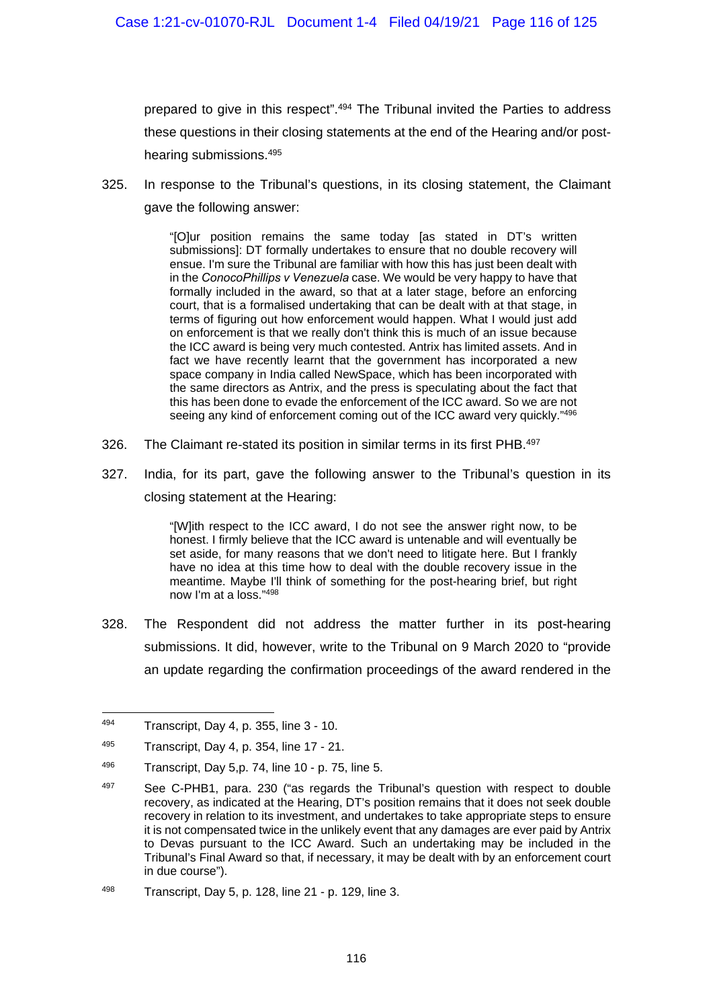prepared to give in this respect".<sup>494</sup> The Tribunal invited the Parties to address these questions in their closing statements at the end of the Hearing and/or posthearing submissions.495

325. In response to the Tribunal's questions, in its closing statement, the Claimant gave the following answer:

> "[O]ur position remains the same today [as stated in DT's written submissions]: DT formally undertakes to ensure that no double recovery will ensue. I'm sure the Tribunal are familiar with how this has just been dealt with in the *ConocoPhillips v Venezuela* case. We would be very happy to have that formally included in the award, so that at a later stage, before an enforcing court, that is a formalised undertaking that can be dealt with at that stage, in terms of figuring out how enforcement would happen. What I would just add on enforcement is that we really don't think this is much of an issue because the ICC award is being very much contested. Antrix has limited assets. And in fact we have recently learnt that the government has incorporated a new space company in India called NewSpace, which has been incorporated with the same directors as Antrix, and the press is speculating about the fact that this has been done to evade the enforcement of the ICC award. So we are not seeing any kind of enforcement coming out of the ICC award very quickly."496

- 326. The Claimant re-stated its position in similar terms in its first PHB.<sup>497</sup>
- 327. India, for its part, gave the following answer to the Tribunal's question in its closing statement at the Hearing:

"[W]ith respect to the ICC award, I do not see the answer right now, to be honest. I firmly believe that the ICC award is untenable and will eventually be set aside, for many reasons that we don't need to litigate here. But I frankly have no idea at this time how to deal with the double recovery issue in the meantime. Maybe I'll think of something for the post-hearing brief, but right now I'm at a loss."498

328. The Respondent did not address the matter further in its post-hearing submissions. It did, however, write to the Tribunal on 9 March 2020 to "provide an update regarding the confirmation proceedings of the award rendered in the

<sup>494</sup> Transcript, Day 4, p. 355, line 3 - 10.

<sup>495</sup> Transcript, Day 4, p. 354, line 17 - 21.

<sup>496</sup> Transcript, Day 5,p. 74, line 10 - p. 75, line 5.

 $497$  See C-PHB1, para. 230 ("as regards the Tribunal's question with respect to double recovery, as indicated at the Hearing, DT's position remains that it does not seek double recovery in relation to its investment, and undertakes to take appropriate steps to ensure it is not compensated twice in the unlikely event that any damages are ever paid by Antrix to Devas pursuant to the ICC Award. Such an undertaking may be included in the Tribunal's Final Award so that, if necessary, it may be dealt with by an enforcement court in due course").

<sup>498</sup> Transcript, Day 5, p. 128, line 21 - p. 129, line 3.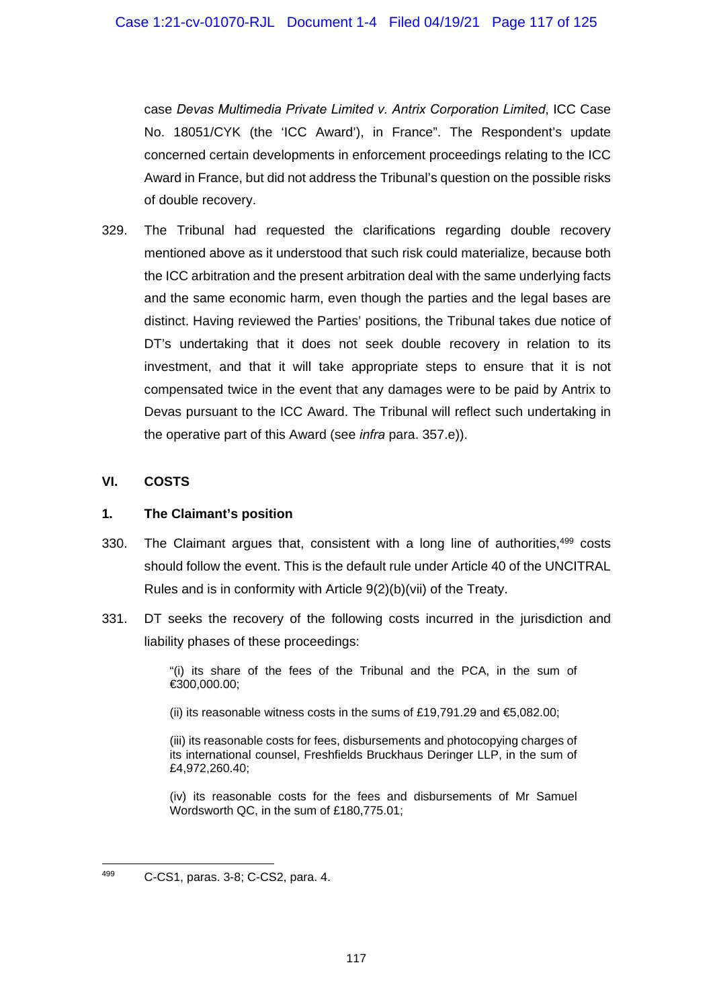case *Devas Multimedia Private Limited v. Antrix Corporation Limited*, ICC Case No. 18051/CYK (the 'ICC Award'), in France". The Respondent's update concerned certain developments in enforcement proceedings relating to the ICC Award in France, but did not address the Tribunal's question on the possible risks of double recovery.

329. The Tribunal had requested the clarifications regarding double recovery mentioned above as it understood that such risk could materialize, because both the ICC arbitration and the present arbitration deal with the same underlying facts and the same economic harm, even though the parties and the legal bases are distinct. Having reviewed the Parties' positions, the Tribunal takes due notice of DT's undertaking that it does not seek double recovery in relation to its investment, and that it will take appropriate steps to ensure that it is not compensated twice in the event that any damages were to be paid by Antrix to Devas pursuant to the ICC Award. The Tribunal will reflect such undertaking in the operative part of this Award (see *infra* para. 357.e)).

## **VI. COSTS**

#### **1. The Claimant's position**

- 330. The Claimant argues that, consistent with a long line of authorities,<sup>499</sup> costs should follow the event. This is the default rule under Article 40 of the UNCITRAL Rules and is in conformity with Article 9(2)(b)(vii) of the Treaty.
- 331. DT seeks the recovery of the following costs incurred in the jurisdiction and liability phases of these proceedings:

"(i) its share of the fees of the Tribunal and the PCA, in the sum of €300,000.00;

(ii) its reasonable witness costs in the sums of £19,791.29 and  $\text{ } \text{\& } 5,082.00;$ 

(iii) its reasonable costs for fees, disbursements and photocopying charges of its international counsel, Freshfields Bruckhaus Deringer LLP, in the sum of £4,972,260.40;

(iv) its reasonable costs for the fees and disbursements of Mr Samuel Wordsworth QC, in the sum of £180,775.01;

<sup>499</sup> 499 C-CS1, paras. 3-8; C-CS2, para. 4.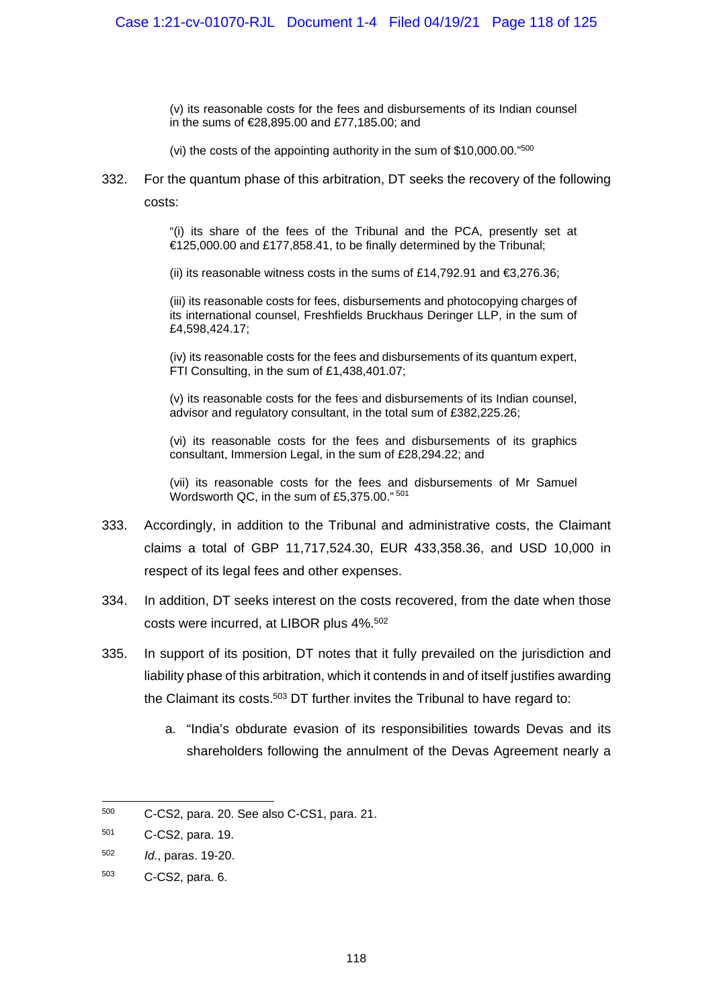(v) its reasonable costs for the fees and disbursements of its Indian counsel in the sums of €28,895.00 and £77,185.00; and

(vi) the costs of the appointing authority in the sum of \$10,000.00."500

332. For the quantum phase of this arbitration, DT seeks the recovery of the following costs:

> "(i) its share of the fees of the Tribunal and the PCA, presently set at €125,000.00 and £177,858.41, to be finally determined by the Tribunal;

(ii) its reasonable witness costs in the sums of £14,792.91 and  $\epsilon$ 3,276.36;

(iii) its reasonable costs for fees, disbursements and photocopying charges of its international counsel, Freshfields Bruckhaus Deringer LLP, in the sum of £4,598,424.17;

(iv) its reasonable costs for the fees and disbursements of its quantum expert, FTI Consulting, in the sum of £1,438,401.07;

(v) its reasonable costs for the fees and disbursements of its Indian counsel, advisor and regulatory consultant, in the total sum of £382,225.26;

(vi) its reasonable costs for the fees and disbursements of its graphics consultant, Immersion Legal, in the sum of £28,294.22; and

(vii) its reasonable costs for the fees and disbursements of Mr Samuel Wordsworth QC, in the sum of £5,375.00." 501

- 333. Accordingly, in addition to the Tribunal and administrative costs, the Claimant claims a total of GBP 11,717,524.30, EUR 433,358.36, and USD 10,000 in respect of its legal fees and other expenses.
- 334. In addition, DT seeks interest on the costs recovered, from the date when those costs were incurred, at LIBOR plus 4%.502
- 335. In support of its position, DT notes that it fully prevailed on the jurisdiction and liability phase of this arbitration, which it contends in and of itself justifies awarding the Claimant its costs.<sup>503</sup> DT further invites the Tribunal to have regard to:
	- a. "India's obdurate evasion of its responsibilities towards Devas and its shareholders following the annulment of the Devas Agreement nearly a

1

<sup>500</sup> C-CS2, para. 20. See also C-CS1, para. 21.

<sup>501</sup> C-CS2, para. 19.

<sup>502</sup> *Id.*, paras. 19-20.

<sup>503</sup> C-CS2, para. 6.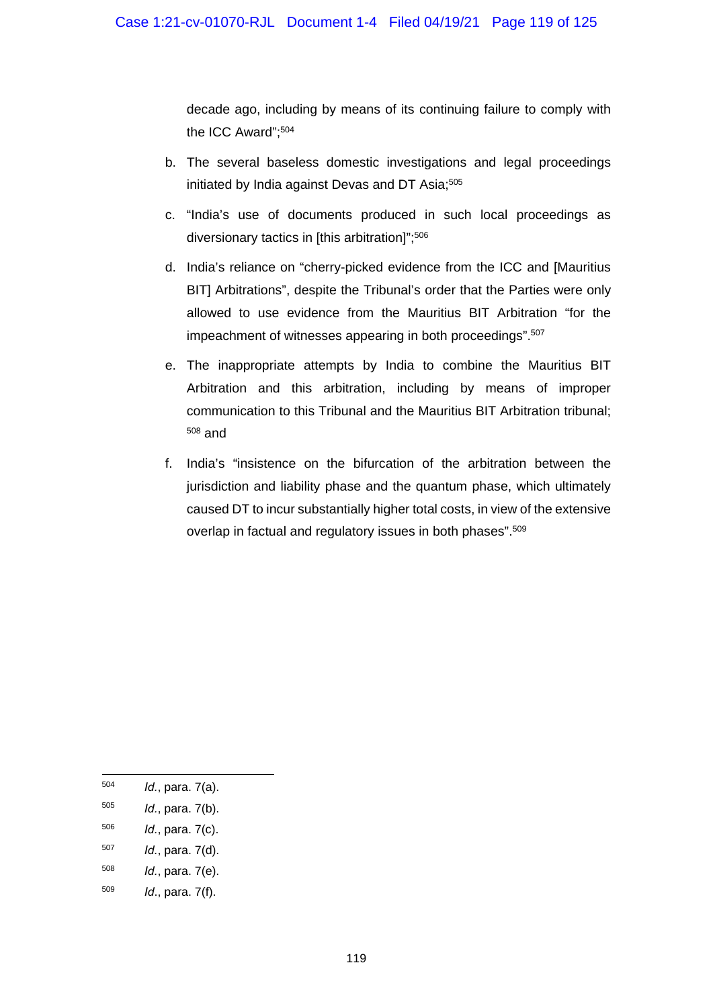decade ago, including by means of its continuing failure to comply with the ICC Award";504

- b. The several baseless domestic investigations and legal proceedings initiated by India against Devas and DT Asia;<sup>505</sup>
- c. "India's use of documents produced in such local proceedings as diversionary tactics in [this arbitration]";506
- d. India's reliance on "cherry-picked evidence from the ICC and [Mauritius BIT] Arbitrations", despite the Tribunal's order that the Parties were only allowed to use evidence from the Mauritius BIT Arbitration "for the impeachment of witnesses appearing in both proceedings".507
- e. The inappropriate attempts by India to combine the Mauritius BIT Arbitration and this arbitration, including by means of improper communication to this Tribunal and the Mauritius BIT Arbitration tribunal; 508 and
- f. India's "insistence on the bifurcation of the arbitration between the jurisdiction and liability phase and the quantum phase, which ultimately caused DT to incur substantially higher total costs, in view of the extensive overlap in factual and regulatory issues in both phases".<sup>509</sup>

<sup>504</sup> *Id.*, para. 7(a).

<sup>505</sup> *Id.*, para. 7(b).

<sup>506</sup> *Id.*, para. 7(c).

<sup>507</sup> *Id.*, para. 7(d).

<sup>508</sup> *Id.*, para. 7(e).

<sup>509</sup> *Id*., para. 7(f).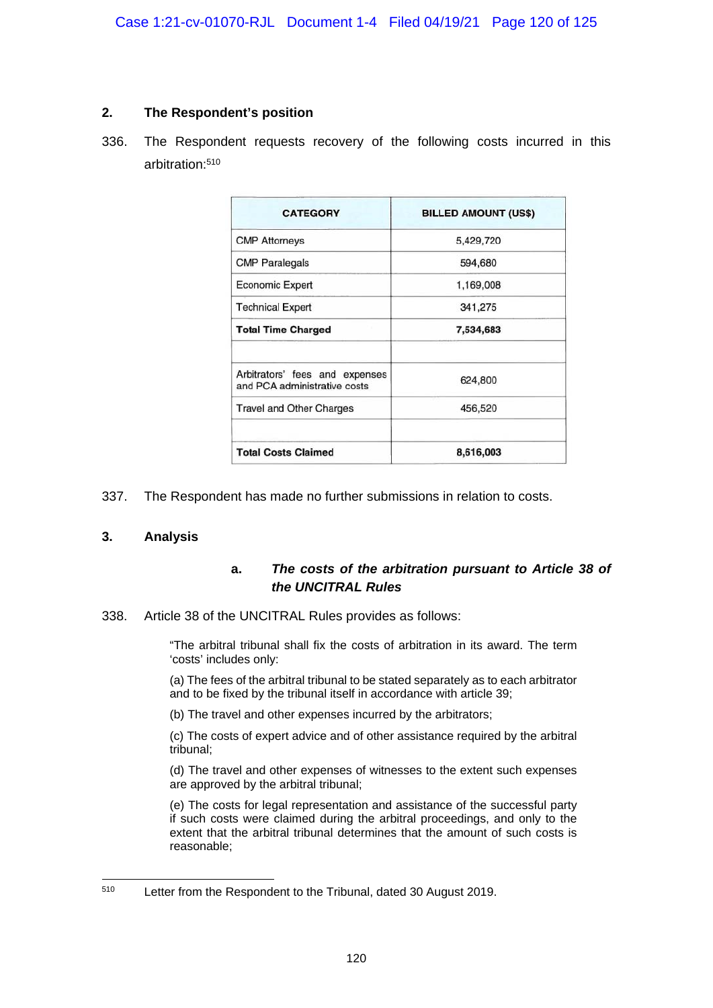## **2. The Respondent's position**

336. The Respondent requests recovery of the following costs incurred in this arbitration:510

| <b>CATEGORY</b>                                                | <b>BILLED AMOUNT (US\$)</b> |
|----------------------------------------------------------------|-----------------------------|
| <b>CMP Attorneys</b>                                           | 5,429,720                   |
| <b>CMP Paralegals</b>                                          | 594,680                     |
| <b>Economic Expert</b>                                         | 1,169,008                   |
| <b>Technical Expert</b>                                        | 341,275                     |
| <b>Total Time Charged</b>                                      | 7,534,683                   |
| Arbitrators' fees and expenses<br>and PCA administrative costs | 624,800                     |
| <b>Travel and Other Charges</b>                                | 456,520                     |
| <b>Total Costs Claimed</b>                                     | 8,616,003                   |

337. The Respondent has made no further submissions in relation to costs.

# **3. Analysis**

# **a.** *The costs of the arbitration pursuant to Article 38 of the UNCITRAL Rules*

338. Article 38 of the UNCITRAL Rules provides as follows:

"The arbitral tribunal shall fix the costs of arbitration in its award. The term 'costs' includes only:

(a) The fees of the arbitral tribunal to be stated separately as to each arbitrator and to be fixed by the tribunal itself in accordance with article 39;

(b) The travel and other expenses incurred by the arbitrators;

(c) The costs of expert advice and of other assistance required by the arbitral tribunal;

(d) The travel and other expenses of witnesses to the extent such expenses are approved by the arbitral tribunal;

(e) The costs for legal representation and assistance of the successful party if such costs were claimed during the arbitral proceedings, and only to the extent that the arbitral tribunal determines that the amount of such costs is reasonable;

<sup>1</sup> 510 Letter from the Respondent to the Tribunal, dated 30 August 2019.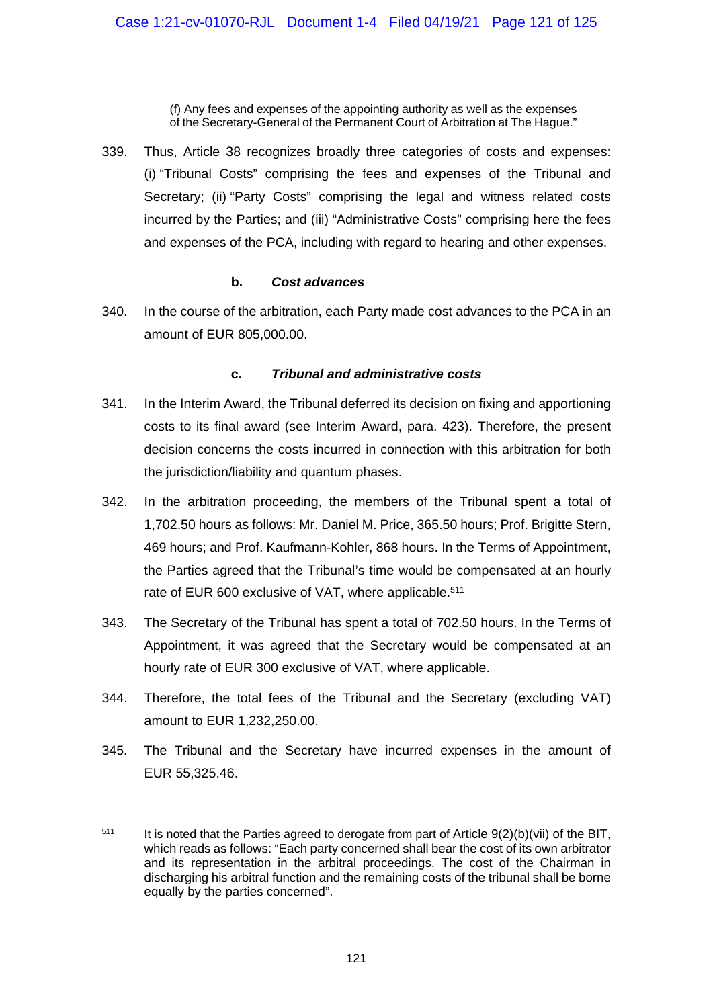(f) Any fees and expenses of the appointing authority as well as the expenses of the Secretary-General of the Permanent Court of Arbitration at The Hague."

339. Thus, Article 38 recognizes broadly three categories of costs and expenses: (i) "Tribunal Costs" comprising the fees and expenses of the Tribunal and Secretary; (ii) "Party Costs" comprising the legal and witness related costs incurred by the Parties; and (iii) "Administrative Costs" comprising here the fees and expenses of the PCA, including with regard to hearing and other expenses.

#### **b.** *Cost advances*

340. In the course of the arbitration, each Party made cost advances to the PCA in an amount of EUR 805,000.00.

# **c.** *Tribunal and administrative costs*

- 341. In the Interim Award, the Tribunal deferred its decision on fixing and apportioning costs to its final award (see Interim Award, para. 423). Therefore, the present decision concerns the costs incurred in connection with this arbitration for both the jurisdiction/liability and quantum phases.
- 342. In the arbitration proceeding, the members of the Tribunal spent a total of 1,702.50 hours as follows: Mr. Daniel M. Price, 365.50 hours; Prof. Brigitte Stern, 469 hours; and Prof. Kaufmann-Kohler, 868 hours. In the Terms of Appointment, the Parties agreed that the Tribunal's time would be compensated at an hourly rate of EUR 600 exclusive of VAT, where applicable.<sup>511</sup>
- 343. The Secretary of the Tribunal has spent a total of 702.50 hours. In the Terms of Appointment, it was agreed that the Secretary would be compensated at an hourly rate of EUR 300 exclusive of VAT, where applicable.
- 344. Therefore, the total fees of the Tribunal and the Secretary (excluding VAT) amount to EUR 1,232,250.00.
- 345. The Tribunal and the Secretary have incurred expenses in the amount of EUR 55,325.46.

 $511$ It is noted that the Parties agreed to derogate from part of Article 9(2)(b)(vii) of the BIT, which reads as follows: "Each party concerned shall bear the cost of its own arbitrator and its representation in the arbitral proceedings. The cost of the Chairman in discharging his arbitral function and the remaining costs of the tribunal shall be borne equally by the parties concerned".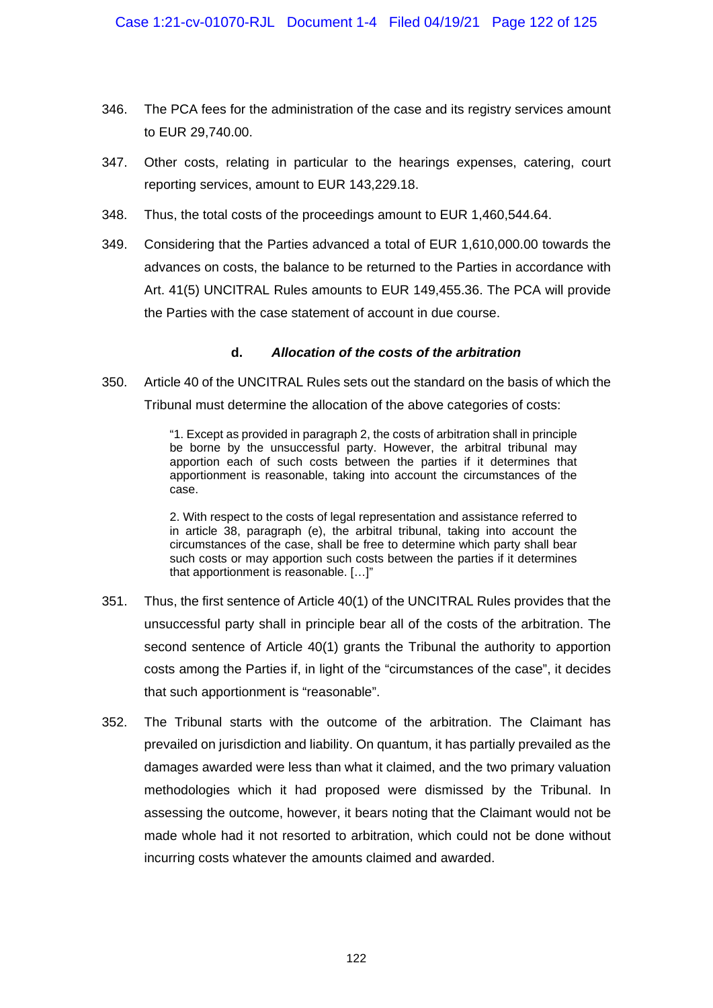- 346. The PCA fees for the administration of the case and its registry services amount to EUR 29,740.00.
- 347. Other costs, relating in particular to the hearings expenses, catering, court reporting services, amount to EUR 143,229.18.
- 348. Thus, the total costs of the proceedings amount to EUR 1,460,544.64.
- 349. Considering that the Parties advanced a total of EUR 1,610,000.00 towards the advances on costs, the balance to be returned to the Parties in accordance with Art. 41(5) UNCITRAL Rules amounts to EUR 149,455.36. The PCA will provide the Parties with the case statement of account in due course.

#### **d.** *Allocation of the costs of the arbitration*

350. Article 40 of the UNCITRAL Rules sets out the standard on the basis of which the Tribunal must determine the allocation of the above categories of costs:

> "1. Except as provided in paragraph 2, the costs of arbitration shall in principle be borne by the unsuccessful party. However, the arbitral tribunal may apportion each of such costs between the parties if it determines that apportionment is reasonable, taking into account the circumstances of the case.

> 2. With respect to the costs of legal representation and assistance referred to in article 38, paragraph (e), the arbitral tribunal, taking into account the circumstances of the case, shall be free to determine which party shall bear such costs or may apportion such costs between the parties if it determines that apportionment is reasonable. […]"

- 351. Thus, the first sentence of Article 40(1) of the UNCITRAL Rules provides that the unsuccessful party shall in principle bear all of the costs of the arbitration. The second sentence of Article 40(1) grants the Tribunal the authority to apportion costs among the Parties if, in light of the "circumstances of the case", it decides that such apportionment is "reasonable".
- 352. The Tribunal starts with the outcome of the arbitration. The Claimant has prevailed on jurisdiction and liability. On quantum, it has partially prevailed as the damages awarded were less than what it claimed, and the two primary valuation methodologies which it had proposed were dismissed by the Tribunal. In assessing the outcome, however, it bears noting that the Claimant would not be made whole had it not resorted to arbitration, which could not be done without incurring costs whatever the amounts claimed and awarded.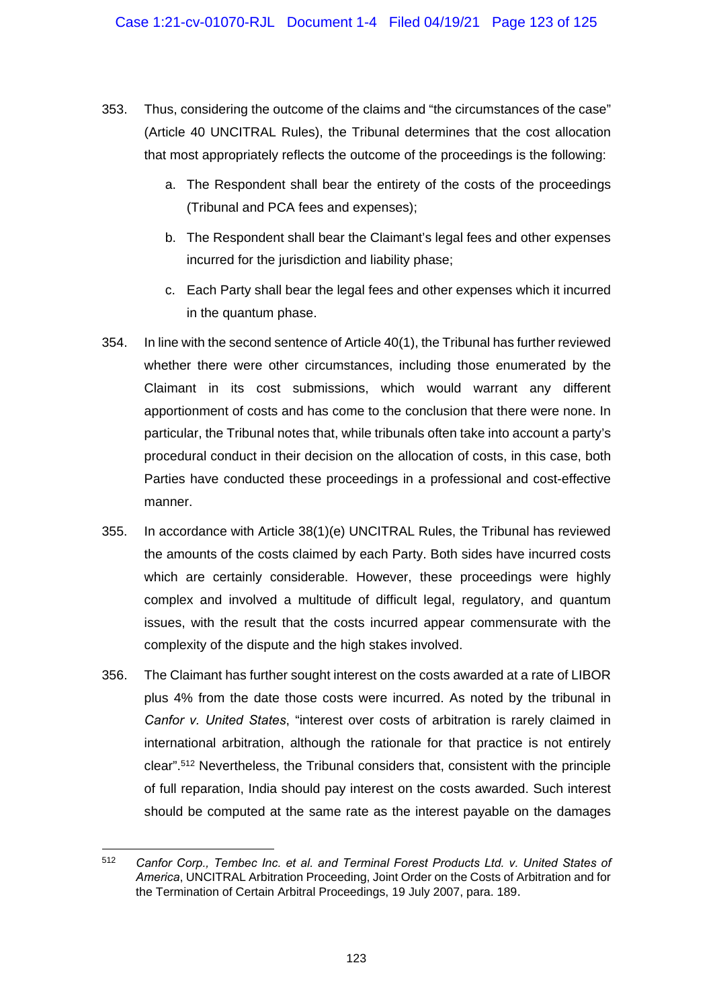- 353. Thus, considering the outcome of the claims and "the circumstances of the case" (Article 40 UNCITRAL Rules), the Tribunal determines that the cost allocation that most appropriately reflects the outcome of the proceedings is the following:
	- a. The Respondent shall bear the entirety of the costs of the proceedings (Tribunal and PCA fees and expenses);
	- b. The Respondent shall bear the Claimant's legal fees and other expenses incurred for the jurisdiction and liability phase;
	- c. Each Party shall bear the legal fees and other expenses which it incurred in the quantum phase.
- 354. In line with the second sentence of Article 40(1), the Tribunal has further reviewed whether there were other circumstances, including those enumerated by the Claimant in its cost submissions, which would warrant any different apportionment of costs and has come to the conclusion that there were none. In particular, the Tribunal notes that, while tribunals often take into account a party's procedural conduct in their decision on the allocation of costs, in this case, both Parties have conducted these proceedings in a professional and cost-effective manner.
- 355. In accordance with Article 38(1)(e) UNCITRAL Rules, the Tribunal has reviewed the amounts of the costs claimed by each Party. Both sides have incurred costs which are certainly considerable. However, these proceedings were highly complex and involved a multitude of difficult legal, regulatory, and quantum issues, with the result that the costs incurred appear commensurate with the complexity of the dispute and the high stakes involved.
- 356. The Claimant has further sought interest on the costs awarded at a rate of LIBOR plus 4% from the date those costs were incurred. As noted by the tribunal in *Canfor v. United States*, "interest over costs of arbitration is rarely claimed in international arbitration, although the rationale for that practice is not entirely clear".512 Nevertheless, the Tribunal considers that, consistent with the principle of full reparation, India should pay interest on the costs awarded. Such interest should be computed at the same rate as the interest payable on the damages

<sup>512</sup> *Canfor Corp., Tembec Inc. et al. and Terminal Forest Products Ltd. v. United States of America*, UNCITRAL Arbitration Proceeding, Joint Order on the Costs of Arbitration and for the Termination of Certain Arbitral Proceedings, 19 July 2007, para. 189.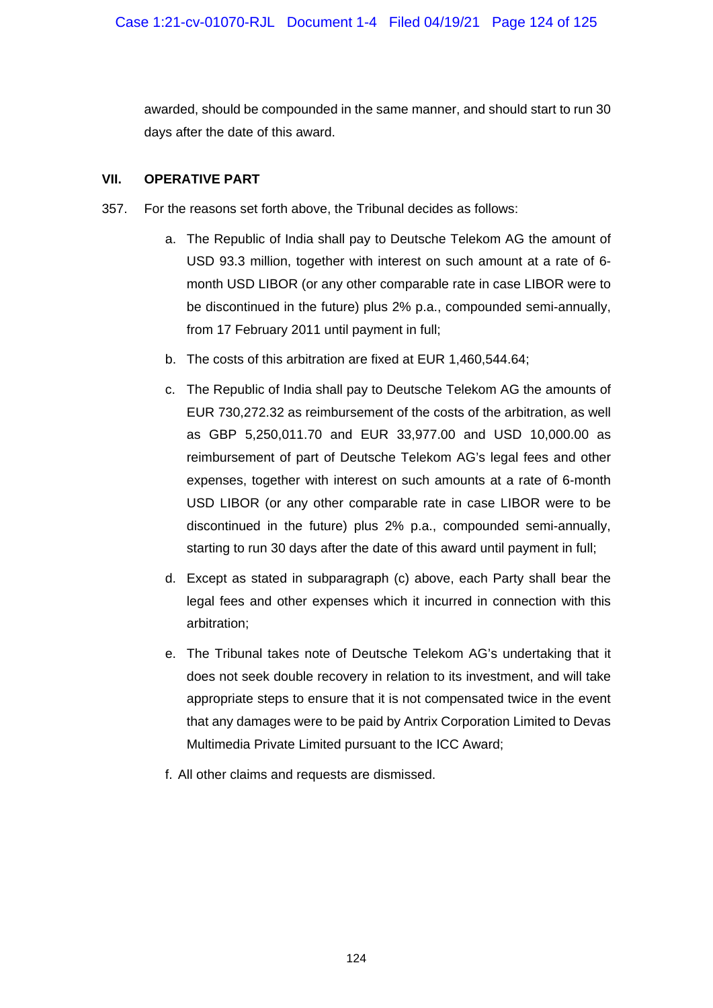awarded, should be compounded in the same manner, and should start to run 30 days after the date of this award.

## **VII. OPERATIVE PART**

- 357. For the reasons set forth above, the Tribunal decides as follows:
	- a. The Republic of India shall pay to Deutsche Telekom AG the amount of USD 93.3 million, together with interest on such amount at a rate of 6 month USD LIBOR (or any other comparable rate in case LIBOR were to be discontinued in the future) plus 2% p.a., compounded semi-annually, from 17 February 2011 until payment in full;
	- b. The costs of this arbitration are fixed at EUR 1,460,544.64;
	- c. The Republic of India shall pay to Deutsche Telekom AG the amounts of EUR 730,272.32 as reimbursement of the costs of the arbitration, as well as GBP 5,250,011.70 and EUR 33,977.00 and USD 10,000.00 as reimbursement of part of Deutsche Telekom AG's legal fees and other expenses, together with interest on such amounts at a rate of 6-month USD LIBOR (or any other comparable rate in case LIBOR were to be discontinued in the future) plus 2% p.a., compounded semi-annually, starting to run 30 days after the date of this award until payment in full;
	- d. Except as stated in subparagraph (c) above, each Party shall bear the legal fees and other expenses which it incurred in connection with this arbitration;
	- e. The Tribunal takes note of Deutsche Telekom AG's undertaking that it does not seek double recovery in relation to its investment, and will take appropriate steps to ensure that it is not compensated twice in the event that any damages were to be paid by Antrix Corporation Limited to Devas Multimedia Private Limited pursuant to the ICC Award;
	- f. All other claims and requests are dismissed.